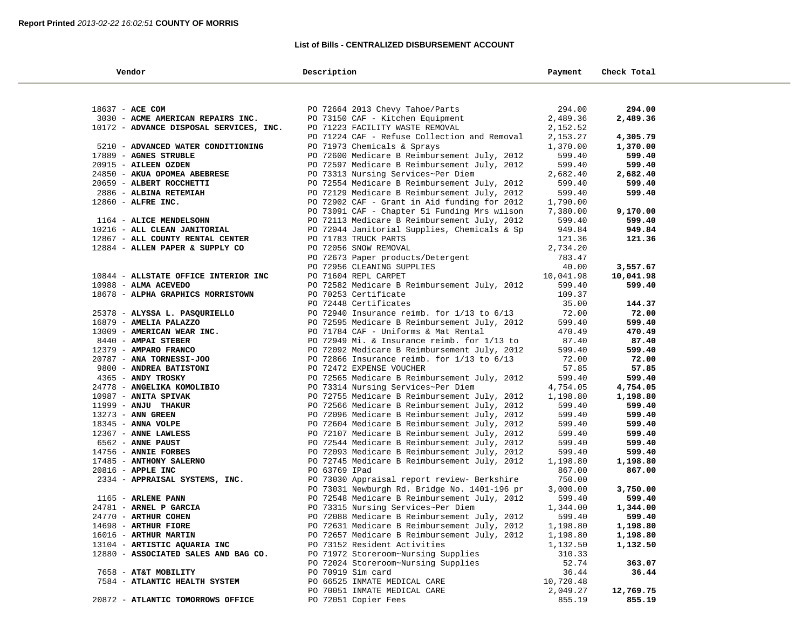## **List of Bills - CENTRALIZED DISBURSEMENT ACCOUNT**

| Vendor                                                | Description                                                              | Payment            | Check Total     |  |
|-------------------------------------------------------|--------------------------------------------------------------------------|--------------------|-----------------|--|
|                                                       |                                                                          |                    |                 |  |
| 18637 - ACE COM                                       | PO 72664 2013 Chevy Tahoe/Parts                                          | 294.00             | 294.00          |  |
| 3030 - ACME AMERICAN REPAIRS INC.                     | PO 73150 CAF - Kitchen Equipment                                         | 2,489.36           | 2,489.36        |  |
| 10172 - ADVANCE DISPOSAL SERVICES, INC.               | PO 71223 FACILITY WASTE REMOVAL                                          | 2,152.52           |                 |  |
|                                                       | PO 71224 CAF - Refuse Collection and Removal                             | 2,153.27           | 4,305.79        |  |
| 5210 - ADVANCED WATER CONDITIONING                    | PO 71973 Chemicals & Sprays                                              | 1,370.00           | 1,370.00        |  |
| 17889 - AGNES STRUBLE                                 | PO 72600 Medicare B Reimbursement July, 2012                             | 599.40             | 599.40          |  |
| 20915 - AILEEN OZDEN                                  | PO 72597 Medicare B Reimbursement July, 2012                             | 599.40             | 599.40          |  |
| 24850 - AKUA OPOMEA ABEBRESE                          | PO 73313 Nursing Services~Per Diem                                       | 2,682.40           | 2,682.40        |  |
| 20659 - ALBERT ROCCHETTI                              | PO 72554 Medicare B Reimbursement July, 2012                             | 599.40             | 599.40          |  |
| 2886 - ALBINA RETEMIAH                                | PO 72129 Medicare B Reimbursement July, 2012                             | 599.40             | 599.40          |  |
| 12860 - ALFRE INC.                                    | PO 72902 CAF - Grant in Aid funding for 2012                             | 1,790.00           |                 |  |
|                                                       | PO 73091 CAF - Chapter 51 Funding Mrs wilson                             | 7,380.00           | 9,170.00        |  |
| 1164 - ALICE MENDELSOHN                               | PO 72113 Medicare B Reimbursement July, 2012                             | 599.40             | 599.40          |  |
| 10216 - ALL CLEAN JANITORIAL                          | PO 72044 Janitorial Supplies, Chemicals & Sp                             | 949.84             | 949.84          |  |
| 12867 - ALL COUNTY RENTAL CENTER                      | PO 71783 TRUCK PARTS                                                     | 121.36             | 121.36          |  |
| 12884 - ALLEN PAPER & SUPPLY CO                       | PO 72056 SNOW REMOVAL                                                    | 2,734.20           |                 |  |
|                                                       | PO 72673 Paper products/Detergent                                        | 783.47             |                 |  |
|                                                       | PO 72956 CLEANING SUPPLIES                                               | 40.00              | 3,557.67        |  |
| 10844 - ALLSTATE OFFICE INTERIOR INC                  | PO 71604 REPL CARPET                                                     | 10,041.98          | 10,041.98       |  |
| 10988 - ALMA ACEVEDO                                  | PO 72582 Medicare B Reimbursement July, 2012                             | 599.40             | 599.40          |  |
| 18678 - ALPHA GRAPHICS MORRISTOWN                     | PO 70253 Certificate                                                     | 109.37             |                 |  |
|                                                       | PO 72448 Certificates                                                    | 35.00              | 144.37          |  |
| 25378 - ALYSSA L. PASQURIELLO                         | PO 72940 Insurance reimb. for $1/13$ to $6/13$                           | 72.00              | 72.00           |  |
| 16879 - AMELIA PALAZZO                                | PO 72595 Medicare B Reimbursement July, 2012                             | 599.40             | 599.40          |  |
| 13009 - AMERICAN WEAR INC.                            | PO 71784 CAF - Uniforms & Mat Rental                                     | 470.49             | 470.49          |  |
| 8440 - AMPAI STEBER                                   | PO 72949 Mi. & Insurance reimb. for 1/13 to                              | 87.40              | 87.40           |  |
| 12379 - AMPARO FRANCO                                 | PO 72092 Medicare B Reimbursement July, 2012                             | 599.40             | 599.40          |  |
| 20787 - ANA TORNESSI-JOO                              | PO 72866 Insurance reimb. for $1/13$ to $6/13$                           | 72.00              | 72.00           |  |
| 9800 - ANDREA BATISTONI<br>4365 - ANDY TROSKY         | PO 72472 EXPENSE VOUCHER<br>PO 72565 Medicare B Reimbursement July, 2012 | 57.85<br>599.40    | 57.85<br>599.40 |  |
| 24778 - ANGELIKA KOMOLIBIO                            | PO 73314 Nursing Services~Per Diem                                       | 4,754.05           | 4,754.05        |  |
| 10987 - ANITA SPIVAK                                  | PO 72755 Medicare B Reimbursement July, 2012                             | 1,198.80           | 1,198.80        |  |
| 11999 - ANJU THAKUR                                   | PO 72566 Medicare B Reimbursement July, 2012                             | 599.40             | 599.40          |  |
| 13273 - ANN GREEN                                     | PO 72096 Medicare B Reimbursement July, 2012                             | 599.40             | 599.40          |  |
| 18345 - ANNA VOLPE                                    | PO 72604 Medicare B Reimbursement July, 2012                             | 599.40             | 599.40          |  |
| 12367 - ANNE LAWLESS                                  | PO 72107 Medicare B Reimbursement July, 2012                             | 599.40             | 599.40          |  |
| 6562 - ANNE PAUST                                     | PO 72544 Medicare B Reimbursement July, 2012                             | 599.40             | 599.40          |  |
| 14756 - ANNIE FORBES                                  | PO 72093 Medicare B Reimbursement July, 2012                             | 599.40             | 599.40          |  |
| 17485 - ANTHONY SALERNO                               | PO 72745 Medicare B Reimbursement July, 2012                             | 1,198.80           | 1,198.80        |  |
| 20816 - APPLE INC                                     | PO 63769 IPad                                                            | 867.00             | 867.00          |  |
| 2334 - APPRAISAL SYSTEMS, INC.                        | PO 73030 Appraisal report review- Berkshire                              | 750.00             |                 |  |
|                                                       | PO 73031 Newburgh Rd. Bridge No. 1401-196 pr                             | 3,000.00           | 3,750.00        |  |
| 1165 - ARLENE PANN                                    | PO 72548 Medicare B Reimbursement July, 2012                             | 599.40             | 599.40          |  |
| 24781 - ARNEL P GARCIA                                | PO 73315 Nursing Services~Per Diem                                       | 1,344.00           | 1,344.00        |  |
| 24770 - ARTHUR COHEN                                  | PO 72088 Medicare B Reimbursement July, 2012                             | 599.40             | 599.40          |  |
| 14698 - ARTHUR FIORE                                  | PO 72631 Medicare B Reimbursement July, 2012                             | 1,198.80           | 1,198.80        |  |
| 16016 - ARTHUR MARTIN                                 | PO 72657 Medicare B Reimbursement July, 2012                             | 1,198.80           | 1,198.80        |  |
| 13104 - ARTISTIC AQUARIA INC                          | PO 73152 Resident Activities                                             | 1,132.50           | 1,132.50        |  |
| 12880 - ASSOCIATED SALES AND BAG CO.                  | PO 71972 Storeroom~Nursing Supplies                                      | 310.33             |                 |  |
|                                                       | PO 72024 Storeroom~Nursing Supplies                                      | 52.74              | 363.07          |  |
| 7658 - AT&T MOBILITY<br>7584 - ATLANTIC HEALTH SYSTEM | PO 70919 Sim card<br>PO 66525 INMATE MEDICAL CARE                        | 36.44<br>10,720.48 | 36.44           |  |
|                                                       | PO 70051 INMATE MEDICAL CARE                                             | 2,049.27           | 12,769.75       |  |
| 20872 - ATLANTIC TOMORROWS OFFICE                     | PO 72051 Copier Fees                                                     | 855.19             | 855.19          |  |
|                                                       |                                                                          |                    |                 |  |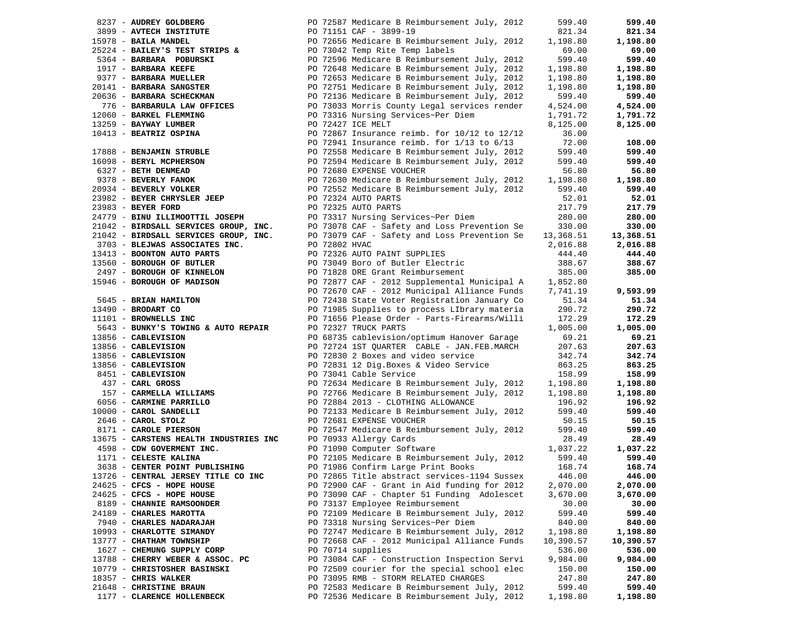| 8237 - AUDREY GOLDBERG                                                                                                                                                                                                                       |               | PO 72587 Medicare B Reimbursement July, 2012                                                                                                                                                                                                   | 599.40    | 599.40    |
|----------------------------------------------------------------------------------------------------------------------------------------------------------------------------------------------------------------------------------------------|---------------|------------------------------------------------------------------------------------------------------------------------------------------------------------------------------------------------------------------------------------------------|-----------|-----------|
|                                                                                                                                                                                                                                              |               | 3899 - AVTECH INSTITUTE<br>3899 - AVTECH INSTITUTE PO 71151 CAF - 3899-19<br>5978 - BAILA MANDEL PO 72656 Medicare B Reimbursement July, 2012 1,198.80                                                                                         |           | 821.34    |
| 15978 - BAILA MANDEL                                                                                                                                                                                                                         |               |                                                                                                                                                                                                                                                |           | 1,198.80  |
|                                                                                                                                                                                                                                              |               | 25224 - BAILEY'S TEST STRIPS & PO 73042 Temp Rite Temp labels<br>5364 - BARBARA POBURSKI PO 72596 Medicare B Reimbursement July, 2012                                                                                                          | 69.00     | 69.00     |
|                                                                                                                                                                                                                                              |               |                                                                                                                                                                                                                                                | 599.40    | 599.40    |
| 1917 - BARBARA KEEFE                                                                                                                                                                                                                         |               | PO 72648 Medicare B Reimbursement July, 2012                                                                                                                                                                                                   | 1,198.80  | 1,198.80  |
| 9377 - BARBARA MUELLER                                                                                                                                                                                                                       |               | PO 72653 Medicare B Reimbursement July, 2012                                                                                                                                                                                                   | 1,198.80  | 1,198.80  |
| 20141 - BARBARA SANGSTER                                                                                                                                                                                                                     |               |                                                                                                                                                                                                                                                | 1,198.80  | 1,198.80  |
| 20636 - BARBARA SCHECKMAN                                                                                                                                                                                                                    |               | PO 72751 Medicare в келифитьемене ода,<br>PO 72136 Medicare B Reimbursement July, 2012                                                                                                                                                         | 599.40    | 599.40    |
| 776 - BARBARULA LAW OFFICES                                                                                                                                                                                                                  |               | PO 73033 Morris County Legal services render                                                                                                                                                                                                   | 4,524.00  | 4,524.00  |
| 12060 - BARKEL FLEMMING                                                                                                                                                                                                                      |               | PO 73316 Nursing Services~Per Diem                                                                                                                                                                                                             | 1,791.72  | 1,791.72  |
| 13259 - BAYWAY LUMBER                                                                                                                                                                                                                        |               | PO 72427 ICE MELT                                                                                                                                                                                                                              | 8,125.00  | 8,125.00  |
| 10413 - BEATRIZ OSPINA                                                                                                                                                                                                                       |               |                                                                                                                                                                                                                                                | 36.00     |           |
|                                                                                                                                                                                                                                              |               | 10413 - BEATRIZ OSPINA<br>17888 - BENJAMIN STRUBLE<br>16098 - BERYL MCPHERSON<br>16098 - BERYL MCPHERSON<br>16098 - BERYL MCPHERSON<br>16098 - PERYL MCPHERSON<br>16098 - PERYL MCPHERSON<br>16098 - PERYL MCPHERSON<br>16098 - PERYL MCPHERSO | 72.00     | 108.00    |
|                                                                                                                                                                                                                                              |               |                                                                                                                                                                                                                                                | 599.40    | 599.40    |
|                                                                                                                                                                                                                                              |               |                                                                                                                                                                                                                                                | 599.40    | 599.40    |
| $6098 - BEXI1$ external contracts.<br>$9378 - BEXI1$ DENMEAD<br>$9378 - BEXI1$ FANOK<br>$1000$ and the particle of the particle of the particle of the particle of the particle of the particle of the particle of the particle of the parti |               |                                                                                                                                                                                                                                                | 56.80     | 56.80     |
|                                                                                                                                                                                                                                              |               | PO 72630 Medicare B Reimbursement July, 2012 1,198.80                                                                                                                                                                                          |           | 1,198.80  |
| 20934 - BEVERLY VOLKER                                                                                                                                                                                                                       |               | PO 72552 Medicare B Reimbursement July, 2012                                                                                                                                                                                                   | 599.40    | 599.40    |
| 23982 - BEYER CHRYSLER JEEP                                                                                                                                                                                                                  |               | PO 72324 AUTO PARTS                                                                                                                                                                                                                            | 52.01     | 52.01     |
| 23983 - BEYER FORD                                                                                                                                                                                                                           |               | PO 72325 AUTO PARTS                                                                                                                                                                                                                            | 217.79    | 217.79    |
|                                                                                                                                                                                                                                              |               | 23983 - BEIER FURD<br>24779 - BINU ILLIMOOTTIL JOSEPH<br>21042 - BIRDSALL SERVICES GROUP, INC.<br>21042 - BIRDSALL SERVICES GROUP, INC.<br>21042 - BIRDSALL SERVICES GROUP, INC.<br>22042 - BIRDSALL SERVICES GROUP, INC.<br>22079 CAF - S     | 280.00    | 280.00    |
|                                                                                                                                                                                                                                              |               |                                                                                                                                                                                                                                                | 330.00    | 330.00    |
|                                                                                                                                                                                                                                              |               |                                                                                                                                                                                                                                                | 13,368.51 | 13,368.51 |
| 3703 - BLEJWAS ASSOCIATES INC.                                                                                                                                                                                                               | PO 72802 HVAC |                                                                                                                                                                                                                                                | 2,016.88  | 2,016.88  |
| 13413 - BOONTON AUTO PARTS                                                                                                                                                                                                                   |               | PO 72326 AUTO PAINT SUPPLIES                                                                                                                                                                                                                   | 444.40    | 444.40    |
| 13560 - BOROUGH OF BUTLER                                                                                                                                                                                                                    |               | PO 73049 Boro of Butler Electric                                                                                                                                                                                                               | 388.67    | 388.67    |
| 2497 - BOROUGH OF KINNELON                                                                                                                                                                                                                   |               | PO 71828 DRE Grant Reimbursement                                                                                                                                                                                                               | 385.00    | 385.00    |
| 15946 - BOROUGH OF MADISON                                                                                                                                                                                                                   |               | PO 72877 CAF - 2012 Supplemental Municipal A 1,852.80                                                                                                                                                                                          |           |           |
|                                                                                                                                                                                                                                              |               | PO 72670 CAF - 2012 Municipal Alliance Funds 7,741.19                                                                                                                                                                                          |           | 9,593.99  |
| 5645 - BRIAN HAMILTON                                                                                                                                                                                                                        |               | PO 72438 State Voter Registration January Co                                                                                                                                                                                                   | 51.34     | 51.34     |
| 13490 - BRODART CO                                                                                                                                                                                                                           |               | PO 71985 Supplies to process LIbrary materia                                                                                                                                                                                                   | 290.72    | 290.72    |
| 11101 - BROWNELLS INC                                                                                                                                                                                                                        |               | PO 71656 Please Order - Parts-Firearms/Willi                                                                                                                                                                                                   | 172.29    | 172.29    |
| 5643 - BUNKY'S TOWING & AUTO REPAIR                                                                                                                                                                                                          |               | PO 72327 TRUCK PARTS                                                                                                                                                                                                                           | 1,005.00  | 1,005.00  |
|                                                                                                                                                                                                                                              |               | PO 68735 cablevision/optimum Hanover Garage                                                                                                                                                                                                    | 69.21     | 69.21     |
|                                                                                                                                                                                                                                              |               | PO 72724 1ST QUARTER CABLE - JAN.FEB.MARCH                                                                                                                                                                                                     | 207.63    | 207.63    |
|                                                                                                                                                                                                                                              |               | PO 72830 2 Boxes and video service                                                                                                                                                                                                             | 342.74    | 342.74    |
| 5643 - BUNAL B FORMA - 1998<br>13856 - CABLEVISION<br>13856 - CABLEVISION<br>13856 - CABLEVISION<br>13856 - CABLEVISION<br>8451 - CABLEVISION<br>437 - CARL GROSS                                                                            |               | PO 72831 12 Dig. Boxes & Video Service                                                                                                                                                                                                         | 863.25    | 863.25    |
|                                                                                                                                                                                                                                              |               | PO 73041 Cable Service                                                                                                                                                                                                                         | 158.99    | 158.99    |
|                                                                                                                                                                                                                                              |               | PO 72634 Medicare B Reimbursement July, 2012 1,198.80                                                                                                                                                                                          |           | 1,198.80  |
| 157 - CARMELLA WILLIAMS                                                                                                                                                                                                                      |               | PO 72766 Medicare B Reimbursement July, 2012 1,198.80                                                                                                                                                                                          |           | 1,198.80  |
| 6056 - CARMINE PARRILLO                                                                                                                                                                                                                      |               | PO 72884 2013 - CLOTHING ALLOWANCE                                                                                                                                                                                                             | 196.92    | 196.92    |
| 10000 - CAROL SANDELLI                                                                                                                                                                                                                       |               | PO 72133 Medicare B Reimbursement July, 2012                                                                                                                                                                                                   | 599.40    | 599.40    |
| 2646 - CAROL STOLZ                                                                                                                                                                                                                           |               | PO 72681 EXPENSE VOUCHER                                                                                                                                                                                                                       | 50.15     | 50.15     |
| 8171 - CAROLE PIERSON                                                                                                                                                                                                                        |               | PO 72547 Medicare B Reimbursement July, 2012                                                                                                                                                                                                   | 599.40    | 599.40    |
| 13675 - CARSTENS HEALTH INDUSTRIES INC                                                                                                                                                                                                       |               | PO 70933 Allergy Cards                                                                                                                                                                                                                         | 28.49     | 28.49     |
| 4598 - CDW GOVERMENT INC.                                                                                                                                                                                                                    |               | PO 71090 Computer Software                                                                                                                                                                                                                     | 1,037.22  | 1,037.22  |
| 1171 - CELESTE KALINA                                                                                                                                                                                                                        |               | PO 72105 Medicare B Reimbursement July, 2012                                                                                                                                                                                                   | 599.40    | 599.40    |
| 3638 - CENTER POINT PUBLISHING                                                                                                                                                                                                               |               | PO 71986 Confirm Large Print Books                                                                                                                                                                                                             | 168.74    | 168.74    |
| 13726 - CENTRAL JERSEY TITLE CO INC                                                                                                                                                                                                          |               | PO 72865 Title abstract services-1194 Sussex                                                                                                                                                                                                   | 446.00    | 446.00    |
| 24625 - CFCS - HOPE HOUSE                                                                                                                                                                                                                    |               | PO 72900 CAF - Grant in Aid funding for 2012                                                                                                                                                                                                   | 2,070.00  | 2,070.00  |
| 24625 - CFCS - HOPE HOUSE                                                                                                                                                                                                                    |               | PO 73090 CAF - Chapter 51 Funding Adolescet                                                                                                                                                                                                    | 3,670.00  | 3,670.00  |
| 8189 - CHANNIE RAMSOONDER                                                                                                                                                                                                                    |               | PO 73137 Employee Reimbursement                                                                                                                                                                                                                | 30.00     | 30.00     |
| 24189 - CHARLES MAROTTA                                                                                                                                                                                                                      |               | PO 72109 Medicare B Reimbursement July, 2012                                                                                                                                                                                                   | 599.40    | 599.40    |
| 7940 - CHARLES NADARAJAH                                                                                                                                                                                                                     |               | PO 73318 Nursing Services~Per Diem                                                                                                                                                                                                             | 840.00    | 840.00    |
| 10993 - CHARLOTTE SIMANDY                                                                                                                                                                                                                    |               | PO 72747 Medicare B Reimbursement July, 2012                                                                                                                                                                                                   | 1,198.80  | 1,198.80  |
| 13777 - CHATHAM TOWNSHIP                                                                                                                                                                                                                     |               | PO 72668 CAF - 2012 Municipal Alliance Funds                                                                                                                                                                                                   | 10,390.57 | 10,390.57 |
| 1627 - CHEMUNG SUPPLY CORP                                                                                                                                                                                                                   |               | PO 70714 supplies                                                                                                                                                                                                                              | 536.00    | 536.00    |
| 13788 - CHERRY WEBER & ASSOC. PC                                                                                                                                                                                                             |               | PO 73084 CAF - Construction Inspection Servi                                                                                                                                                                                                   | 9,984.00  | 9,984.00  |
| 10779 - CHRISTOSHER BASINSKI                                                                                                                                                                                                                 |               | PO 72509 courier for the special school elec                                                                                                                                                                                                   | 150.00    | 150.00    |
| 18357 - CHRIS WALKER                                                                                                                                                                                                                         |               | PO 73095 RMB - STORM RELATED CHARGES                                                                                                                                                                                                           | 247.80    | 247.80    |
| 21648 - CHRISTINE BRAUN                                                                                                                                                                                                                      |               | PO 72583 Medicare B Reimbursement July, 2012                                                                                                                                                                                                   | 599.40    | 599.40    |
| 1177 - CLARENCE HOLLENBECK                                                                                                                                                                                                                   |               | PO 72536 Medicare B Reimbursement July, 2012                                                                                                                                                                                                   | 1,198.80  | 1,198.80  |
|                                                                                                                                                                                                                                              |               |                                                                                                                                                                                                                                                |           |           |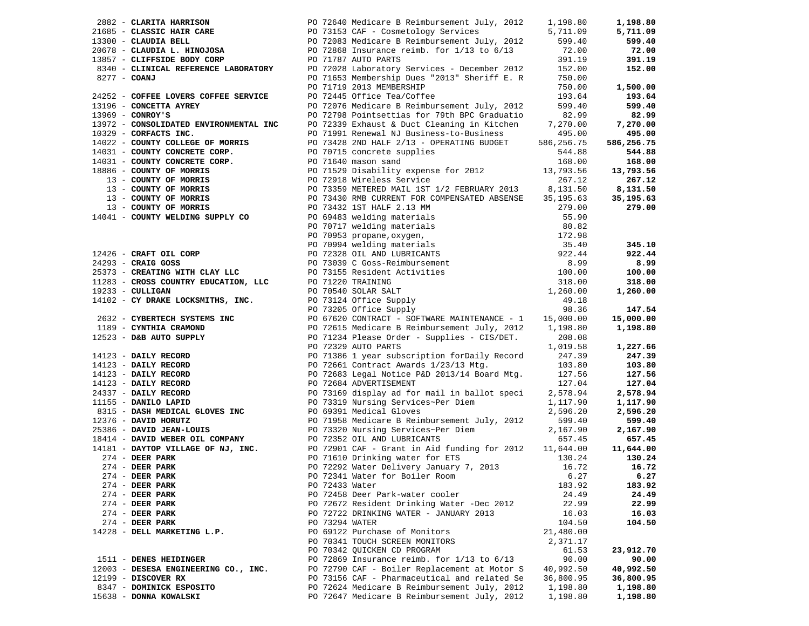|              | 2882 - CLARITA HARRISON                                                                                                                                                                                                                                |                | PO 72640 Medicare B Reimbursement July, 2012                                                                                                                                                                                                                           | 1,198.80   | 1,198.80   |
|--------------|--------------------------------------------------------------------------------------------------------------------------------------------------------------------------------------------------------------------------------------------------------|----------------|------------------------------------------------------------------------------------------------------------------------------------------------------------------------------------------------------------------------------------------------------------------------|------------|------------|
|              |                                                                                                                                                                                                                                                        |                |                                                                                                                                                                                                                                                                        | 5,711.09   | 5,711.09   |
|              |                                                                                                                                                                                                                                                        |                |                                                                                                                                                                                                                                                                        | 599.40     | 599.40     |
|              |                                                                                                                                                                                                                                                        |                |                                                                                                                                                                                                                                                                        | 72.00      | 72.00      |
|              |                                                                                                                                                                                                                                                        |                | 2002 - CLASSIC HAIR CARE<br>2002 - CLASSIC HAIR CARE<br>2007 - CLAUDIA BELL<br>20078 - CLAUDIA L. HINOJOSA<br>20078 - CLAUDIA L. HINOJOSA<br>20078 - CLAUDIA L. HINOJOSA<br>20078 - CLIFFSIDE BODY CORP<br>20072868 Insurance reimb. for 1/1                           | 391.19     | 391.19     |
|              | 8340 - CLINICAL REFERENCE LABORATORY                                                                                                                                                                                                                   |                | PO 72028 Laboratory Services - December 2012                                                                                                                                                                                                                           | 152.00     | 152.00     |
| 8277 - COANJ |                                                                                                                                                                                                                                                        |                | PO 71653 Membership Dues "2013" Sheriff E. R                                                                                                                                                                                                                           | 750.00     |            |
|              |                                                                                                                                                                                                                                                        |                | PO 71719 2013 MEMBERSHIP                                                                                                                                                                                                                                               | 750.00     | 1,500.00   |
|              | 24252 - COFFEE LOVERS COFFEE SERVICE                                                                                                                                                                                                                   |                | PO 72445 Office Tea/Coffee                                                                                                                                                                                                                                             | 193.64     | 193.64     |
|              | 13196 - CONCETTA AYREY                                                                                                                                                                                                                                 |                | PO 72076 Medicare B Reimbursement July, 2012                                                                                                                                                                                                                           | 599.40     | 599.40     |
|              | $13969$ - CONROY'S                                                                                                                                                                                                                                     |                | PO 72798 Pointsettias for 79th BPC Graduatio                                                                                                                                                                                                                           | 82.99      | 82.99      |
|              | 13972 - CONSOLIDATED ENVIRONMENTAL INC                                                                                                                                                                                                                 |                | PO 72339 Exhaust & Duct Cleaning in Kitchen                                                                                                                                                                                                                            | 7,270.00   | 7,270.00   |
|              | $10329$ - CORFACTS INC.                                                                                                                                                                                                                                |                | PO 71991 Renewal NJ Business-to-Business                                                                                                                                                                                                                               | 495.00     | 495.00     |
|              | 14022 - COUNTY COLLEGE OF MORRIS                                                                                                                                                                                                                       |                | PO 73428 2ND HALF 2/13 - OPERATING BUDGET                                                                                                                                                                                                                              | 586,256.75 | 586,256.75 |
|              | 14031 - COUNTY CONCRETE CORP.                                                                                                                                                                                                                          |                | PO 70715 concrete supplies                                                                                                                                                                                                                                             | 544.88     | 544.88     |
|              | $14031$ - COUNTY CONCRETE CORP.<br>$14031$ - COUNTY CONCRETE CORP.                                                                                                                                                                                     |                | PO 71640 mason sand                                                                                                                                                                                                                                                    | 168.00     | 168.00     |
|              |                                                                                                                                                                                                                                                        |                | PO 71529 Disability expense for 2012                                                                                                                                                                                                                                   | 13,793.56  | 13,793.56  |
|              |                                                                                                                                                                                                                                                        |                |                                                                                                                                                                                                                                                                        | 267.12     | 267.12     |
|              | 13 - COUNTY OF MORRIS<br>13 - COUNTY OF MORRIS                                                                                                                                                                                                         |                | PO 72918 Wireless Service<br>PO 73359 METERED MAIL 1ST 1/2 FEBRUARY 2013                                                                                                                                                                                               | 8,131.50   | 8,131.50   |
|              |                                                                                                                                                                                                                                                        |                | PO 73430 RMB CURRENT FOR COMPENSATED ABSENSE                                                                                                                                                                                                                           | 35,195.63  | 35,195.63  |
|              | 13 - COUNTY OF MORRIS<br>13 - COUNTY OF MORRIS                                                                                                                                                                                                         |                | PO 73432 1ST HALF 2.13 MM                                                                                                                                                                                                                                              | 279.00     | 279.00     |
|              | 14041 - COUNTY WELDING SUPPLY CO                                                                                                                                                                                                                       |                |                                                                                                                                                                                                                                                                        | 55.90      |            |
|              |                                                                                                                                                                                                                                                        |                |                                                                                                                                                                                                                                                                        | 80.82      |            |
|              |                                                                                                                                                                                                                                                        |                |                                                                                                                                                                                                                                                                        | 172.98     |            |
|              |                                                                                                                                                                                                                                                        |                |                                                                                                                                                                                                                                                                        | 35.40      | 345.10     |
|              | 12426 - CRAFT OIL CORP                                                                                                                                                                                                                                 |                |                                                                                                                                                                                                                                                                        | 922.44     | 922.44     |
|              |                                                                                                                                                                                                                                                        |                |                                                                                                                                                                                                                                                                        | 8.99       | 8.99       |
|              |                                                                                                                                                                                                                                                        |                |                                                                                                                                                                                                                                                                        | 100.00     | 100.00     |
|              | 24293 - CRAIG GOSS<br>25373 - CREATING WITH CLAY LLC<br>25373 - CREATING WITH CLAY LLC                                                                                                                                                                 |                |                                                                                                                                                                                                                                                                        | 318.00     | 318.00     |
|              | $19233 - \text{CULLIGAN}$                                                                                                                                                                                                                              |                |                                                                                                                                                                                                                                                                        | 1,260.00   | 1,260.00   |
|              | 14102 - CY DRAKE LOCKSMITHS, INC.                                                                                                                                                                                                                      |                |                                                                                                                                                                                                                                                                        | 49.18      |            |
|              |                                                                                                                                                                                                                                                        |                | PO 73432 IST HALF 2.13 MM<br>PO 69483 welding materials<br>PO 70717 welding materials<br>PO 70994 welding materials<br>PO 70994 welding materials<br>PO 73328 OIL AND LUBRICANTS<br>PO 73339 C Goss-Reimbursement<br>PO 73155 Resident Activ<br>PO 73205 Office Supply | 98.36      | 147.54     |
|              | 2632 - CYBERTECH SYSTEMS INC<br>1189 - CYNTHIA CRAMOND<br>12523 - D&B AUTO SUPPLY<br>14123 - DAILY RECORD<br>14123 - DAILY RECORD<br>14123 - DAILY RECORD<br>24337 - DAILY RECORD<br>1155 - DANILO LAPID<br>1155 - DANILO LAPID<br>1315 - DANILO LAPID |                | PO 67620 CONTRACT - SOFTWARE MAINTENANCE - 1 15,000.00                                                                                                                                                                                                                 |            | 15,000.00  |
|              |                                                                                                                                                                                                                                                        |                | PO 72615 Medicare B Reimbursement July, 2012                                                                                                                                                                                                                           | 1,198.80   | 1,198.80   |
|              |                                                                                                                                                                                                                                                        |                | PO 71234 Please Order - Supplies - CIS/DET.                                                                                                                                                                                                                            | 208.08     |            |
|              |                                                                                                                                                                                                                                                        |                | PO 72329 AUTO PARTS                                                                                                                                                                                                                                                    | 1,019.58   | 1,227.66   |
|              |                                                                                                                                                                                                                                                        |                | PO 71386 1 year subscription forDaily Record                                                                                                                                                                                                                           | 247.39     | 247.39     |
|              |                                                                                                                                                                                                                                                        |                | PO 72661 Contract Awards 1/23/13 Mtg.                                                                                                                                                                                                                                  | 103.80     | 103.80     |
|              |                                                                                                                                                                                                                                                        |                | PO 72683 Legal Notice P&D 2013/14 Board Mtg.                                                                                                                                                                                                                           | 127.56     | 127.56     |
|              |                                                                                                                                                                                                                                                        |                | PO 72684 ADVERTISEMENT                                                                                                                                                                                                                                                 | 127.04     | 127.04     |
|              |                                                                                                                                                                                                                                                        |                | PO 73169 display ad for mail in ballot speci                                                                                                                                                                                                                           | 2,578.94   | 2,578.94   |
|              |                                                                                                                                                                                                                                                        |                | PO 73319 Nursing Services~Per Diem                                                                                                                                                                                                                                     | 1,117.90   | 1,117.90   |
|              | 8315 - DASH MEDICAL GLOVES INC                                                                                                                                                                                                                         |                | PO 69391 Medical Gloves                                                                                                                                                                                                                                                | 2,596.20   | 2,596.20   |
|              | 12376 - DAVID HORUTZ                                                                                                                                                                                                                                   |                | PO 71958 Medicare B Reimbursement July, 2012                                                                                                                                                                                                                           | 599.40     | 599.40     |
|              | 25386 - DAVID JEAN-LOUIS                                                                                                                                                                                                                               |                | PO 73320 Nursing Services~Per Diem                                                                                                                                                                                                                                     | 2,167.90   | 2,167.90   |
|              | 18414 - DAVID WEBER OIL COMPANY                                                                                                                                                                                                                        |                | PO 72352 OIL AND LUBRICANTS                                                                                                                                                                                                                                            | 657.45     | 657.45     |
|              | 14181 - DAYTOP VILLAGE OF NJ, INC.                                                                                                                                                                                                                     |                | PO 72901 CAF - Grant in Aid funding for 2012                                                                                                                                                                                                                           | 11,644.00  | 11,644.00  |
|              | $274$ - DEER PARK                                                                                                                                                                                                                                      |                | PO 71610 Drinking water for ETS                                                                                                                                                                                                                                        | 130.24     | 130.24     |
|              | $274$ - DEER PARK                                                                                                                                                                                                                                      |                | PO 72292 Water Delivery January 7, 2013                                                                                                                                                                                                                                | 16.72      | 16.72      |
|              | $274$ - DEER PARK                                                                                                                                                                                                                                      |                | PO 72341 Water for Boiler Room                                                                                                                                                                                                                                         | 6.27       | 6.27       |
|              | $274$ - DEER PARK                                                                                                                                                                                                                                      | PO 72433 Water |                                                                                                                                                                                                                                                                        | 183.92     | 183.92     |
|              | $274$ - DEER PARK                                                                                                                                                                                                                                      |                | PO 72458 Deer Park-water cooler                                                                                                                                                                                                                                        | 24.49      | 24.49      |
|              | $274$ - DEER PARK                                                                                                                                                                                                                                      |                | PO 72672 Resident Drinking Water -Dec 2012                                                                                                                                                                                                                             | 22.99      | 22.99      |
|              | $274$ - DEER PARK                                                                                                                                                                                                                                      |                | PO 72722 DRINKING WATER - JANUARY 2013                                                                                                                                                                                                                                 | 16.03      | 16.03      |
|              | $274$ - DEER PARK                                                                                                                                                                                                                                      | PO 73294 WATER |                                                                                                                                                                                                                                                                        | 104.50     | 104.50     |
|              | 14228 - DELL MARKETING L.P.                                                                                                                                                                                                                            |                | PO 69122 Purchase of Monitors                                                                                                                                                                                                                                          | 21,480.00  |            |
|              |                                                                                                                                                                                                                                                        |                | PO 70341 TOUCH SCREEN MONITORS                                                                                                                                                                                                                                         | 2,371.17   |            |
|              |                                                                                                                                                                                                                                                        |                | PO 70342 QUICKEN CD PROGRAM                                                                                                                                                                                                                                            | 61.53      | 23,912.70  |
|              | 1511 - DENES HEIDINGER                                                                                                                                                                                                                                 |                | PO 72869 Insurance reimb. for $1/13$ to $6/13$                                                                                                                                                                                                                         | 90.00      | 90.00      |
|              |                                                                                                                                                                                                                                                        |                | PO 72790 CAF - Boiler Replacement at Motor S                                                                                                                                                                                                                           |            | 40,992.50  |
|              | 12003 - DESESA ENGINEERING CO., INC.<br>$12199$ - DISCOVER RX                                                                                                                                                                                          |                | PO 73156 CAF - Pharmaceutical and related Se                                                                                                                                                                                                                           | 40,992.50  |            |
|              |                                                                                                                                                                                                                                                        |                |                                                                                                                                                                                                                                                                        | 36,800.95  | 36,800.95  |
|              | 8347 - DOMINICK ESPOSITO                                                                                                                                                                                                                               |                | PO 72624 Medicare B Reimbursement July, 2012                                                                                                                                                                                                                           | 1,198.80   | 1,198.80   |
|              | 15638 - DONNA KOWALSKI                                                                                                                                                                                                                                 |                | PO 72647 Medicare B Reimbursement July, 2012                                                                                                                                                                                                                           | 1,198.80   | 1,198.80   |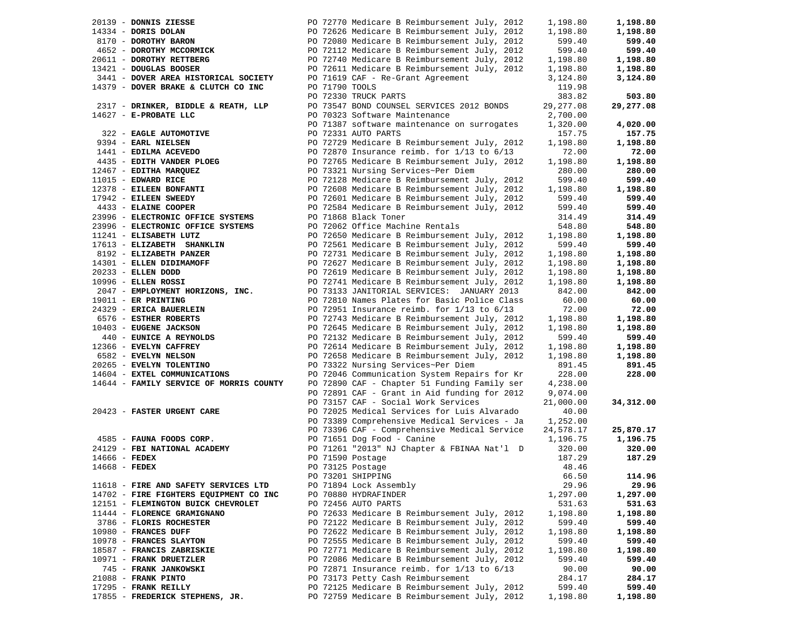| 20139 - DONNIS ZIESSE                   |  | PO 72770 Medicare B Reimbursement July, 2012   | 1,198.80   | 1,198.80  |
|-----------------------------------------|--|------------------------------------------------|------------|-----------|
| 14334 - DORIS DOLAN                     |  | PO 72626 Medicare B Reimbursement July, 2012   | 1,198.80   | 1,198.80  |
| 8170 - DOROTHY BARON                    |  | PO 72080 Medicare B Reimbursement July, 2012   | 599.40     | 599.40    |
| 4652 - DOROTHY MCCORMICK                |  | PO 72112 Medicare B Reimbursement July, 2012   | 599.40     | 599.40    |
| 20611 - DOROTHY RETTBERG                |  | PO 72740 Medicare B Reimbursement July, 2012   | 1,198.80   | 1,198.80  |
| 13421 - DOUGLAS BOOSER                  |  | PO 72611 Medicare B Reimbursement July, 2012   | 1,198.80   | 1,198.80  |
| 3441 - DOVER AREA HISTORICAL SOCIETY    |  | PO 71619 CAF - Re-Grant Agreement              | 3,124.80   | 3,124.80  |
| 14379 - DOVER BRAKE & CLUTCH CO INC     |  | PO 71790 TOOLS                                 | 119.98     |           |
|                                         |  | PO 72330 TRUCK PARTS                           | 383.82     | 503.80    |
| 2317 - DRINKER, BIDDLE & REATH, LLP     |  | PO 73547 BOND COUNSEL SERVICES 2012 BONDS      | 29, 277.08 | 29,277.08 |
| 14627 - E-PROBATE LLC                   |  | PO 70323 Software Maintenance                  | 2,700.00   |           |
|                                         |  | PO 71387 software maintenance on surrogates    | 1,320.00   | 4,020.00  |
| 322 - EAGLE AUTOMOTIVE                  |  | PO 72331 AUTO PARTS                            | 157.75     | 157.75    |
| 9394 - EARL NIELSEN                     |  | PO 72729 Medicare B Reimbursement July, 2012   | 1,198.80   | 1,198.80  |
| 1441 - EDILMA ACEVEDO                   |  | PO 72870 Insurance reimb. for $1/13$ to $6/13$ | 72.00      | 72.00     |
| 4435 - EDITH VANDER PLOEG               |  | PO 72765 Medicare B Reimbursement July, 2012   | 1,198.80   | 1,198.80  |
| 12467 - EDITHA MARQUEZ                  |  | PO 73321 Nursing Services~Per Diem             | 280.00     | 280.00    |
| 11015 - EDWARD RICE                     |  | PO 72128 Medicare B Reimbursement July, 2012   | 599.40     | 599.40    |
| 12378 - EILEEN BONFANTI                 |  | PO 72608 Medicare B Reimbursement July, 2012   | 1,198.80   | 1,198.80  |
| 17942 - EILEEN SWEEDY                   |  | PO 72601 Medicare B Reimbursement July, 2012   | 599.40     | 599.40    |
| 4433 - ELAINE COOPER                    |  | PO 72584 Medicare B Reimbursement July, 2012   | 599.40     | 599.40    |
| 23996 - ELECTRONIC OFFICE SYSTEMS       |  | PO 71868 Black Toner                           | 314.49     | 314.49    |
| 23996 - ELECTRONIC OFFICE SYSTEMS       |  | PO 72062 Office Machine Rentals                | 548.80     | 548.80    |
| 11241 - ELISABETH LUTZ                  |  | PO 72650 Medicare B Reimbursement July, 2012   | 1,198.80   | 1,198.80  |
| 17613 - ELIZABETH SHANKLIN              |  | PO 72561 Medicare B Reimbursement July, 2012   | 599.40     | 599.40    |
| 8192 - ELIZABETH PANZER                 |  | PO 72731 Medicare B Reimbursement July, 2012   | 1,198.80   | 1,198.80  |
| 14301 - ELLEN DIDIMAMOFF                |  | PO 72627 Medicare B Reimbursement July, 2012   | 1,198.80   | 1,198.80  |
| 20233 - ELLEN DODD                      |  | PO 72619 Medicare B Reimbursement July, 2012   | 1,198.80   | 1,198.80  |
| 10996 - ELLEN ROSSI                     |  | PO 72741 Medicare B Reimbursement July, 2012   | 1,198.80   | 1,198.80  |
| 2047 - EMPLOYMENT HORIZONS, INC.        |  | PO 73133 JANITORIAL SERVICES: JANUARY 2013     | 842.00     | 842.00    |
| 19011 - ER PRINTING                     |  | PO 72810 Names Plates for Basic Police Class   | 60.00      | 60.00     |
| 24329 - ERICA BAUERLEIN                 |  | PO 72951 Insurance reimb. for $1/13$ to $6/13$ | 72.00      | 72.00     |
| 6576 - ESTHER ROBERTS                   |  | PO 72743 Medicare B Reimbursement July, 2012   | 1,198.80   | 1,198.80  |
| 10403 - EUGENE JACKSON                  |  | PO 72645 Medicare B Reimbursement July, 2012   | 1,198.80   | 1,198.80  |
| 440 - EUNICE A REYNOLDS                 |  | PO 72132 Medicare B Reimbursement July, 2012   | 599.40     | 599.40    |
| 12366 - EVELYN CAFFREY                  |  | PO 72614 Medicare B Reimbursement July, 2012   | 1,198.80   | 1,198.80  |
| 6582 - EVELYN NELSON                    |  | PO 72658 Medicare B Reimbursement July, 2012   | 1,198.80   | 1,198.80  |
| 20265 - EVELYN TOLENTINO                |  | PO 73322 Nursing Services~Per Diem             | 891.45     | 891.45    |
| 14604 - EXTEL COMMUNICATIONS            |  | PO 72046 Communication System Repairs for Kr   | 228.00     | 228.00    |
| 14644 - FAMILY SERVICE OF MORRIS COUNTY |  | PO 72890 CAF - Chapter 51 Funding Family ser   | 4,238.00   |           |
|                                         |  | PO 72891 CAF - Grant in Aid funding for 2012   | 9,074.00   |           |
|                                         |  | PO 73157 CAF - Social Work Services            | 21,000.00  | 34,312.00 |
| 20423 - FASTER URGENT CARE              |  | PO 72025 Medical Services for Luis Alvarado    | 40.00      |           |
|                                         |  | PO 73389 Comprehensive Medical Services - Ja   | 1,252.00   |           |
|                                         |  | PO 73396 CAF - Comprehensive Medical Service   | 24,578.17  | 25,870.17 |
| 4585 - FAUNA FOODS CORP.                |  | PO 71651 Dog Food - Canine                     | 1,196.75   | 1,196.75  |
| 24129 - FBI NATIONAL ACADEMY            |  | PO 71261 "2013" NJ Chapter & FBINAA Nat'l D    | 320.00     | 320.00    |
| $14666$ - FEDEX                         |  | PO 71590 Postage                               | 187.29     | 187.29    |
| 14668 - FEDEX                           |  | PO 73125 Postage                               | 48.46      |           |
|                                         |  | PO 73201 SHIPPING                              | 66.50      | 114.96    |
| 11618 - FIRE AND SAFETY SERVICES LTD    |  | PO 71894 Lock Assembly                         | 29.96      | 29.96     |
| 14702 - FIRE FIGHTERS EQUIPMENT CO INC  |  | PO 70880 HYDRAFINDER                           | 1,297.00   | 1,297.00  |
| 12151 - FLEMINGTON BUICK CHEVROLET      |  | PO 72456 AUTO PARTS                            | 531.63     | 531.63    |
| 11444 - FLORENCE GRAMIGNANO             |  | PO 72633 Medicare B Reimbursement July, 2012   | 1,198.80   | 1,198.80  |
| 3786 - FLORIS ROCHESTER                 |  | PO 72122 Medicare B Reimbursement July, 2012   | 599.40     | 599.40    |
| 10980 - FRANCES DUFF                    |  | PO 72622 Medicare B Reimbursement July, 2012   | 1,198.80   | 1,198.80  |
| 10978 - FRANCES SLAYTON                 |  | PO 72555 Medicare B Reimbursement July, 2012   | 599.40     | 599.40    |
| 18587 - FRANCIS ZABRISKIE               |  | PO 72771 Medicare B Reimbursement July, 2012   | 1,198.80   | 1,198.80  |
| 10971 - FRANK DRUETZLER                 |  | PO 72086 Medicare B Reimbursement July, 2012   | 599.40     | 599.40    |
| 745 - FRANK JANKOWSKI                   |  | PO 72871 Insurance reimb. for $1/13$ to $6/13$ | 90.00      | 90.00     |
| 21088 - FRANK PINTO                     |  | PO 73173 Petty Cash Reimbursement              | 284.17     | 284.17    |
| 17295 - FRANK REILLY                    |  | PO 72125 Medicare B Reimbursement July, 2012   | 599.40     | 599.40    |
| 17855 - FREDERICK STEPHENS, JR.         |  | PO 72759 Medicare B Reimbursement July, 2012   | 1,198.80   | 1,198.80  |
|                                         |  |                                                |            |           |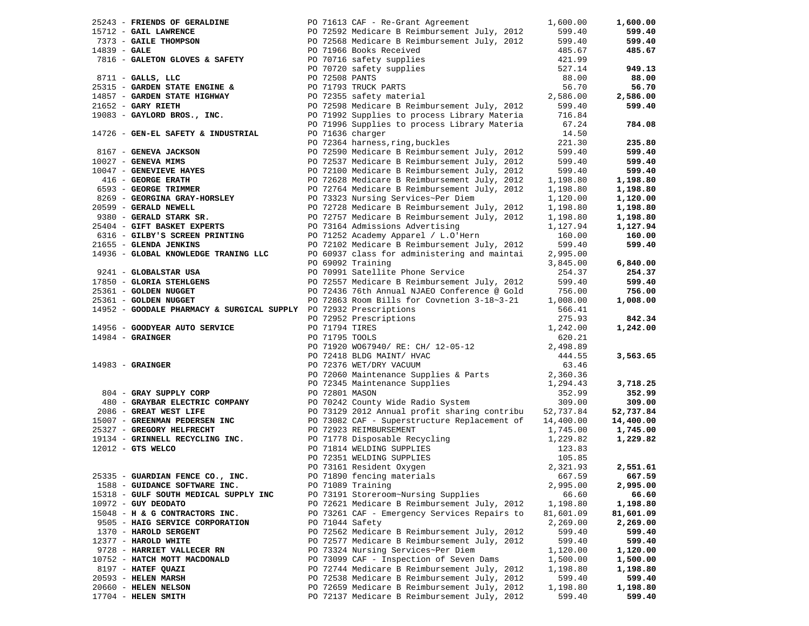|                | 25243 - FRIENDS OF GERALDINE                                      |  | PO 71613 CAF - Re-Grant Agreement                                                            | 1,600.00          | 1,600.00  |
|----------------|-------------------------------------------------------------------|--|----------------------------------------------------------------------------------------------|-------------------|-----------|
|                | 15712 - GAIL LAWRENCE                                             |  |                                                                                              | 599.40            | 599.40    |
|                | 15712 - GAIL LAWRENCE<br>7373 - GAILE THOMPSON                    |  | PO 72592 Medicare B Reimbursement July, 2012<br>PO 72568 Medicare B Reimbursement July, 2012 | 599.40            | 599.40    |
| $14839 - GALE$ |                                                                   |  | PO 71966 Books Received                                                                      | 485.67            | 485.67    |
|                | 7816 - GALETON GLOVES & SAFETY                                    |  | PO 70716 safety supplies                                                                     | 421.99            |           |
|                |                                                                   |  | PO 70720 safety supplies                                                                     | 527.14            | 949.13    |
|                | $8711 -$ GALLS, LLC                                               |  | PO 72508 PANTS                                                                               | 88.00             | 88.00     |
|                | 25315 - GARDEN STATE ENGINE &                                     |  | PO 71793 TRUCK PARTS                                                                         | 56.70             | 56.70     |
|                | 14857 - GARDEN STATE HIGHWAY                                      |  | PO 72355 safety material<br>PO 72355 safety material                                         | 2,586.00          | 2,586.00  |
|                | $21652$ - GARY RIETH                                              |  | PO 72598 Medicare B Reimbursement July, 2012                                                 | 599.40            | 599.40    |
|                | 19083 - GAYLORD BROS., INC.                                       |  | PO 71992 Supplies to process Library Materia                                                 | 716.84            |           |
|                |                                                                   |  |                                                                                              |                   |           |
|                |                                                                   |  | PO 71996 Supplies to process Library Materia                                                 | 67.24             | 784.08    |
|                | 14726 - GEN-EL SAFETY & INDUSTRIAL                                |  | PO 71636 charger                                                                             | 14.50             |           |
|                |                                                                   |  | PO 72364 harness, ring, buckles                                                              | 221.30            | 235.80    |
|                | 8167 - GENEVA JACKSON                                             |  | PO 72590 Medicare B Reimbursement July, 2012                                                 | 599.40            | 599.40    |
|                | $10027$ - GENEVA MIMS                                             |  | PO 72537 Medicare B Reimbursement July, 2012                                                 | 599.40            | 599.40    |
|                | 10047 - GENEVIEVE HAYES                                           |  | PO 72100 Medicare B Reimbursement July, 2012                                                 | 599.40            | 599.40    |
|                | 416 - GEORGE ERATH<br>6593 - GEORGE TRIMMER                       |  | PO 72628 Medicare B Reimbursement July, 2012                                                 | 1,198.80          | 1,198.80  |
|                |                                                                   |  | PO 72764 Medicare B Reimbursement July, 2012                                                 | 1,198.80          | 1,198.80  |
|                | 8269 - GEORGINA GRAY-HORSLEY                                      |  | PO 73323 Nursing Services~Per Diem                                                           | 1,120.00          | 1,120.00  |
|                | 20599 - GERALD NEWELL                                             |  | PO 72728 Medicare B Reimbursement July, 2012                                                 | 1,198.80          | 1,198.80  |
|                | 9380 - GERALD STARK SR.                                           |  | PO 72757 Medicare B Reimbursement July, 2012                                                 | 1,198.80          | 1,198.80  |
|                | 25404 - GIFT BASKET EXPERTS                                       |  | PO 73164 Admissions Advertising                                                              | 1,127.94          | 1,127.94  |
|                | 6316 - GILBY'S SCREEN PRINTING                                    |  | PO 71252 Academy Apparel / L.O'Hern                                                          | 160.00            | 160.00    |
|                | 21655 - GLENDA JENKINS                                            |  | PO 72102 Medicare B Reimbursement July, 2012                                                 | 599.40            | 599.40    |
|                | 14936 - GLOBAL KNOWLEDGE TRANING LLC                              |  | PO 60937 class for administering and maintai                                                 | 2,995.00          |           |
|                |                                                                   |  | PO 69092 Training                                                                            | 3,845.00          | 6,840.00  |
|                | 9241 - GLOBALSTAR USA                                             |  | PO 70991 Satellite Phone Service                                                             | 254.37            | 254.37    |
|                | 17850 - GLORIA STEHLGENS                                          |  | PO 72557 Medicare B Reimbursement July, 2012                                                 | 599.40            | 599.40    |
|                | 25361 - GOLDEN NUGGET                                             |  |                                                                                              | 756.00            | 756.00    |
|                |                                                                   |  | PO 72436 76th Annual NJAEO Conference @ Gold                                                 |                   |           |
|                | 25361 - GOLDEN NUGGET                                             |  | PO 72863 Room Bills for Covnetion 3-18~3-21                                                  | 1,008.00          | 1,008.00  |
|                | 14952 - GOODALE PHARMACY & SURGICAL SUPPLY PO 72932 Prescriptions |  |                                                                                              | 566.41            |           |
|                |                                                                   |  | PO 72952 Prescriptions                                                                       | 275.93            | 842.34    |
|                | 14956 - GOODYEAR AUTO SERVICE                                     |  | PO 71794 TIRES                                                                               | 1,242.00          | 1,242.00  |
|                | $14984$ - GRAINGER                                                |  | PO 71795 TOOLS                                                                               | 620.21            |           |
|                |                                                                   |  | PO 71920 WO67940/ RE: CH/ 12-05-12                                                           | 2,498.89          |           |
|                |                                                                   |  | PO 72418 BLDG MAINT/ HVAC                                                                    | 444.55            | 3,563.65  |
|                | $14983$ - GRAINGER                                                |  | PO 72376 WET/DRY VACUUM                                                                      | 63.46             |           |
|                |                                                                   |  | PO 72060 Maintenance Supplies & Parts                                                        | 2,360.36          |           |
|                |                                                                   |  | PO 72345 Maintenance Supplies                                                                | 1,294.43          | 3,718.25  |
|                | 804 - GRAY SUPPLY CORP                                            |  | PO 72801 MASON                                                                               | 352.99            | 352.99    |
|                | 480 - GRAYBAR ELECTRIC COMPANY                                    |  | PO 70242 County Wide Radio System                                                            | 309.00            | 309.00    |
|                | 2086 - GREAT WEST LIFE                                            |  | PO 73129 2012 Annual profit sharing contribu                                                 | 52,737.84         | 52,737.84 |
|                | 15007 - GREENMAN PEDERSEN INC                                     |  | PO 73082 CAF - Superstructure Replacement of                                                 | 14,400.00         | 14,400.00 |
|                | 25327 - GREGORY HELFRECHT                                         |  | PO 72923 REIMBURSEMENT                                                                       | 1,745.00          | 1,745.00  |
|                | 19134 - GRINNELL RECYCLING INC.                                   |  | PO 71778 Disposable Recycling                                                                | 1,229.82          | 1,229.82  |
|                | $12012$ - GTS WELCO                                               |  | PO 71814 WELDING SUPPLIES                                                                    | 123.83            |           |
|                |                                                                   |  |                                                                                              | 105.85            |           |
|                |                                                                   |  | PO 72351 WELDING SUPPLIES<br>PO 73161 Resident Oxygen<br>PO 71890 fencing materials          | 2,321.93          | 2,551.61  |
|                | 25335 - GUARDIAN FENCE CO., INC.                                  |  | PO 71890 fencing materials                                                                   | 667.59            | 667.59    |
|                | 1588 - GUIDANCE SOFTWARE INC.                                     |  | PO 71089 Training                                                                            | 2,995.00          | 2,995.00  |
|                |                                                                   |  | PO 73191 Storeroom~Nursing Supplies                                                          |                   |           |
|                | 15318 - GULF SOUTH MEDICAL SUPPLY INC                             |  |                                                                                              | 66.60<br>1,198.80 | 66.60     |
|                | $10972$ - GUY DEODATO                                             |  | PO 72621 Medicare B Reimbursement July, 2012                                                 |                   | 1,198.80  |
|                | 15048 - H & G CONTRACTORS INC.                                    |  | PO 73261 CAF - Emergency Services Repairs to                                                 | 81,601.09         | 81,601.09 |
|                | 9505 - HAIG SERVICE CORPORATION                                   |  | PO 71044 Safety                                                                              | 2,269.00          | 2,269.00  |
|                | 1370 - HAROLD SERGENT                                             |  | PO 72562 Medicare B Reimbursement July, 2012                                                 | 599.40            | 599.40    |
|                | 12377 - HAROLD WHITE                                              |  | PO 72577 Medicare B Reimbursement July, 2012                                                 | 599.40            | 599.40    |
|                | 9728 - HARRIET VALLECER RN                                        |  | PO 73324 Nursing Services~Per Diem                                                           | 1,120.00          | 1,120.00  |
|                | 10752 - HATCH MOTT MACDONALD                                      |  | PO 73099 CAF - Inspection of Seven Dams                                                      | 1,500.00          | 1,500.00  |
|                | 8197 - HATEF QUAZI                                                |  | PO 72744 Medicare B Reimbursement July, 2012                                                 | 1,198.80          | 1,198.80  |
|                | 20593 - HELEN MARSH                                               |  | PO 72538 Medicare B Reimbursement July, 2012                                                 | 599.40            | 599.40    |
|                | 20660 - HELEN NELSON                                              |  | PO 72659 Medicare B Reimbursement July, 2012                                                 | 1,198.80          | 1,198.80  |
|                | 17704 - HELEN SMITH                                               |  | PO 72137 Medicare B Reimbursement July, 2012                                                 | 599.40            | 599.40    |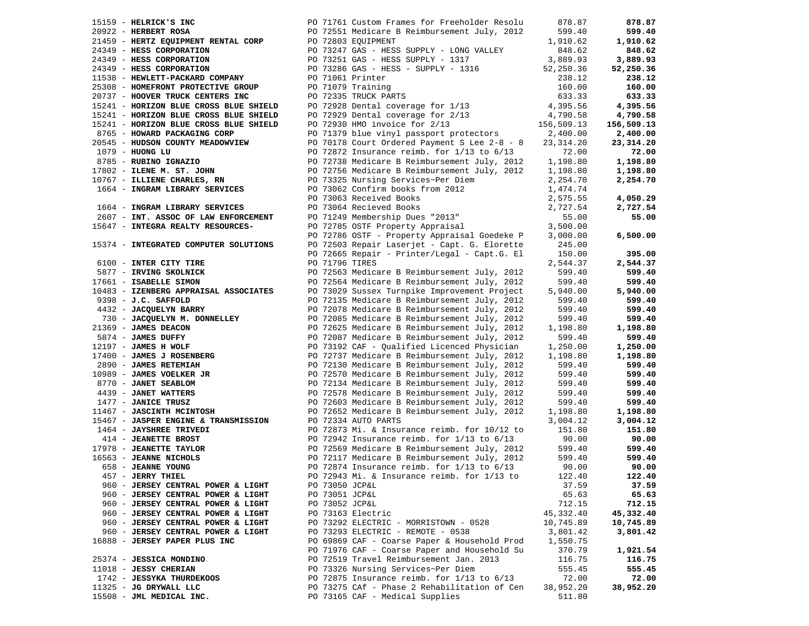| $15159$ - HELRICK'S INC          |                                        | PO 71761 Custom Frames for Freeholder Resolu   | 878.87     | 878.87      |
|----------------------------------|----------------------------------------|------------------------------------------------|------------|-------------|
| $20922$ - HERBERT ROSA           |                                        | PO 72551 Medicare B Reimbursement July, 2012   | 599.40     | 599.40      |
|                                  | 21459 - HERTZ EQUIPMENT RENTAL CORP    | PO 72803 EQUIPMENT                             | 1,910.62   | 1,910.62    |
| 24349 - HESS CORPORATION         |                                        | PO 73247 GAS - HESS SUPPLY - LONG VALLEY       | 848.62     | 848.62      |
| 24349 - HESS CORPORATION         |                                        | PO 73251 GAS - HESS SUPPLY - 1317              | 3,889.93   | 3,889.93    |
| 24349 - HESS CORPORATION         |                                        | PO 73286 GAS - HESS - SUPPLY - 1316            | 52,250.36  | 52,250.36   |
| 11538 - HEWLETT-PACKARD COMPANY  |                                        | PO 71061 Printer                               | 238.12     | 238.12      |
|                                  | 25308 - HOMEFRONT PROTECTIVE GROUP     | PO 71079 Training                              | 160.00     | 160.00      |
| 20737 - HOOVER TRUCK CENTERS INC |                                        | PO 72335 TRUCK PARTS                           | 633.33     | 633.33      |
|                                  | 15241 - HORIZON BLUE CROSS BLUE SHIELD | PO 72928 Dental coverage for 1/13              | 4,395.56   | 4,395.56    |
|                                  | 15241 - HORIZON BLUE CROSS BLUE SHIELD | PO 72929 Dental coverage for 2/13              | 4,790.58   | 4,790.58    |
|                                  | 15241 - HORIZON BLUE CROSS BLUE SHIELD | PO 72930 HMO invoice for 2/13                  | 156,509.13 | 156,509.13  |
| 8765 - HOWARD PACKAGING CORP     |                                        | PO 71379 blue vinyl passport protectors        | 2,400.00   | 2,400.00    |
|                                  | 20545 - HUDSON COUNTY MEADOWVIEW       | PO 70178 Court Ordered Payment S Lee 2-8 - 8   | 23,314.20  | 23, 314. 20 |
| $1079$ - HUONG LU                |                                        | PO 72872 Insurance reimb. for $1/13$ to $6/13$ | 72.00      | 72.00       |
| 8785 - RUBINO IGNAZIO            |                                        | PO 72738 Medicare B Reimbursement July, 2012   | 1,198.80   | 1,198.80    |
| 17802 - ILENE M. ST. JOHN        |                                        | PO 72756 Medicare B Reimbursement July, 2012   | 1,198.80   | 1,198.80    |
| 10767 - ILLIENE CHARLES, RN      |                                        | PO 73325 Nursing Services~Per Diem             | 2,254.70   | 2,254.70    |
|                                  | 1664 - INGRAM LIBRARY SERVICES         | PO 73062 Confirm books from 2012               | 1,474.74   |             |
|                                  |                                        | PO 73063 Received Books                        | 2,575.55   | 4,050.29    |
|                                  | 1664 - INGRAM LIBRARY SERVICES         | PO 73064 Recieved Books                        | 2,727.54   | 2,727.54    |
|                                  | 2607 - INT. ASSOC OF LAW ENFORCEMENT   | PO 71249 Membership Dues "2013"                | 55.00      | 55.00       |
|                                  | 15647 - INTEGRA REALTY RESOURCES-      | PO 72785 OSTF Property Appraisal               | 3,500.00   |             |
|                                  |                                        | PO 72786 OSTF - Property Appraisal Goedeke P   | 3,000.00   | 6,500.00    |
|                                  | 15374 - INTEGRATED COMPUTER SOLUTIONS  | PO 72503 Repair Laserjet - Capt. G. Elorette   | 245.00     |             |
|                                  |                                        | PO 72665 Repair - Printer/Legal - Capt.G. El   | 150.00     | 395.00      |
| 6100 - INTER CITY TIRE           |                                        | PO 71796 TIRES                                 | 2,544.37   | 2,544.37    |
| 5877 - IRVING SKOLNICK           |                                        | PO 72563 Medicare B Reimbursement July, 2012   | 599.40     | 599.40      |
| 17661 - ISABELLE SIMON           |                                        | PO 72564 Medicare B Reimbursement July, 2012   | 599.40     | 599.40      |
|                                  | 10483 - IZENBERG APPRAISAL ASSOCIATES  | PO 73029 Sussex Turnpike Improvement Project   | 5,940.00   | 5,940.00    |
| 9398 - J.C. SAFFOLD              |                                        | PO 72135 Medicare B Reimbursement July, 2012   | 599.40     | 599.40      |
| 4432 - JACQUELYN BARRY           |                                        | PO 72078 Medicare B Reimbursement July, 2012   | 599.40     | 599.40      |
|                                  | 730 - JACQUELYN M. DONNELLEY           | PO 72085 Medicare B Reimbursement July, 2012   | 599.40     | 599.40      |
| 21369 - JAMES DEACON             |                                        | PO 72625 Medicare B Reimbursement July, 2012   | 1,198.80   | 1,198.80    |
| 5874 - JAMES DUFFY               |                                        | PO 72087 Medicare B Reimbursement July, 2012   | 599.40     | 599.40      |
| 12197 - JAMES H WOLF             |                                        | PO 73192 CAF - Qualified Licenced Physician    | 1,250.00   | 1,250.00    |
| 17400 - JAMES J ROSENBERG        |                                        | PO 72737 Medicare B Reimbursement July, 2012   | 1,198.80   | 1,198.80    |
| 2890 - JAMES RETEMIAH            |                                        | PO 72130 Medicare B Reimbursement July, 2012   | 599.40     | 599.40      |
| 10989 - JAMES VOELKER JR         |                                        | PO 72570 Medicare B Reimbursement July, 2012   | 599.40     | 599.40      |
| 8770 - JANET SEABLOM             |                                        | PO 72134 Medicare B Reimbursement July, 2012   | 599.40     | 599.40      |
| 4439 - JANET WATTERS             |                                        | PO 72578 Medicare B Reimbursement July, 2012   | 599.40     | 599.40      |
| 1477 - JANICE TRUSZ              |                                        | PO 72603 Medicare B Reimbursement July, 2012   | 599.40     | 599.40      |
| 11467 - JASCINTH MCINTOSH        |                                        | PO 72652 Medicare B Reimbursement July, 2012   | 1,198.80   | 1,198.80    |
|                                  | 15467 - JASPER ENGINE & TRANSMISSION   | PO 72334 AUTO PARTS                            | 3,004.12   | 3,004.12    |
| 1464 - JAYSHREE TRIVEDI          |                                        | PO 72873 Mi. & Insurance reimb. for 10/12 to   | 151.80     | 151.80      |
| 414 - JEANETTE BROST             |                                        | PO 72942 Insurance reimb. for $1/13$ to $6/13$ | 90.00      | 90.00       |
| 17978 - JEANETTE TAYLOR          |                                        | PO 72569 Medicare B Reimbursement July, 2012   | 599.40     | 599.40      |
| 16563 - JEANNE NICHOLS           |                                        | PO 72117 Medicare B Reimbursement July, 2012   | 599.40     | 599.40      |
| 658 - JEANNE YOUNG               |                                        | PO 72874 Insurance reimb. for $1/13$ to $6/13$ | 90.00      | 90.00       |
| 457 - JERRY THIEL                |                                        | PO 72943 Mi. & Insurance reimb. for 1/13 to    | 122.40     | 122.40      |
|                                  | 960 - JERSEY CENTRAL POWER & LIGHT     | PO 73050 JCP&L                                 | 37.59      | 37.59       |
|                                  | 960 - JERSEY CENTRAL POWER & LIGHT     | PO 73051 JCP&L                                 | 65.63      | 65.63       |
|                                  | 960 - JERSEY CENTRAL POWER & LIGHT     | PO 73052 JCP&L                                 | 712.15     | 712.15      |
|                                  | 960 - JERSEY CENTRAL POWER & LIGHT     | PO 73163 Electric                              | 45,332.40  | 45,332.40   |
|                                  | 960 - JERSEY CENTRAL POWER & LIGHT     | PO 73292 ELECTRIC - MORRISTOWN - 0528          | 10,745.89  | 10,745.89   |
|                                  | 960 - JERSEY CENTRAL POWER & LIGHT     | PO 73293 ELECTRIC - REMOTE - 0538              | 3,801.42   | 3,801.42    |
| 16888 - JERSEY PAPER PLUS INC    |                                        | PO 69869 CAF - Coarse Paper & Household Prod   | 1,550.75   |             |
|                                  |                                        | PO 71976 CAF - Coarse Paper and Household Su   | 370.79     | 1,921.54    |
| 25374 - JESSICA MONDINO          |                                        | PO 72519 Travel Reimbursement Jan. 2013        | 116.75     | 116.75      |
| 11018 - JESSY CHERIAN            |                                        | PO 73326 Nursing Services~Per Diem             | 555.45     | 555.45      |
| 1742 - JESSYKA THURDEKOOS        |                                        | PO 72875 Insurance reimb. for $1/13$ to $6/13$ | 72.00      | 72.00       |
| 11325 - JG DRYWALL LLC           |                                        | PO 73275 CAf - Phase 2 Rehabilitation of Cen   | 38,952.20  | 38,952.20   |
| 15508 - JML MEDICAL INC.         |                                        | PO 73165 CAF - Medical Supplies                | 511.80     |             |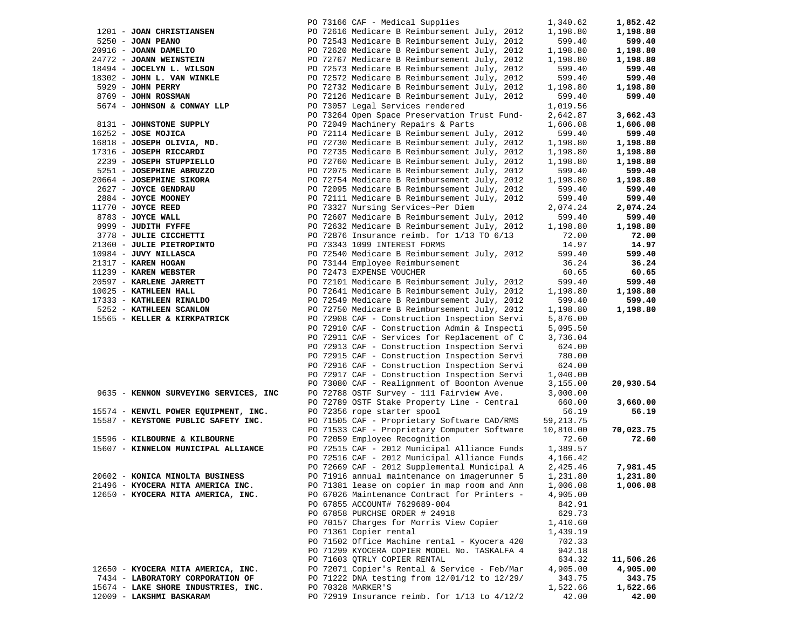|                                       | PO 73166 CAF - Medical Supplies                                                    | 1,340.62   | 1,852.42  |
|---------------------------------------|------------------------------------------------------------------------------------|------------|-----------|
| 1201 - JOAN CHRISTIANSEN              | PO 72616 Medicare B Reimbursement July, 2012                                       | 1,198.80   | 1,198.80  |
| 5250 - JOAN PEANO                     | PO 72543 Medicare B Reimbursement July, 2012                                       | 599.40     | 599.40    |
| 20916 - JOANN DAMELIO                 | PO 72620 Medicare B Reimbursement July, 2012                                       | 1,198.80   | 1,198.80  |
| 24772 - JOANN WEINSTEIN               | PO 72767 Medicare B Reimbursement July, 2012                                       | 1,198.80   | 1,198.80  |
| 18494 - JOCELYN L. WILSON             | PO 72573 Medicare B Reimbursement July, 2012                                       | 599.40     | 599.40    |
| 18302 - JOHN L. VAN WINKLE            | PO 72572 Medicare B Reimbursement July, 2012                                       | 599.40     | 599.40    |
| 5929 - JOHN PERRY                     | PO 72732 Medicare B Reimbursement July, 2012                                       | 1,198.80   | 1,198.80  |
| 8769 - JOHN ROSSMAN                   | PO 72126 Medicare B Reimbursement July, 2012                                       | 599.40     | 599.40    |
| 5674 - JOHNSON & CONWAY LLP           | PO 73057 Legal Services rendered                                                   | 1,019.56   |           |
|                                       |                                                                                    | 2,642.87   |           |
|                                       | PO 73264 Open Space Preservation Trust Fund-<br>PO 72049 Machinery Repairs & Parts |            | 3,662.43  |
| 8131 - JOHNSTONE SUPPLY               |                                                                                    | 1,606.08   | 1,606.08  |
| $16252 - JOSE MOJICA$                 | PO 72114 Medicare B Reimbursement July, 2012                                       | 599.40     | 599.40    |
| 16818 - JOSEPH OLIVIA, MD.            | PO 72730 Medicare B Reimbursement July, 2012                                       | 1,198.80   | 1,198.80  |
| 17316 - JOSEPH RICCARDI               | PO 72735 Medicare B Reimbursement July, 2012                                       | 1,198.80   | 1,198.80  |
| 2239 - JOSEPH STUPPIELLO              | PO 72760 Medicare B Reimbursement July, 2012                                       | 1,198.80   | 1,198.80  |
| 5251 - JOSEPHINE ABRUZZO              | PO 72075 Medicare B Reimbursement July, 2012                                       | 599.40     | 599.40    |
| 20664 - JOSEPHINE SIKORA              | PO 72754 Medicare B Reimbursement July, 2012                                       | 1,198.80   | 1,198.80  |
| 2627 - JOYCE GENDRAU                  | PO 72095 Medicare B Reimbursement July, 2012                                       | 599.40     | 599.40    |
| 2884 - JOYCE MOONEY                   | PO 72111 Medicare B Reimbursement July, 2012                                       | 599.40     | 599.40    |
| $11770$ - JOYCE REED                  | PO 73327 Nursing Services~Per Diem                                                 | 2,074.24   | 2,074.24  |
| 8783 - JOYCE WALL                     | PO 72607 Medicare B Reimbursement July, 2012                                       | 599.40     | 599.40    |
| 9999 - JUDITH FYFFE                   | PO 72632 Medicare B Reimbursement July, 2012                                       | 1,198.80   | 1,198.80  |
| 3778 - JULIE CICCHETTI                | PO 72876 Insurance reimb. for $1/13$ TO $6/13$                                     | 72.00      | 72.00     |
| 21360 - JULIE PIETROPINTO             | PO 73343 1099 INTEREST FORMS                                                       | 14.97      | 14.97     |
| 10984 - JUVY NILLASCA                 | PO 72540 Medicare B Reimbursement July, 2012                                       | 599.40     | 599.40    |
| 21317 - KAREN HOGAN                   | PO 73144 Employee Reimbursement                                                    | 36.24      | 36.24     |
| 11239 - KAREN WEBSTER                 | PO 72473 EXPENSE VOUCHER                                                           | 60.65      | 60.65     |
| 20597 - KARLENE JARRETT               | PO 72101 Medicare B Reimbursement July, 2012                                       | 599.40     | 599.40    |
| 10025 - KATHLEEN HALL                 | PO 72641 Medicare B Reimbursement July, 2012                                       | 1,198.80   | 1,198.80  |
| 17333 - KATHLEEN RINALDO              | PO 72549 Medicare B Reimbursement July, 2012                                       | 599.40     | 599.40    |
| 5252 - KATHLEEN SCANLON               | PO 72750 Medicare B Reimbursement July, 2012                                       | 1,198.80   | 1,198.80  |
| 15565 - KELLER & KIRKPATRICK          | PO 72908 CAF - Construction Inspection Servi                                       | 5,876.00   |           |
|                                       |                                                                                    |            |           |
|                                       | PO 72910 CAF - Construction Admin & Inspecti                                       | 5,095.50   |           |
|                                       | PO 72911 CAF - Services for Replacement of C                                       | 3,736.04   |           |
|                                       | PO 72913 CAF - Construction Inspection Servi                                       | 624.00     |           |
|                                       | PO 72915 CAF - Construction Inspection Servi                                       | 780.00     |           |
|                                       | PO 72916 CAF - Construction Inspection Servi                                       | 624.00     |           |
|                                       | PO 72917 CAF - Construction Inspection Servi                                       | 1,040.00   |           |
|                                       | PO 73080 CAF - Realignment of Boonton Avenue                                       | 3,155.00   | 20,930.54 |
| 9635 - KENNON SURVEYING SERVICES, INC | PO 72788 OSTF Survey - 111 Fairview Ave.                                           | 3,000.00   |           |
|                                       | PO 72789 OSTF Stake Property Line - Central                                        | 660.00     | 3,660.00  |
| 15574 - KENVIL POWER EQUIPMENT, INC.  | PO 72356 rope starter spool                                                        | 56.19      | 56.19     |
| 15587 - KEYSTONE PUBLIC SAFETY INC.   | PO 71505 CAF - Proprietary Software CAD/RMS                                        | 59, 213.75 |           |
|                                       | PO 71533 CAF - Proprietary Computer Software                                       | 10,810.00  | 70,023.75 |
| 15596 - KILBOURNE & KILBOURNE         | PO 72059 Employee Recognition                                                      | 72.60      | 72.60     |
| 15607 - KINNELON MUNICIPAL ALLIANCE   | PO 72515 CAF - 2012 Municipal Alliance Funds                                       | 1,389.57   |           |
|                                       | PO 72516 CAF - 2012 Municipal Alliance Funds                                       | 4,166.42   |           |
|                                       | PO 72669 CAF - 2012 Supplemental Municipal A                                       | 2,425.46   | 7,981.45  |
| 20602 - KONICA MINOLTA BUSINESS       | PO 71916 annual maintenance on imagerunner 5                                       | 1,231.80   | 1,231.80  |
| 21496 - KYOCERA MITA AMERICA INC.     | PO 71381 lease on copier in map room and Ann                                       | 1,006.08   | 1,006.08  |
| 12650 - KYOCERA MITA AMERICA, INC.    | PO 67026 Maintenance Contract for Printers -                                       | 4,905.00   |           |
|                                       | PO 67855 ACCOUNT# 7629689-004                                                      | 842.91     |           |
|                                       | PO 67858 PURCHSE ORDER # 24918                                                     | 629.73     |           |
|                                       | PO 70157 Charges for Morris View Copier                                            | 1,410.60   |           |
|                                       | PO 71361 Copier rental                                                             | 1,439.19   |           |
|                                       | PO 71502 Office Machine rental - Kyocera 420                                       | 702.33     |           |
|                                       | PO 71299 KYOCERA COPIER MODEL No. TASKALFA 4                                       | 942.18     |           |
|                                       | PO 71603 QTRLY COPIER RENTAL                                                       | 634.32     | 11,506.26 |
| 12650 - KYOCERA MITA AMERICA, INC.    | PO 72071 Copier's Rental & Service - Feb/Mar                                       | 4,905.00   | 4,905.00  |
| 7434 - LABORATORY CORPORATION OF      | PO 71222 DNA testing from 12/01/12 to 12/29/                                       |            |           |
|                                       |                                                                                    | 343.75     | 343.75    |
| 15674 - LAKE SHORE INDUSTRIES, INC.   | PO 70328 MARKER'S                                                                  | 1,522.66   | 1,522.66  |
| 12009 - LAKSHMI BASKARAM              | PO 72919 Insurance reimb. for 1/13 to 4/12/2                                       | 42.00      | 42.00     |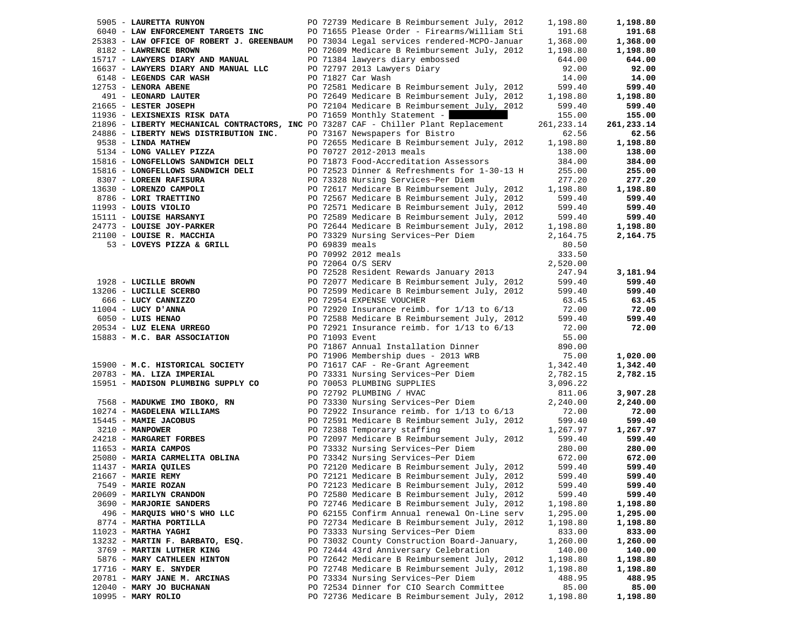| 5905 - LAURETTA RUNYON                                                               |  | PO 72739 Medicare B Reimbursement July, 2012   | 1,198.80   | 1,198.80   |
|--------------------------------------------------------------------------------------|--|------------------------------------------------|------------|------------|
| 6040 - LAW ENFORCEMENT TARGETS INC                                                   |  | PO 71655 Please Order - Firearms/William Sti   | 191.68     | 191.68     |
| 25383 - LAW OFFICE OF ROBERT J. GREENBAUM                                            |  | PO 73034 Legal services rendered-MCPO-Januar   | 1,368.00   | 1,368.00   |
| 8182 - LAWRENCE BROWN                                                                |  | PO 72609 Medicare B Reimbursement July, 2012   | 1,198.80   | 1,198.80   |
| 15717 - LAWYERS DIARY AND MANUAL                                                     |  | PO 71384 lawyers diary embossed                | 644.00     | 644.00     |
| 16637 - LAWYERS DIARY AND MANUAL LLC                                                 |  | PO 72797 2013 Lawyers Diary                    | 92.00      | 92.00      |
| 6148 - LEGENDS CAR WASH                                                              |  | PO 71827 Car Wash                              | 14.00      | 14.00      |
| 12753 - LENORA ABENE                                                                 |  | PO 72581 Medicare B Reimbursement July, 2012   | 599.40     | 599.40     |
| 491 - LEONARD LAUTER                                                                 |  | PO 72649 Medicare B Reimbursement July, 2012   | 1,198.80   | 1,198.80   |
| 21665 - LESTER JOSEPH                                                                |  | PO 72104 Medicare B Reimbursement July, 2012   | 599.40     | 599.40     |
|                                                                                      |  |                                                |            | 155.00     |
| 11936 - LEXISNEXIS RISK DATA                                                         |  | PO 71659 Monthly Statement -                   | 155.00     |            |
| 21896 - LIBERTY MECHANICAL CONTRACTORS, INC PO 73287 CAF - Chiller Plant Replacement |  |                                                | 261,233.14 | 261,233.14 |
| 24886 - LIBERTY NEWS DISTRIBUTION INC.                                               |  | PO 73167 Newspapers for Bistro                 | 62.56      | 62.56      |
| 9538 - LINDA MATHEW                                                                  |  | PO 72655 Medicare B Reimbursement July, 2012   | 1,198.80   | 1,198.80   |
| 5134 - LONG VALLEY PIZZA                                                             |  | PO 70727 2012-2013 meals                       | 138.00     | 138.00     |
| 15816 - LONGFELLOWS SANDWICH DELI                                                    |  | PO 71873 Food-Accreditation Assessors          | 384.00     | 384.00     |
| 15816 - LONGFELLOWS SANDWICH DELI                                                    |  | PO 72523 Dinner & Refreshments for 1-30-13 H   | 255.00     | 255.00     |
| 8307 - LOREEN RAFISURA                                                               |  | PO 73328 Nursing Services~Per Diem             | 277.20     | 277.20     |
| 13630 - LORENZO CAMPOLI                                                              |  | PO 72617 Medicare B Reimbursement July, 2012   | 1,198.80   | 1,198.80   |
| 8786 - LORI TRAETTINO                                                                |  | PO 72567 Medicare B Reimbursement July, 2012   | 599.40     | 599.40     |
| $11993 - LOUIS VIOLIO$                                                               |  | PO 72571 Medicare B Reimbursement July, 2012   | 599.40     | 599.40     |
| 15111 - LOUISE HARSANYI                                                              |  | PO 72589 Medicare B Reimbursement July, 2012   | 599.40     | 599.40     |
| 24773 - LOUISE JOY-PARKER                                                            |  | PO 72644 Medicare B Reimbursement July, 2012   | 1,198.80   | 1,198.80   |
| 21100 - LOUISE R. MACCHIA                                                            |  | PO 73329 Nursing Services~Per Diem             | 2,164.75   | 2,164.75   |
| 53 - LOVEYS PIZZA & GRILL                                                            |  | PO 69839 meals                                 | 80.50      |            |
|                                                                                      |  | PO 70992 2012 meals                            |            |            |
|                                                                                      |  |                                                | 333.50     |            |
|                                                                                      |  | PO 72064 O/S SERV                              | 2,520.00   |            |
|                                                                                      |  | PO 72528 Resident Rewards January 2013         | 247.94     | 3,181.94   |
| 1928 - LUCILLE BROWN                                                                 |  | PO 72077 Medicare B Reimbursement July, 2012   | 599.40     | 599.40     |
| 13206 - LUCILLE SCERBO                                                               |  | PO 72599 Medicare B Reimbursement July, 2012   | 599.40     | 599.40     |
| 666 - LUCY CANNIZZO                                                                  |  | PO 72954 EXPENSE VOUCHER                       | 63.45      | 63.45      |
| $11004$ - LUCY D'ANNA                                                                |  | PO 72920 Insurance reimb. for $1/13$ to $6/13$ | 72.00      | 72.00      |
| 6050 - LUIS HENAO                                                                    |  | PO 72588 Medicare B Reimbursement July, 2012   | 599.40     | 599.40     |
| 20534 - LUZ ELENA URREGO                                                             |  | PO 72921 Insurance reimb. for $1/13$ to $6/13$ | 72.00      | 72.00      |
| 15883 - M.C. BAR ASSOCIATION                                                         |  | PO 71093 Event                                 | 55.00      |            |
|                                                                                      |  | PO 71867 Annual Installation Dinner            | 890.00     |            |
|                                                                                      |  | PO 71906 Membership dues - 2013 WRB            | 75.00      | 1,020.00   |
| 15900 - M.C. HISTORICAL SOCIETY                                                      |  | PO 71617 CAF - Re-Grant Agreement              | 1,342.40   | 1,342.40   |
| 20783 - MA. LIZA IMPERIAL                                                            |  | PO 73331 Nursing Services~Per Diem             | 2,782.15   | 2,782.15   |
| 15951 - MADISON PLUMBING SUPPLY CO                                                   |  | PO 70053 PLUMBING SUPPLIES                     | 3,096.22   |            |
|                                                                                      |  | PO 72792 PLUMBING / HVAC                       | 811.06     | 3,907.28   |
| 7568 - MADUKWE IMO IBOKO, RN                                                         |  | PO 73330 Nursing Services~Per Diem             | 2,240.00   | 2,240.00   |
| 10274 - MAGDELENA WILLIAMS                                                           |  | PO 72922 Insurance reimb. for 1/13 to 6/13     | 72.00      | 72.00      |
| 15445 - MAMIE JACOBUS                                                                |  | PO 72591 Medicare B Reimbursement July, 2012   | 599.40     | 599.40     |
| $3210 - MANPOWER$                                                                    |  | PO 72388 Temporary staffing                    | 1,267.97   | 1,267.97   |
| 24218 - MARGARET FORBES                                                              |  | PO 72097 Medicare B Reimbursement July, 2012   | 599.40     | 599.40     |
| $11653$ - MARIA CAMPOS                                                               |  | PO 73332 Nursing Services~Per Diem             | 280.00     |            |
| 25080 - MARIA CARMELITA OBLINA                                                       |  | PO 73342 Nursing Services~Per Diem             |            | 280.00     |
| 11437 - MARIA QUILES                                                                 |  |                                                | 672.00     | 672.00     |
|                                                                                      |  | PO 72120 Medicare B Reimbursement July, 2012   | 599.40     | 599.40     |
| $21667$ - MARIE REMY                                                                 |  | PO 72121 Medicare B Reimbursement July, 2012   | 599.40     | 599.40     |
| 7549 - MARIE ROZAN                                                                   |  | PO 72123 Medicare B Reimbursement July, 2012   | 599.40     | 599.40     |
| 20609 - MARILYN CRANDON                                                              |  | PO 72580 Medicare B Reimbursement July, 2012   | 599.40     | 599.40     |
| 3690 - MARJORIE SANDERS                                                              |  | PO 72746 Medicare B Reimbursement July, 2012   | 1,198.80   | 1,198.80   |
| 496 - MARQUIS WHO'S WHO LLC                                                          |  | PO 62155 Confirm Annual renewal On-Line serv   | 1,295.00   | 1,295.00   |
| 8774 - MARTHA PORTILLA                                                               |  | PO 72734 Medicare B Reimbursement July, 2012   | 1,198.80   | 1,198.80   |
| $11023$ - MARTHA YAGHI                                                               |  | PO 73333 Nursing Services~Per Diem             | 833.00     | 833.00     |
| 13232 - MARTIN F. BARBATO, ESQ.                                                      |  | PO 73032 County Construction Board-January,    | 1,260.00   | 1,260.00   |
| 3769 - MARTIN LUTHER KING                                                            |  | PO 72444 43rd Anniversary Celebration          | 140.00     | 140.00     |
| 5876 - MARY CATHLEEN HINTON                                                          |  | PO 72642 Medicare B Reimbursement July, 2012   | 1,198.80   | 1,198.80   |
| $17716$ - MARY E. SNYDER                                                             |  | PO 72748 Medicare B Reimbursement July, 2012   | 1,198.80   | 1,198.80   |
| 20781 - MARY JANE M. ARCINAS                                                         |  | PO 73334 Nursing Services~Per Diem             | 488.95     | 488.95     |
| 12040 - MARY JO BUCHANAN                                                             |  | PO 72534 Dinner for CIO Search Committee       | 85.00      | 85.00      |
| 10995 - MARY ROLIO                                                                   |  | PO 72736 Medicare B Reimbursement July, 2012   | 1,198.80   | 1,198.80   |
|                                                                                      |  |                                                |            |            |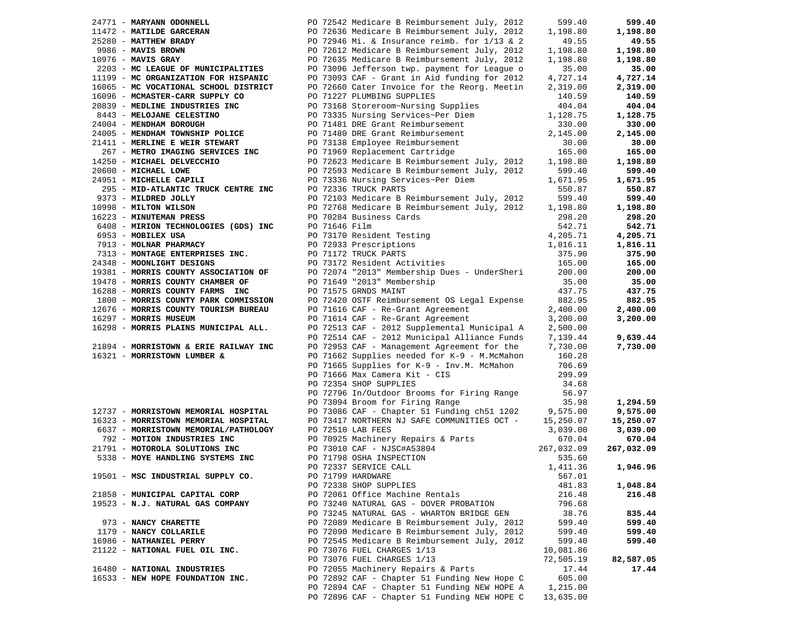| 24771 - MARYANN ODONNELL                          |               | PO 72542 Medicare B Reimbursement July, 2012                                | 599.40     | 599.40     |
|---------------------------------------------------|---------------|-----------------------------------------------------------------------------|------------|------------|
|                                                   |               | PO 72636 Medicare B Reimbursement July, 2012                                | 1,198.80   | 1,198.80   |
| 11472 - MATILDE GARCERAN<br>25280 - MATTHEW BRADY |               | PO 72946 Mi. & Insurance reimb. for $1/13$ & 2                              | 49.55      | 49.55      |
| 9986 - MAVIS BROWN                                |               | PO 72612 Medicare B Reimbursement July, 2012                                | 1,198.80   | 1,198.80   |
| $10976$ - MAVIS GRAY                              |               | PO 72635 Medicare B Reimbursement July, 2012                                | 1,198.80   | 1,198.80   |
| 2203 - MC LEAGUE OF MUNICIPALITIES                |               | PO 73096 Jefferson twp. payment for League o                                | 35.00      | 35.00      |
| 11199 - MC ORGANIZATION FOR HISPANIC              |               | PO 73093 CAF - Grant in Aid funding for 2012                                | 4,727.14   | 4,727.14   |
| 16065 - MC VOCATIONAL SCHOOL DISTRICT             |               | PO 72660 Cater Invoice for the Reorg. Meetin                                | 2,319.00   | 2,319.00   |
| 16096 - MCMASTER-CARR SUPPLY CO                   |               | PO 71227 PLUMBING SUPPLIES                                                  | 140.59     | 140.59     |
| 20839 - MEDLINE INDUSTRIES INC                    |               | PO 73168 Storeroom~Nursing Supplies                                         | 404.04     | 404.04     |
| 8443 - MELOJANE CELESTINO                         |               | PO 73335 Nursing Services~Per Diem                                          | 1,128.75   | 1,128.75   |
| 24004 - MENDHAM BOROUGH                           |               | PO 71481 DRE Grant Reimbursement                                            | 330.00     | 330.00     |
|                                                   |               | PO 71480 DRE Grant Reimbursement                                            |            |            |
| 24005 - MENDHAM TOWNSHIP POLICE                   |               |                                                                             | 2,145.00   | 2,145.00   |
| 21411 - MERLINE E WEIR STEWART                    |               | PO 73138 Employee Reimbursement                                             | 30.00      | 30.00      |
| 267 - METRO IMAGING SERVICES INC                  |               | PO 71969 Replacement Cartridge                                              | 165.00     | 165.00     |
| 14250 - MICHAEL DELVECCHIO                        |               | PO 72623 Medicare B Reimbursement July, 2012                                | 1,198.80   | 1,198.80   |
| 20600 - MICHAEL LOWE                              |               | PO 72593 Medicare B Reimbursement July, 2012                                | 599.40     | 599.40     |
| 24951 - MICHELLE CAPILI                           |               | PO 73336 Nursing Services~Per Diem                                          | 1,671.95   | 1,671.95   |
| 295 - MID-ATLANTIC TRUCK CENTRE INC               |               | PO 72336 TRUCK PARTS                                                        | 550.87     | 550.87     |
| 9373 - MILDRED JOLLY                              |               | PO 72103 Medicare B Reimbursement July, 2012                                | 599.40     | 599.40     |
| 10998 - MILTON WILSON                             |               | PO 72768 Medicare B Reimbursement July, 2012                                | 1,198.80   | 1,198.80   |
| 16223 - MINUTEMAN PRESS                           |               | PO 70284 Business Cards                                                     | 298.20     | 298.20     |
| 6408 - MIRION TECHNOLOGIES (GDS) INC              | PO 71646 Film |                                                                             | 542.71     | 542.71     |
| 6953 - MOBILEX USA                                |               |                                                                             | 4,205.71   | 4,205.71   |
| 7913 - MOLNAR PHARMACY                            |               | PO 73170 Resident Testing<br>PO 72933 Prescriptions<br>PO 71172 TPUCK PAPTS | 1,816.11   | 1,816.11   |
| 7313 - MONTAGE ENTERPRISES INC.                   |               | PO 71172 TRUCK PARTS                                                        | 375.90     | 375.90     |
| 24348 - MOONLIGHT DESIGNS                         |               | PO 73172 Resident Activities                                                | 165.00     | 165.00     |
| 19381 - MORRIS COUNTY ASSOCIATION OF              |               | PO 72074 "2013" Membership Dues - UnderSheri                                | 200.00     | 200.00     |
| 19478 - MORRIS COUNTY CHAMBER OF                  |               | PO 71649 "2013" Membership                                                  | 35.00      | 35.00      |
| 16288 - MORRIS COUNTY FARMS INC                   |               | PO 71575 GRNDS MAINT                                                        | 437.75     | 437.75     |
| 1800 - MORRIS COUNTY PARK COMMISSION              |               | PO 72420 OSTF Reimbursement OS Legal Expense                                | 882.95     | 882.95     |
| 12676 - MORRIS COUNTY TOURISM BUREAU              |               | PO 71616 CAF - Re-Grant Agreement                                           | 2,400.00   | 2,400.00   |
|                                                   |               |                                                                             |            |            |
| 16297 - MORRIS MUSEUM                             |               | PO 71614 CAF - Re-Grant Agreement                                           | 3,200.00   | 3,200.00   |
| 16298 - MORRIS PLAINS MUNICIPAL ALL.              |               | PO 72513 CAF - 2012 Supplemental Municipal A                                | 2,500.00   |            |
|                                                   |               | PO 72514 CAF - 2012 Municipal Alliance Funds                                | 7,139.44   | 9,639.44   |
| 21894 - MORRISTOWN & ERIE RAILWAY INC             |               | PO 72953 CAF - Management Agreement for the                                 | 7,730.00   | 7,730.00   |
| 16321 - MORRISTOWN LUMBER &                       |               | PO 71662 Supplies needed for K-9 - M.McMahon                                | 160.28     |            |
|                                                   |               | PO 71665 Supplies for K-9 - Inv.M. McMahon                                  | 706.69     |            |
|                                                   |               | PO 71666 Max Camera Kit - CIS                                               | 299.99     |            |
|                                                   |               | PO 72354 SHOP SUPPLIES                                                      | 34.68      |            |
|                                                   |               | PO 72796 In/Outdoor Brooms for Firing Range                                 | 56.97      |            |
|                                                   |               | PO 73094 Broom for Firing Range                                             | 35.98      | 1,294.59   |
| 12737 - MORRISTOWN MEMORIAL HOSPITAL              |               | PO 73086 CAF - Chapter 51 Funding ch51 1202                                 | 9,575.00   | 9,575.00   |
| 16323 - MORRISTOWN MEMORIAL HOSPITAL              |               | PO 73417 NORTHERN NJ SAFE COMMUNITIES OCT -                                 | 15,250.07  | 15,250.07  |
| 6637 - MORRISTOWN MEMORIAL/PATHOLOGY              |               | PO 72510 LAB FEES                                                           | 3,039.00   | 3,039.00   |
| 792 - MOTION INDUSTRIES INC                       |               | PO 70925 Machinery Repairs & Parts                                          | 670.04     | 670.04     |
| 21791 - MOTOROLA SOLUTIONS INC                    |               | PO 73010 CAF - NJSC#A53804                                                  | 267,032.09 | 267,032.09 |
| 5338 - MOYE HANDLING SYSTEMS INC                  |               | PO 71798 OSHA INSPECTION                                                    | 535.60     |            |
|                                                   |               | PO 72337 SERVICE CALL                                                       | 1,411.36   | 1,946.96   |
| 19501 - MSC INDUSTRIAL SUPPLY CO.                 |               | PO 71799 HARDWARE                                                           | 567.01     |            |
|                                                   |               | PO 72338 SHOP SUPPLIES                                                      | 481.83     | 1,048.84   |
| 21858 - MUNICIPAL CAPITAL CORP                    |               | PO 72061 Office Machine Rentals                                             | 216.48     | 216.48     |
| 19523 - N.J. NATURAL GAS COMPANY                  |               | PO 73240 NATURAL GAS - DOVER PROBATION                                      | 796.68     |            |
|                                                   |               | PO 73245 NATURAL GAS - WHARTON BRIDGE GEN                                   | 38.76      | 835.44     |
| 973 - NANCY CHARETTE                              |               | PO 72089 Medicare B Reimbursement July, 2012                                | 599.40     | 599.40     |
| 1179 - NANCY COLLARILE                            |               | PO 72090 Medicare B Reimbursement July, 2012                                | 599.40     | 599.40     |
| 16986 - NATHANIEL PERRY                           |               | PO 72545 Medicare B Reimbursement July, 2012                                | 599.40     | 599.40     |
| 21122 - NATIONAL FUEL OIL INC.                    |               | PO 73076 FUEL CHARGES 1/13                                                  | 10,081.86  |            |
|                                                   |               | PO 73076 FUEL CHARGES 1/13                                                  | 72,505.19  | 82,587.05  |
| 16480 - NATIONAL INDUSTRIES                       |               | PO 72055 Machinery Repairs & Parts                                          | 17.44      | 17.44      |
| 16533 - NEW HOPE FOUNDATION INC.                  |               | PO 72892 CAF - Chapter 51 Funding New Hope C                                | 605.00     |            |
|                                                   |               |                                                                             |            |            |
|                                                   |               | PO 72894 CAF - Chapter 51 Funding NEW HOPE A                                | 1,215.00   |            |
|                                                   |               | PO 72896 CAF - Chapter 51 Funding NEW HOPE C                                | 13,635.00  |            |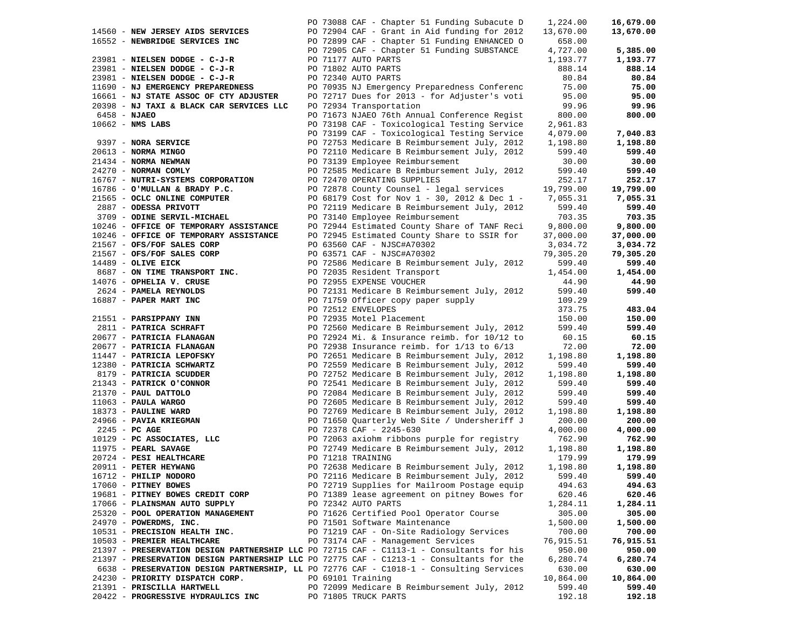|                                          |  | PO 73088 CAF - Chapter 51 Funding Subacute D                                             | 1,224.00  | 16,679.00 |
|------------------------------------------|--|------------------------------------------------------------------------------------------|-----------|-----------|
| 14560 - NEW JERSEY AIDS SERVICES         |  | PO 72904 CAF - Grant in Aid funding for 2012                                             | 13,670.00 | 13,670.00 |
|                                          |  |                                                                                          |           |           |
| 16552 - NEWBRIDGE SERVICES INC           |  | PO 72899 CAF - Chapter 51 Funding ENHANCED O                                             | 658.00    |           |
|                                          |  | PO 72905 CAF - Chapter 51 Funding SUBSTANCE                                              | 4,727.00  | 5,385.00  |
| 23981 - NIELSEN DODGE - C-J-R            |  | PO 71177 AUTO PARTS                                                                      | 1,193.77  | 1,193.77  |
| 23981 - NIELSEN DODGE - C-J-R            |  | PO 71802 AUTO PARTS                                                                      | 888.14    | 888.14    |
| 23981 - NIELSEN DODGE - C-J-R            |  | PO 72340 AUTO PARTS                                                                      | 80.84     | 80.84     |
| 11690 - NJ EMERGENCY PREPAREDNESS        |  | PO 70935 NJ Emergency Preparedness Conferenc                                             | 75.00     | 75.00     |
| 16661 - NJ STATE ASSOC OF CTY ADJUSTER   |  | PO 72717 Dues for 2013 - for Adjuster's voti                                             | 95.00     | 95.00     |
| 20398 - NJ TAXI & BLACK CAR SERVICES LLC |  | PO 72934 Transportation                                                                  | 99.96     | 99.96     |
| $6458 - NJABO$                           |  | PO 71673 NJAEO 76th Annual Conference Regist                                             | 800.00    | 800.00    |
| $10662$ - NMS LABS                       |  | PO 73198 CAF - Toxicological Testing Service                                             | 2,961.83  |           |
|                                          |  |                                                                                          |           |           |
|                                          |  | PO 73199 CAF - Toxicological Testing Service                                             | 4,079.00  | 7,040.83  |
| 9397 - NORA SERVICE                      |  | PO 72753 Medicare B Reimbursement July, 2012                                             | 1,198.80  | 1,198.80  |
| 20613 - NORMA MINGO                      |  | PO 72110 Medicare B Reimbursement July, 2012                                             | 599.40    | 599.40    |
| 21434 - NORMA NEWMAN                     |  | PO 73139 Employee Reimbursement                                                          | 30.00     | 30.00     |
| 24270 - NORMAN COMLY                     |  | PO 72585 Medicare B Reimbursement July, 2012                                             | 599.40    | 599.40    |
| 16767 - NUTRI-SYSTEMS CORPORATION        |  | PO 72470 OPERATING SUPPLIES                                                              | 252.17    | 252.17    |
| 16786 - O'MULLAN & BRADY P.C.            |  | PO 72878 County Counsel - legal services                                                 | 19,799.00 | 19,799.00 |
| 21565 - OCLC ONLINE COMPUTER             |  | PO 68179 Cost for Nov 1 - 30, 2012 & Dec 1 -                                             | 7,055.31  | 7,055.31  |
| 2887 - ODESSA PRIVOTT                    |  | PO 72119 Medicare B Reimbursement July, 2012                                             | 599.40    | 599.40    |
| 3709 - ODINE SERVIL-MICHAEL              |  | PO 73140 Employee Reimbursement                                                          | 703.35    | 703.35    |
| 10246 - OFFICE OF TEMPORARY ASSISTANCE   |  | PO 72944 Estimated County Share of TANF Reci                                             | 9,800.00  | 9,800.00  |
| 10246 - OFFICE OF TEMPORARY ASSISTANCE   |  | PO 72945 Estimated County Share to SSIR for                                              | 37,000.00 | 37,000.00 |
|                                          |  |                                                                                          |           |           |
| 21567 - OFS/FOF SALES CORP               |  | PO 63560 CAF - NJSC#A70302                                                               | 3,034.72  | 3,034.72  |
| 21567 - OFS/FOF SALES CORP               |  | PO 63571 CAF - NJSC#A70302                                                               | 79,305.20 | 79,305.20 |
| 14489 - OLIVE EICK                       |  | PO 72586 Medicare B Reimbursement July, 2012                                             | 599.40    | 599.40    |
| 8687 - ON TIME TRANSPORT INC.            |  | PO 72035 Resident Transport                                                              | 1,454.00  | 1,454.00  |
| 14076 - OPHELIA V. CRUSE                 |  | PO 72955 EXPENSE VOUCHER                                                                 | 44.90     | 44.90     |
| 2624 - PAMELA REYNOLDS                   |  | PO 72131 Medicare B Reimbursement July, 2012                                             | 599.40    | 599.40    |
| 16887 - PAPER MART INC                   |  | PO 71759 Officer copy paper supply                                                       | 109.29    |           |
|                                          |  | PO 72512 ENVELOPES                                                                       | 373.75    | 483.04    |
| 21551 - PARSIPPANY INN                   |  | PO 72935 Motel Placement                                                                 | 150.00    | 150.00    |
| 2811 - PATRICA SCHRAFT                   |  | PO 72560 Medicare B Reimbursement July, 2012                                             | 599.40    | 599.40    |
| 20677 - PATRICIA FLANAGAN                |  | PO 72924 Mi. & Insurance reimb. for 10/12 to                                             | 60.15     | 60.15     |
| 20677 - PATRICIA FLANAGAN                |  | PO 72938 Insurance reimb. for $1/13$ to $6/13$                                           | 72.00     | 72.00     |
| 11447 - PATRICIA LEPOFSKY                |  | PO 72651 Medicare B Reimbursement July, 2012                                             | 1,198.80  | 1,198.80  |
| 12380 - PATRICIA SCHWARTZ                |  | PO 72559 Medicare B Reimbursement July, 2012                                             | 599.40    | 599.40    |
| 8179 - PATRICIA SCUDDER                  |  | PO 72752 Medicare B Reimbursement July, 2012                                             | 1,198.80  | 1,198.80  |
| 21343 - PATRICK O'CONNOR                 |  | PO 72541 Medicare B Reimbursement July, 2012                                             | 599.40    | 599.40    |
| 21370 - PAUL DATTOLO                     |  | PO 72084 Medicare B Reimbursement July, 2012                                             | 599.40    | 599.40    |
| $11063$ - PAULA WARGO                    |  | PO 72605 Medicare B Reimbursement July, 2012                                             | 599.40    | 599.40    |
| 18373 - PAULINE WARD                     |  | PO 72769 Medicare B Reimbursement July, 2012                                             | 1,198.80  | 1,198.80  |
| 24966 - PAVIA KRIEGMAN                   |  | PO 71650 Quarterly Web Site / Undersheriff J                                             | 200.00    | 200.00    |
| $2245$ - PC AGE                          |  | PO 72378 CAF - 2245-630                                                                  | 4,000.00  | 4,000.00  |
| 10129 - PC ASSOCIATES, LLC               |  | PO 72063 axiohm ribbons purple for registry                                              | 762.90    | 762.90    |
| 11975 - PEARL SAVAGE                     |  | PO 72749 Medicare B Reimbursement July, 2012                                             | 1,198.80  | 1,198.80  |
| 20724 - PESI HEALTHCARE                  |  | PO 71218 TRAINING                                                                        | 179.99    | 179.99    |
| 20911 - PETER HEYWANG                    |  | PO 72638 Medicare B Reimbursement July, 2012                                             | 1,198.80  | 1,198.80  |
| 16712 - PHILIP NODORO                    |  | PO 72116 Medicare B Reimbursement July, 2012                                             | 599.40    | 599.40    |
| $17060$ - PITNEY BOWES                   |  | PO 72719 Supplies for Mailroom Postage equip                                             | 494.63    | 494.63    |
| 19681 - PITNEY BOWES CREDIT CORP         |  | PO 71389 lease agreement on pitney Bowes for                                             | 620.46    | 620.46    |
|                                          |  | PO 72342 AUTO PARTS                                                                      | 1,284.11  | 1,284.11  |
| 17066 - PLAINSMAN AUTO SUPPLY            |  | PO 71626 Certified Pool Operator Course                                                  |           |           |
| 25320 - POOL OPERATION MANAGEMENT        |  |                                                                                          | 305.00    | 305.00    |
| 24970 - POWERDMS, INC.                   |  | PO 71501 Software Maintenance                                                            | 1,500.00  | 1,500.00  |
| 10531 - PRECISION HEALTH INC.            |  | PO 71219 CAF - On-Site Radiology Services                                                | 700.00    | 700.00    |
| 10503 - PREMIER HEALTHCARE               |  | PO 73174 CAF - Management Services                                                       | 76,915.51 | 76,915.51 |
|                                          |  | 21397 - PRESERVATION DESIGN PARTNERSHIP LLC PO 72715 CAF - C1113-1 - Consultants for his | 950.00    | 950.00    |
|                                          |  | 21397 - PRESERVATION DESIGN PARTNERSHIP LLC PO 72775 CAF - C1213-1 - Consultants for the | 6,280.74  | 6,280.74  |
|                                          |  | 6638 - PRESERVATION DESIGN PARTNERSHIP, LL PO 72776 CAF - C1018-1 - Consulting Services  | 630.00    | 630.00    |
| 24230 - PRIORITY DISPATCH CORP.          |  | PO 69101 Training                                                                        | 10,864.00 | 10,864.00 |
| 21391 - PRISCILLA HARTWELL               |  | PO 72099 Medicare B Reimbursement July, 2012                                             | 599.40    | 599.40    |
| 20422 - PROGRESSIVE HYDRAULICS INC       |  | PO 71805 TRUCK PARTS                                                                     | 192.18    | 192.18    |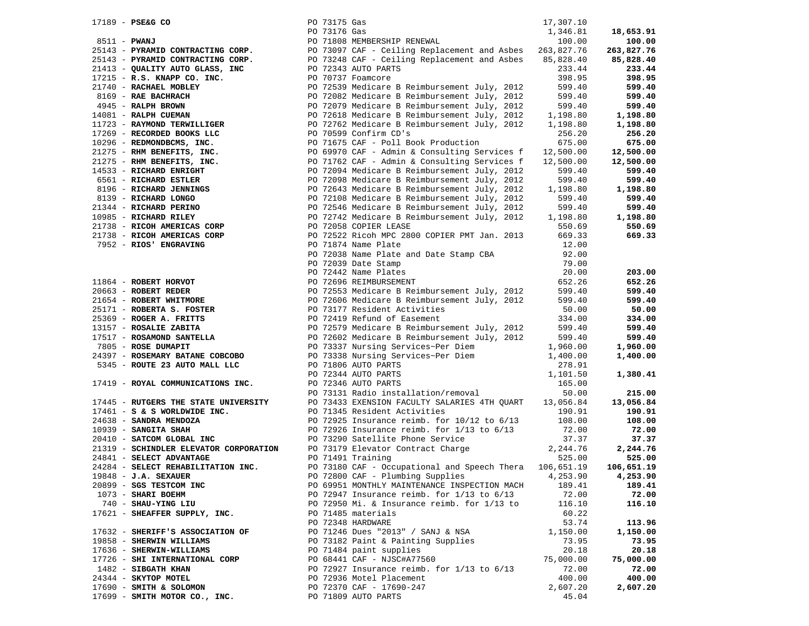| $17189 - PSE & G$ CO                                                                                                                                                                                                                                                                                                                                                                                                                                                             | PO 73175 Gas |                                                         | 17,307.10      |            |
|----------------------------------------------------------------------------------------------------------------------------------------------------------------------------------------------------------------------------------------------------------------------------------------------------------------------------------------------------------------------------------------------------------------------------------------------------------------------------------|--------------|---------------------------------------------------------|----------------|------------|
| $\overline{a}$                                                                                                                                                                                                                                                                                                                                                                                                                                                                   | PO 73176 Gas |                                                         | 1,346.81       | 18,653.91  |
|                                                                                                                                                                                                                                                                                                                                                                                                                                                                                  |              |                                                         |                | 100.00     |
|                                                                                                                                                                                                                                                                                                                                                                                                                                                                                  |              |                                                         |                | 263,827.76 |
|                                                                                                                                                                                                                                                                                                                                                                                                                                                                                  |              |                                                         |                | 85,828.40  |
|                                                                                                                                                                                                                                                                                                                                                                                                                                                                                  |              |                                                         |                | 233.44     |
|                                                                                                                                                                                                                                                                                                                                                                                                                                                                                  |              |                                                         |                | 398.95     |
|                                                                                                                                                                                                                                                                                                                                                                                                                                                                                  |              |                                                         |                | 599.40     |
|                                                                                                                                                                                                                                                                                                                                                                                                                                                                                  |              |                                                         |                | 599.40     |
|                                                                                                                                                                                                                                                                                                                                                                                                                                                                                  |              |                                                         |                | 599.40     |
|                                                                                                                                                                                                                                                                                                                                                                                                                                                                                  |              |                                                         |                | 1,198.80   |
|                                                                                                                                                                                                                                                                                                                                                                                                                                                                                  |              |                                                         |                |            |
|                                                                                                                                                                                                                                                                                                                                                                                                                                                                                  |              |                                                         |                | 1,198.80   |
|                                                                                                                                                                                                                                                                                                                                                                                                                                                                                  |              |                                                         |                | 256.20     |
|                                                                                                                                                                                                                                                                                                                                                                                                                                                                                  |              |                                                         |                | 675.00     |
|                                                                                                                                                                                                                                                                                                                                                                                                                                                                                  |              |                                                         |                | 12,500.00  |
|                                                                                                                                                                                                                                                                                                                                                                                                                                                                                  |              |                                                         |                | 12,500.00  |
|                                                                                                                                                                                                                                                                                                                                                                                                                                                                                  |              |                                                         |                | 599.40     |
|                                                                                                                                                                                                                                                                                                                                                                                                                                                                                  |              |                                                         |                | 599.40     |
|                                                                                                                                                                                                                                                                                                                                                                                                                                                                                  |              |                                                         |                | 1,198.80   |
|                                                                                                                                                                                                                                                                                                                                                                                                                                                                                  |              |                                                         |                | 599.40     |
|                                                                                                                                                                                                                                                                                                                                                                                                                                                                                  |              |                                                         |                | 599.40     |
|                                                                                                                                                                                                                                                                                                                                                                                                                                                                                  |              |                                                         |                | 1,198.80   |
|                                                                                                                                                                                                                                                                                                                                                                                                                                                                                  |              |                                                         |                | 550.69     |
|                                                                                                                                                                                                                                                                                                                                                                                                                                                                                  |              | PO 72522 Ricoh MPC 2800 COPIER PMT Jan. 2013 669.33     |                | 669.33     |
| 21738 - RICOH AMERICAS CORP<br>7952 - RIOS' ENGRAVING                                                                                                                                                                                                                                                                                                                                                                                                                            |              | PO 71874 Name Plate                                     | 12.00          |            |
|                                                                                                                                                                                                                                                                                                                                                                                                                                                                                  |              | PO 72038 Name Plate and Date Stamp CBA                  | 92.00          |            |
|                                                                                                                                                                                                                                                                                                                                                                                                                                                                                  |              |                                                         |                |            |
|                                                                                                                                                                                                                                                                                                                                                                                                                                                                                  |              |                                                         |                | 203.00     |
|                                                                                                                                                                                                                                                                                                                                                                                                                                                                                  |              |                                                         |                | 652.26     |
|                                                                                                                                                                                                                                                                                                                                                                                                                                                                                  |              |                                                         |                | 599.40     |
|                                                                                                                                                                                                                                                                                                                                                                                                                                                                                  |              |                                                         |                | 599.40     |
|                                                                                                                                                                                                                                                                                                                                                                                                                                                                                  |              |                                                         |                |            |
|                                                                                                                                                                                                                                                                                                                                                                                                                                                                                  |              |                                                         |                | 50.00      |
|                                                                                                                                                                                                                                                                                                                                                                                                                                                                                  |              |                                                         |                | 334.00     |
|                                                                                                                                                                                                                                                                                                                                                                                                                                                                                  |              |                                                         |                | 599.40     |
|                                                                                                                                                                                                                                                                                                                                                                                                                                                                                  |              |                                                         |                | 599.40     |
|                                                                                                                                                                                                                                                                                                                                                                                                                                                                                  |              |                                                         |                | 1,960.00   |
|                                                                                                                                                                                                                                                                                                                                                                                                                                                                                  |              |                                                         |                | 1,400.00   |
| PO 72039 Date stress.<br>20063 - <b>ROBERT REDER<br/> 20063 - <b>ROBERT REDER<br/> 20063 - ROBERT REDER<br/> 21654 - <b>ROBERT REDER<br/> 21654 - ROBERT REDER<br/> 21654 - <b>ROBERT REDER<br/> 2171 - ROBERT AS. FOSTER</b><br/> 25171 - <b>ROBERT AS. FOSTER</b><br/> 25171 -</b></b></b><br>5345 - ROUTE 23 AUTO MALL LLC<br>PO 71806 AUTO PARTS<br>PO 72344 AUTO PARTS<br>PO 72346 AUTO PARTS<br>PO 73131 Radio installation/removal<br>PO 73131 Radio installation/removal |              |                                                         |                |            |
|                                                                                                                                                                                                                                                                                                                                                                                                                                                                                  |              |                                                         |                | 1,380.41   |
| 17419 - ROYAL COMMUNICATIONS INC. PO 72346 AUTO PARTS                                                                                                                                                                                                                                                                                                                                                                                                                            |              |                                                         | 165.00         |            |
|                                                                                                                                                                                                                                                                                                                                                                                                                                                                                  |              |                                                         | 50.00          | 215.00     |
| 17445 - RUTGERS THE STATE UNIVERSITY<br>17461 - S & WORLDWIDE INC. PO 73433 EXENSION FACULTY SALARIES 4TH QUART 13,056.84<br>190.91 - PO 71345 Resident Activities                                                                                                                                                                                                                                                                                                               |              |                                                         |                | 13,056.84  |
|                                                                                                                                                                                                                                                                                                                                                                                                                                                                                  |              |                                                         |                | 190.91     |
| 24638 - SANDRA MENDOZA                                                                                                                                                                                                                                                                                                                                                                                                                                                           |              | PO 72925 Insurance reimb. for 10/12 to 6/13 108.00      |                | 108.00     |
| $10939$ - SANGITA SHAH                                                                                                                                                                                                                                                                                                                                                                                                                                                           |              | PO 72926 Insurance reimb. for 1/13 to 6/13              |                | 72.00      |
| 20410 - SANGILA SAAR<br>20410 - SATCOM GLOBAL INC<br>21319 - SCHINDLER ELEVATOR CORPORATION<br>21319 - SCHINDLER ELEVATOR CORPORATION<br>2001 - SANGI THE SALEY TRANS TREASANT CONTRACT Charge                                                                                                                                                                                                                                                                                   |              |                                                         | 72.00<br>37.37 | 37.37      |
|                                                                                                                                                                                                                                                                                                                                                                                                                                                                                  |              |                                                         | 2,244.76       | 2,244.76   |
| 24841 - SELECT ADVANTAGE                                                                                                                                                                                                                                                                                                                                                                                                                                                         |              | PO 71491 Training                                       | 525.00         | 525.00     |
| 24284 - SELECT REHABILITATION INC.                                                                                                                                                                                                                                                                                                                                                                                                                                               |              | PO 73180 CAF - Occupational and Speech Thera 106,651.19 |                | 106,651.19 |
| 19848 - J.A. SEXAUER                                                                                                                                                                                                                                                                                                                                                                                                                                                             |              | PO 72800 CAF - Plumbing Supplies                        | 4,253.90       | 4,253.90   |
| 20899 - SGS TESTCOM INC                                                                                                                                                                                                                                                                                                                                                                                                                                                          |              | PO 69951 MONTHLY MAINTENANCE INSPECTION MACH            | 189.41         | 189.41     |
| 1073 - SHARI BOEHM                                                                                                                                                                                                                                                                                                                                                                                                                                                               |              | PO 72947 Insurance reimb. for $1/13$ to $6/13$          | 72.00          | 72.00      |
| 740 - SHAU-YING LIU                                                                                                                                                                                                                                                                                                                                                                                                                                                              |              | PO 72950 Mi. & Insurance reimb. for 1/13 to             | 116.10         | 116.10     |
| 17621 - SHEAFFER SUPPLY, INC.                                                                                                                                                                                                                                                                                                                                                                                                                                                    |              | PO 71485 materials                                      | 60.22          |            |
|                                                                                                                                                                                                                                                                                                                                                                                                                                                                                  |              | PO 72348 HARDWARE                                       | 53.74          | 113.96     |
| 17632 - SHERIFF'S ASSOCIATION OF                                                                                                                                                                                                                                                                                                                                                                                                                                                 |              | PO 71246 Dues "2013" / SANJ & NSA                       | 1,150.00       | 1,150.00   |
| 19858 - SHERWIN WILLIAMS                                                                                                                                                                                                                                                                                                                                                                                                                                                         |              | PO 73182 Paint & Painting Supplies                      | 73.95          | 73.95      |
|                                                                                                                                                                                                                                                                                                                                                                                                                                                                                  |              |                                                         |                |            |
| 17636 - SHERWIN-WILLIAMS                                                                                                                                                                                                                                                                                                                                                                                                                                                         |              | PO 71484 paint supplies                                 | 20.18          | 20.18      |
| 17726 - SHI INTERNATIONAL CORP                                                                                                                                                                                                                                                                                                                                                                                                                                                   |              | PO 68441 CAF - NJSC#A77560                              | 75,000.00      | 75,000.00  |
| 1482 - SIBGATH KHAN                                                                                                                                                                                                                                                                                                                                                                                                                                                              |              | PO 72927 Insurance reimb. for $1/13$ to $6/13$          | 72.00          | 72.00      |
| 24344 - SKYTOP MOTEL                                                                                                                                                                                                                                                                                                                                                                                                                                                             |              | PO 72936 Motel Placement                                | 400.00         | 400.00     |
| 17690 - SMITH & SOLOMON                                                                                                                                                                                                                                                                                                                                                                                                                                                          |              | PO 72370 CAF - 17690-247                                | 2,607.20       | 2,607.20   |
| 17699 - SMITH MOTOR CO., INC.                                                                                                                                                                                                                                                                                                                                                                                                                                                    |              | PO 71809 AUTO PARTS                                     | 45.04          |            |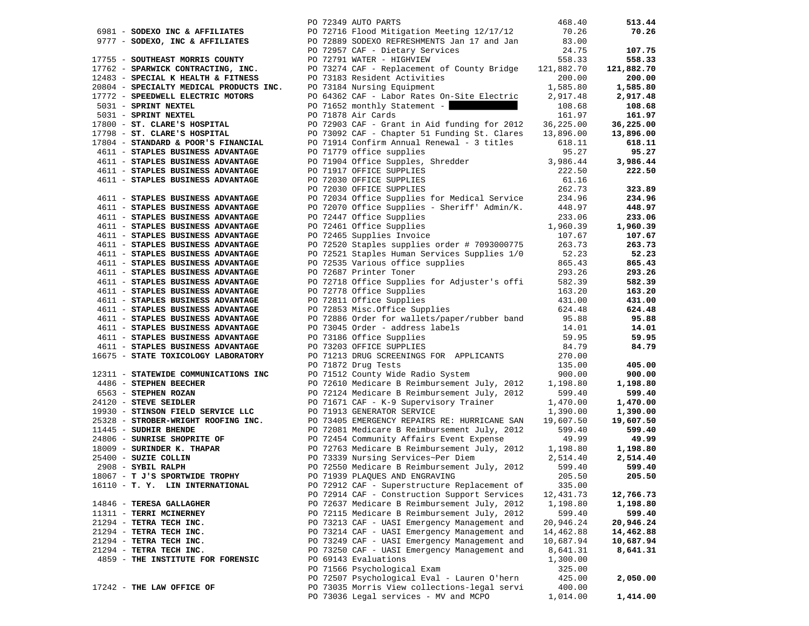|                                                                        |  | PO 72349 AUTO PARTS                                                                                        | 468.40           | 513.44           |
|------------------------------------------------------------------------|--|------------------------------------------------------------------------------------------------------------|------------------|------------------|
| 6981 - SODEXO INC & AFFILIATES                                         |  | PO 72716 Flood Mitigation Meeting 12/17/12                                                                 | 70.26            | 70.26            |
| 9777 - SODEXO, INC & AFFILIATES                                        |  | PO 72889 SODEXO REFRESHMENTS Jan 17 and Jan                                                                | 83.00            |                  |
|                                                                        |  | PO 72957 CAF - Dietary Services                                                                            | 24.75            | 107.75           |
| 17755 - SOUTHEAST MORRIS COUNTY                                        |  | PO 72791 WATER - HIGHVIEW                                                                                  | 558.33           | 558.33           |
| 17762 - SPARWICK CONTRACTING, INC.                                     |  | PO 73274 CAF - Replacement of County Bridge                                                                | 121,882.70       | 121,882.70       |
| 12483 - SPECIAL K HEALTH & FITNESS                                     |  | PO 73183 Resident Activities                                                                               | 200.00           | 200.00           |
| 20804 - SPECIALTY MEDICAL PRODUCTS INC.                                |  | PO 73184 Nursing Equipment                                                                                 | 1,585.80         | 1,585.80         |
| 17772 - SPEEDWELL ELECTRIC MOTORS                                      |  | PO 64362 CAF - Labor Rates On-Site Electric                                                                | 2,917.48         | 2,917.48         |
| 5031 - SPRINT NEXTEL                                                   |  | PO 71652 monthly Statement -                                                                               | 108.68           | 108.68           |
| 5031 - SPRINT NEXTEL                                                   |  | PO 71878 Air Cards                                                                                         | 161.97           | 161.97           |
| 17800 - ST. CLARE'S HOSPITAL                                           |  | PO 72903 CAF - Grant in Aid funding for 2012                                                               | 36,225.00        | 36,225.00        |
| 17798 - ST. CLARE'S HOSPITAL                                           |  | PO 73092 CAF - Chapter 51 Funding St. Clares                                                               | 13,896.00        | 13,896.00        |
| 17804 - STANDARD & POOR'S FINANCIAL                                    |  | PO 71914 Confirm Annual Renewal - 3 titles                                                                 | 618.11           | 618.11           |
| 4611 - STAPLES BUSINESS ADVANTAGE                                      |  | PO 71779 office supplies                                                                                   | 95.27            | 95.27            |
| 4611 - STAPLES BUSINESS ADVANTAGE                                      |  | PO 71904 Office Supples, Shredder                                                                          | 3,986.44         | 3,986.44         |
| 4611 - STAPLES BUSINESS ADVANTAGE                                      |  | PO 71917 OFFICE SUPPLIES                                                                                   | 222.50           | 222.50           |
| 4611 - STAPLES BUSINESS ADVANTAGE                                      |  | PO 72030 OFFICE SUPPLIES                                                                                   | 61.16            |                  |
|                                                                        |  | PO 72030 OFFICE SUPPLIES                                                                                   | 262.73           | 323.89           |
| 4611 - STAPLES BUSINESS ADVANTAGE                                      |  | PO 72034 Office Supplies for Medical Service 234.96<br>PO 72070 Office Supplies - Sheriff' Admin/K. 448.97 |                  | 234.96           |
| 4611 - STAPLES BUSINESS ADVANTAGE<br>4611 - STAPLES BUSINESS ADVANTAGE |  | PO 72070 Office Supplies - Sheriff' Admin/K.<br>PO 72447 Office Supplies                                   | 448.97<br>233.06 | 448.97<br>233.06 |
| 4611 - STAPLES BUSINESS ADVANTAGE                                      |  | PO 72461 Office Supplies                                                                                   | 1,960.39         | 1,960.39         |
| 4611 - STAPLES BUSINESS ADVANTAGE                                      |  | PO 72465 Supplies Invoice                                                                                  | 107.67           | 107.67           |
| 4611 - STAPLES BUSINESS ADVANTAGE                                      |  | PO 72520 Staples supplies order # 7093000775                                                               | 263.73           | 263.73           |
| 4611 - STAPLES BUSINESS ADVANTAGE                                      |  | PO 72521 Staples Human Services Supplies 1/0                                                               | 52.23            | 52.23            |
| 4611 - STAPLES BUSINESS ADVANTAGE                                      |  | PO 72535 Various office supplies                                                                           | 865.43           | 865.43           |
| 4611 - STAPLES BUSINESS ADVANTAGE                                      |  | PO 72687 Printer Toner                                                                                     | 293.26           | 293.26           |
| 4611 - STAPLES BUSINESS ADVANTAGE                                      |  | PO 72718 Office Supplies for Adjuster's offi                                                               | 582.39           | 582.39           |
| 4611 - STAPLES BUSINESS ADVANTAGE                                      |  | PO 72778 Office Supplies                                                                                   | 163.20           | 163.20           |
| 4611 - STAPLES BUSINESS ADVANTAGE                                      |  |                                                                                                            | 431.00           | 431.00           |
| 4611 - STAPLES BUSINESS ADVANTAGE                                      |  | PO 72811 Office Supplies<br>PO 72853 Misc.Office Supplies                                                  | 624.48           | 624.48           |
| 4611 - STAPLES BUSINESS ADVANTAGE                                      |  | PO 72886 Order for wallets/paper/rubber band                                                               | 95.88            | 95.88            |
| 4611 - STAPLES BUSINESS ADVANTAGE                                      |  | PO 73045 Order - address labels                                                                            | 14.01            | 14.01            |
| 4611 - STAPLES BUSINESS ADVANTAGE                                      |  | PO 73186 Office Supplies                                                                                   | 59.95            | 59.95            |
| 4611 - STAPLES BUSINESS ADVANTAGE                                      |  | PO 73203 OFFICE SUPPLIES                                                                                   | 84.79            | 84.79            |
| 16675 - STATE TOXICOLOGY LABORATORY                                    |  | PO 71213 DRUG SCREENINGS FOR APPLICANTS                                                                    | 270.00           |                  |
|                                                                        |  | PO 71872 Drug Tests                                                                                        | 135.00           | 405.00           |
| 12311 - STATEWIDE COMMUNICATIONS INC                                   |  | PO 71512 County Wide Radio System                                                                          | 900.00           | 900.00           |
| 4486 - STEPHEN BEECHER                                                 |  | PO 72610 Medicare B Reimbursement July, 2012                                                               | 1,198.80         | 1,198.80         |
| 6563 - STEPHEN ROZAN                                                   |  | PO 72124 Medicare B Reimbursement July, 2012                                                               | 599.40           | 599.40           |
| 24120 - STEVE SEIDLER                                                  |  | PO 71671 CAF - K-9 Supervisory Trainer                                                                     | 1,470.00         | 1,470.00         |
| 19930 - STINSON FIELD SERVICE LLC                                      |  | PO 71913 GENERATOR SERVICE                                                                                 | 1,390.00         | 1,390.00         |
| 25328 - STROBER-WRIGHT ROOFING INC.                                    |  | PO 73405 EMERGENCY REPAIRS RE: HURRICANE SAN                                                               | 19,607.50        | 19,607.50        |
| 11445 - SUDHIR BHENDE                                                  |  | PO 72081 Medicare B Reimbursement July, 2012<br>PO 72454 Community Affairs Event Expense                   | 599.40<br>49.99  | 599.40<br>49.99  |
| 24806 - SUNRISE SHOPRITE OF<br>18009 - SURINDER K. THAPAR              |  | PO 72763 Medicare B Reimbursement July, 2012                                                               | 1,198.80         | 1,198.80         |
| 25400 - SUZIE COLLIN                                                   |  | PO 73339 Nursing Services~Per Diem                                                                         | 2,514.40         | 2,514.40         |
| 2908 - SYBIL RALPH                                                     |  | PO 72550 Medicare B Reimbursement July, 2012                                                               | 599.40           | 599.40           |
| 18067 - T J'S SPORTWIDE TROPHY                                         |  | PO 71939 PLAQUES AND ENGRAVING                                                                             | 205.50           | 205.50           |
| 16110 - T. Y. LIN INTERNATIONAL                                        |  | PO 72912 CAF - Superstructure Replacement of                                                               | 335.00           |                  |
|                                                                        |  | PO 72914 CAF - Construction Support Services                                                               | 12,431.73        | 12,766.73        |
| 14846 - TERESA GALLAGHER                                               |  | PO 72637 Medicare B Reimbursement July, 2012                                                               | 1,198.80         | 1,198.80         |
| 11311 - TERRI MCINERNEY                                                |  | PO 72115 Medicare B Reimbursement July, 2012                                                               | 599.40           | 599.40           |
| 21294 - TETRA TECH INC.                                                |  | PO 73213 CAF - UASI Emergency Management and                                                               | 20,946.24        | 20,946.24        |
| 21294 - TETRA TECH INC.                                                |  | PO 73214 CAF - UASI Emergency Management and                                                               | 14,462.88        | 14,462.88        |
| 21294 - TETRA TECH INC.                                                |  | PO 73249 CAF - UASI Emergency Management and                                                               | 10,687.94        | 10,687.94        |
| 21294 - TETRA TECH INC.                                                |  | PO 73250 CAF - UASI Emergency Management and                                                               | 8,641.31         | 8,641.31         |
| 4859 - THE INSTITUTE FOR FORENSIC                                      |  | PO 69143 Evaluations                                                                                       | 1,300.00         |                  |
|                                                                        |  | PO 71566 Psychological Exam                                                                                | 325.00           |                  |
|                                                                        |  | PO 72507 Psychological Eval - Lauren O'hern                                                                | 425.00           | 2,050.00         |
| 17242 - THE LAW OFFICE OF                                              |  | PO 73035 Morris View collections-legal servi                                                               | 400.00           |                  |
|                                                                        |  | PO 73036 Legal services - MV and MCPO                                                                      | 1,014.00         | 1,414.00         |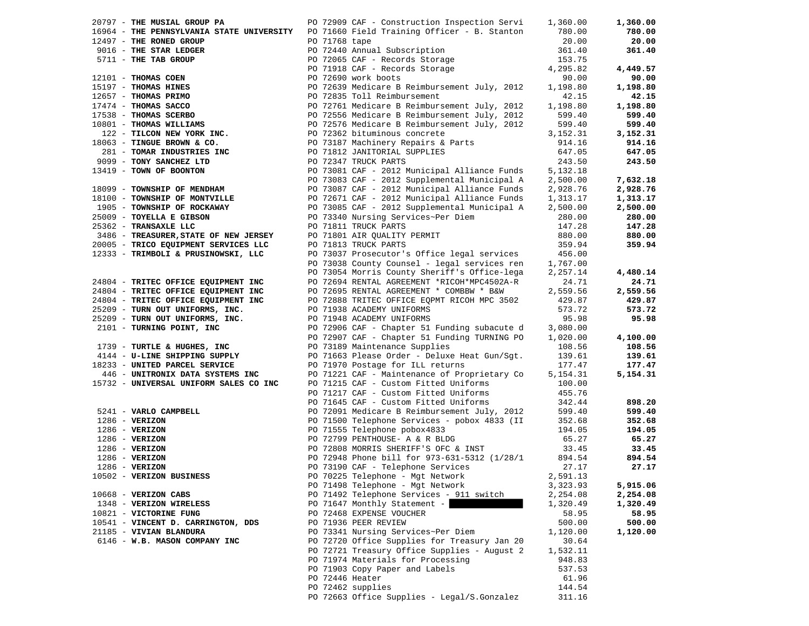| 20797 - THE MUSIAL GROUP PA                                                                                                                                                                                                        |                 | PO 72909 CAF - Construction Inspection Servi | 1,360.00   | 1,360.00 |
|------------------------------------------------------------------------------------------------------------------------------------------------------------------------------------------------------------------------------------|-----------------|----------------------------------------------|------------|----------|
| 16964 - THE PENNSYLVANIA STATE UNIVERSITY                                                                                                                                                                                          |                 | PO 71660 Field Training Officer - B. Stanton | 780.00     | 780.00   |
|                                                                                                                                                                                                                                    |                 |                                              | 20.00      | 20.00    |
|                                                                                                                                                                                                                                    |                 |                                              |            |          |
|                                                                                                                                                                                                                                    |                 |                                              | 361.40     | 361.40   |
| 16964 - THE PENNSYLVANIA PIRE (1990) - THE RONED ONCE (1990) - THE RONED CONFIDENT (1990) - THE TAB GROUP (1990) 72440 Annual Subscription<br>19016 - THE STAR LEDGER (2000) PO 72440 Annual Subscription<br>1901 - THOMAS COEN (2 |                 |                                              | 153.75     |          |
|                                                                                                                                                                                                                                    |                 |                                              | 4,295.82   | 4,449.57 |
|                                                                                                                                                                                                                                    |                 |                                              | 90.00      | 90.00    |
|                                                                                                                                                                                                                                    |                 |                                              | 1,198.80   | 1,198.80 |
|                                                                                                                                                                                                                                    |                 |                                              |            |          |
|                                                                                                                                                                                                                                    |                 |                                              | 42.15      | 42.15    |
|                                                                                                                                                                                                                                    |                 |                                              | 1,198.80   | 1,198.80 |
|                                                                                                                                                                                                                                    |                 |                                              | 599.40     | 599.40   |
|                                                                                                                                                                                                                                    |                 |                                              | 599.40     | 599.40   |
|                                                                                                                                                                                                                                    |                 |                                              |            |          |
|                                                                                                                                                                                                                                    |                 |                                              | 3,152.31   | 3,152.31 |
|                                                                                                                                                                                                                                    |                 |                                              | 914.16     | 914.16   |
|                                                                                                                                                                                                                                    |                 |                                              | 647.05     | 647.05   |
| 281 - TOMAR INDUSTRIES INC<br>099 - TONY SANCHEZ LTD                                                                                                                                                                               |                 |                                              | 243.50     | 243.50   |
| 13419 - TOWN OF BOONTON                                                                                                                                                                                                            |                 | PO 73081 CAF - 2012 Municipal Alliance Funds | 5,132.18   |          |
|                                                                                                                                                                                                                                    |                 |                                              |            |          |
| 18099 - TOWNSHIP OF MENDHAM                                                                                                                                                                                                        |                 | PO 73083 CAF - 2012 Supplemental Municipal A | 2,500.00   | 7,632.18 |
|                                                                                                                                                                                                                                    |                 | PO 73087 CAF - 2012 Municipal Alliance Funds | 2,928.76   | 2,928.76 |
| 18100 - TOWNSHIP OF MONTVILLE                                                                                                                                                                                                      |                 | PO 72671 CAF - 2012 Municipal Alliance Funds | 1,313.17   | 1,313.17 |
| 1905 - TOWNSHIP OF ROCKAWAY                                                                                                                                                                                                        |                 | PO 73085 CAF - 2012 Supplemental Municipal A | 2,500.00   | 2,500.00 |
| 25009 - TOYELLA E GIBSON                                                                                                                                                                                                           |                 | PO 73340 Nursing Services~Per Diem           | 280.00     | 280.00   |
| 25362 - TRANSAXLE LLC                                                                                                                                                                                                              |                 | PO 71811 TRUCK PARTS                         |            |          |
|                                                                                                                                                                                                                                    |                 |                                              | 147.28     | 147.28   |
| 3486 - TREASURER, STATE OF NEW JERSEY                                                                                                                                                                                              |                 | PO 71801 AIR QUALITY PERMIT                  | 880.00     | 880.00   |
| 20005 - TRICO EQUIPMENT SERVICES LLC                                                                                                                                                                                               |                 | PO 71813 TRUCK PARTS                         | 359.94     | 359.94   |
| 12333 - TRIMBOLI & PRUSINOWSKI, LLC                                                                                                                                                                                                |                 | PO 73037 Prosecutor's Office legal services  | 456.00     |          |
|                                                                                                                                                                                                                                    |                 | PO 73038 County Counsel - legal services ren | 1,767.00   |          |
|                                                                                                                                                                                                                                    |                 | PO 73054 Morris County Sheriff's Office-lega |            | 4,480.14 |
|                                                                                                                                                                                                                                    |                 |                                              | 2,257.14   |          |
| 24804 - TRITEC OFFICE EQUIPMENT INC                                                                                                                                                                                                |                 | PO 72694 RENTAL AGREEMENT *RICOH*MPC4502A-R  | 24.71      | 24.71    |
| 24804 - TRITEC OFFICE EQUIPMENT INC                                                                                                                                                                                                |                 | PO 72695 RENTAL AGREEMENT * COMBBW * B&W     | 2,559.56   | 2,559.56 |
| 24804 - TRITEC OFFICE EQUIPMENT INC                                                                                                                                                                                                |                 | PO 72888 TRITEC OFFICE EQPMT RICOH MPC 3502  | 429.87     | 429.87   |
| 25209 - TURN OUT UNIFORMS, INC.                                                                                                                                                                                                    |                 | PO 71938 ACADEMY UNIFORMS                    | 573.72     | 573.72   |
|                                                                                                                                                                                                                                    |                 |                                              |            | 95.98    |
| 25209 - TURN OUT UNIFORMS, INC.                                                                                                                                                                                                    |                 | PO 71948 ACADEMY UNIFORMS                    | 95.98      |          |
| 2101 - TURNING POINT, INC                                                                                                                                                                                                          |                 | PO 72906 CAF - Chapter 51 Funding subacute d | 3,080.00   |          |
|                                                                                                                                                                                                                                    |                 | PO 72907 CAF - Chapter 51 Funding TURNING PO | 1,020.00   | 4,100.00 |
| 1739 - TURTLE & HUGHES, INC                                                                                                                                                                                                        |                 | PO 73189 Maintenance Supplies                | 108.56     | 108.56   |
| 4144 - U-LINE SHIPPING SUPPLY                                                                                                                                                                                                      |                 | PO 71663 Please Order - Deluxe Heat Gun/Sgt. | 139.61     | 139.61   |
| 18233 - UNITED PARCEL SERVICE                                                                                                                                                                                                      |                 | PO 71970 Postage for ILL returns             | 177.47     | 177.47   |
|                                                                                                                                                                                                                                    |                 |                                              |            |          |
| 446 - UNITRONIX DATA SYSTEMS INC                                                                                                                                                                                                   |                 | PO 71221 CAF - Maintenance of Proprietary Co | 5, 154. 31 | 5,154.31 |
| 15732 - UNIVERSAL UNIFORM SALES CO INC                                                                                                                                                                                             |                 | PO 71215 CAF - Custom Fitted Uniforms        | 100.00     |          |
|                                                                                                                                                                                                                                    |                 | PO 71217 CAF - Custom Fitted Uniforms        | 455.76     |          |
|                                                                                                                                                                                                                                    |                 | PO 71645 CAF - Custom Fitted Uniforms        | 342.44     | 898.20   |
| 5241 - VARLO CAMPBELL                                                                                                                                                                                                              |                 | PO 72091 Medicare B Reimbursement July, 2012 | 599.40     | 599.40   |
|                                                                                                                                                                                                                                    |                 |                                              |            |          |
| $1286$ - VERIZON                                                                                                                                                                                                                   |                 | PO 71500 Telephone Services - pobox 4833 (II | 352.68     | 352.68   |
| $1286$ - VERIZON                                                                                                                                                                                                                   |                 | PO 71555 Telephone pobox4833                 | 194.05     | 194.05   |
| $1286$ - VERIZON                                                                                                                                                                                                                   |                 | PO 72799 PENTHOUSE- A & R BLDG               | 65.27      | 65.27    |
| $1286$ - VERIZON                                                                                                                                                                                                                   |                 | PO 72808 MORRIS SHERIFF'S OFC & INST         | 33.45      | 33.45    |
| $1286$ - VERIZON                                                                                                                                                                                                                   |                 | PO 72948 Phone bill for 973-631-5312 (1/28/1 | 894.54     | 894.54   |
| $1286 - VERIZON$                                                                                                                                                                                                                   |                 | PO 73190 CAF - Telephone Services            | 27.17      | 27.17    |
| 10502 - VERIZON BUSINESS                                                                                                                                                                                                           |                 | PO 70225 Telephone - Mgt Network             | 2,591.13   |          |
|                                                                                                                                                                                                                                    |                 |                                              |            |          |
|                                                                                                                                                                                                                                    |                 | PO 71498 Telephone - Mgt Network             | 3,323.93   | 5,915.06 |
| $10668$ - VERIZON CABS                                                                                                                                                                                                             |                 | PO 71492 Telephone Services - 911 switch     | 2,254.08   | 2,254.08 |
| 1348 - VERIZON WIRELESS                                                                                                                                                                                                            |                 | PO 71647 Monthly Statement -                 | 1,320.49   | 1,320.49 |
| 10821 - VICTORINE FUNG                                                                                                                                                                                                             |                 | PO 72468 EXPENSE VOUCHER                     | 58.95      | 58.95    |
| 10541 - VINCENT D. CARRINGTON, DDS                                                                                                                                                                                                 |                 | PO 71936 PEER REVIEW                         | 500.00     | 500.00   |
|                                                                                                                                                                                                                                    |                 |                                              |            |          |
| 21185 - VIVIAN BLANDURA                                                                                                                                                                                                            |                 | PO 73341 Nursing Services~Per Diem           | 1,120.00   | 1,120.00 |
| 6146 - W.B. MASON COMPANY INC                                                                                                                                                                                                      |                 | PO 72720 Office Supplies for Treasury Jan 20 | 30.64      |          |
|                                                                                                                                                                                                                                    |                 | PO 72721 Treasury Office Supplies - August 2 | 1,532.11   |          |
|                                                                                                                                                                                                                                    |                 | PO 71974 Materials for Processing            | 948.83     |          |
|                                                                                                                                                                                                                                    |                 | PO 71903 Copy Paper and Labels               | 537.53     |          |
|                                                                                                                                                                                                                                    | PO 72446 Heater |                                              | 61.96      |          |
|                                                                                                                                                                                                                                    |                 |                                              |            |          |
|                                                                                                                                                                                                                                    |                 | PO 72462 supplies                            | 144.54     |          |
|                                                                                                                                                                                                                                    |                 | PO 72663 Office Supplies - Legal/S.Gonzalez  | 311.16     |          |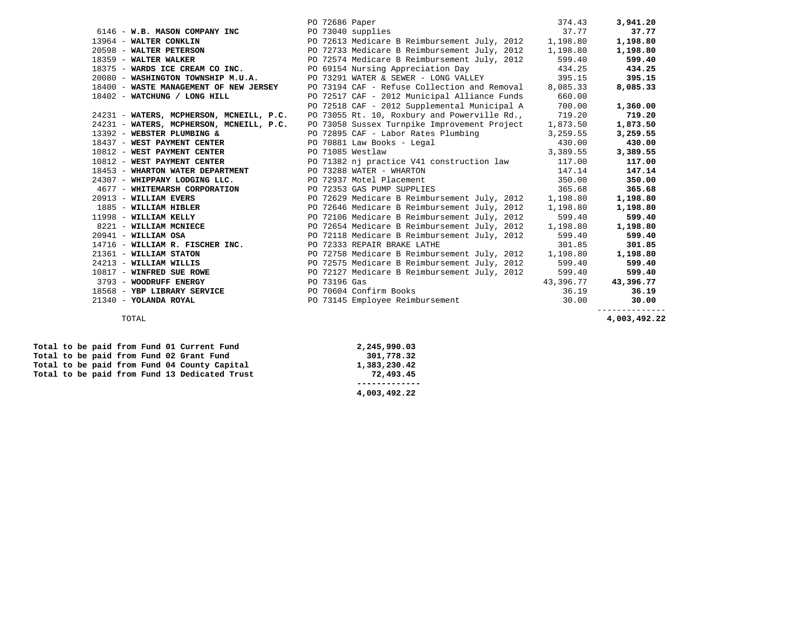|                                          | PO 72686 Paper                                                                                          | 374.43    | 3,941.20     |
|------------------------------------------|---------------------------------------------------------------------------------------------------------|-----------|--------------|
| 6146 - W.B. MASON COMPANY INC            | PO 73040 supplies                                                                                       | 37.77     | 37.77        |
| 13964 - WALTER CONKLIN                   | PO 72613 Medicare B Reimbursement July, 2012 1,198.80                                                   |           | 1,198.80     |
|                                          | 20598 - WALTER PETERSON PO 72733 Medicare B Reimbursement July, 2012 1, 198.80                          |           | 1,198.80     |
| 18359 - WALTER WALKER                    | PO 72574 Medicare B Reimbursement July, 2012                                                            | 599.40    | 599.40       |
| 18375 - WARDS ICE CREAM CO INC.          | PO 69154 Nursing Appreciation Day                                                                       | 434.25    | 434.25       |
| 20080 - WASHINGTON TOWNSHIP M.U.A.       | PO 73291 WATER & SEWER - LONG VALLEY 395.15                                                             |           | 395.15       |
| 18400 - WASTE MANAGEMENT OF NEW JERSEY   | PO 73194 CAF - Refuse Collection and Removal 8,085.33                                                   |           | 8,085.33     |
| 18402 - WATCHUNG / LONG HILL             | PO 72517 CAF - 2012 Municipal Alliance Funds 660.00                                                     |           |              |
|                                          | PO 72518 CAF - 2012 Supplemental Municipal A                                                            | 700.00    | 1,360.00     |
| 24231 - WATERS, MCPHERSON, MCNEILL, P.C. | PO 73055 Rt. 10, Roxbury and Powerville Rd.,                                                            | 719.20    | 719.20       |
| 24231 - WATERS, MCPHERSON, MCNEILL, P.C. | PO 73058 Sussex Turnpike Improvement Project                                                            | 1,873.50  | 1,873.50     |
| 13392 - WEBSTER PLUMBING &               | PO 72895 CAF - Labor Rates Plumbing                                                                     | 3,259.55  | 3,259.55     |
|                                          | 18437 - WEST PAYMENT CENTER<br>18437 - WEST PAYMENT CENTER<br>18688 - Payment American School of Tennes | 430.00    | 430.00       |
| 10812 - WEST PAYMENT CENTER              | PO 71085 Westlaw                                                                                        | 3,389.55  | 3,389.55     |
| 10812 - WEST PAYMENT CENTER              | PO 71382 nj practice V41 construction law 117.00                                                        |           | 117.00       |
| 18453 - WHARTON WATER DEPARTMENT         | PO 73288 WATER - WHARTON                                                                                | 147.14    | 147.14       |
| 24307 - WHIPPANY LODGING LLC.            | PO 72937 Motel Placement                                                                                | 350.00    | 350.00       |
| 4677 - WHITEMARSH CORPORATION            | PO 72353 GAS PUMP SUPPLIES                                                                              | 365.68    | 365.68       |
| 20913 - WILLIAM EVERS                    | PO 72629 Medicare B Reimbursement July, 2012                                                            | 1,198.80  | 1,198.80     |
| 1885 - WILLIAM HIBLER                    | PO 72646 Medicare B Reimbursement July, 2012                                                            | 1,198.80  | 1,198.80     |
| 11998 - WILLIAM KELLY                    | PO 72106 Medicare B Reimbursement July, 2012                                                            | 599.40    | 599.40       |
| 8221 - WILLIAM MCNIECE                   | PO 72654 Medicare B Reimbursement July, 2012                                                            | 1,198.80  | 1,198.80     |
| $20941 - \text{WILLIAM OSA}$             | PO 72118 Medicare B Reimbursement July, 2012                                                            | 599.40    | 599.40       |
| 14716 - WILLIAM R. FISCHER INC.          | PO 72333 REPAIR BRAKE LATHE                                                                             | 301.85    | 301.85       |
| 21361 - WILLIAM STATON                   | PO 72758 Medicare B Reimbursement July, 2012 1,198.80                                                   |           | 1,198.80     |
| 24213 - WILLIAM WILLIS                   | PO 72575 Medicare B Reimbursement July, 2012                                                            | 599.40    | 599.40       |
| 10817 - WINFRED SUE ROWE                 | PO 72127 Medicare B Reimbursement July, 2012                                                            | 599.40    | 599.40       |
| 3793 - WOODRUFF ENERGY                   | PO 73196 Gas                                                                                            | 43,396.77 | 43,396.77    |
| 18568 - YBP LIBRARY SERVICE              | PO 70604 Confirm Books                                                                                  | 36.19     | 36.19        |
| 21340 - YOLANDA ROYAL                    | PO 73145 Employee Reimbursement                                                                         | 30.00     | 30.00        |
|                                          |                                                                                                         |           | ------------ |

-------------<br>4,003,492.22 TOTAL **4,003,492.22** 

|  |  |  |  | Total to be paid from Fund 01 Current Fund    | 2,245,990.03 |  |
|--|--|--|--|-----------------------------------------------|--------------|--|
|  |  |  |  | Total to be paid from Fund 02 Grant Fund      | 301,778.32   |  |
|  |  |  |  | Total to be paid from Fund 04 County Capital  | 1,383,230.42 |  |
|  |  |  |  | Total to be paid from Fund 13 Dedicated Trust | 72,493.45    |  |
|  |  |  |  |                                               |              |  |
|  |  |  |  |                                               | 4,003,492.22 |  |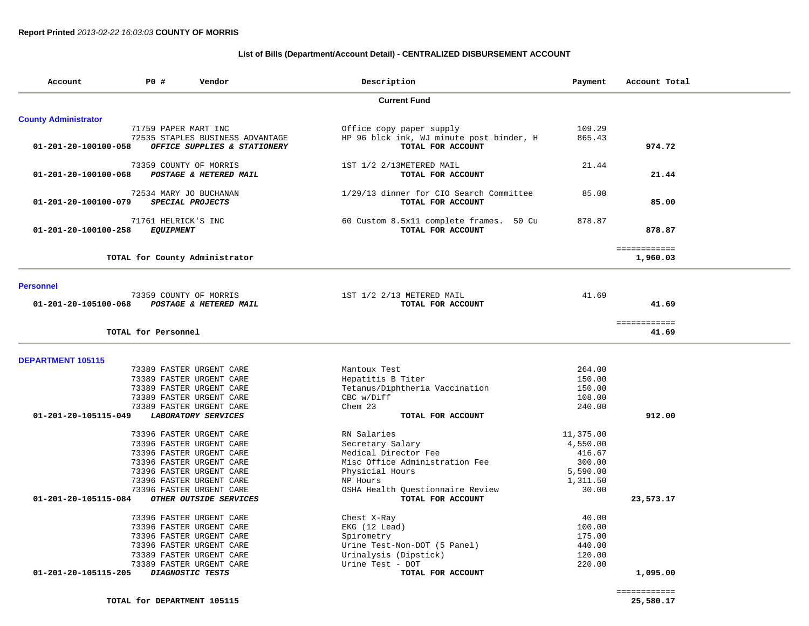# **List of Bills (Department/Account Detail) - CENTRALIZED DISBURSEMENT ACCOUNT**

| Account                     | P0 #                 | Vendor                           | Description                              | Payment   | Account Total |
|-----------------------------|----------------------|----------------------------------|------------------------------------------|-----------|---------------|
|                             |                      |                                  | <b>Current Fund</b>                      |           |               |
| <b>County Administrator</b> |                      |                                  |                                          |           |               |
|                             | 71759 PAPER MART INC |                                  | Office copy paper supply                 | 109.29    |               |
|                             |                      | 72535 STAPLES BUSINESS ADVANTAGE | HP 96 blck ink, WJ minute post binder, H | 865.43    |               |
| 01-201-20-100100-058        |                      | OFFICE SUPPLIES & STATIONERY     | TOTAL FOR ACCOUNT                        |           | 974.72        |
|                             |                      | 73359 COUNTY OF MORRIS           | 1ST 1/2 2/13METERED MAIL                 | 21.44     |               |
| 01-201-20-100100-068        |                      | POSTAGE & METERED MAIL           | TOTAL FOR ACCOUNT                        |           | 21.44         |
|                             |                      | 72534 MARY JO BUCHANAN           | 1/29/13 dinner for CIO Search Committee  | 85.00     |               |
| 01-201-20-100100-079        |                      | SPECIAL PROJECTS                 | TOTAL FOR ACCOUNT                        |           | 85.00         |
|                             | 71761 HELRICK'S INC  |                                  | 60 Custom 8.5x11 complete frames. 50 Cu  | 878.87    |               |
| 01-201-20-100100-258        | <b>EQUIPMENT</b>     |                                  | TOTAL FOR ACCOUNT                        |           | 878.87        |
|                             |                      |                                  |                                          |           | ============  |
|                             |                      | TOTAL for County Administrator   |                                          |           | 1,960.03      |
|                             |                      |                                  |                                          |           |               |
| <b>Personnel</b>            |                      | 73359 COUNTY OF MORRIS           | 1ST 1/2 2/13 METERED MAIL                | 41.69     |               |
| 01-201-20-105100-068        |                      | POSTAGE & METERED MAIL           | TOTAL FOR ACCOUNT                        |           | 41.69         |
|                             |                      |                                  |                                          |           | ============  |
|                             | TOTAL for Personnel  |                                  |                                          |           | 41.69         |
| <b>DEPARTMENT 105115</b>    |                      |                                  |                                          |           |               |
|                             |                      | 73389 FASTER URGENT CARE         | Mantoux Test                             | 264.00    |               |
|                             |                      | 73389 FASTER URGENT CARE         | Hepatitis B Titer                        | 150.00    |               |
|                             |                      | 73389 FASTER URGENT CARE         | Tetanus/Diphtheria Vaccination           | 150.00    |               |
|                             |                      | 73389 FASTER URGENT CARE         | CBC w/Diff                               | 108.00    |               |
|                             |                      | 73389 FASTER URGENT CARE         | Chem 23                                  | 240.00    |               |
| 01-201-20-105115-049        |                      | <b>LABORATORY SERVICES</b>       | TOTAL FOR ACCOUNT                        |           | 912.00        |
|                             |                      | 73396 FASTER URGENT CARE         | RN Salaries                              | 11,375.00 |               |
|                             |                      | 73396 FASTER URGENT CARE         | Secretary Salary                         | 4,550.00  |               |
|                             |                      | 73396 FASTER URGENT CARE         | Medical Director Fee                     | 416.67    |               |
|                             |                      | 73396 FASTER URGENT CARE         | Misc Office Administration Fee           | 300.00    |               |
|                             |                      | 73396 FASTER URGENT CARE         | Physicial Hours                          | 5,590.00  |               |
|                             |                      | 73396 FASTER URGENT CARE         | NP Hours                                 | 1,311.50  |               |
|                             |                      | 73396 FASTER URGENT CARE         | OSHA Health Questionnaire Review         | 30.00     |               |
| 01-201-20-105115-084        |                      | OTHER OUTSIDE SERVICES           | TOTAL FOR ACCOUNT                        |           | 23,573.17     |
|                             |                      | 73396 FASTER URGENT CARE         | Chest X-Ray                              | 40.00     |               |
|                             |                      | 73396 FASTER URGENT CARE         | EKG (12 Lead)                            | 100.00    |               |
|                             |                      | 73396 FASTER URGENT CARE         | Spirometry                               | 175.00    |               |
|                             |                      | 73396 FASTER URGENT CARE         | Urine Test-Non-DOT (5 Panel)             | 440.00    |               |
|                             |                      | 73389 FASTER URGENT CARE         | Urinalysis (Dipstick)                    | 120.00    |               |
|                             |                      |                                  |                                          |           |               |
|                             |                      | 73389 FASTER URGENT CARE         | Urine Test - DOT                         | 220.00    |               |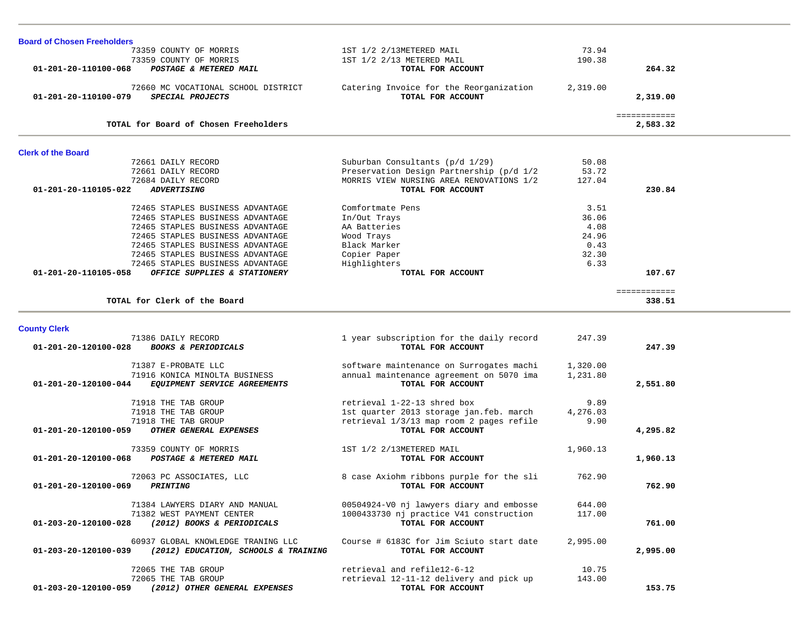| <b>Board of Chosen Freeholders</b>                                           |                                                              |          |              |  |
|------------------------------------------------------------------------------|--------------------------------------------------------------|----------|--------------|--|
| 73359 COUNTY OF MORRIS                                                       | 1ST 1/2 2/13METERED MAIL                                     | 73.94    |              |  |
| 73359 COUNTY OF MORRIS                                                       | 1ST 1/2 2/13 METERED MAIL                                    | 190.38   |              |  |
| POSTAGE & METERED MAIL<br>01-201-20-110100-068                               | TOTAL FOR ACCOUNT                                            |          | 264.32       |  |
|                                                                              |                                                              |          |              |  |
| 72660 MC VOCATIONAL SCHOOL DISTRICT                                          | Catering Invoice for the Reorganization                      | 2,319.00 |              |  |
| SPECIAL PROJECTS<br>01-201-20-110100-079                                     | TOTAL FOR ACCOUNT                                            |          | 2,319.00     |  |
|                                                                              |                                                              |          |              |  |
|                                                                              |                                                              |          | ============ |  |
| TOTAL for Board of Chosen Freeholders                                        |                                                              |          | 2,583.32     |  |
|                                                                              |                                                              |          |              |  |
| <b>Clerk of the Board</b>                                                    |                                                              |          |              |  |
| 72661 DAILY RECORD                                                           | Suburban Consultants (p/d 1/29)                              | 50.08    |              |  |
| 72661 DAILY RECORD                                                           | Preservation Design Partnership (p/d 1/2                     | 53.72    |              |  |
| 72684 DAILY RECORD                                                           | MORRIS VIEW NURSING AREA RENOVATIONS 1/2                     | 127.04   |              |  |
| 01-201-20-110105-022<br><b>ADVERTISING</b>                                   | TOTAL FOR ACCOUNT                                            |          | 230.84       |  |
|                                                                              |                                                              |          |              |  |
| 72465 STAPLES BUSINESS ADVANTAGE                                             | Comfortmate Pens                                             | 3.51     |              |  |
| 72465 STAPLES BUSINESS ADVANTAGE                                             | In/Out Trays                                                 | 36.06    |              |  |
| 72465 STAPLES BUSINESS ADVANTAGE                                             | AA Batteries                                                 | 4.08     |              |  |
| 72465 STAPLES BUSINESS ADVANTAGE                                             | Wood Trays                                                   | 24.96    |              |  |
| 72465 STAPLES BUSINESS ADVANTAGE                                             | Black Marker                                                 | 0.43     |              |  |
| 72465 STAPLES BUSINESS ADVANTAGE                                             | Copier Paper                                                 | 32.30    |              |  |
| 72465 STAPLES BUSINESS ADVANTAGE                                             | Highlighters                                                 | 6.33     |              |  |
| 01-201-20-110105-058<br>OFFICE SUPPLIES & STATIONERY                         | TOTAL FOR ACCOUNT                                            |          | 107.67       |  |
|                                                                              |                                                              |          |              |  |
|                                                                              |                                                              |          | ============ |  |
| TOTAL for Clerk of the Board                                                 |                                                              |          | 338.51       |  |
|                                                                              |                                                              |          |              |  |
| <b>County Clerk</b>                                                          |                                                              |          |              |  |
| 71386 DAILY RECORD                                                           | 1 year subscription for the daily record                     | 247.39   |              |  |
| <b>BOOKS &amp; PERIODICALS</b><br>01-201-20-120100-028                       | TOTAL FOR ACCOUNT                                            |          | 247.39       |  |
|                                                                              |                                                              |          |              |  |
| 71387 E-PROBATE LLC                                                          | software maintenance on Surrogates machi                     | 1,320.00 |              |  |
| 71916 KONICA MINOLTA BUSINESS                                                | annual maintenance agreement on 5070 ima                     | 1,231.80 |              |  |
| 01-201-20-120100-044<br>EQUIPMENT SERVICE AGREEMENTS                         | TOTAL FOR ACCOUNT                                            |          | 2,551.80     |  |
|                                                                              |                                                              |          |              |  |
| 71918 THE TAB GROUP                                                          | retrieval 1-22-13 shred box                                  | 9.89     |              |  |
| 71918 THE TAB GROUP                                                          | 1st quarter 2013 storage jan.feb. march                      | 4,276.03 |              |  |
| 71918 THE TAB GROUP                                                          |                                                              |          |              |  |
|                                                                              |                                                              |          |              |  |
|                                                                              | retrieval 1/3/13 map room 2 pages refile                     | 9.90     |              |  |
| OTHER GENERAL EXPENSES<br>01-201-20-120100-059                               | TOTAL FOR ACCOUNT                                            |          | 4,295.82     |  |
|                                                                              |                                                              |          |              |  |
| 73359 COUNTY OF MORRIS                                                       | 1ST 1/2 2/13METERED MAIL                                     | 1,960.13 |              |  |
| POSTAGE & METERED MAIL<br>01-201-20-120100-068                               | TOTAL FOR ACCOUNT                                            |          | 1,960.13     |  |
|                                                                              |                                                              |          |              |  |
| 72063 PC ASSOCIATES, LLC                                                     | 8 case Axiohm ribbons purple for the sli                     | 762.90   |              |  |
| 01-201-20-120100-069<br><b>PRINTING</b>                                      | TOTAL FOR ACCOUNT                                            |          | 762.90       |  |
|                                                                              |                                                              |          |              |  |
| 71384 LAWYERS DIARY AND MANUAL                                               | 00504924-V0 nj lawyers diary and embosse                     | 644.00   |              |  |
| 71382 WEST PAYMENT CENTER                                                    | 1000433730 nj practice V41 construction                      | 117.00   |              |  |
| (2012) BOOKS & PERIODICALS<br>01-203-20-120100-028                           | TOTAL FOR ACCOUNT                                            |          | 761.00       |  |
|                                                                              |                                                              |          |              |  |
| 60937 GLOBAL KNOWLEDGE TRANING LLC                                           | Course # 6183C for Jim Sciuto start date                     | 2,995.00 |              |  |
| (2012) EDUCATION, SCHOOLS & TRAINING<br>01-203-20-120100-039                 | TOTAL FOR ACCOUNT                                            |          | 2,995.00     |  |
|                                                                              |                                                              |          |              |  |
| 72065 THE TAB GROUP                                                          | retrieval and refile12-6-12                                  | 10.75    |              |  |
| 72065 THE TAB GROUP<br>(2012) OTHER GENERAL EXPENSES<br>01-203-20-120100-059 | retrieval 12-11-12 delivery and pick up<br>TOTAL FOR ACCOUNT | 143.00   | 153.75       |  |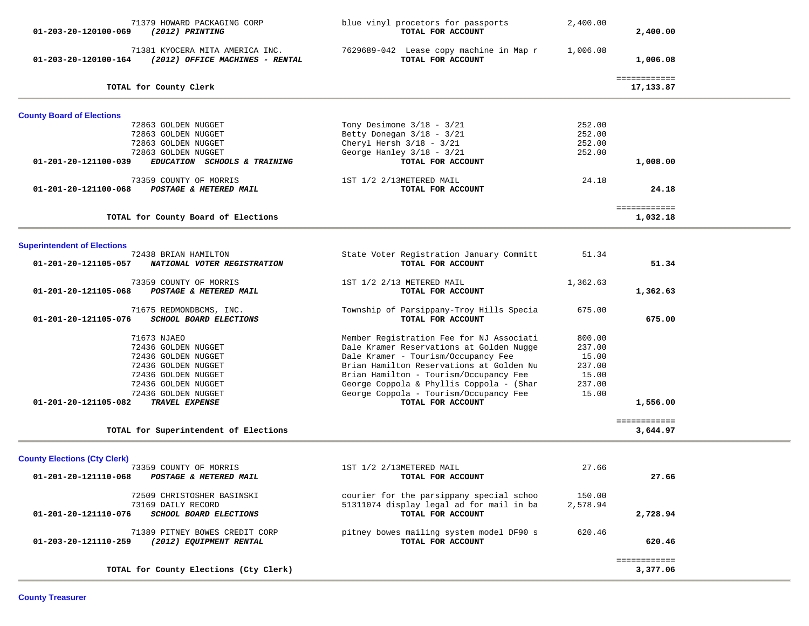| 71379 HOWARD PACKAGING CORP<br>(2012) PRINTING<br>01-203-20-120100-069                     | blue vinyl procetors for passports<br>TOTAL FOR ACCOUNT       | 2,400.00 | 2,400.00                  |  |
|--------------------------------------------------------------------------------------------|---------------------------------------------------------------|----------|---------------------------|--|
| 71381 KYOCERA MITA AMERICA INC.<br>01-203-20-120100-164<br>(2012) OFFICE MACHINES - RENTAL | 7629689-042 Lease copy machine in Map r<br>TOTAL FOR ACCOUNT  | 1,006.08 | 1,006.08                  |  |
| TOTAL for County Clerk                                                                     |                                                               |          | ============<br>17,133.87 |  |
| <b>County Board of Elections</b>                                                           |                                                               |          |                           |  |
| 72863 GOLDEN NUGGET                                                                        | Tony Desimone $3/18 - 3/21$                                   | 252.00   |                           |  |
| 72863 GOLDEN NUGGET                                                                        | Betty Donegan 3/18 - 3/21                                     | 252.00   |                           |  |
| 72863 GOLDEN NUGGET                                                                        | Cheryl Hersh $3/18 - 3/21$                                    | 252.00   |                           |  |
| 72863 GOLDEN NUGGET                                                                        | George Hanley 3/18 - 3/21                                     | 252.00   |                           |  |
| 01-201-20-121100-039<br>EDUCATION SCHOOLS & TRAINING                                       | TOTAL FOR ACCOUNT                                             |          | 1,008.00                  |  |
| 73359 COUNTY OF MORRIS                                                                     | 1ST 1/2 2/13METERED MAIL                                      | 24.18    |                           |  |
| 01-201-20-121100-068<br>POSTAGE & METERED MAIL                                             | TOTAL FOR ACCOUNT                                             |          | 24.18                     |  |
| TOTAL for County Board of Elections                                                        |                                                               |          | ============<br>1,032.18  |  |
|                                                                                            |                                                               |          |                           |  |
| <b>Superintendent of Elections</b>                                                         |                                                               |          |                           |  |
| 72438 BRIAN HAMILTON                                                                       | State Voter Registration January Committ                      | 51.34    |                           |  |
| 01-201-20-121105-057<br>NATIONAL VOTER REGISTRATION                                        | TOTAL FOR ACCOUNT                                             |          | 51.34                     |  |
| 73359 COUNTY OF MORRIS                                                                     | 1ST 1/2 2/13 METERED MAIL                                     | 1,362.63 |                           |  |
| POSTAGE & METERED MAIL<br>01-201-20-121105-068                                             | TOTAL FOR ACCOUNT                                             |          | 1,362.63                  |  |
| 71675 REDMONDBCMS, INC.<br>SCHOOL BOARD ELECTIONS<br>01-201-20-121105-076                  | Township of Parsippany-Troy Hills Specia<br>TOTAL FOR ACCOUNT | 675.00   | 675.00                    |  |
| 71673 NJAEO                                                                                | Member Registration Fee for NJ Associati                      | 800.00   |                           |  |
| 72436 GOLDEN NUGGET                                                                        | Dale Kramer Reservations at Golden Nugge                      | 237.00   |                           |  |
| 72436 GOLDEN NUGGET                                                                        | Dale Kramer - Tourism/Occupancy Fee                           | 15.00    |                           |  |
| 72436 GOLDEN NUGGET                                                                        | Brian Hamilton Reservations at Golden Nu                      | 237.00   |                           |  |
| 72436 GOLDEN NUGGET                                                                        | Brian Hamilton - Tourism/Occupancy Fee                        | 15.00    |                           |  |
| 72436 GOLDEN NUGGET                                                                        | George Coppola & Phyllis Coppola - (Shar                      | 237.00   |                           |  |
| 72436 GOLDEN NUGGET                                                                        | George Coppola - Tourism/Occupancy Fee                        | 15.00    |                           |  |
| 01-201-20-121105-082<br>TRAVEL EXPENSE                                                     | TOTAL FOR ACCOUNT                                             |          | 1,556.00                  |  |
| TOTAL for Superintendent of Elections                                                      |                                                               |          | ============<br>3,644.97  |  |
| <b>County Elections (Cty Clerk)</b>                                                        |                                                               |          |                           |  |
| 73359 COUNTY OF MORRIS                                                                     | 1ST 1/2 2/13METERED MAIL                                      | 27.66    |                           |  |
| 01-201-20-121110-068<br>POSTAGE & METERED MAIL                                             | TOTAL FOR ACCOUNT                                             |          | 27.66                     |  |
| 72509 CHRISTOSHER BASINSKI                                                                 | courier for the parsippany special schoo                      | 150.00   |                           |  |
| 73169 DAILY RECORD                                                                         | 51311074 display legal ad for mail in ba                      | 2,578.94 |                           |  |
| SCHOOL BOARD ELECTIONS<br>01-201-20-121110-076                                             | TOTAL FOR ACCOUNT                                             |          | 2,728.94                  |  |
| 71389 PITNEY BOWES CREDIT CORP                                                             | pitney bowes mailing system model DF90 s                      | 620.46   |                           |  |
| 01-203-20-121110-259<br>(2012) EQUIPMENT RENTAL                                            | TOTAL FOR ACCOUNT                                             |          | 620.46                    |  |
| TOTAL for County Elections (Cty Clerk)                                                     |                                                               |          | ============<br>3,377.06  |  |
|                                                                                            |                                                               |          |                           |  |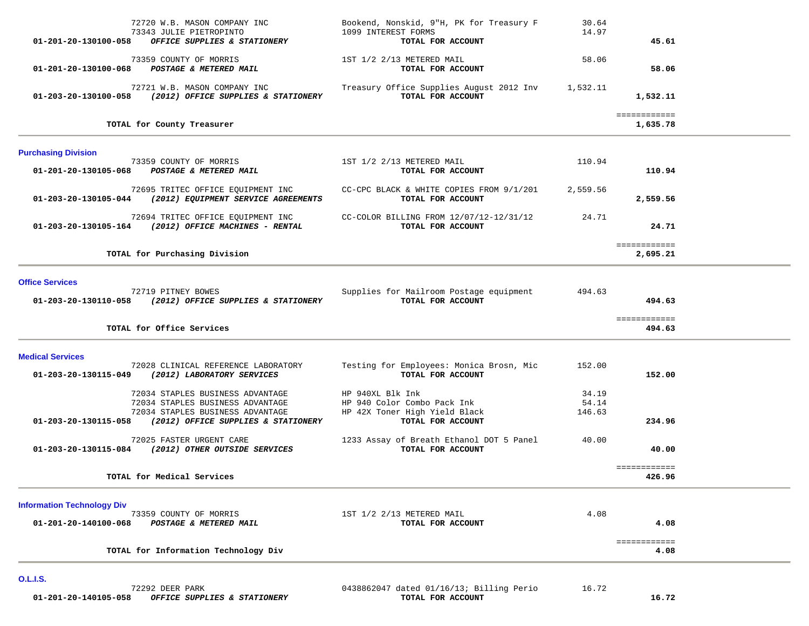| 72720 W.B. MASON COMPANY INC<br>73343 JULIE PIETROPINTO<br>OFFICE SUPPLIES & STATIONERY<br>01-201-20-130100-058                                                         | Bookend, Nonskid, 9"H, PK for Treasury F<br>1099 INTEREST FORMS<br>TOTAL FOR ACCOUNT                  | 30.64<br>14.97           | 45.61                    |  |
|-------------------------------------------------------------------------------------------------------------------------------------------------------------------------|-------------------------------------------------------------------------------------------------------|--------------------------|--------------------------|--|
| 73359 COUNTY OF MORRIS<br>01-201-20-130100-068 POSTAGE & METERED MAIL                                                                                                   | 1ST 1/2 2/13 METERED MAIL<br>TOTAL FOR ACCOUNT                                                        | 58.06                    | 58.06                    |  |
| 72721 W.B. MASON COMPANY INC<br>01-203-20-130100-058 (2012) OFFICE SUPPLIES & STATIONERY                                                                                | Treasury Office Supplies August 2012 Inv 1,532.11<br>TOTAL FOR ACCOUNT                                |                          | 1,532.11                 |  |
| TOTAL for County Treasurer                                                                                                                                              |                                                                                                       |                          | ============<br>1,635.78 |  |
| <b>Purchasing Division</b>                                                                                                                                              |                                                                                                       |                          |                          |  |
| 73359 COUNTY OF MORRIS<br>01-201-20-130105-068 POSTAGE & METERED MAIL                                                                                                   | 1ST 1/2 2/13 METERED MAIL<br>TOTAL FOR ACCOUNT                                                        | 110.94                   | 110.94                   |  |
| 72695 TRITEC OFFICE EQUIPMENT INC<br>01-203-20-130105-044 (2012) EQUIPMENT SERVICE AGREEMENTS                                                                           | CC-CPC BLACK & WHITE COPIES FROM 9/1/201<br>TOTAL FOR ACCOUNT                                         | 2,559.56                 | 2,559.56                 |  |
| 72694 TRITEC OFFICE EQUIPMENT INC<br>01-203-20-130105-164 (2012) OFFICE MACHINES - RENTAL                                                                               | CC-COLOR BILLING FROM 12/07/12-12/31/12<br>TOTAL FOR ACCOUNT                                          | 24.71                    | 24.71                    |  |
| TOTAL for Purchasing Division                                                                                                                                           |                                                                                                       |                          | ============<br>2,695.21 |  |
| <b>Office Services</b>                                                                                                                                                  |                                                                                                       |                          |                          |  |
| 72719 PITNEY BOWES<br>01-203-20-130110-058 (2012) OFFICE SUPPLIES & STATIONERY                                                                                          | Supplies for Mailroom Postage equipment<br>TOTAL FOR ACCOUNT                                          | 494.63                   | 494.63                   |  |
| TOTAL for Office Services                                                                                                                                               |                                                                                                       |                          | ============<br>494.63   |  |
| <b>Medical Services</b>                                                                                                                                                 |                                                                                                       |                          |                          |  |
| 72028 CLINICAL REFERENCE LABORATORY<br>01-203-20-130115-049<br>(2012) LABORATORY SERVICES                                                                               | Testing for Employees: Monica Brosn, Mic<br>TOTAL FOR ACCOUNT                                         | 152.00                   | 152.00                   |  |
| 72034 STAPLES BUSINESS ADVANTAGE<br>72034 STAPLES BUSINESS ADVANTAGE<br>72034 STAPLES BUSINESS ADVANTAGE<br>(2012) OFFICE SUPPLIES & STATIONERY<br>01-203-20-130115-058 | HP 940XL Blk Ink<br>HP 940 Color Combo Pack Ink<br>HP 42X Toner High Yield Black<br>TOTAL FOR ACCOUNT | 34.19<br>54.14<br>146.63 | 234.96                   |  |
| 72025 FASTER URGENT CARE<br>01-203-20-130115-084 (2012) OTHER OUTSIDE SERVICES                                                                                          | 1233 Assay of Breath Ethanol DOT 5 Panel<br>TOTAL FOR ACCOUNT                                         | 40.00                    | 40.00                    |  |
| TOTAL for Medical Services                                                                                                                                              |                                                                                                       |                          | ============<br>426.96   |  |
| <b>Information Technology Div</b>                                                                                                                                       |                                                                                                       |                          |                          |  |
| 73359 COUNTY OF MORRIS<br>01-201-20-140100-068<br>POSTAGE & METERED MAIL                                                                                                | 1ST 1/2 2/13 METERED MAIL<br>TOTAL FOR ACCOUNT                                                        | 4.08                     | 4.08                     |  |
| TOTAL for Information Technology Div                                                                                                                                    |                                                                                                       |                          | ============<br>4.08     |  |

**O.L.I.S.**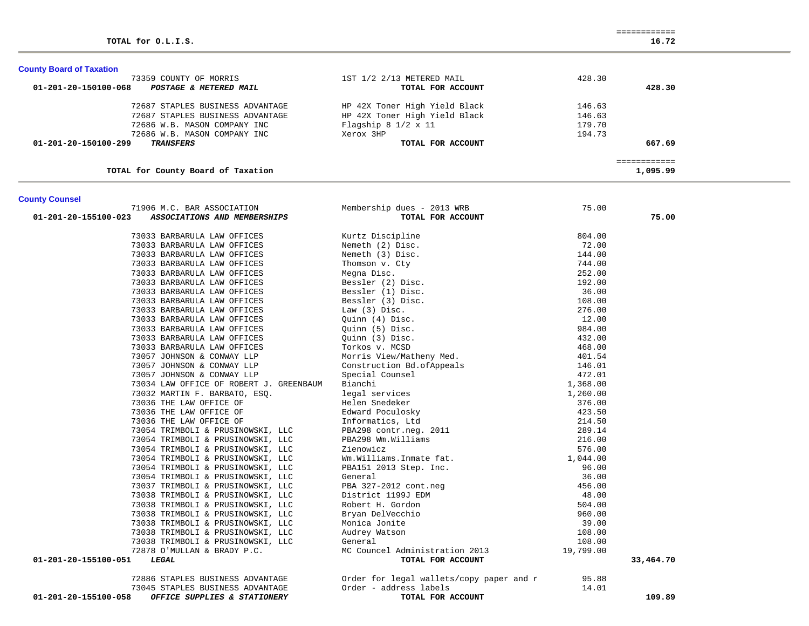# **County Board of Taxation**

| 73359 COUNTY OF MORRIS                         | 1ST 1/2 2/13 METERED MAIL          | 428.30 |
|------------------------------------------------|------------------------------------|--------|
| 01-201-20-150100-068<br>POSTAGE & METERED MAIL | TOTAL FOR ACCOUNT                  | 428.30 |
| 72687 STAPLES BUSINESS ADVANTAGE               | HP 42X Toner High Yield Black      | 146.63 |
| 72687 STAPLES BUSINESS ADVANTAGE               | HP 42X Toner High Yield Black      | 146.63 |
| 72686 W.B. MASON COMPANY INC                   | Flagship $8 \frac{1}{2} \times 11$ | 179.70 |
| 72686 W.B. MASON COMPANY INC                   | Xerox 3HP                          | 194.73 |
| 01-201-20-150100-299<br>TRANSFERS              | TOTAL FOR ACCOUNT                  | 667.69 |

### **TOTAL for County Board of Taxation 1,095.99**

 ============ ============<br>1,095.99

# **County Counsel**

| 71906 M.C. BAR ASSOCIATION                           | Membership dues - 2013 WRB                                                                                                                                                                                                                                            | 75.00  |           |
|------------------------------------------------------|-----------------------------------------------------------------------------------------------------------------------------------------------------------------------------------------------------------------------------------------------------------------------|--------|-----------|
| 01-201-20-155100-023<br>ASSOCIATIONS AND MEMBERSHIPS | TOTAL FOR ACCOUNT                                                                                                                                                                                                                                                     |        | 75.00     |
|                                                      |                                                                                                                                                                                                                                                                       |        |           |
| 73033 BARBARULA LAW OFFICES                          | Kurtz Discipline<br>Nemeth (2) Disc.<br>Thomson v. Cty<br>Megna Disc.<br>Bessler (2) Disc.<br>Bessler (1) Disc.<br>Bessler (3) Disc.<br>Law (3) Disc.<br>Law (3) Disc.<br>Quinn (4) Disc.<br>Quinn (5) Disc.<br>Torkos v. MCSD.<br>Torkos v. MCSD.<br>Norris View/Mat | 804.00 |           |
| 73033 BARBARULA LAW OFFICES                          |                                                                                                                                                                                                                                                                       | 72.00  |           |
| 73033 BARBARULA LAW OFFICES                          |                                                                                                                                                                                                                                                                       | 144.00 |           |
| 73033 BARBARULA LAW OFFICES                          |                                                                                                                                                                                                                                                                       | 744.00 |           |
| 73033 BARBARULA LAW OFFICES                          |                                                                                                                                                                                                                                                                       | 252.00 |           |
| 73033 BARBARULA LAW OFFICES                          |                                                                                                                                                                                                                                                                       | 192.00 |           |
| 73033 BARBARULA LAW OFFICES                          |                                                                                                                                                                                                                                                                       | 36.00  |           |
| 73033 BARBARULA LAW OFFICES                          |                                                                                                                                                                                                                                                                       | 108.00 |           |
| 73033 BARBARULA LAW OFFICES                          |                                                                                                                                                                                                                                                                       | 276.00 |           |
| 73033 BARBARULA LAW OFFICES                          |                                                                                                                                                                                                                                                                       | 12.00  |           |
| 73033 BARBARULA LAW OFFICES                          |                                                                                                                                                                                                                                                                       | 984.00 |           |
| 73033 BARBARULA LAW OFFICES                          |                                                                                                                                                                                                                                                                       | 432.00 |           |
| 73033 BARBARULA LAW OFFICES                          |                                                                                                                                                                                                                                                                       | 468.00 |           |
| 73057 JOHNSON & CONWAY LLP                           |                                                                                                                                                                                                                                                                       | 401.54 |           |
| 73057 JOHNSON & CONWAY LLP                           |                                                                                                                                                                                                                                                                       |        |           |
| 73057 JOHNSON & CONWAY LLP                           |                                                                                                                                                                                                                                                                       |        |           |
| 73034 LAW OFFICE OF ROBERT J. GREENBAUM              |                                                                                                                                                                                                                                                                       |        |           |
| 73032 MARTIN F. BARBATO, ESQ.                        |                                                                                                                                                                                                                                                                       |        |           |
| 73036 THE LAW OFFICE OF                              |                                                                                                                                                                                                                                                                       |        |           |
| 73036 THE LAW OFFICE OF                              |                                                                                                                                                                                                                                                                       |        |           |
| 73036 THE LAW OFFICE OF                              |                                                                                                                                                                                                                                                                       |        |           |
| 73054 TRIMBOLI & PRUSINOWSKI, LLC                    |                                                                                                                                                                                                                                                                       |        |           |
| 73054 TRIMBOLI & PRUSINOWSKI, LLC                    |                                                                                                                                                                                                                                                                       |        |           |
| 73054 TRIMBOLI & PRUSINOWSKI, LLC                    |                                                                                                                                                                                                                                                                       |        |           |
| 73054 TRIMBOLI & PRUSINOWSKI, LLC                    |                                                                                                                                                                                                                                                                       |        |           |
| 73054 TRIMBOLI & PRUSINOWSKI, LLC                    |                                                                                                                                                                                                                                                                       |        |           |
| 73054 TRIMBOLI & PRUSINOWSKI, LLC                    |                                                                                                                                                                                                                                                                       |        |           |
| 73037 TRIMBOLI & PRUSINOWSKI, LLC                    |                                                                                                                                                                                                                                                                       |        |           |
| 73038 TRIMBOLI & PRUSINOWSKI, LLC                    |                                                                                                                                                                                                                                                                       |        |           |
| 73038 TRIMBOLI & PRUSINOWSKI, LLC                    |                                                                                                                                                                                                                                                                       |        |           |
| 73038 TRIMBOLI & PRUSINOWSKI, LLC                    |                                                                                                                                                                                                                                                                       |        |           |
| 73038 TRIMBOLI & PRUSINOWSKI, LLC                    |                                                                                                                                                                                                                                                                       |        |           |
| 73038 TRIMBOLI & PRUSINOWSKI, LLC                    | Morris View/Matheny Med.<br>Morris View/Matheny Med.<br>201.54<br>Construction Bd.ofAppeals<br>201.54<br>201.54<br>201.54<br>201.54<br>201.54<br>201.54<br>201.54<br>201.54<br>201.60<br>201.828<br>201.900.00<br>Helm Snedeker<br>202.00<br>201.201.201.201.1<br>    |        |           |
| 73038 TRIMBOLI & PRUSINOWSKI, LLC                    | General                                                                                                                                                                                                                                                               | 108.00 |           |
| 72878 O'MULLAN & BRADY P.C.                          | MC Councel Administration 2013 19,799.00                                                                                                                                                                                                                              |        |           |
| 01-201-20-155100-051<br>LEGAL                        | TOTAL FOR ACCOUNT                                                                                                                                                                                                                                                     |        | 33,464.70 |
| 72886 STAPLES BUSINESS ADVANTAGE                     | Order for legal wallets/copy paper and r                                                                                                                                                                                                                              | 95.88  |           |
| 73045 STAPLES BUSINESS ADVANTAGE                     | Order - address labels                                                                                                                                                                                                                                                | 14.01  |           |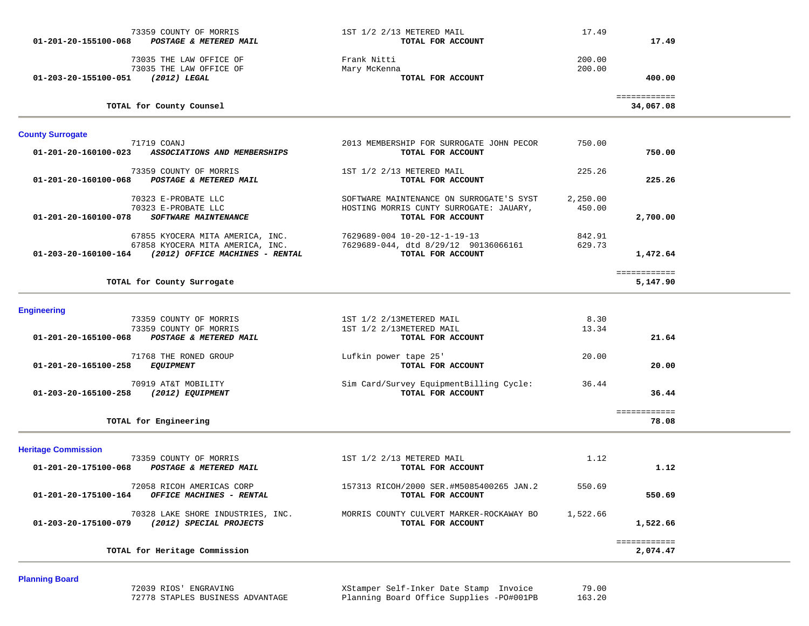| 73359 COUNTY OF MORRIS<br>01-201-20-155100-068<br>POSTAGE & METERED MAIL                                                     | 1ST 1/2 2/13 METERED MAIL<br>TOTAL FOR ACCOUNT                                                           | 17.49              | 17.49                     |  |
|------------------------------------------------------------------------------------------------------------------------------|----------------------------------------------------------------------------------------------------------|--------------------|---------------------------|--|
| 73035 THE LAW OFFICE OF<br>73035 THE LAW OFFICE OF<br>01-203-20-155100-051<br>(2012) LEGAL                                   | Frank Nitti<br>Mary McKenna<br>TOTAL FOR ACCOUNT                                                         | 200.00<br>200.00   | 400.00                    |  |
| TOTAL for County Counsel                                                                                                     |                                                                                                          |                    | ============<br>34,067.08 |  |
| <b>County Surrogate</b>                                                                                                      |                                                                                                          |                    |                           |  |
| 71719 COANJ<br>ASSOCIATIONS AND MEMBERSHIPS<br>01-201-20-160100-023                                                          | 2013 MEMBERSHIP FOR SURROGATE JOHN PECOR<br>TOTAL FOR ACCOUNT                                            | 750.00             | 750.00                    |  |
| 73359 COUNTY OF MORRIS<br><b>POSTAGE &amp; METERED MAIL</b><br>01-201-20-160100-068                                          | 1ST 1/2 2/13 METERED MAIL<br>TOTAL FOR ACCOUNT                                                           | 225.26             | 225.26                    |  |
| 70323 E-PROBATE LLC<br>70323 E-PROBATE LLC<br>01-201-20-160100-078<br>SOFTWARE MAINTENANCE                                   | SOFTWARE MAINTENANCE ON SURROGATE'S SYST<br>HOSTING MORRIS CUNTY SURROGATE: JAUARY,<br>TOTAL FOR ACCOUNT | 2,250.00<br>450.00 | 2,700.00                  |  |
| 67855 KYOCERA MITA AMERICA, INC.<br>67858 KYOCERA MITA AMERICA, INC.<br>01-203-20-160100-164 (2012) OFFICE MACHINES - RENTAL | 7629689-004 10-20-12-1-19-13<br>7629689-044, dtd 8/29/12 90136066161<br>TOTAL FOR ACCOUNT                | 842.91<br>629.73   | 1,472.64                  |  |
| TOTAL for County Surrogate                                                                                                   |                                                                                                          |                    | ============<br>5,147.90  |  |
| <b>Engineering</b>                                                                                                           |                                                                                                          |                    |                           |  |
| 73359 COUNTY OF MORRIS<br>73359 COUNTY OF MORRIS<br>POSTAGE & METERED MAIL<br>01-201-20-165100-068                           | 1ST 1/2 2/13METERED MAIL<br>1ST 1/2 2/13METERED MAIL<br>TOTAL FOR ACCOUNT                                | 8.30<br>13.34      | 21.64                     |  |
| 71768 THE RONED GROUP<br>01-201-20-165100-258<br><b>EQUIPMENT</b>                                                            | Lufkin power tape 25'<br>TOTAL FOR ACCOUNT                                                               | 20.00              | 20.00                     |  |
| 70919 AT&T MOBILITY<br>(2012) EQUIPMENT<br>01-203-20-165100-258                                                              | Sim Card/Survey EquipmentBilling Cycle:<br>TOTAL FOR ACCOUNT                                             | 36.44              | 36.44                     |  |
| TOTAL for Engineering                                                                                                        |                                                                                                          |                    | ============<br>78.08     |  |
| <b>Heritage Commission</b>                                                                                                   |                                                                                                          |                    |                           |  |
| 73359 COUNTY OF MORRIS<br>01-201-20-175100-068<br>POSTAGE & METERED MAIL                                                     | 1ST 1/2 2/13 METERED MAIL<br>TOTAL FOR ACCOUNT                                                           | 1.12               | 1.12                      |  |
| 72058 RICOH AMERICAS CORP<br>OFFICE MACHINES - RENTAL<br>01-201-20-175100-164                                                | 157313 RICOH/2000 SER.#M5085400265 JAN.2<br>TOTAL FOR ACCOUNT                                            | 550.69             | 550.69                    |  |
| 70328 LAKE SHORE INDUSTRIES, INC.<br>01-203-20-175100-079<br>(2012) SPECIAL PROJECTS                                         | MORRIS COUNTY CULVERT MARKER-ROCKAWAY BO<br>TOTAL FOR ACCOUNT                                            | 1,522.66           | 1,522.66                  |  |
| TOTAL for Heritage Commission                                                                                                |                                                                                                          |                    | ============<br>2,074.47  |  |

# **Planning Board**

 72039 RIOS' ENGRAVING XStamper Self-Inker Date Stamp Invoice 79.00 72778 STAPLES BUSINESS ADVANTAGE Planning Board Office Supplies -PO#001PB 163.20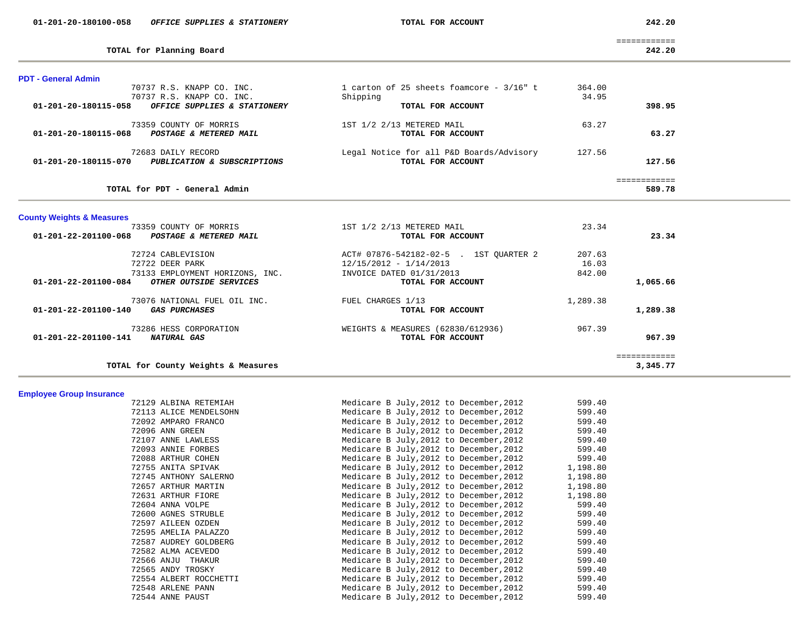|  | 01-201-20-180100-058 | <i>OFFICE SUPPLIES &amp; STATIONERY</i> |  |
|--|----------------------|-----------------------------------------|--|
|--|----------------------|-----------------------------------------|--|

**TOTAL for Planning Board 242.20**

 **01-201-20-180100-058** *OFFICE SUPPLIES & STATIONERY* **TOTAL FOR ACCOUNT 242.20**

|                                    | _____________<br>_____________ |
|------------------------------------|--------------------------------|
| for Planning Board<br><b>TOTAL</b> | 242.20                         |

| <b>PDT - General Admin</b>                                |                                             |              |  |
|-----------------------------------------------------------|---------------------------------------------|--------------|--|
| 70737 R.S. KNAPP CO. INC.                                 | 1 carton of 25 sheets foamcore - $3/16$ " t | 364.00       |  |
| 70737 R.S. KNAPP CO. INC.                                 | Shipping                                    | 34.95        |  |
| 01-201-20-180115-058<br>OFFICE SUPPLIES & STATIONERY      | TOTAL FOR ACCOUNT                           | 398.95       |  |
| 73359 COUNTY OF MORRIS                                    | 1ST 1/2 2/13 METERED MAIL                   | 63.27        |  |
| 01-201-20-180115-068<br><b>POSTAGE &amp; METERED MAIL</b> | TOTAL FOR ACCOUNT                           | 63.27        |  |
| 72683 DAILY RECORD                                        | Legal Notice for all P&D Boards/Advisory    | 127.56       |  |
| 01-201-20-180115-070<br>PUBLICATION & SUBSCRIPTIONS       | TOTAL FOR ACCOUNT                           | 127.56       |  |
|                                                           |                                             | ============ |  |
| TOTAL for PDT - General Admin                             |                                             | 589.78       |  |

|  |  |  | <b>County Weights &amp; Measures</b> |
|--|--|--|--------------------------------------|
|--|--|--|--------------------------------------|

| 73359 COUNTY OF MORRIS                              | 1ST 1/2 2/13 METERED MAIL              | 23.34    |          |
|-----------------------------------------------------|----------------------------------------|----------|----------|
| 01-201-22-201100-068<br>POSTAGE & METERED MAIL      | TOTAL FOR ACCOUNT                      |          | 23.34    |
| 72724 CABLEVISION                                   | ACT# 07876-542182-02-5 . 1ST OUARTER 2 | 207.63   |          |
| 72722 DEER PARK                                     | $12/15/2012 - 1/14/2013$               | 16.03    |          |
| 73133 EMPLOYMENT HORIZONS, INC.                     | INVOICE DATED 01/31/2013               | 842.00   |          |
| 01-201-22-201100-084<br>OTHER OUTSIDE SERVICES      | TOTAL FOR ACCOUNT                      |          | 1,065.66 |
| 73076 NATIONAL FUEL OIL INC.                        | FUEL CHARGES 1/13                      | 1,289.38 |          |
| 01-201-22-201100-140<br><i><b>GAS PURCHASES</b></i> | TOTAL FOR ACCOUNT                      |          | 1,289.38 |
| 73286 HESS CORPORATION                              | WEIGHTS & MEASURES (62830/612936)      | 967.39   |          |
| 01-201-22-201100-141<br><b>NATURAL GAS</b>          | TOTAL FOR ACCOUNT                      |          | 967.39   |
|                                                     |                                        |          |          |
| TOTAL for County Weights & Measures                 |                                        |          | 3,345.77 |

# **Employee Group Insurance**

| 72129 ALBINA RETEMIAH  | Medicare B July, 2012 to December, 2012 | 599.40   |
|------------------------|-----------------------------------------|----------|
| 72113 ALICE MENDELSOHN | Medicare B July, 2012 to December, 2012 | 599.40   |
| 72092 AMPARO FRANCO    | Medicare B July, 2012 to December, 2012 | 599.40   |
| 72096 ANN GREEN        | Medicare B July, 2012 to December, 2012 | 599.40   |
| 72107 ANNE LAWLESS     | Medicare B July, 2012 to December, 2012 | 599.40   |
| 72093 ANNIE FORBES     | Medicare B July, 2012 to December, 2012 | 599.40   |
| 72088 ARTHUR COHEN     | Medicare B July, 2012 to December, 2012 | 599.40   |
| 72755 ANITA SPIVAK     | Medicare B July, 2012 to December, 2012 | 1,198.80 |
| 72745 ANTHONY SALERNO  | Medicare B July, 2012 to December, 2012 | 1,198.80 |
| 72657 ARTHUR MARTIN    | Medicare B July, 2012 to December, 2012 | 1,198.80 |
| 72631 ARTHUR FIORE     | Medicare B July, 2012 to December, 2012 | 1,198.80 |
| 72604 ANNA VOLPE       | Medicare B July, 2012 to December, 2012 | 599.40   |
| 72600 AGNES STRUBLE    | Medicare B July, 2012 to December, 2012 | 599.40   |
| 72597 AILEEN OZDEN     | Medicare B July, 2012 to December, 2012 | 599.40   |
| 72595 AMELIA PALAZZO   | Medicare B July, 2012 to December, 2012 | 599.40   |
| 72587 AUDREY GOLDBERG  | Medicare B July, 2012 to December, 2012 | 599.40   |
| 72582 ALMA ACEVEDO     | Medicare B July, 2012 to December, 2012 | 599.40   |
| 72566 ANJU THAKUR      | Medicare B July, 2012 to December, 2012 | 599.40   |
| 72565 ANDY TROSKY      | Medicare B July, 2012 to December, 2012 | 599.40   |
| 72554 ALBERT ROCCHETTI | Medicare B July, 2012 to December, 2012 | 599.40   |
| 72548 ARLENE PANN      | Medicare B July, 2012 to December, 2012 | 599.40   |
| 72544 ANNE PAUST       | Medicare B July, 2012 to December, 2012 | 599.40   |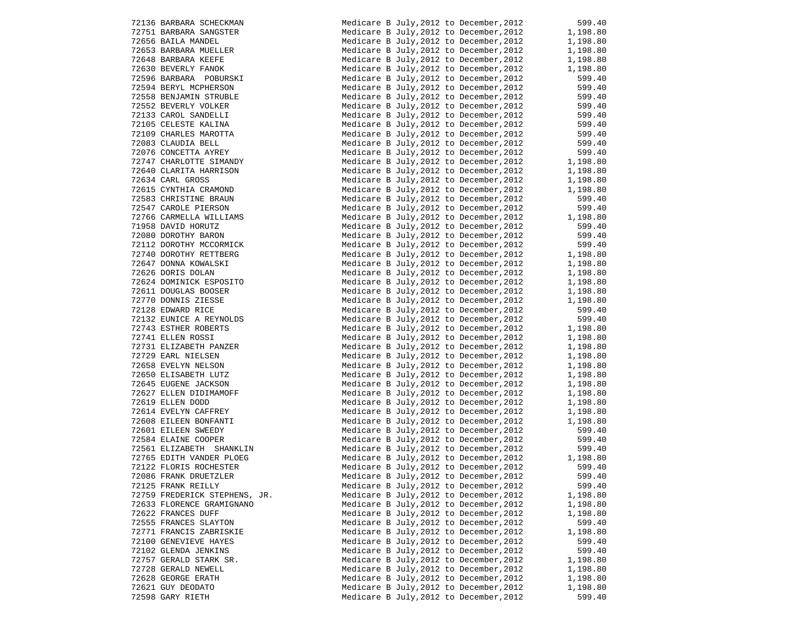| 72136 BARBARA SCHECKMAN                                                                                                                                                                                                                                     | Medicare B July, 2012 to December, 2012 599.40                                                                                                                                                          |                               |
|-------------------------------------------------------------------------------------------------------------------------------------------------------------------------------------------------------------------------------------------------------------|---------------------------------------------------------------------------------------------------------------------------------------------------------------------------------------------------------|-------------------------------|
|                                                                                                                                                                                                                                                             |                                                                                                                                                                                                         |                               |
| 72751 BARBARA SANGSTER<br>72656 BAILA MANDEL<br>72653 BARBARA MUELLER<br>72648 BARBARA MUELLER<br>72630 BEVERLY FANOK<br>72596 BARBARA POBURSKI<br>72594 BERRARA POBURSKI                                                                                   | Medicare B July, 2012 to December, 2012 1, 198.80<br>Medicare B July, 2012 to December, 2012 1, 198.80                                                                                                  |                               |
|                                                                                                                                                                                                                                                             | Medicare B July, 2012 to December, 2012 1, 198.80<br>Medicare B July, 2012 to December, 2012 1, 198.80                                                                                                  |                               |
|                                                                                                                                                                                                                                                             |                                                                                                                                                                                                         |                               |
|                                                                                                                                                                                                                                                             | Medicare B July, 2012 to December, 2012 $1,198.80$                                                                                                                                                      |                               |
|                                                                                                                                                                                                                                                             | Medicare B July, 2012 to December, 2012                                                                                                                                                                 | 599.40                        |
| 72594 BERYL MCPHERSON                                                                                                                                                                                                                                       | Medicare B July, 2012 to December, 2012                                                                                                                                                                 | 599.40                        |
| 72558 BENJAMIN STRUBLE                                                                                                                                                                                                                                      | Medicare B July, 2012 to December, 2012                                                                                                                                                                 | 599.40                        |
| 72552 BEVERLY VOLKER                                                                                                                                                                                                                                        | Medicare B July, 2012 to December, 2012                                                                                                                                                                 | 599.40                        |
| 72133 CAROL SANDELLI                                                                                                                                                                                                                                        | Medicare B July, 2012 to December, 2012                                                                                                                                                                 | 599.40                        |
|                                                                                                                                                                                                                                                             | Medicare B July, 2012 to December, 2012                                                                                                                                                                 | 599.40                        |
| 72155 CELESTE KALINA<br>72109 CHARLES MAROTTA<br>72109 CHARLES MAROTTA                                                                                                                                                                                      | Medicare B July, 2012 to December, 2012                                                                                                                                                                 | 599.40                        |
|                                                                                                                                                                                                                                                             | Medicare B July, 2012 to December, 2012                                                                                                                                                                 | 599.40                        |
| 72076 CONCETTA AYREY<br>72747 CHARLOTTE SIMANDY                                                                                                                                                                                                             | Medicare B July, 2012 to December, 2012                                                                                                                                                                 |                               |
|                                                                                                                                                                                                                                                             | Medicare B July, 2012 to December, 2012                                                                                                                                                                 | 09.40<br>1,198.80<br>1,198.80 |
|                                                                                                                                                                                                                                                             | Medicare B July, 2012 to December, 2012                                                                                                                                                                 |                               |
|                                                                                                                                                                                                                                                             | Medicare B July, 2012 to December, 2012                                                                                                                                                                 | 1,198.80                      |
| 72640 CLARITA HARRISON<br>72640 CLARITA HARRISON<br>72615 CYNTHIA CRAMOND<br>72583 CHRISTINE BRAUN<br>72547 CAROLE PIERSON<br>72766 CARMELLA MILLIAMS                                                                                                       | Medicare B July, 2012 to December, 2012                                                                                                                                                                 | 1,198.80                      |
|                                                                                                                                                                                                                                                             | Medicare B July, 2012 to December, 2012                                                                                                                                                                 | 599.40                        |
|                                                                                                                                                                                                                                                             | Medicare B July, 2012 to December, 2012                                                                                                                                                                 | 599.40                        |
|                                                                                                                                                                                                                                                             | Medicare B July, 2012 to December, 2012                                                                                                                                                                 | 1,198.80                      |
| 71958 DAVID HORUTZ                                                                                                                                                                                                                                          | Medicare B July, 2012 to December, 2012                                                                                                                                                                 | 599.40                        |
| 72080 DOROTHY BARON                                                                                                                                                                                                                                         | Medicare B July, 2012 to December, 2012                                                                                                                                                                 | 599.40                        |
| 72112 DOROTHY MCCORMICK                                                                                                                                                                                                                                     | Medicare B July, 2012 to December, 2012                                                                                                                                                                 | 599.40                        |
| 72740 DOROTHY RETTBERG                                                                                                                                                                                                                                      | Medicare B July, 2012 to December, 2012 599.40<br>Medicare B July, 2012 to December, 2012 1, 198.80                                                                                                     |                               |
| 72647 DONNA KOWALSKI                                                                                                                                                                                                                                        | Medicare B July, 2012 to December, 2012                                                                                                                                                                 |                               |
| 72626 DORIS DOLAN                                                                                                                                                                                                                                           | Medicare B July, 2012 to December, 2012                                                                                                                                                                 | 1,198.80<br>1,198.80          |
|                                                                                                                                                                                                                                                             | Medicare B July, 2012 to December, 2012                                                                                                                                                                 |                               |
| 72624 DOMINICK ESPOSITO<br>72611 DOUGLAS BOOSER                                                                                                                                                                                                             | Medicare B July, 2012 to December, 2012                                                                                                                                                                 | 1,198.80<br>1,198.80          |
| 72770 DONNIS ZIESSE                                                                                                                                                                                                                                         | Medicare B July, 2012 to December, 2012                                                                                                                                                                 | 1,198.80                      |
| 72128 EDWARD RICE                                                                                                                                                                                                                                           | Medicare B July, 2012 to December, 2012                                                                                                                                                                 | 599.40                        |
|                                                                                                                                                                                                                                                             | Medicare B July, 2012 to December, 2012                                                                                                                                                                 | 599.40                        |
| 72132 EUNICE A REYNOLDS<br>72743 ESTHER ROBERTS                                                                                                                                                                                                             | Medicare B July, 2012 to December, 2012 1, 198.80                                                                                                                                                       |                               |
| 72743 ESTHER ROBERTS<br>72731 ELLEN ROSSI<br>72731 ELIZABETH PANZER<br>72729 EARL NIELSEN<br>72658 EVELYN NELSON<br>72650 ELISABETH LUTZ<br>72645 EUGENE JACKSON<br>72627 ELLEN DIDIMAMOFF<br>72614 EVELYN CAFFREY<br>72608 EILEEN BONFANTI<br>72608 EILEEN |                                                                                                                                                                                                         |                               |
|                                                                                                                                                                                                                                                             | Medicare B July, 2012 to December, 2012                                                                                                                                                                 | 1,198.80<br>1,198.80          |
|                                                                                                                                                                                                                                                             | Medicare B July, 2012 to December, 2012                                                                                                                                                                 |                               |
|                                                                                                                                                                                                                                                             | Medicare B July, 2012 to December, 2012                                                                                                                                                                 | 1,198.80<br>1,198.80          |
|                                                                                                                                                                                                                                                             | Medicare B July, 2012 to December, 2012                                                                                                                                                                 |                               |
|                                                                                                                                                                                                                                                             | Medicare B July, 2012 to December, 2012 1, 198.80<br>Medicare B July, 2012 to December, 2012 1, 198.80                                                                                                  |                               |
|                                                                                                                                                                                                                                                             |                                                                                                                                                                                                         |                               |
|                                                                                                                                                                                                                                                             | Medicare B July, 2012 to December, 2012                                                                                                                                                                 | 1,198.80<br>1,198.80          |
|                                                                                                                                                                                                                                                             | Medicare B July, 2012 to December, 2012                                                                                                                                                                 |                               |
|                                                                                                                                                                                                                                                             | Medicare B July, 2012 to December, 2012 1, 198.80<br>Medicare B July, 2012 to December, 2012 1, 198.80                                                                                                  |                               |
|                                                                                                                                                                                                                                                             |                                                                                                                                                                                                         |                               |
|                                                                                                                                                                                                                                                             |                                                                                                                                                                                                         |                               |
|                                                                                                                                                                                                                                                             | Medicare B July, 2012 to December, 2012 599.40<br>Medicare B July, 2012 to December, 2012 599.40<br>Medicare B July, 2012 to December, 2012 599.40<br>Medicare B July, 2012 to December, 2012 1, 198.80 |                               |
| 72561 ELIZABETH SHANKLIN                                                                                                                                                                                                                                    |                                                                                                                                                                                                         |                               |
| 72765 EDITH VANDER PLOEG                                                                                                                                                                                                                                    |                                                                                                                                                                                                         |                               |
| 72122 FLORIS ROCHESTER                                                                                                                                                                                                                                      | Medicare B July, 2012 to December, 2012 599.40                                                                                                                                                          |                               |
| 72086 FRANK DRUETZLER                                                                                                                                                                                                                                       | Medicare B July, 2012 to December, 2012                                                                                                                                                                 | 599.40                        |
| 72125 FRANK REILLY                                                                                                                                                                                                                                          | Medicare B July, 2012 to December, 2012                                                                                                                                                                 | 599.40                        |
| 72759 FREDERICK STEPHENS, JR.                                                                                                                                                                                                                               | Medicare B July, 2012 to December, 2012                                                                                                                                                                 | 1,198.80                      |
| 72633 FLORENCE GRAMIGNANO                                                                                                                                                                                                                                   | Medicare B July, 2012 to December, 2012                                                                                                                                                                 | 1,198.80                      |
| 72622 FRANCES DUFF                                                                                                                                                                                                                                          | Medicare B July, 2012 to December, 2012                                                                                                                                                                 | 1,198.80                      |
| 72555 FRANCES SLAYTON                                                                                                                                                                                                                                       | Medicare B July, 2012 to December, 2012                                                                                                                                                                 | 599.40                        |
| 72771 FRANCIS ZABRISKIE                                                                                                                                                                                                                                     | Medicare B July, 2012 to December, 2012                                                                                                                                                                 | 1,198.80                      |
| 72100 GENEVIEVE HAYES                                                                                                                                                                                                                                       | Medicare B July, 2012 to December, 2012                                                                                                                                                                 | 599.40                        |
| 72102 GLENDA JENKINS                                                                                                                                                                                                                                        | Medicare B July, 2012 to December, 2012                                                                                                                                                                 | 599.40                        |
| 72757 GERALD STARK SR.                                                                                                                                                                                                                                      | Medicare B July, 2012 to December, 2012                                                                                                                                                                 | 1,198.80                      |
| 72728 GERALD NEWELL                                                                                                                                                                                                                                         | Medicare B July, 2012 to December, 2012                                                                                                                                                                 | 1,198.80                      |
| 72628 GEORGE ERATH                                                                                                                                                                                                                                          | Medicare B July, 2012 to December, 2012                                                                                                                                                                 | 1,198.80                      |
| 72621 GUY DEODATO                                                                                                                                                                                                                                           | Medicare B July, 2012 to December, 2012                                                                                                                                                                 | 1,198.80                      |
| 72598 GARY RIETH                                                                                                                                                                                                                                            | Medicare B July, 2012 to December, 2012                                                                                                                                                                 | 599.40                        |

|                                                                                                                                                                                                                                                              | Medicare B July, 2012 to December, 2012 599.40<br>Medicare B July, 2012 to December, 2012 1, 198.80                                                                                                                                                                                                                                                     |                  |
|--------------------------------------------------------------------------------------------------------------------------------------------------------------------------------------------------------------------------------------------------------------|---------------------------------------------------------------------------------------------------------------------------------------------------------------------------------------------------------------------------------------------------------------------------------------------------------------------------------------------------------|------------------|
|                                                                                                                                                                                                                                                              |                                                                                                                                                                                                                                                                                                                                                         |                  |
|                                                                                                                                                                                                                                                              |                                                                                                                                                                                                                                                                                                                                                         |                  |
|                                                                                                                                                                                                                                                              |                                                                                                                                                                                                                                                                                                                                                         |                  |
|                                                                                                                                                                                                                                                              | Medicare B July, 2012 to December, 2012 1, 198.80<br>Medicare B July, 2012 to December, 2012 1, 198.80<br>Medicare B July, 2012 to December, 2012 1, 198.80<br>Medicare B July, 2012 to December, 2012 1, 198.80                                                                                                                                        |                  |
|                                                                                                                                                                                                                                                              |                                                                                                                                                                                                                                                                                                                                                         |                  |
| 72136 BARBARA SCHECKMAN<br>72751 BARBARA SANGSTER<br>72656 BAILA MANDEL<br>72653 BARBARA MUELLER<br>72648 BARBARA KEEFE<br>72630 BEVERLY FANOK<br>72596 BARBARA POBURSKI<br>72594 BERYL MCPHERSON<br>72594 BERYL MCPHERSON                                   | Medicare B July, 2012 to December, 2012<br>Medicare B July, 2012 to December, 2012                                                                                                                                                                                                                                                                      | 599.40<br>599.40 |
|                                                                                                                                                                                                                                                              |                                                                                                                                                                                                                                                                                                                                                         |                  |
|                                                                                                                                                                                                                                                              |                                                                                                                                                                                                                                                                                                                                                         |                  |
|                                                                                                                                                                                                                                                              |                                                                                                                                                                                                                                                                                                                                                         |                  |
|                                                                                                                                                                                                                                                              |                                                                                                                                                                                                                                                                                                                                                         |                  |
|                                                                                                                                                                                                                                                              |                                                                                                                                                                                                                                                                                                                                                         |                  |
|                                                                                                                                                                                                                                                              |                                                                                                                                                                                                                                                                                                                                                         |                  |
| 72558 BENJAMIN STRUBLE<br>72558 BENJAMIN STRUBLE<br>72552 BEVERLY VOLKER<br>72105 CELESTE KALINA<br>72109 CHARLES MAROTTA<br>72083 CLAUDIA BELL<br>72076 CONCETTA AYREY<br>72747 CHARLOTTE SIMANDY<br>72640 CLAPITTA BARLOTTES                               |                                                                                                                                                                                                                                                                                                                                                         |                  |
|                                                                                                                                                                                                                                                              |                                                                                                                                                                                                                                                                                                                                                         |                  |
|                                                                                                                                                                                                                                                              |                                                                                                                                                                                                                                                                                                                                                         |                  |
| 72640 CLARITA HARRISON                                                                                                                                                                                                                                       |                                                                                                                                                                                                                                                                                                                                                         |                  |
| 72640 CHARL: THE CROSS<br>72615 CYNTHIA CRAMOND<br>70503 CHRISTINE BRAUN                                                                                                                                                                                     | Medicare B July, 2012 to December, 2012 599.40<br>Medicare B July, 2012 to December, 2012 599.40<br>Medicare B July, 2012 to December, 2012 599.40<br>Medicare B July, 2012 to December, 2012 599.40<br>Medicare B July, 2012 to Decem<br>Medicare B July, 2012 to December, 2012<br>Medicare B July, 2012 to December, 2012 1, 198.80<br>- 2012 599.40 |                  |
|                                                                                                                                                                                                                                                              |                                                                                                                                                                                                                                                                                                                                                         |                  |
|                                                                                                                                                                                                                                                              |                                                                                                                                                                                                                                                                                                                                                         |                  |
|                                                                                                                                                                                                                                                              | Medicare B July, 2012 to December, 2012 599.40<br>Medicare B July, 2012 to December, 2012 1, 198.80                                                                                                                                                                                                                                                     |                  |
|                                                                                                                                                                                                                                                              |                                                                                                                                                                                                                                                                                                                                                         |                  |
|                                                                                                                                                                                                                                                              |                                                                                                                                                                                                                                                                                                                                                         |                  |
| 72615 CYNTHIA CRAMOND<br>72583 CHRISTINE BRAUN<br>72547 CAROLE PIERSON<br>72766 CARMELLA WILLIAMS<br>71958 DAVID HORUTZ<br>72080 DOROTHY BARON<br>72112 DOROTHY MCCORMICK                                                                                    | Medicare B July, 2012 to December, 2012 599.40<br>Medicare B July, 2012 to December, 2012 599.40                                                                                                                                                                                                                                                        |                  |
|                                                                                                                                                                                                                                                              |                                                                                                                                                                                                                                                                                                                                                         |                  |
|                                                                                                                                                                                                                                                              | Medicare B July, 2012 to December, 2012 599.40<br>Medicare B July, 2012 to December, 2012 1, 198.80                                                                                                                                                                                                                                                     |                  |
|                                                                                                                                                                                                                                                              |                                                                                                                                                                                                                                                                                                                                                         |                  |
|                                                                                                                                                                                                                                                              | Medicare B July, 2012 to December, 2012 1, 198.80<br>Medicare B July, 2012 to December, 2012 1, 198.80                                                                                                                                                                                                                                                  |                  |
|                                                                                                                                                                                                                                                              |                                                                                                                                                                                                                                                                                                                                                         |                  |
|                                                                                                                                                                                                                                                              | Medicare B July, 2012 to December, 2012 1, 198.80                                                                                                                                                                                                                                                                                                       |                  |
|                                                                                                                                                                                                                                                              | Medicare B July, 2012 to December, 2012                                                                                                                                                                                                                                                                                                                 | 1,198.80         |
|                                                                                                                                                                                                                                                              | Medicare B July, 2012 to December, 2012 1, 198.80                                                                                                                                                                                                                                                                                                       |                  |
| 72112 DOROTHY MCCORMICK<br>72112 DOROTHY MCCORMICK<br>72740 DOROTHY MCCORMICK<br>72626 DORIS DOLAN<br>72624 DOMINICK ESPOSITO<br>72611 DOUGLAS BOOSER<br>72770 DONNIS ZIESSE<br>72770 DONNIS ZIESSE<br>72770 DONNIS ZIESSE<br>7273 EUNICE A REYNOLDS<br>7274 | Medicare B July, 2012 to December, 2012 599.40<br>Medicare B July, 2012 to December, 2012 599.40<br>Medicare B July, 2012 to December, 2012 1, 198.80                                                                                                                                                                                                   |                  |
|                                                                                                                                                                                                                                                              |                                                                                                                                                                                                                                                                                                                                                         |                  |
|                                                                                                                                                                                                                                                              |                                                                                                                                                                                                                                                                                                                                                         |                  |
|                                                                                                                                                                                                                                                              | Medicare B July, 2012 to December, 2012 1, 198.80                                                                                                                                                                                                                                                                                                       |                  |
|                                                                                                                                                                                                                                                              | Medicare B July, 2012 to December, 2012                                                                                                                                                                                                                                                                                                                 | 1,198.80         |
|                                                                                                                                                                                                                                                              | Medicare B July, 2012 to December, 2012 $1,198.80$                                                                                                                                                                                                                                                                                                      |                  |
|                                                                                                                                                                                                                                                              | Medicare B July, 2012 to December, 2012 1, 198.80<br>Medicare B July, 2012 to December, 2012 1, 198.80                                                                                                                                                                                                                                                  |                  |
|                                                                                                                                                                                                                                                              |                                                                                                                                                                                                                                                                                                                                                         |                  |
|                                                                                                                                                                                                                                                              | Medicare B July, 2012 to December, 2012 1, 198.80<br>Medicare B July, 2012 to December, 2012 1, 198.80                                                                                                                                                                                                                                                  |                  |
|                                                                                                                                                                                                                                                              |                                                                                                                                                                                                                                                                                                                                                         |                  |
|                                                                                                                                                                                                                                                              |                                                                                                                                                                                                                                                                                                                                                         |                  |
|                                                                                                                                                                                                                                                              | Medicare B July, 2012 to December, 2012 1, 198.80<br>Medicare B July, 2012 to December, 2012 1, 198.80                                                                                                                                                                                                                                                  |                  |
|                                                                                                                                                                                                                                                              |                                                                                                                                                                                                                                                                                                                                                         |                  |
|                                                                                                                                                                                                                                                              |                                                                                                                                                                                                                                                                                                                                                         |                  |
|                                                                                                                                                                                                                                                              |                                                                                                                                                                                                                                                                                                                                                         |                  |
|                                                                                                                                                                                                                                                              |                                                                                                                                                                                                                                                                                                                                                         |                  |
|                                                                                                                                                                                                                                                              |                                                                                                                                                                                                                                                                                                                                                         |                  |
|                                                                                                                                                                                                                                                              |                                                                                                                                                                                                                                                                                                                                                         |                  |
| 72765 EDITH VANDER PLOEG<br>72122 FLORIS ROCHESTER<br>72086 FRANK DRUETZLER                                                                                                                                                                                  | Medicare B July, 2012 to December, 2012<br>Medicare B July, 2012 to December, 2012<br>Medicare B July, 2012 to December, 2012<br>Medicare B July, 2012 to December, 2012<br>Medicare B July, 2012 to December, 2012<br>Medicare B July,                                                                                                                 |                  |
|                                                                                                                                                                                                                                                              |                                                                                                                                                                                                                                                                                                                                                         |                  |
| 72125 FRANK REILLY                                                                                                                                                                                                                                           | Medicare B July, 2012 to December, 2012                                                                                                                                                                                                                                                                                                                 | 599.40           |
| 72759 FREDERICK STEPHENS, JR.                                                                                                                                                                                                                                | Medicare B July, 2012 to December, 2012                                                                                                                                                                                                                                                                                                                 | 1,198.80         |
| 72633 FLORENCE GRAMIGNANO                                                                                                                                                                                                                                    | Medicare B July, 2012 to December, 2012                                                                                                                                                                                                                                                                                                                 | 1,198.80         |
| 72622 FRANCES DUFF                                                                                                                                                                                                                                           | Medicare B July, 2012 to December, 2012                                                                                                                                                                                                                                                                                                                 | 1,198.80         |
| 72555 FRANCES SLAYTON                                                                                                                                                                                                                                        | Medicare B July, 2012 to December, 2012                                                                                                                                                                                                                                                                                                                 | 599.40           |
| 72771 FRANCIS ZABRISKIE                                                                                                                                                                                                                                      | Medicare B July, 2012 to December, 2012                                                                                                                                                                                                                                                                                                                 | 1,198.80         |
| 72100 GENEVIEVE HAYES                                                                                                                                                                                                                                        | Medicare B July, 2012 to December, 2012                                                                                                                                                                                                                                                                                                                 | 599.40           |
| 72102 GLENDA JENKINS                                                                                                                                                                                                                                         | Medicare B July, 2012 to December, 2012                                                                                                                                                                                                                                                                                                                 | 599.40           |
| 72757 GERALD STARK SR.                                                                                                                                                                                                                                       | Medicare B July, 2012 to December, 2012                                                                                                                                                                                                                                                                                                                 | 1,198.80         |
| 72728 GERALD NEWELL                                                                                                                                                                                                                                          | Medicare B July, 2012 to December, 2012                                                                                                                                                                                                                                                                                                                 | 1,198.80         |
| 72628 GEORGE ERATH                                                                                                                                                                                                                                           | Medicare B July, 2012 to December, 2012                                                                                                                                                                                                                                                                                                                 | 1,198.80         |
| 72621 GUY DEODATO                                                                                                                                                                                                                                            | Medicare B July, 2012 to December, 2012                                                                                                                                                                                                                                                                                                                 | 1,198.80         |
| 72598 GARY RIETH                                                                                                                                                                                                                                             | Medicare B July, 2012 to December, 2012                                                                                                                                                                                                                                                                                                                 | 599.40           |
|                                                                                                                                                                                                                                                              |                                                                                                                                                                                                                                                                                                                                                         |                  |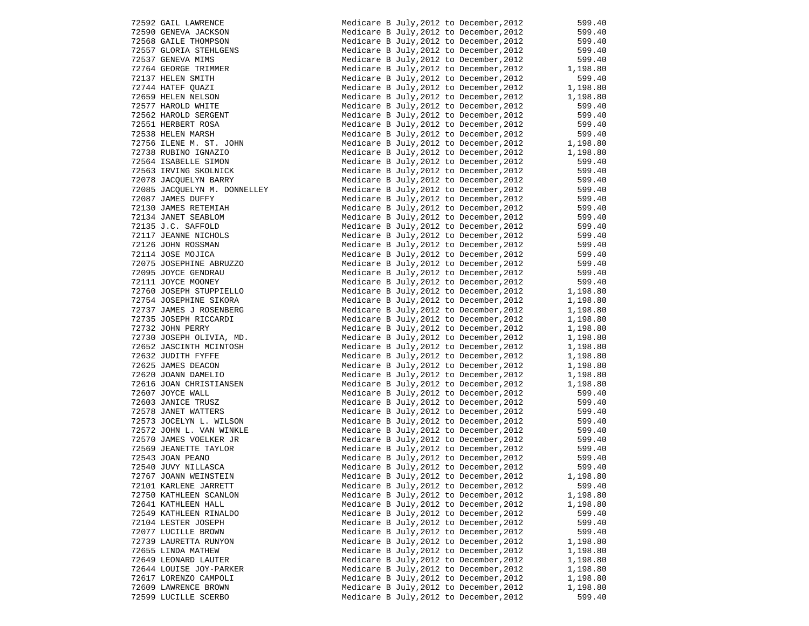|       | 72592 GAIL LAWRENCE                                |
|-------|----------------------------------------------------|
|       | 72590 GENEVA JACKSON                               |
|       | 72568 GAILE THOMPSON                               |
|       | 72557 GLORIA STEHLGENS                             |
|       | 72537 GENEVA MIMS                                  |
|       | 72764 GEORGE TRIMMER                               |
|       | 72137 HELEN SMITH                                  |
|       | 72744 HATEF QUAZI                                  |
|       | 72659 HELEN NELSON                                 |
|       | 72577 HAROLD WHITE                                 |
|       | 72562 HAROLD SERGENT                               |
|       | 72551 HERBERT ROSA                                 |
|       | 72538 HELEN MARSH                                  |
|       | 72756 ILENE M. ST. JOHN                            |
|       | 72738 RUBINO IGNAZIO                               |
|       | 72564 ISABELLE SIMON                               |
|       | 72563 IRVING SKOLNICK                              |
|       | 72078 JACQUELYN BARRY                              |
|       | 72085 JACQUELYN M. DONNELLEY                       |
|       | 72087 JAMES DUFFY                                  |
|       | 72130 JAMES RETEMIAH                               |
|       | 72134 JANET SEABLOM                                |
|       | 72135 J.C. SAFFOLD                                 |
|       | 72117 JEANNE NICHOLS                               |
|       | 72126 JOHN ROSSMAN                                 |
|       | 72114 JOSE MOJICA                                  |
|       | 72075 JOSEPHINE ABRUZZO                            |
|       | 72095 JOYCE GENDRAU                                |
|       | 72111 JOYCE MOONEY                                 |
|       | 72760 JOSEPH STUPPIELLO                            |
|       | 72754 JOSEPHINE SIKORA                             |
|       | 72737 JAMES J ROSENBERG                            |
|       | 72735 JOSEPH RICCARDI                              |
|       | 72732 JOHN PERRY                                   |
|       | 72730 JOSEPH OLIVIA, MD.                           |
|       | 72652 JASCINTH MCINTOSH                            |
|       | 72632 JUDITH FYFFE                                 |
|       | 72625 JAMES DEACON                                 |
|       | 72620 JOANN DAMELIO                                |
|       | 72616 JOAN CHRISTIANSEN                            |
|       | 72607 JOYCE WALL<br>72603 JANICE TRUSZ             |
|       |                                                    |
|       | 72578 JANET WATTERS                                |
|       | 72573 JOCELYN L. WILSON                            |
|       | 72572 JOHN L. VAN WINKLE<br>72570 JAMES VOELKER JR |
|       | 72569 JEANETTE TAYLOR                              |
|       | 72543 JOAN PEANO                                   |
|       | 72540 JUVY NILLASCA                                |
|       | 72767 JOANN WEINSTEIN                              |
|       | 72101 KARLENE JARRETT                              |
|       | 72750 KATHLEEN SCANLON                             |
|       | 72641 KATHLEEN HALL                                |
|       | 72549 KATHLEEN RINALDO                             |
|       | 72104 LESTER JOSEPH                                |
|       | 72077 LUCILLE BROWN                                |
|       | 72739 LAURETTA RUNYON                              |
| 72655 | LINDA MATHEW                                       |
|       | 72649 LEONARD LAUTER                               |
|       | 72644 LOUISE JOY-PARKER                            |
|       | 72617 LORENZO CAMPOLI                              |
|       | 72609 LAWRENCE BROWN                               |
|       | 72599 LUCILLE SCERBO                               |
|       |                                                    |

| 72592 GAIL LAWRENCE<br>72590 GENEVA JACKSON<br>72568 GAILE THOMPSON<br>72557 GLORIA STEHLGENS<br>72537 GENEVA MIMS<br>72764 GEORGE TRIMMER<br>72137 UELEN CMITH                                                                                              | Medicare B July, 2012 to December, 2012 |                                                                                                                                                                                                                                        | 599.40                   |
|--------------------------------------------------------------------------------------------------------------------------------------------------------------------------------------------------------------------------------------------------------------|-----------------------------------------|----------------------------------------------------------------------------------------------------------------------------------------------------------------------------------------------------------------------------------------|--------------------------|
|                                                                                                                                                                                                                                                              | Medicare B July, 2012 to December, 2012 |                                                                                                                                                                                                                                        | 599.40<br>599.40         |
|                                                                                                                                                                                                                                                              | Medicare B July, 2012 to December, 2012 |                                                                                                                                                                                                                                        |                          |
|                                                                                                                                                                                                                                                              | Medicare B July, 2012 to December, 2012 |                                                                                                                                                                                                                                        | 599.40                   |
|                                                                                                                                                                                                                                                              | Medicare B July, 2012 to December, 2012 |                                                                                                                                                                                                                                        | 599.40                   |
|                                                                                                                                                                                                                                                              | Medicare B July, 2012 to December, 2012 |                                                                                                                                                                                                                                        | $599.40$<br>$1,198.80$   |
| 72137 HELEN SMITH<br>72744 HATEF QUAZI<br>72577 HAROLD WHITE<br>72577 HAROLD WHITE<br>72562 HAROLD SERGENT<br>72551 HERBERT ROSA<br>72538 HELEN MARSH<br>72736 LIENE M. ST. JOHN<br>72736 LIENE M. ST. JOHN                                                  | Medicare B July, 2012 to December, 2012 |                                                                                                                                                                                                                                        | 599.40                   |
|                                                                                                                                                                                                                                                              | Medicare B July, 2012 to December, 2012 |                                                                                                                                                                                                                                        | $1,198.80$<br>$1,198.80$ |
|                                                                                                                                                                                                                                                              | Medicare B July, 2012 to December, 2012 |                                                                                                                                                                                                                                        |                          |
|                                                                                                                                                                                                                                                              | Medicare B July, 2012 to December, 2012 |                                                                                                                                                                                                                                        | 599.40                   |
|                                                                                                                                                                                                                                                              | Medicare B July, 2012 to December, 2012 |                                                                                                                                                                                                                                        | 599.40                   |
|                                                                                                                                                                                                                                                              | Medicare B July, 2012 to December, 2012 |                                                                                                                                                                                                                                        | 599.40                   |
|                                                                                                                                                                                                                                                              |                                         | Medicare B July, 2012 to December, 2012 599.40<br>Medicare B July, 2012 to December, 2012 1, 198.80<br>Medicare B July. 2012 to December, 2012 1, 198.80                                                                               |                          |
|                                                                                                                                                                                                                                                              |                                         |                                                                                                                                                                                                                                        |                          |
| 72738 RUBINO IGNAZIO                                                                                                                                                                                                                                         |                                         |                                                                                                                                                                                                                                        |                          |
| 72564 ISABELLE SIMON                                                                                                                                                                                                                                         | Medicare B July, 2012 to December, 2012 |                                                                                                                                                                                                                                        | 599.40                   |
|                                                                                                                                                                                                                                                              | Medicare B July, 2012 to December, 2012 |                                                                                                                                                                                                                                        | 599.40                   |
| 72563 IRVING SKOLNICK<br>72078 JACQUELYN BARRY                                                                                                                                                                                                               | Medicare B July, 2012 to December, 2012 |                                                                                                                                                                                                                                        | 599.40                   |
| 72085 JACQUELYN M. DONNELLEY                                                                                                                                                                                                                                 | Medicare B July, 2012 to December, 2012 |                                                                                                                                                                                                                                        |                          |
| 72087 JAMES DUFFY                                                                                                                                                                                                                                            | Medicare B July, 2012 to December, 2012 |                                                                                                                                                                                                                                        | 599.40<br>599.40         |
|                                                                                                                                                                                                                                                              | Medicare B July, 2012 to December, 2012 |                                                                                                                                                                                                                                        |                          |
|                                                                                                                                                                                                                                                              | Medicare B July, 2012 to December, 2012 |                                                                                                                                                                                                                                        | 599.40<br>599.40         |
|                                                                                                                                                                                                                                                              | Medicare B July, 2012 to December, 2012 |                                                                                                                                                                                                                                        | 599.40                   |
|                                                                                                                                                                                                                                                              | Medicare B July, 2012 to December, 2012 |                                                                                                                                                                                                                                        | 599.40                   |
|                                                                                                                                                                                                                                                              | Medicare B July, 2012 to December, 2012 |                                                                                                                                                                                                                                        |                          |
| 72130 JAMES RETEMIAH<br>72130 JAMES RETEMIAH<br>72135 J.C. SAFFOLD<br>72117 JEANNE NICHOLS<br>72126 JOHN ROSSMAN<br>72114 JOSE MOJICA<br>72075 JOSEPHINE ABRUZZO<br>72095 JOYCE GENDRAU<br>72111 JOYCE MOONEY<br>7276 JOSEPHINE SIKOREY<br>7276 JOSEPHINE SI | Medicare B July, 2012 to December, 2012 |                                                                                                                                                                                                                                        | 599.40<br>599.40         |
|                                                                                                                                                                                                                                                              | Medicare B July, 2012 to December, 2012 |                                                                                                                                                                                                                                        |                          |
|                                                                                                                                                                                                                                                              | Medicare B July, 2012 to December, 2012 |                                                                                                                                                                                                                                        | 599.40<br>599.40         |
|                                                                                                                                                                                                                                                              |                                         |                                                                                                                                                                                                                                        |                          |
|                                                                                                                                                                                                                                                              |                                         | Medicare B July, 2012 to December, 2012 599.40<br>Medicare B July, 2012 to December, 2012 1, 198.80<br>Medicare B July, 2012 to December, 2012 1, 198.80<br>Medicare B July, 2012 to December, 2012 1, 198.80<br>Medicare B July, 2012 |                          |
| 72754 JOSEPHINE SIKORA                                                                                                                                                                                                                                       |                                         |                                                                                                                                                                                                                                        |                          |
| 72737 JAMES J ROSENBERG                                                                                                                                                                                                                                      |                                         |                                                                                                                                                                                                                                        |                          |
|                                                                                                                                                                                                                                                              |                                         |                                                                                                                                                                                                                                        |                          |
| 72735 JOSEPH RICCARDI<br>FALOS ISUN PERRY<br>72732 JOHN PERRY                                                                                                                                                                                                |                                         | Medicare B July, 2012 to December, 2012 1, 198.80<br>Medicare B July, 2012 to December, 2012 1, 198.80                                                                                                                                 |                          |
|                                                                                                                                                                                                                                                              |                                         |                                                                                                                                                                                                                                        |                          |
| 72730 JOSEPH OLIVIA, MD.<br>72652 JASCINTH MCINTOSH                                                                                                                                                                                                          |                                         | Medicare B July, 2012 to December, 2012 1, 198.80<br>Medicare B July, 2012 to December, 2012 1, 198.80                                                                                                                                 |                          |
| 72632 JUDITH FYFFE                                                                                                                                                                                                                                           |                                         |                                                                                                                                                                                                                                        |                          |
| 72632 JUDIIH FIFE<br>72625 JAMES DEACON<br>72620 JOANN DAMELIO<br>72616 JOAN CHRISTIANSEN                                                                                                                                                                    |                                         | Medicare B July, 2012 to December, 2012 1, 198.80<br>Medicare B July, 2012 to December, 2012 1, 198.80                                                                                                                                 |                          |
|                                                                                                                                                                                                                                                              | Medicare B July, 2012 to December, 2012 |                                                                                                                                                                                                                                        |                          |
|                                                                                                                                                                                                                                                              | Medicare B July, 2012 to December, 2012 |                                                                                                                                                                                                                                        | 1,198.80<br>1,198.80     |
|                                                                                                                                                                                                                                                              | Medicare B July, 2012 to December, 2012 |                                                                                                                                                                                                                                        | 599.40                   |
| 72607 JOYCE WALL<br>72603 JANICE TRUSZ<br>72578 JANET WATTERS<br>72573 JOCELYN L. WILSON                                                                                                                                                                     | Medicare B July, 2012 to December, 2012 |                                                                                                                                                                                                                                        | 599.40                   |
|                                                                                                                                                                                                                                                              | Medicare B July, 2012 to December, 2012 |                                                                                                                                                                                                                                        |                          |
|                                                                                                                                                                                                                                                              | Medicare B July, 2012 to December, 2012 |                                                                                                                                                                                                                                        | 599.40<br>599.40         |
|                                                                                                                                                                                                                                                              |                                         |                                                                                                                                                                                                                                        |                          |
| 72572 JOHN L. VAN WINKLE<br>72570 JAMES VOELKER JR                                                                                                                                                                                                           |                                         | Medicare B July, 2012 to December, 2012<br>Medicare B July, 2012 to December, 2012<br>Medicare B July, 2012 to December, 2012<br>Medicare B July, 2012 to December, 2012<br>Medicare B July, 2012 to December, 2012<br>599.40          |                          |
| 72569 JEANETTE TAYLOR                                                                                                                                                                                                                                        |                                         |                                                                                                                                                                                                                                        |                          |
| 72543 JOAN PEANO                                                                                                                                                                                                                                             |                                         |                                                                                                                                                                                                                                        |                          |
| 72540 JUVY NILLASCA                                                                                                                                                                                                                                          | Medicare B July, 2012 to December, 2012 |                                                                                                                                                                                                                                        | 599.40                   |
| 72767 JOANN WEINSTEIN                                                                                                                                                                                                                                        | Medicare B July, 2012 to December, 2012 |                                                                                                                                                                                                                                        | 1,198.80                 |
| 72101 KARLENE JARRETT                                                                                                                                                                                                                                        | Medicare B July, 2012 to December, 2012 |                                                                                                                                                                                                                                        | 599.40                   |
|                                                                                                                                                                                                                                                              | Medicare B July, 2012 to December, 2012 |                                                                                                                                                                                                                                        |                          |
| 72750 KATHLEEN SCANLON                                                                                                                                                                                                                                       |                                         |                                                                                                                                                                                                                                        | 1,198.80<br>1,198.80     |
| 72641 KATHLEEN HALL                                                                                                                                                                                                                                          | Medicare B July, 2012 to December, 2012 |                                                                                                                                                                                                                                        |                          |
| 72549 KATHLEEN RINALDO                                                                                                                                                                                                                                       | Medicare B July, 2012 to December, 2012 |                                                                                                                                                                                                                                        | 599.40                   |
| 72104 LESTER JOSEPH                                                                                                                                                                                                                                          | Medicare B July, 2012 to December, 2012 |                                                                                                                                                                                                                                        | 599.40                   |
| 72077 LUCILLE BROWN                                                                                                                                                                                                                                          | Medicare B July, 2012 to December, 2012 |                                                                                                                                                                                                                                        | 599.40                   |
| 72739 LAURETTA RUNYON                                                                                                                                                                                                                                        | Medicare B July, 2012 to December, 2012 |                                                                                                                                                                                                                                        | 1,198.80                 |
| 72655 LINDA MATHEW                                                                                                                                                                                                                                           | Medicare B July, 2012 to December, 2012 |                                                                                                                                                                                                                                        | 1,198.80                 |
| 72649 LEONARD LAUTER                                                                                                                                                                                                                                         | Medicare B July, 2012 to December, 2012 |                                                                                                                                                                                                                                        | 1,198.80                 |
| 72644 LOUISE JOY-PARKER                                                                                                                                                                                                                                      | Medicare B July, 2012 to December, 2012 |                                                                                                                                                                                                                                        | 1,198.80                 |
| 72617 LORENZO CAMPOLI                                                                                                                                                                                                                                        | Medicare B July, 2012 to December, 2012 |                                                                                                                                                                                                                                        | 1,198.80                 |
| 72609 LAWRENCE BROWN                                                                                                                                                                                                                                         | Medicare B July, 2012 to December, 2012 |                                                                                                                                                                                                                                        | 1,198.80                 |
| 72599 LUCILLE SCERBO                                                                                                                                                                                                                                         | Medicare B July, 2012 to December, 2012 |                                                                                                                                                                                                                                        | 599.40                   |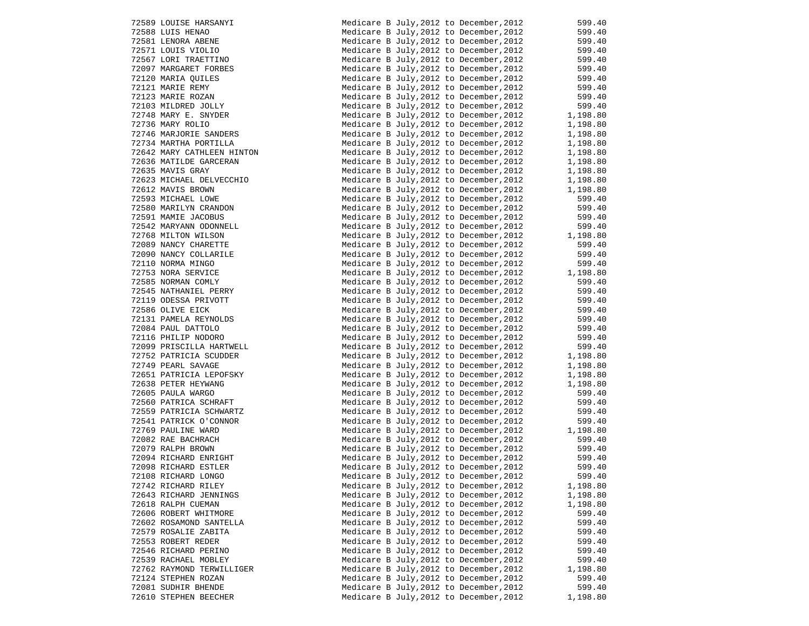| 72589 LOUISE HARSANYI                             |
|---------------------------------------------------|
| 72588 LUIS HENAO                                  |
| 72581 LENORA ABENE                                |
| 72571 LOUIS VIOLIO<br>72567 LORI TRAETTINO        |
|                                                   |
| 72097 MARGARET FORBES                             |
| 72120 MARIA QUILES                                |
| 72121 MARIE REMY                                  |
| 72123 MARIE ROZAN                                 |
| 72103 MILDRED JOLLY                               |
| 72748 MARY E. SNYDER                              |
| 72736 MARY ROLIO                                  |
| 72746 MARJORIE SANDERS                            |
| 72734 MARTHA PORTILLA                             |
| 72642 MARY CATHLEEN HINTON                        |
| 72636 MATILDE GARCERAN                            |
| 72635 MAVIS GRAY                                  |
| 72623 MICHAEL DELVECCHIO                          |
| 72612 MAVIS BROWN                                 |
| 72593 MICHAEL LOWE                                |
| 72580 MARILYN CRANDON                             |
| 72591 MAMIE JACOBUS                               |
| 72542 MARYANN ODONNELL                            |
| 72768 MILTON WILSON                               |
| 72089 NANCY CHARETTE                              |
| 72090 NANCY COLLARILE                             |
| 72110 NORMA MINGO                                 |
| 72753 NORA SERVICE                                |
|                                                   |
| 72585 NORMAN COMLY                                |
| 72545 NATHANIEL PERRY                             |
| 72119 ODESSA PRIVOTT<br>72586 OLIVE EICK          |
|                                                   |
| 72131 PAMELA REYNOLDS<br>72084 PAUL DATTOLO       |
|                                                   |
| 72116 PHILIP NODORO<br>72099 PRISCILLA HARTWELL   |
|                                                   |
| 72752 PATRICIA SCUDDER<br>72749 PEARL SAVAGE      |
|                                                   |
|                                                   |
|                                                   |
| 72651 PATRICIA LEPOFSKY<br>72638 PETER HEYWANG    |
|                                                   |
| 72605 PAULA WARGO<br>72560 PATRICA SCHRAFT        |
|                                                   |
| 72559 PATRICIA SCHWARTZ<br>72541 PATRICK O'CONNOR |
| 72769 PAULINE WARD                                |
| 72082 RAE BACHRACH                                |
| 72079 RALPH BROWN                                 |
| 72094 RICHARD ENRIGHT                             |
| 72098 RICHARD ESTLER                              |
| 72108 RICHARD LONGO                               |
| 72742 RICHARD RILEY                               |
| 72643 RICHARD JENNINGS                            |
| 72618 RALPH CUEMAN                                |
| 72606 ROBERT WHITMORE                             |
| 72602 ROSAMOND SANTELLA                           |
| 72579 ROSALIE ZABITA                              |
| 72553 ROBERT REDER                                |
| 72546 RICHARD PERINO                              |
| 72539 RACHAEL MOBLEY                              |
| 72762 RAYMOND TERWILLIGER                         |
| 72124 STEPHEN ROZAN                               |
| 72081 SUDHIR BHENDE<br>72610 STEPHEN BEECHER      |

| 72589 LOUISE HARSANYI<br>72588 LUIS HENAO<br>72581 LENORA ABENE<br>72571 LOUIS VIOLIO<br>72567 LORI TRAETTINO                                                                                              | Medicare B July, 2012 to December, 2012                                                                                                                                                                                                | 599.40                                                                   |
|------------------------------------------------------------------------------------------------------------------------------------------------------------------------------------------------------------|----------------------------------------------------------------------------------------------------------------------------------------------------------------------------------------------------------------------------------------|--------------------------------------------------------------------------|
|                                                                                                                                                                                                            | Medicare B July, 2012 to December, 2012                                                                                                                                                                                                | 599.40<br>599.40                                                         |
|                                                                                                                                                                                                            | Medicare B July, 2012 to December, 2012                                                                                                                                                                                                |                                                                          |
|                                                                                                                                                                                                            | Medicare B July, 2012 to December, 2012                                                                                                                                                                                                | 599.40<br>599.40                                                         |
|                                                                                                                                                                                                            | Medicare B July, 2012 to December, 2012                                                                                                                                                                                                |                                                                          |
| 72097 MARGARET FORBES                                                                                                                                                                                      | Medicare B July, 2012 to December, 2012                                                                                                                                                                                                | 599.40<br>599.40                                                         |
| 72120 MARIA QUILES<br>72120 MARIA QUILES<br>72121 MARIE REMY<br>72123 MARIE ROZAN<br>72103 MILDRED JOLLY<br>72748 MARY E. SNYDER<br>72736 MARY ROLIO                                                       | Medicare B July, 2012 to December, 2012                                                                                                                                                                                                |                                                                          |
|                                                                                                                                                                                                            | Medicare B July, 2012 to December, 2012                                                                                                                                                                                                | 599.40<br>599.40                                                         |
|                                                                                                                                                                                                            | Medicare B July, 2012 to December, 2012                                                                                                                                                                                                |                                                                          |
|                                                                                                                                                                                                            | Medicare B July, 2012 to December, 2012                                                                                                                                                                                                | $599.40$<br>$1,198.80$                                                   |
|                                                                                                                                                                                                            | Medicare B July, 2012 to December, 2012                                                                                                                                                                                                |                                                                          |
|                                                                                                                                                                                                            | Medicare B July, 2012 to December, 2012                                                                                                                                                                                                | 1,198.80<br>1,198.80                                                     |
| 72746 MARJORIE SANDERS                                                                                                                                                                                     | Medicare B July, 2012 to December, 2012                                                                                                                                                                                                |                                                                          |
| 72734 MARTHA PORTILLA                                                                                                                                                                                      | Medicare B July, 2012 to December, 2012                                                                                                                                                                                                | 1,198.80                                                                 |
| 72642 MARY CATHLEEN HINTON                                                                                                                                                                                 | Medicare B July, 2012 to December, 2012                                                                                                                                                                                                | 1,198.80                                                                 |
| 72636 MATILDE GARCERAN                                                                                                                                                                                     | Medicare B July, 2012 to December, 2012                                                                                                                                                                                                | 1,198.80                                                                 |
| 72635 MAVIS GRAY<br>72635 MAVIS J.<br>72623 MICHAEL DELVECCHIO<br>72612 MAVIS BROWN<br>72593 MICHAEL LOWE<br>72580 MARILYN CRANDON<br>72591 MAMIE JACOBUS<br>72542 MARYANN ODONNELL<br>72768 MILTON WILSON | Medicare B July, 2012 to December, 2012                                                                                                                                                                                                | 1,198.80                                                                 |
|                                                                                                                                                                                                            | Medicare B July, 2012 to December, 2012                                                                                                                                                                                                | 1,198.80                                                                 |
|                                                                                                                                                                                                            | Medicare B July, 2012 to December, 2012                                                                                                                                                                                                | 1,198.80                                                                 |
|                                                                                                                                                                                                            | Medicare B July, 2012 to December, 2012                                                                                                                                                                                                | 599.40                                                                   |
|                                                                                                                                                                                                            | Medicare B July, 2012 to December, 2012                                                                                                                                                                                                | 599.40                                                                   |
|                                                                                                                                                                                                            | Medicare B July, 2012 to December, 2012                                                                                                                                                                                                | 599.40                                                                   |
|                                                                                                                                                                                                            | Medicare B July, 2012 to December, 2012                                                                                                                                                                                                | 599.40                                                                   |
|                                                                                                                                                                                                            | Medicare B July, 2012 to December, 2012                                                                                                                                                                                                | 1,198.80                                                                 |
|                                                                                                                                                                                                            | Medicare B July, 2012 to December, 2012                                                                                                                                                                                                | 599.40                                                                   |
| 72090 NANCY COLLARILE                                                                                                                                                                                      | Medicare B July, 2012 to December, 2012                                                                                                                                                                                                | 599.40                                                                   |
|                                                                                                                                                                                                            | Medicare B July, 2012 to December, 2012                                                                                                                                                                                                | 599.40                                                                   |
|                                                                                                                                                                                                            | Medicare B July, 2012 to December, 2012                                                                                                                                                                                                | 399.40<br>1,198.80                                                       |
|                                                                                                                                                                                                            | Medicare B July, 2012 to December, 2012                                                                                                                                                                                                | 599.40                                                                   |
| 72090 NANCY COLLARILE<br>72110 NORMA MINGO<br>72753 NORA SERVICE<br>72585 NORMAN COMLY<br>72545 NATHANIEL PERRY<br>72119 ODESSA PRIVOTT<br>72586 OLIVE EICK<br>72131 PAMELA REYNOLDS<br>70084 PAUL DATTOLO | Medicare B July, 2012 to December, 2012                                                                                                                                                                                                | 599.40                                                                   |
|                                                                                                                                                                                                            | Medicare B July, 2012 to December, 2012                                                                                                                                                                                                | 599.40                                                                   |
|                                                                                                                                                                                                            | Medicare B July, 2012 to December, 2012                                                                                                                                                                                                | 599.40                                                                   |
|                                                                                                                                                                                                            | Medicare B July, 2012 to December, 2012                                                                                                                                                                                                | $599.40$<br>$599.40$<br>$599.40$<br>$599.40$<br>$1,198.80$<br>$1,198.80$ |
|                                                                                                                                                                                                            | Medicare B July, 2012 to December, 2012                                                                                                                                                                                                |                                                                          |
| 72116 PHILIP NODORO                                                                                                                                                                                        | Medicare B July, 2012 to December, 2012                                                                                                                                                                                                |                                                                          |
| 72099 PRISCILLA HARTWELL                                                                                                                                                                                   | Medicare B July, 2012 to December, 2012                                                                                                                                                                                                |                                                                          |
| 2099 F<br>12752 PATRICIA SOUL<br>72749 PEARL SAVAGE<br>72651 PATRICIA LEPOFSKY<br>72638 PETER HEYWANG<br>NARGO                                                                                             | Medicare B July, 2012 to December, 2012                                                                                                                                                                                                |                                                                          |
|                                                                                                                                                                                                            | Medicare B July, 2012 to December, 2012                                                                                                                                                                                                |                                                                          |
|                                                                                                                                                                                                            | Medicare B July, 2012 to December, 2012                                                                                                                                                                                                | 1,198.80<br>1,198.80                                                     |
|                                                                                                                                                                                                            | Medicare B July, 2012 to December, 2012                                                                                                                                                                                                |                                                                          |
|                                                                                                                                                                                                            | Medicare B July, 2012 to December, 2012                                                                                                                                                                                                | 599.40                                                                   |
| -------- WAKGU<br>72560 PATRICA SCHRAFT<br>72559 PATRIC                                                                                                                                                    | Medicare B July, 2012 to December, 2012                                                                                                                                                                                                | 599.40                                                                   |
| 72559 PATRICIA SCHWARTZ                                                                                                                                                                                    | Medicare B July, 2012 to December, 2012                                                                                                                                                                                                | 599.40                                                                   |
| 72541 PATRICK O'CONNOR                                                                                                                                                                                     | Medicare B July,2012 to December,2012                                                                                                                                                                                                  | 599.40                                                                   |
| 72769 PAULINE WARD<br>72082 RAE BACHRACH<br>72079 RALPH BROWN<br>72094 RICHARD ENRIGHT                                                                                                                     | Medicare B July, 2012 to December, 2012 $1,198.80$                                                                                                                                                                                     |                                                                          |
|                                                                                                                                                                                                            | Medicare B July, 2012 to December, 2012                                                                                                                                                                                                | 599.40                                                                   |
|                                                                                                                                                                                                            | Medicare B July, 2012 to December, 2012 599.40<br>Medicare B July, 2012 to December, 2012 599.40<br>Medicare B July, 2012 to December, 2012 599.40<br>Medicare B July, 2012 to December, 2012 599.40<br>Medicare B July, 2012 to Decem |                                                                          |
|                                                                                                                                                                                                            |                                                                                                                                                                                                                                        |                                                                          |
| 72098 RICHARD ESTLER                                                                                                                                                                                       |                                                                                                                                                                                                                                        |                                                                          |
| 72108 RICHARD LONGO                                                                                                                                                                                        | Medicare B July, 2012 to December, 2012                                                                                                                                                                                                | 599.40                                                                   |
| 72742 RICHARD RILEY                                                                                                                                                                                        | Medicare B July, 2012 to December, 2012                                                                                                                                                                                                | 1,198.80                                                                 |
| 72643 RICHARD JENNINGS                                                                                                                                                                                     | Medicare B July, 2012 to December, 2012                                                                                                                                                                                                | 1,198.80                                                                 |
| 72618 RALPH CUEMAN                                                                                                                                                                                         | Medicare B July, 2012 to December, 2012                                                                                                                                                                                                | 1,198.80                                                                 |
| 72606 ROBERT WHITMORE                                                                                                                                                                                      | Medicare B July, 2012 to December, 2012                                                                                                                                                                                                | 599.40                                                                   |
| 72602 ROSAMOND SANTELLA                                                                                                                                                                                    | Medicare B July, 2012 to December, 2012                                                                                                                                                                                                | 599.40                                                                   |
| 72579 ROSALIE ZABITA                                                                                                                                                                                       | Medicare B July, 2012 to December, 2012                                                                                                                                                                                                | 599.40                                                                   |
| 72553 ROBERT REDER                                                                                                                                                                                         | Medicare B July, 2012 to December, 2012                                                                                                                                                                                                | 599.40                                                                   |
| 72546 RICHARD PERINO                                                                                                                                                                                       | Medicare B July, 2012 to December, 2012                                                                                                                                                                                                | 599.40                                                                   |
| 72539 RACHAEL MOBLEY                                                                                                                                                                                       | Medicare B July, 2012 to December, 2012                                                                                                                                                                                                | 599.40                                                                   |
| 72762 RAYMOND TERWILLIGER                                                                                                                                                                                  | Medicare B July, 2012 to December, 2012                                                                                                                                                                                                | 1,198.80                                                                 |
| 72124 STEPHEN ROZAN                                                                                                                                                                                        | Medicare B July, 2012 to December, 2012                                                                                                                                                                                                | 599.40                                                                   |
| 72081 SUDHIR BHENDE                                                                                                                                                                                        | Medicare B July, 2012 to December, 2012                                                                                                                                                                                                | 599.40                                                                   |
| 72610 STEPHEN BEECHER                                                                                                                                                                                      | Medicare B July, 2012 to December, 2012                                                                                                                                                                                                | 1,198.80                                                                 |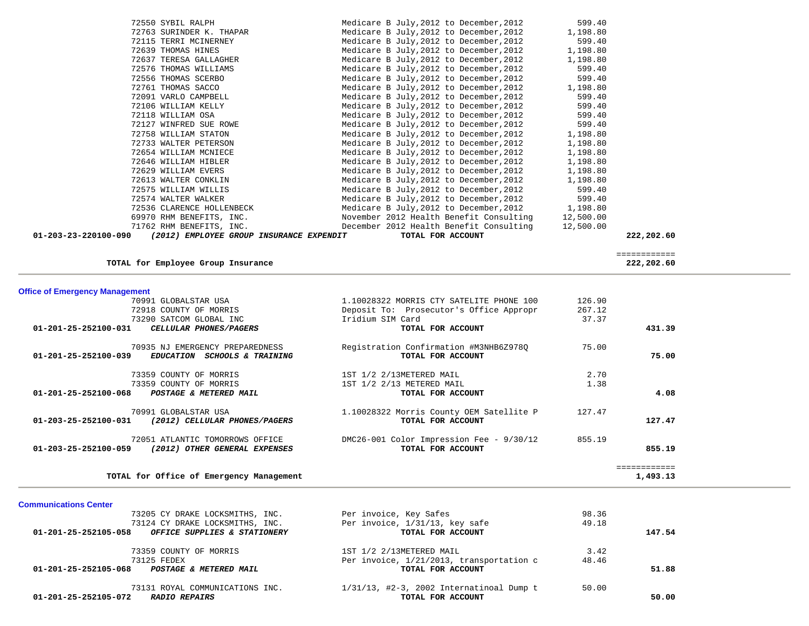| 01-203-23-220100-090 | (2012) EMPLOYEE GROUP INSURANCE EXPENDIT | TOTAL FOR ACCOUNT                                 | 222,202.60 |
|----------------------|------------------------------------------|---------------------------------------------------|------------|
|                      | 71762 RHM BENEFITS, INC.                 | December 2012 Health Benefit Consulting           | 12,500.00  |
|                      | 69970 RHM BENEFITS, INC.                 | November 2012 Health Benefit Consulting           | 12,500.00  |
|                      | 72536 CLARENCE HOLLENBECK                | Medicare B July, 2012 to December, 2012 1, 198.80 |            |
|                      | 72574 WALTER WALKER                      | Medicare B July, 2012 to December, 2012           | 599.40     |
|                      | 72575 WILLIAM WILLIS                     | Medicare B July, 2012 to December, 2012           | 599.40     |
|                      | 72613 WALTER CONKLIN                     | Medicare B July, 2012 to December, 2012           | 1,198.80   |
|                      | 72629 WILLIAM EVERS                      | Medicare B July, 2012 to December, 2012           | 1,198.80   |
|                      | 72646 WILLIAM HIBLER                     | Medicare B July, 2012 to December, 2012           | 1,198.80   |
|                      | 72654 WILLIAM MCNIECE                    | Medicare B July, 2012 to December, 2012           | 1,198.80   |
|                      | 72733 WALTER PETERSON                    | Medicare B July, 2012 to December, 2012           | 1,198.80   |
|                      | 72758 WILLIAM STATON                     | Medicare B July, 2012 to December, 2012           | 1,198.80   |
|                      | 72127 WINFRED SUE ROWE                   | Medicare B July, 2012 to December, 2012           | 599.40     |
|                      | 72118 WILLIAM OSA                        | Medicare B July, 2012 to December, 2012           | 599.40     |
|                      | 72106 WILLIAM KELLY                      | Medicare B July, 2012 to December, 2012           | 599.40     |
|                      | 72091 VARLO CAMPBELL                     | Medicare B July, 2012 to December, 2012           | 599.40     |
|                      | 72761 THOMAS SACCO                       | Medicare B July, 2012 to December, 2012           | 1,198.80   |
|                      | 72556 THOMAS SCERBO                      | Medicare B July, 2012 to December, 2012           | 599.40     |
|                      | 72576 THOMAS WILLIAMS                    | Medicare B July, 2012 to December, 2012           | 599.40     |
|                      | 72637 TERESA GALLAGHER                   | Medicare B July, 2012 to December, 2012           | 1,198.80   |
|                      | 72639 THOMAS HINES                       | Medicare B July, 2012 to December, 2012           | 1,198.80   |
|                      | 72115 TERRI MCINERNEY                    | Medicare B July, 2012 to December, 2012           | 599.40     |
|                      | 72763 SURINDER K. THAPAR                 | Medicare B July, 2012 to December, 2012           | 1,198.80   |
|                      | 72550 SYBIL RALPH                        | Medicare B July, 2012 to December, 2012           | 599.40     |
|                      |                                          |                                                   |            |

TOTAL for Employee Group Insurance

============

222,202.60

| 70991 GLOBALSTAR USA                                                                    | 1.10028322 MORRIS CTY SATELITE PHONE 100                      | 126.90 |              |
|-----------------------------------------------------------------------------------------|---------------------------------------------------------------|--------|--------------|
| 72918 COUNTY OF MORRIS                                                                  | Deposit To: Prosecutor's Office Appropr                       | 267.12 |              |
| 73290 SATCOM GLOBAL INC                                                                 | Iridium SIM Card                                              | 37.37  |              |
| $01 - 201 - 25 - 252100 - 031$<br>CELLULAR PHONES/PAGERS                                | TOTAL FOR ACCOUNT                                             |        | 431.39       |
| 70935 NJ EMERGENCY PREPAREDNESS<br>01-201-25-252100-039<br>EDUCATION SCHOOLS & TRAINING | Registration Confirmation #M3NHB6Z978Q<br>TOTAL FOR ACCOUNT   | 75.00  | 75.00        |
| 73359 COUNTY OF MORRIS                                                                  | 1ST 1/2 2/13METERED MAIL                                      | 2.70   |              |
| 73359 COUNTY OF MORRIS                                                                  | 1ST 1/2 2/13 METERED MAIL                                     | 1.38   |              |
| 01-201-25-252100-068<br>POSTAGE & METERED MAIL                                          | TOTAL FOR ACCOUNT                                             |        | 4.08         |
| 70991 GLOBALSTAR USA<br>(2012) CELLULAR PHONES/PAGERS<br>01-203-25-252100-031           | 1.10028322 Morris County OEM Satellite P<br>TOTAL FOR ACCOUNT | 127.47 | 127.47       |
| 72051 ATLANTIC TOMORROWS OFFICE<br>01-203-25-252100-059                                 | DMC26-001 Color Impression Fee - 9/30/12                      | 855.19 |              |
| (2012) OTHER GENERAL EXPENSES                                                           | TOTAL FOR ACCOUNT                                             |        | 855.19       |
|                                                                                         |                                                               |        | :=========== |
| TOTAL for Office of Emergency Management                                                |                                                               |        | 1,493.13     |

**Office of Emergency Management**

| <b>Communications Center</b>                         |                                             |       |        |
|------------------------------------------------------|---------------------------------------------|-------|--------|
| 73205 CY DRAKE LOCKSMITHS, INC.                      | Per invoice, Key Safes                      | 98.36 |        |
| 73124 CY DRAKE LOCKSMITHS, INC.                      | Per invoice, 1/31/13, key safe              | 49.18 |        |
| 01-201-25-252105-058<br>OFFICE SUPPLIES & STATIONERY | TOTAL FOR ACCOUNT                           |       | 147.54 |
| 73359 COUNTY OF MORRIS                               | 1ST 1/2 2/13METERED MAIL                    | 3.42  |        |
| 73125 FEDEX                                          | Per invoice, 1/21/2013, transportation c    | 48.46 |        |
| 01-201-25-252105-068<br>POSTAGE & METERED MAIL       | TOTAL FOR ACCOUNT                           |       | 51.88  |
| 73131 ROYAL COMMUNICATIONS INC.                      | $1/31/13$ , #2-3, 2002 Internatinoal Dump t | 50.00 |        |
| 01-201-25-252105-072<br><i>RADIO REPAIRS</i>         | TOTAL FOR ACCOUNT                           |       | 50.00  |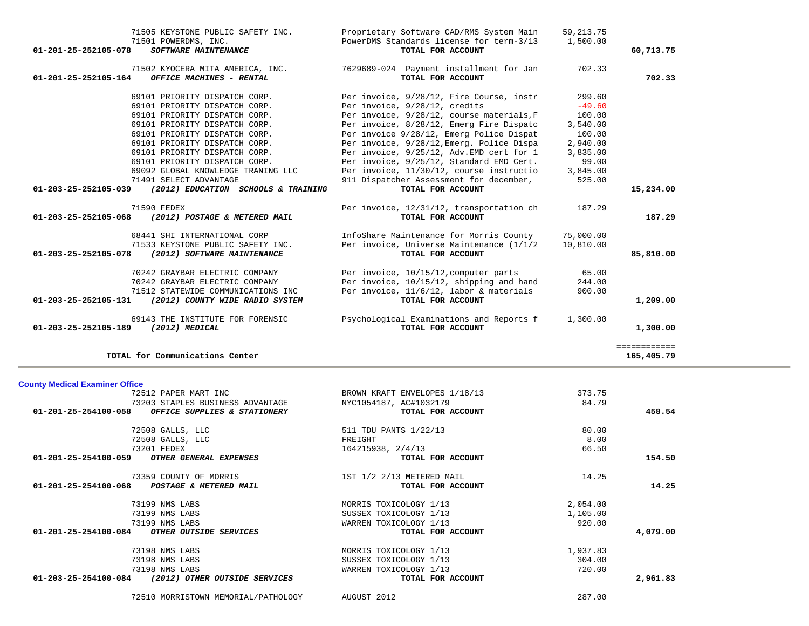| <b>County Medical Examiner Office</b>                    |                               |          |          |
|----------------------------------------------------------|-------------------------------|----------|----------|
| 72512 PAPER MART INC                                     | BROWN KRAFT ENVELOPES 1/18/13 | 373.75   |          |
| 73203 STAPLES BUSINESS ADVANTAGE                         | NYC1054187, AC#1032179        | 84.79    |          |
| 01-201-25-254100-058<br>OFFICE SUPPLIES & STATIONERY     | TOTAL FOR ACCOUNT             |          | 458.54   |
| 72508 GALLS, LLC                                         | 511 TDU PANTS 1/22/13         | 80.00    |          |
| 72508 GALLS, LLC                                         | FREIGHT                       | 8.00     |          |
| 73201 FEDEX                                              | 164215938, 2/4/13             | 66.50    |          |
| $01 - 201 - 25 - 254100 - 059$<br>OTHER GENERAL EXPENSES | TOTAL FOR ACCOUNT             |          | 154.50   |
| 73359 COUNTY OF MORRIS                                   | 1ST 1/2 2/13 METERED MAIL     | 14.25    |          |
| $01 - 201 - 25 - 254100 - 068$<br>POSTAGE & METERED MAIL | TOTAL FOR ACCOUNT             |          | 14.25    |
| 73199 NMS LABS                                           | MORRIS TOXICOLOGY 1/13        | 2,054.00 |          |
| 73199 NMS LABS                                           | SUSSEX TOXICOLOGY 1/13        | 1,105.00 |          |
| 73199 NMS LABS                                           | WARREN TOXICOLOGY 1/13        | 920.00   |          |
| 01-201-25-254100-084<br>OTHER OUTSIDE SERVICES           | TOTAL FOR ACCOUNT             |          | 4,079.00 |
| 73198 NMS LABS                                           | MORRIS TOXICOLOGY 1/13        | 1,937.83 |          |
| 73198 NMS LABS                                           | SUSSEX TOXICOLOGY 1/13        | 304.00   |          |
| 73198 NMS LABS                                           | WARREN TOXICOLOGY 1/13        | 720.00   |          |
| 01-203-25-254100-084<br>(2012) OTHER OUTSIDE SERVICES    | TOTAL FOR ACCOUNT             |          | 2,961.83 |
| 72510 MORRISTOWN MEMORIAL/PATHOLOGY                      | AUGUST 2012                   | 287.00   |          |

| 69101 PRIORITY DISPATCH CORP.                               | Per invoice 9/28/12, Emerg Police Dispat  | 100.00    |           |
|-------------------------------------------------------------|-------------------------------------------|-----------|-----------|
| 69101 PRIORITY DISPATCH CORP.                               | Per invoice, 9/28/12, Emerg. Police Dispa | 2,940.00  |           |
| 69101 PRIORITY DISPATCH CORP.                               | Per invoice, 9/25/12, Adv.EMD cert for 1  | 3,835.00  |           |
| 69101 PRIORITY DISPATCH CORP.                               | Per invoice, 9/25/12, Standard EMD Cert.  | 99.00     |           |
| 69092 GLOBAL KNOWLEDGE TRANING LLC                          | Per invoice, 11/30/12, course instructio  | 3,845.00  |           |
| 71491 SELECT ADVANTAGE                                      | 911 Dispatcher Assessment for december,   | 525.00    |           |
| 01-203-25-252105-039<br>(2012) EDUCATION SCHOOLS & TRAINING | TOTAL FOR ACCOUNT                         |           | 15,234.00 |
| 71590 FEDEX                                                 | Per invoice, 12/31/12, transportation ch  | 187.29    |           |
| 01-203-25-252105-068<br>(2012) POSTAGE & METERED MAIL       | TOTAL FOR ACCOUNT                         |           | 187.29    |
| 68441 SHI INTERNATIONAL CORP                                | InfoShare Maintenance for Morris County   | 75,000.00 |           |
| 71533 KEYSTONE PUBLIC SAFETY INC.                           | Per invoice, Universe Maintenance (1/1/2  | 10,810.00 |           |
| 01-203-25-252105-078<br>(2012) SOFTWARE MAINTENANCE         | TOTAL FOR ACCOUNT                         |           | 85,810.00 |
| 70242 GRAYBAR ELECTRIC COMPANY                              | Per invoice, 10/15/12, computer parts     | 65.00     |           |
| 70242 GRAYBAR ELECTRIC COMPANY                              | Per invoice, 10/15/12, shipping and hand  | 244.00    |           |
| 71512 STATEWIDE COMMUNICATIONS INC                          | Per invoice, 11/6/12, labor & materials   | 900.00    |           |
| 01-203-25-252105-131<br>(2012) COUNTY WIDE RADIO SYSTEM     | TOTAL FOR ACCOUNT                         |           | 1,209.00  |
|                                                             |                                           |           |           |

69143 THE INSTITUTE FOR FORENSIC Psychological Examinations and Reports f 1,300.00

**TOTAL for Communications Center 165,405.79**

 **01-203-25-252105-189** *(2012) MEDICAL* **TOTAL FOR ACCOUNT 1,300.00** ============

 $165,405.79$ 

| 71505 KEYSTONE PUBLIC SAFETY INC.                                           | Proprietary Software CAD/RMS System Main                      | 59, 213.75 |           |
|-----------------------------------------------------------------------------|---------------------------------------------------------------|------------|-----------|
| 71501 POWERDMS, INC.<br>01-201-25-252105-078<br><b>SOFTWARE MAINTENANCE</b> | PowerDMS Standards license for term-3/13<br>TOTAL FOR ACCOUNT | 1,500.00   | 60,713.75 |
| 71502 KYOCERA MITA AMERICA, INC.                                            | 7629689-024 Payment installment for Jan                       | 702.33     |           |
| 01-201-25-252105-164<br>OFFICE MACHINES - RENTAL                            | TOTAL FOR ACCOUNT                                             |            | 702.33    |
| 69101 PRIORITY DISPATCH CORP.                                               | Per invoice, 9/28/12, Fire Course, instr                      | 299.60     |           |
| 69101 PRIORITY DISPATCH CORP.                                               | Per invoice, 9/28/12, credits                                 | $-49.60$   |           |
| 69101 PRIORITY DISPATCH CORP.                                               | Per invoice, 9/28/12, course materials, F                     | 100.00     |           |
| 69101 PRIORITY DISPATCH CORP.                                               | Per invoice, 8/28/12, Emerg Fire Dispatc                      | 3,540.00   |           |
| 69101 PRIORITY DISPATCH CORP.                                               | Per invoice 9/28/12, Emerg Police Dispat                      | 100.00     |           |
| 69101 PRIORITY DISPATCH CORP.                                               | Per invoice, 9/28/12, Emerg. Police Dispa                     | 2,940.00   |           |
| 69101 PRIORITY DISPATCH CORP.                                               | Per invoice, 9/25/12, Adv.EMD cert for 1                      | 3,835.00   |           |
| 69101 PRIORITY DISPATCH CORP.                                               | Per invoice, 9/25/12, Standard EMD Cert.                      | 99.00      |           |
| 69092 GLOBAL KNOWLEDGE TRANING LLC                                          | Per invoice, 11/30/12, course instructio                      | 3,845.00   |           |
| 71491 SELECT ADVANTAGE                                                      | 911 Dispatcher Assessment for december,                       | 525.00     |           |
| 01-203-25-252105-039<br>(2012) EDUCATION SCHOOLS & TRAINING                 | TOTAL FOR ACCOUNT                                             |            | 15,234.00 |
| 71590 FEDEX                                                                 | Per invoice, 12/31/12, transportation ch                      | 187.29     |           |
| 01-203-25-252105-068<br>(2012) POSTAGE & METERED MAIL                       | TOTAL FOR ACCOUNT                                             |            | 187.29    |
| 68441 SHI INTERNATIONAL CORP                                                | InfoShare Maintenance for Morris County                       | 75,000,00  |           |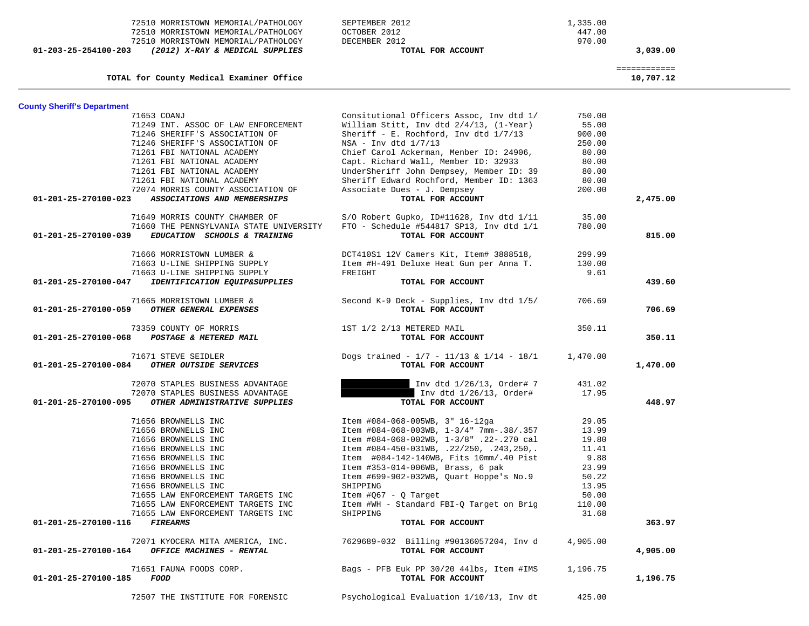| 72510 MORRISTOWN MEMORIAL/PATHOLOGY                                                  | OCTOBER 2012                                                                        | 447.00         |                           |
|--------------------------------------------------------------------------------------|-------------------------------------------------------------------------------------|----------------|---------------------------|
| 72510 MORRISTOWN MEMORIAL/PATHOLOGY                                                  | DECEMBER 2012                                                                       | 970.00         |                           |
| $01 - 203 - 25 - 254100 - 203$<br>(2012) X-RAY & MEDICAL SUPPLIES                    | TOTAL FOR ACCOUNT                                                                   |                | 3,039.00                  |
| TOTAL for County Medical Examiner Office                                             |                                                                                     |                | ============<br>10,707.12 |
| <b>County Sheriff's Department</b>                                                   |                                                                                     |                |                           |
| 71653 COANJ                                                                          | Consitutional Officers Assoc, Inv dtd 1/                                            | 750.00         |                           |
| 71249 INT. ASSOC OF LAW ENFORCEMENT                                                  | William Stitt, Inv dtd 2/4/13, (1-Year)                                             | 55.00          |                           |
| 71246 SHERIFF'S ASSOCIATION OF                                                       | Sheriff - E. Rochford, Inv dtd $1/7/13$                                             | 900.00         |                           |
| 71246 SHERIFF'S ASSOCIATION OF                                                       | $NSA - Inv dtd 1/7/13$                                                              | 250.00         |                           |
| 71261 FBI NATIONAL ACADEMY                                                           | Chief Carol Ackerman, Menber ID: 24906,<br>Capt. Richard Wall, Member ID: 32933     | 80.00          |                           |
| 71261 FBI NATIONAL ACADEMY<br>71261 FBI NATIONAL ACADEMY                             | UnderSheriff John Dempsey, Member ID: 39                                            | 80.00<br>80.00 |                           |
| 71261 FBI NATIONAL ACADEMY                                                           | Sheriff Edward Rochford, Member ID: 1363                                            | 80.00          |                           |
| 72074 MORRIS COUNTY ASSOCIATION OF                                                   | Associate Dues - J. Dempsey                                                         | 200.00         |                           |
| 01-201-25-270100-023<br>ASSOCIATIONS AND MEMBERSHIPS                                 | TOTAL FOR ACCOUNT                                                                   |                | 2,475.00                  |
| 71649 MORRIS COUNTY CHAMBER OF                                                       | S/O Robert Gupko, ID#11628, Inv dtd 1/11                                            | 35.00          |                           |
| 71660 THE PENNSYLVANIA STATE UNIVERSITY                                              | $FTO - Schedule$ #544817 SP13, Inv dtd $1/1$                                        | 780.00         |                           |
| 01-201-25-270100-039<br>EDUCATION SCHOOLS & TRAINING                                 | TOTAL FOR ACCOUNT                                                                   |                | 815.00                    |
| 71666 MORRISTOWN LUMBER &                                                            | DCT410S1 12V Camers Kit, Item# 3888518,                                             | 299.99         |                           |
| 71663 U-LINE SHIPPING SUPPLY                                                         | Item #H-491 Deluxe Heat Gun per Anna T.                                             | 130.00         |                           |
| 71663 U-LINE SHIPPING SUPPLY                                                         | FREIGHT                                                                             | 9.61           |                           |
| 01-201-25-270100-047<br>IDENTIFICATION EQUIP&SUPPLIES                                | TOTAL FOR ACCOUNT                                                                   |                | 439.60                    |
| 71665 MORRISTOWN LUMBER &<br>OTHER GENERAL EXPENSES                                  | Second K-9 Deck - Supplies, Inv dtd 1/5/                                            | 706.69         |                           |
| 01-201-25-270100-059                                                                 | TOTAL FOR ACCOUNT                                                                   |                | 706.69                    |
| 73359 COUNTY OF MORRIS                                                               | 1ST 1/2 2/13 METERED MAIL                                                           | 350.11         |                           |
| 01-201-25-270100-068<br>POSTAGE & METERED MAIL                                       | TOTAL FOR ACCOUNT                                                                   |                | 350.11                    |
| 71671 STEVE SEIDLER                                                                  | Dogs trained - $1/7$ - $11/13$ & $1/14$ - $18/1$<br>TOTAL FOR ACCOUNT               | 1,470.00       |                           |
| OTHER OUTSIDE SERVICES<br>01-201-25-270100-084                                       |                                                                                     |                | 1,470.00                  |
| 72070 STAPLES BUSINESS ADVANTAGE                                                     | Inv dtd 1/26/13, Order# 7                                                           | 431.02         |                           |
| 72070 STAPLES BUSINESS ADVANTAGE                                                     | Inv dtd 1/26/13, Order#                                                             | 17.95          |                           |
| 01-201-25-270100-095<br>OTHER ADMINISTRATIVE SUPPLIES                                | TOTAL FOR ACCOUNT                                                                   |                | 448.97                    |
| 71656 BROWNELLS INC                                                                  | Item #084-068-005WB, 3" 16-12ga                                                     | 29.05          |                           |
| 71656 BROWNELLS INC                                                                  | Item #084-068-003WB, 1-3/4" 7mm-.38/.357                                            | 13.99          |                           |
| 71656 BROWNELLS INC                                                                  | Item #084-068-002WB, 1-3/8" .22-.270 cal                                            | 19.80          |                           |
| 71656 BROWNELLS INC<br>71656 BROWNELLS INC                                           | Item #084-450-031WB, .22/250, .243,250,.<br>Item #084-142-140WB, Fits 10mm/.40 Pist | 11.41<br>9.88  |                           |
| 71656 BROWNELLS INC                                                                  | Item #353-014-006WB, Brass, 6 pak                                                   | 23.99          |                           |
| 71656 BROWNELLS INC                                                                  | Item #699-902-032WB, Quart Hoppe's No.9                                             | 50.22          |                           |
| 71656 BROWNELLS INC                                                                  | SHIPPING                                                                            | 13.95          |                           |
| 71655 LAW ENFORCEMENT TARGETS INC                                                    | Item #Q67 - Q Target                                                                | 50.00          |                           |
| 71655 LAW ENFORCEMENT TARGETS INC                                                    | Item #WH - Standard FBI-Q Target on Brig                                            | 110.00         |                           |
| 71655 LAW ENFORCEMENT TARGETS INC                                                    | SHIPPING                                                                            | 31.68          |                           |
| 01-201-25-270100-116<br><b>FIREARMS</b>                                              | TOTAL FOR ACCOUNT                                                                   |                | 363.97                    |
| 72071 KYOCERA MITA AMERICA, INC.<br>OFFICE MACHINES - RENTAL<br>01-201-25-270100-164 | 7629689-032 Billing #90136057204, Inv d<br>TOTAL FOR ACCOUNT                        | 4,905.00       | 4,905.00                  |
|                                                                                      |                                                                                     |                |                           |
| 71651 FAUNA FOODS CORP.                                                              | Bags - PFB Euk PP 30/20 441bs, Item #IMS                                            | 1,196.75       |                           |
| 01-201-25-270100-185<br>FOOD                                                         | TOTAL FOR ACCOUNT                                                                   |                | 1,196.75                  |
| 72507 THE INSTITUTE FOR FORENSIC                                                     | Psychological Evaluation 1/10/13, Inv dt                                            | 425.00         |                           |

72510 MORRISTOWN MEMORIAL/PATHOLOGY SEPTEMBER 2012 1,335.00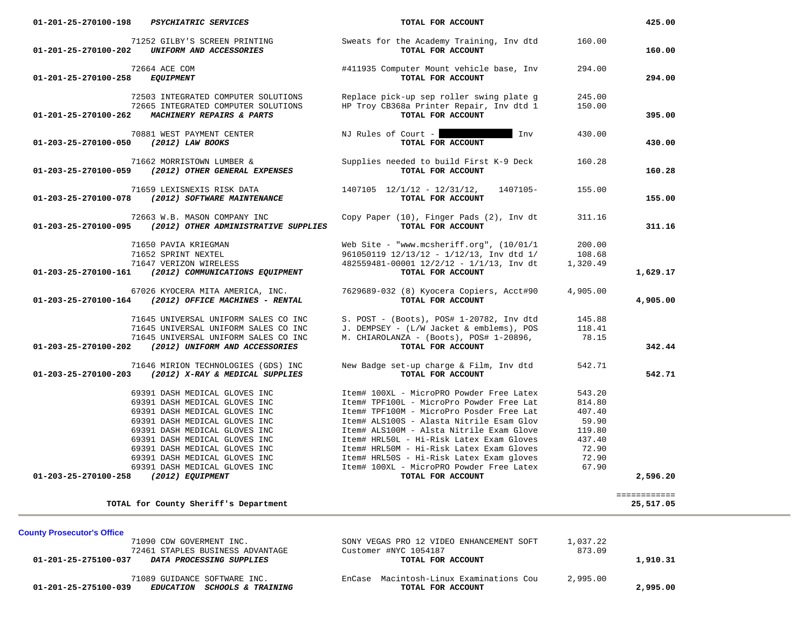| 01-201-25-270100-198<br><b>PSYCHIATRIC SERVICES</b>                                            | TOTAL FOR ACCOUNT                                                 |          | 425.00                    |
|------------------------------------------------------------------------------------------------|-------------------------------------------------------------------|----------|---------------------------|
| 71252 GILBY'S SCREEN PRINTING<br>UNIFORM AND ACCESSORIES<br>01-201-25-270100-202               | Sweats for the Academy Training, Inv dtd<br>TOTAL FOR ACCOUNT     | 160.00   | 160.00                    |
| 72664 ACE COM<br>01-201-25-270100-258<br><b>EQUIPMENT</b>                                      | #411935 Computer Mount vehicle base, Inv<br>TOTAL FOR ACCOUNT     | 294.00   | 294.00                    |
| 72503 INTEGRATED COMPUTER SOLUTIONS                                                            | Replace pick-up sep roller swing plate g                          | 245.00   |                           |
| 72665 INTEGRATED COMPUTER SOLUTIONS<br>01-201-25-270100-262<br>MACHINERY REPAIRS & PARTS       | HP Troy CB368a Printer Repair, Inv dtd 1<br>TOTAL FOR ACCOUNT     | 150.00   | 395.00                    |
| 70881 WEST PAYMENT CENTER<br>(2012) LAW BOOKS<br>01-203-25-270100-050                          | NJ Rules of Court $-$<br>Inv<br>TOTAL FOR ACCOUNT                 | 430.00   | 430.00                    |
| 71662 MORRISTOWN LUMBER &<br>(2012) OTHER GENERAL EXPENSES<br>01-203-25-270100-059             | Supplies needed to build First K-9 Deck<br>TOTAL FOR ACCOUNT      | 160.28   | 160.28                    |
| 71659 LEXISNEXIS RISK DATA<br>(2012) SOFTWARE MAINTENANCE<br>01-203-25-270100-078              | $1407105$ $12/1/12 - 12/31/12$ ,<br>1407105-<br>TOTAL FOR ACCOUNT | 155.00   | 155.00                    |
| 72663 W.B. MASON COMPANY INC<br>01-203-25-270100-095 (2012) OTHER ADMINISTRATIVE SUPPLIES      | Copy Paper (10), Finger Pads (2), Inv dt<br>TOTAL FOR ACCOUNT     | 311.16   | 311.16                    |
| 71650 PAVIA KRIEGMAN                                                                           | Web Site - "www.mcsheriff.org", $(10/01/1$                        | 200.00   |                           |
| 71652 SPRINT NEXTEL                                                                            | $961050119$ $12/13/12$ - $1/12/13$ , Inv dtd $1/$                 | 108.68   |                           |
| 71647 VERIZON WIRELESS<br>01-203-25-270100-161<br>(2012) COMMUNICATIONS EQUIPMENT              | 482559481-00001 12/2/12 - 1/1/13, Inv dt<br>TOTAL FOR ACCOUNT     | 1,320.49 | 1,629.17                  |
| 67026 KYOCERA MITA AMERICA, INC.<br>(2012) OFFICE MACHINES - RENTAL<br>01-203-25-270100-164    | 7629689-032 (8) Kyocera Copiers, Acct#90<br>TOTAL FOR ACCOUNT     | 4,905.00 | 4,905.00                  |
|                                                                                                |                                                                   |          |                           |
| 71645 UNIVERSAL UNIFORM SALES CO INC                                                           | S. POST - (Boots), POS# 1-20782, Inv dtd                          | 145.88   |                           |
| 71645 UNIVERSAL UNIFORM SALES CO INC                                                           | J. DEMPSEY - (L/W Jacket & emblems), POS                          | 118.41   |                           |
| 71645 UNIVERSAL UNIFORM SALES CO INC                                                           | M. CHIAROLANZA - (Boots), POS# 1-20896,                           | 78.15    | 342.44                    |
| 01-203-25-270100-202<br>(2012) UNIFORM AND ACCESSORIES                                         | TOTAL FOR ACCOUNT                                                 |          |                           |
| 71646 MIRION TECHNOLOGIES (GDS) INC<br>(2012) X-RAY & MEDICAL SUPPLIES<br>01-203-25-270100-203 | New Badge set-up charge & Film, Inv dtd<br>TOTAL FOR ACCOUNT      | 542.71   | 542.71                    |
| 69391 DASH MEDICAL GLOVES INC                                                                  | Item# 100XL - MicroPRO Powder Free Latex                          | 543.20   |                           |
| 69391 DASH MEDICAL GLOVES INC                                                                  | Item# TPF100L - MicroPro Powder Free Lat                          | 814.80   |                           |
| 69391 DASH MEDICAL GLOVES INC                                                                  | Item# TPF100M - MicroPro Posder Free Lat                          | 407.40   |                           |
| 69391 DASH MEDICAL GLOVES INC                                                                  | Item# ALS100S - Alasta Nitrile Esam Glov                          | 59.90    |                           |
| 69391 DASH MEDICAL GLOVES INC                                                                  | Item# ALS100M - Alsta Nitrile Exam Glove                          | 119.80   |                           |
| 69391 DASH MEDICAL GLOVES INC                                                                  | Item# HRL50L - Hi-Risk Latex Exam Gloves                          | 437.40   |                           |
| 69391 DASH MEDICAL GLOVES INC                                                                  | Item# HRL50M - Hi-Risk Latex Exam Gloves                          | 72.90    |                           |
| 69391 DASH MEDICAL GLOVES INC                                                                  | Item# HRL50S - Hi-Risk Latex Exam gloves                          | 72.90    |                           |
| 69391 DASH MEDICAL GLOVES INC                                                                  | Item# 100XL - MicroPRO Powder Free Latex                          | 67.90    |                           |
| 01-203-25-270100-258<br>(2012) EQUIPMENT                                                       | TOTAL FOR ACCOUNT                                                 |          | 2,596.20                  |
| TOTAL for County Sheriff's Department                                                          |                                                                   |          | ============<br>25,517.05 |
| <b>County Prosecutor's Office</b>                                                              |                                                                   |          |                           |
| 71090 CDW GOVERMENT INC.                                                                       | SONY VEGAS PRO 12 VIDEO ENHANCEMENT SOFT                          | 1,037.22 |                           |
| 72461 STAPLES BUSINESS ADVANTAGE                                                               | Customer #NYC 1054187                                             | 873.09   |                           |
| 01-201-25-275100-037<br>DATA PROCESSING SUPPLIES                                               | TOTAL FOR ACCOUNT                                                 |          | 1,910.31                  |

 71089 GUIDANCE SOFTWARE INC. EnCase Macintosh-Linux Examinations Cou 2,995.00  **01-201-25-275100-039** *EDUCATION SCHOOLS & TRAINING* **TOTAL FOR ACCOUNT 2,995.00**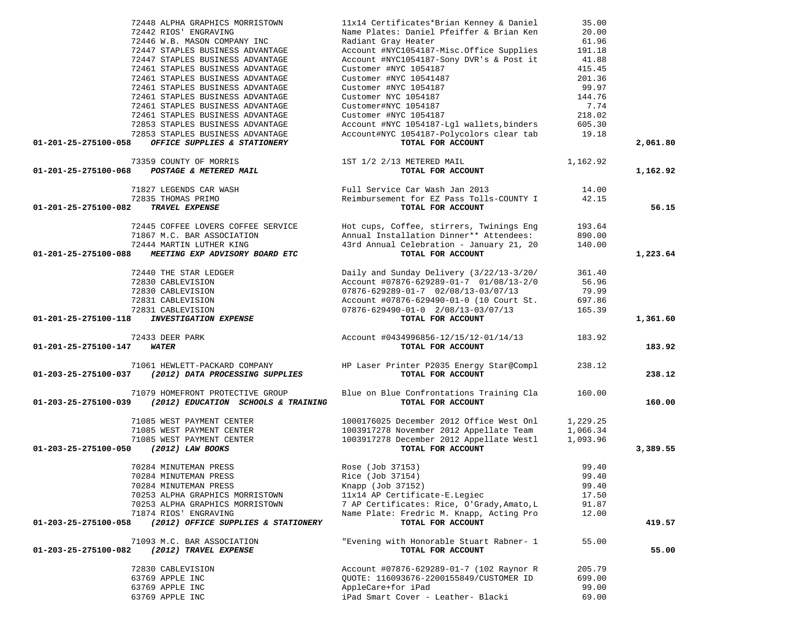|                      | 72448 ALPHA GRAPHICS MORRISTOWN                        | 11x14 Certificates*Brian Kenney & Daniel                                            | 35.00            |          |
|----------------------|--------------------------------------------------------|-------------------------------------------------------------------------------------|------------------|----------|
|                      | 72442 RIOS' ENGRAVING                                  | Name Plates: Daniel Pfeiffer & Brian Ken                                            | 20.00            |          |
|                      | 72446 W.B. MASON COMPANY INC                           | Radiant Gray Heater                                                                 | 61.96            |          |
|                      | 72447 STAPLES BUSINESS ADVANTAGE                       | Account #NYC1054187-Misc.Office Supplies                                            | 191.18           |          |
|                      | 72447 STAPLES BUSINESS ADVANTAGE                       | Account #NYC1054187-Sony DVR's & Post it                                            | 41.88            |          |
|                      | 72461 STAPLES BUSINESS ADVANTAGE                       | Customer #NYC 1054187                                                               | 415.45           |          |
|                      | 72461 STAPLES BUSINESS ADVANTAGE                       | Customer #NYC 10541487                                                              | 201.36           |          |
|                      | 72461 STAPLES BUSINESS ADVANTAGE                       | Customer #NYC 1054187                                                               | 99.97            |          |
|                      | 72461 STAPLES BUSINESS ADVANTAGE                       | Customer NYC 1054187                                                                | 144.76           |          |
|                      | 72461 STAPLES BUSINESS ADVANTAGE                       | Customer#NYC 1054187                                                                | 7.74             |          |
|                      | 72461 STAPLES BUSINESS ADVANTAGE                       | Customer #NYC 1054187                                                               | 218.02           |          |
|                      | 72853 STAPLES BUSINESS ADVANTAGE                       | Account #NYC 1054187-Lgl wallets, binders                                           | 605.30           |          |
|                      | 72853 STAPLES BUSINESS ADVANTAGE                       | Account#NYC 1054187-Polycolors clear tab                                            | 19.18            |          |
| 01-201-25-275100-058 | OFFICE SUPPLIES & STATIONERY                           | TOTAL FOR ACCOUNT                                                                   |                  | 2,061.80 |
|                      | 73359 COUNTY OF MORRIS                                 | 1ST 1/2 2/13 METERED MAIL                                                           | 1,162.92         |          |
| 01-201-25-275100-068 | POSTAGE & METERED MAIL                                 | TOTAL FOR ACCOUNT                                                                   |                  | 1,162.92 |
|                      |                                                        |                                                                                     |                  |          |
|                      | 71827 LEGENDS CAR WASH                                 | Full Service Car Wash Jan 2013                                                      | 14.00            |          |
|                      | 72835 THOMAS PRIMO                                     | Reimbursement for EZ Pass Tolls-COUNTY I                                            | 42.15            |          |
| 01-201-25-275100-082 | TRAVEL EXPENSE                                         | TOTAL FOR ACCOUNT                                                                   |                  | 56.15    |
|                      |                                                        |                                                                                     |                  |          |
|                      | 72445 COFFEE LOVERS COFFEE SERVICE                     | Hot cups, Coffee, stirrers, Twinings Eng<br>Annual Installation Dinner** Attendees: | 193.64           |          |
|                      | 71867 M.C. BAR ASSOCIATION<br>72444 MARTIN LUTHER KING | 43rd Annual Celebration - January 21, 20                                            | 890.00<br>140.00 |          |
|                      |                                                        | TOTAL FOR ACCOUNT                                                                   |                  |          |
| 01-201-25-275100-088 | MEETING EXP ADVISORY BOARD ETC                         |                                                                                     |                  | 1,223.64 |
|                      | 72440 THE STAR LEDGER                                  | Daily and Sunday Delivery (3/22/13-3/20/                                            | 361.40           |          |
|                      | 72830 CABLEVISION                                      | Account #07876-629289-01-7 01/08/13-2/0                                             | 56.96            |          |
|                      | 72830 CABLEVISION                                      | $07876 - 629289 - 01 - 7$ $02/08/13 - 03/07/13$                                     | 79.99            |          |
|                      | 72831 CABLEVISION                                      | Account #07876-629490-01-0 (10 Court St.                                            | 697.86           |          |
|                      | 72831 CABLEVISION                                      | $07876 - 629490 - 01 - 0$ $2/08/13 - 03/07/13$                                      | 165.39           |          |
| 01-201-25-275100-118 | <b>INVESTIGATION EXPENSE</b>                           | TOTAL FOR ACCOUNT                                                                   |                  | 1,361.60 |
|                      | 72433 DEER PARK                                        | Account #0434996856-12/15/12-01/14/13                                               | 183.92           |          |
| 01-201-25-275100-147 | WATER                                                  | TOTAL FOR ACCOUNT                                                                   |                  | 183.92   |
|                      |                                                        |                                                                                     |                  |          |
|                      | 71061 HEWLETT-PACKARD COMPANY                          | HP Laser Printer P2035 Energy Star@Compl                                            | 238.12           |          |
| 01-203-25-275100-037 | (2012) DATA PROCESSING SUPPLIES                        | TOTAL FOR ACCOUNT                                                                   |                  | 238.12   |
|                      | 71079 HOMEFRONT PROTECTIVE GROUP                       | Blue on Blue Confrontations Training Cla                                            | 160.00           |          |
| 01-203-25-275100-039 | (2012) EDUCATION SCHOOLS & TRAINING                    | TOTAL FOR ACCOUNT                                                                   |                  | 160.00   |
|                      | 71085 WEST PAYMENT CENTER                              | 1000176025 December 2012 Office West Onl                                            | 1,229.25         |          |
|                      | 71085 WEST PAYMENT CENTER                              | 1003917278 November 2012 Appellate Team                                             | 1,066.34         |          |
|                      | 71085 WEST PAYMENT CENTER                              | 1003917278 December 2012 Appellate Westl                                            | 1,093.96         |          |
| 01-203-25-275100-050 | (2012) LAW BOOKS                                       | TOTAL FOR ACCOUNT                                                                   |                  | 3,389.55 |
|                      |                                                        |                                                                                     |                  |          |
|                      | 70284 MINUTEMAN PRESS                                  | Rose (Job 37153)                                                                    | 99.40            |          |
|                      | 70284 MINUTEMAN PRESS                                  | Rice (Job 37154)                                                                    | 99.40            |          |
|                      | 70284 MINUTEMAN PRESS                                  | Knapp (Job 37152)                                                                   | 99.40            |          |
|                      | 70253 ALPHA GRAPHICS MORRISTOWN                        | 11x14 AP Certificate-E. Legiec                                                      | 17.50            |          |
|                      | 70253 ALPHA GRAPHICS MORRISTOWN                        | 7 AP Certificates: Rice, O'Grady, Amato, L                                          | 91.87            |          |
|                      | 71874 RIOS' ENGRAVING                                  | Name Plate: Fredric M. Knapp, Acting Pro                                            | 12.00            |          |
| 01-203-25-275100-058 | (2012) OFFICE SUPPLIES & STATIONERY                    | TOTAL FOR ACCOUNT                                                                   |                  | 419.57   |
|                      | 71093 M.C. BAR ASSOCIATION                             | "Evening with Honorable Stuart Rabner- 1                                            | 55.00            |          |
| 01-203-25-275100-082 | (2012) TRAVEL EXPENSE                                  | TOTAL FOR ACCOUNT                                                                   |                  | 55.00    |
|                      |                                                        |                                                                                     |                  |          |
|                      | 72830 CABLEVISION                                      | Account #07876-629289-01-7 (102 Raynor R                                            | 205.79           |          |
|                      | 63769 APPLE INC<br>63769 APPLE INC                     | QUOTE: 116093676-2200155849/CUSTOMER ID<br>AppleCare+for iPad                       | 699.00<br>99.00  |          |
|                      |                                                        |                                                                                     |                  |          |

63769 APPLE INC iPad Smart Cover - Leather- Blacki 69.00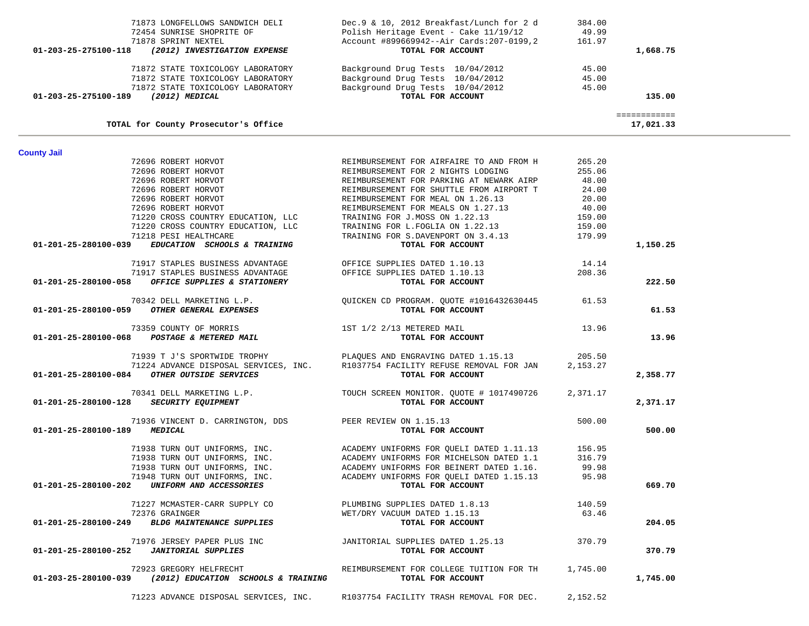|  | 71223 ADVANCE DISPOSAL SERVICES IN |  |
|--|------------------------------------|--|

| TOTAL for County Prosecutor's Office                                                                                                  |                                                                                                                                                                                                                                             |                      | 17,021.33 |
|---------------------------------------------------------------------------------------------------------------------------------------|---------------------------------------------------------------------------------------------------------------------------------------------------------------------------------------------------------------------------------------------|----------------------|-----------|
| <b>County Jail</b><br>T2696 ROBERT HORVOT<br>72696 ROBERT HORVOT<br>72696 ROBERT HORVOT<br>72696 ROBERT HORVOT<br>72696 ROBERT HORVOT |                                                                                                                                                                                                                                             |                      |           |
|                                                                                                                                       | REIMBURSEMENT FOR AIRFAIRE TO AND FROM H 265.20                                                                                                                                                                                             |                      |           |
|                                                                                                                                       | REIMBURSEMENT FOR 2 NIGHTS LODGING                                                                                                                                                                                                          | 255.06               |           |
|                                                                                                                                       | REIMBURSEMENT FOR PARKING AT NEWARK AIRP                                                                                                                                                                                                    | 48.00                |           |
|                                                                                                                                       | REIMBURSEMENT FOR SHUTTLE FROM AIRPORT T                                                                                                                                                                                                    | 24.00                |           |
|                                                                                                                                       | REIMBURSEMENT FOR MEAL ON 1.26.13                                                                                                                                                                                                           | 20.00                |           |
| 72696 ROBERT HORVOT                                                                                                                   | REIMBURSEMENT FOR MEALS ON 1.27.13<br>TRAINING FOR J.MOSS ON 1.22.13                                                                                                                                                                        | $159.00$<br>$159.00$ |           |
| 71220 CROSS COUNTRY EDUCATION, LLC                                                                                                    |                                                                                                                                                                                                                                             |                      |           |
| 71220 CROSS COUNTRY EDUCATION, LLC                                                                                                    | TRAINING FOR L.FOGLIA ON 1.22.13                                                                                                                                                                                                            | 159.00               |           |
| 71218 PESI HEALTHCARE                                                                                                                 | TRAINING FOR S.DAVENPORT ON 3.4.13 179.99                                                                                                                                                                                                   |                      |           |
| 01-201-25-280100-039 EDUCATION SCHOOLS & TRAINING                                                                                     | TOTAL FOR ACCOUNT                                                                                                                                                                                                                           |                      | 1,150.25  |
| 71917 STAPLES BUSINESS ADVANTAGE                                                                                                      | OFFICE SUPPLIES DATED 1.10.13                                                                                                                                                                                                               | 14.14                |           |
| 71917 STAPLES BUSINESS ADVANTAGE                                                                                                      | OFFICE SUPPLIES DATED 1.10.13                                                                                                                                                                                                               | 208.36               |           |
| OFFICE SUPPLIES & STATIONERY<br>01-201-25-280100-058                                                                                  | TOTAL FOR ACCOUNT                                                                                                                                                                                                                           |                      | 222.50    |
| 70342 DELL MARKETING L.P.                                                                                                             | QUICKEN CD PROGRAM. QUOTE #1016432630445 61.53                                                                                                                                                                                              |                      |           |
| 01-201-25-280100-059 OTHER GENERAL EXPENSES                                                                                           | TOTAL FOR ACCOUNT                                                                                                                                                                                                                           |                      | 61.53     |
|                                                                                                                                       |                                                                                                                                                                                                                                             | 13.96                |           |
| 73359 COUNTY OF MORRIS 1ST 1/2 2/13 METERED MAIL 1-201-25-280100-068 POSTAGE & METERED MAIL                                           |                                                                                                                                                                                                                                             |                      | 13.96     |
| 71939 T J'S SPORTWIDE TROPHY                                                                                                          | PLAQUES AND ENGRAVING DATED 1.15.13 205.50                                                                                                                                                                                                  |                      |           |
| 71224 ADVANCE DISPOSAL SERVICES, INC.                                                                                                 | R1037754 FACILITY REFUSE REMOVAL FOR JAN 2,153.27                                                                                                                                                                                           |                      |           |
| 01-201-25-280100-084 OTHER OUTSIDE SERVICES                                                                                           | TOTAL FOR ACCOUNT                                                                                                                                                                                                                           |                      | 2,358.77  |
|                                                                                                                                       | 70341 DELL MARKETING L.P. TOUCH SCREEN MONITOR. QUOTE # 1017490726                                                                                                                                                                          | 2,371.17             |           |
| 01-201-25-280100-128 SECURITY EQUIPMENT                                                                                               | TOTAL FOR ACCOUNT                                                                                                                                                                                                                           |                      | 2,371.17  |
| 71936 VINCENT D. CARRINGTON, DDS PEER REVIEW ON 1.15.13                                                                               |                                                                                                                                                                                                                                             | 500.00               |           |
| 01-201-25-280100-189 MEDICAL                                                                                                          | TOTAL FOR ACCOUNT                                                                                                                                                                                                                           |                      | 500.00    |
|                                                                                                                                       | 71938 TURN OUT UNIFORMS, INC.<br>71938 TURN OUT UNIFORMS, INC.<br>71938 TURN OUT UNIFORMS, INC.<br>71938 TURN OUT UNIFORMS, INC.<br>71948 TURN OUT UNIFORMS, INC.<br>71948 TURN OUT UNIFORMS, INC.<br>71948 TURN OUT UNIFORMS, INC.<br>72 T |                      |           |
|                                                                                                                                       |                                                                                                                                                                                                                                             |                      |           |
|                                                                                                                                       |                                                                                                                                                                                                                                             |                      |           |
|                                                                                                                                       |                                                                                                                                                                                                                                             |                      |           |
| 01-201-25-280100-202 UNIFORM AND ACCESSORIES                                                                                          | TOTAL FOR ACCOUNT                                                                                                                                                                                                                           |                      | 669.70    |
| 71227 MCMASTER-CARR SUPPLY CO                                                                                                         | PLUMBING SUPPLIES DATED 1.8.13                                                                                                                                                                                                              | 140.59               |           |
| 72376 GRAINGER                                                                                                                        | WET/DRY VACUUM DATED 1.15.13                                                                                                                                                                                                                | 63.46                |           |
| 01-201-25-280100-249 BLDG MAINTENANCE SUPPLIES                                                                                        | TOTAL FOR ACCOUNT                                                                                                                                                                                                                           |                      | 204.05    |
| 71976 JERSEY PAPER PLUS INC                                                                                                           | JANITORIAL SUPPLIES DATED 1.25.13 370.79                                                                                                                                                                                                    |                      |           |
| 01-201-25-280100-252 JANITORIAL SUPPLIES                                                                                              | TOTAL FOR ACCOUNT                                                                                                                                                                                                                           |                      | 370.79    |
| 72923 GREGORY HELFRECHT                                                                                                               | REIMBURSEMENT FOR COLLEGE TUITION FOR TH 1,745.00                                                                                                                                                                                           |                      |           |
| $01-203-25-280100-039$ (2012) EDUCATION SCHOOLS & TRAINING                                                                            | TOTAL FOR ACCOUNT                                                                                                                                                                                                                           |                      | 1,745.00  |
| 71223 ADVANCE DISPOSAL SERVICES, INC.                                                                                                 | R1037754 FACILITY TRASH REMOVAL FOR DEC.                                                                                                                                                                                                    | 2,152.52             |           |

| TOTAL for County Prosecutor's Office                 |                                            | 17,021.33 |
|------------------------------------------------------|--------------------------------------------|-----------|
| 01-203-25-275100-189<br>(2012) MEDICAL               | TOTAL FOR ACCOUNT                          | 135.00    |
| 71872 STATE TOXICOLOGY LABORATORY                    | Background Drug Tests 10/04/2012           | 45.00     |
| 71872 STATE TOXICOLOGY LABORATORY                    | Background Drug Tests 10/04/2012           | 45.00     |
| 71872 STATE TOXICOLOGY LABORATORY                    | Background Drug Tests 10/04/2012           | 45.00     |
| (2012) INVESTIGATION EXPENSE<br>01-203-25-275100-118 | TOTAL FOR ACCOUNT                          | 1,668.75  |
| 71878 SPRINT NEXTEL                                  | Account #899669942--Air Cards: 207-0199, 2 | 161.97    |
| 72454 SUNRISE SHOPRITE OF                            | Polish Heritage Event - Cake 11/19/12      | 49.99     |
| 71873 LONGFELLOWS SANDWICH DELI                      | Dec.9 & 10, 2012 Breakfast/Lunch for 2 d   | 384.00    |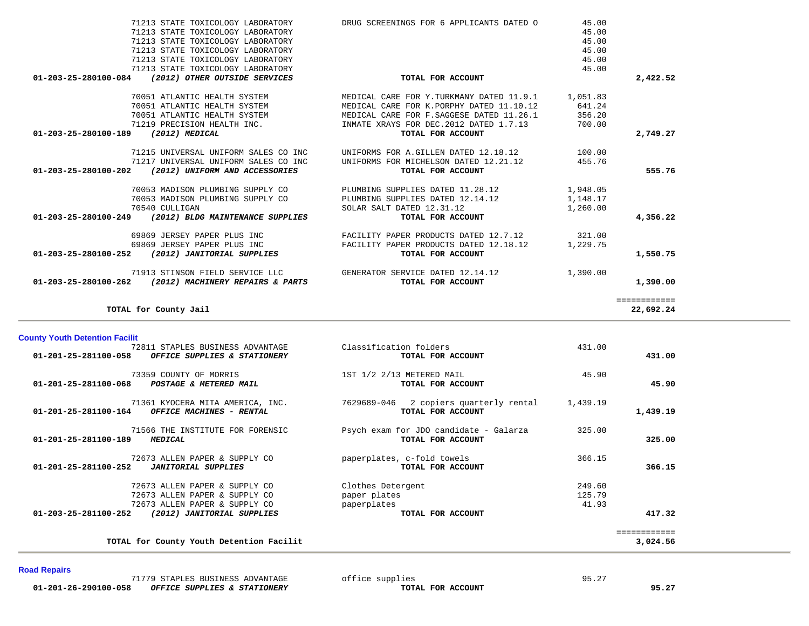| 01-201-25-281100-058<br>OFFICE SUPPLIES & STATIONERY                                           | TOTAL FOR ACCOUNT                                              |          | 431.00       |
|------------------------------------------------------------------------------------------------|----------------------------------------------------------------|----------|--------------|
| 73359 COUNTY OF MORRIS<br>01-201-25-281100-068<br>POSTAGE & METERED MAIL                       | 1ST 1/2 2/13 METERED MAIL<br>TOTAL FOR ACCOUNT                 | 45.90    | 45.90        |
| 71361 KYOCERA MITA AMERICA, INC.<br>$01 - 201 - 25 - 281100 - 164$<br>OFFICE MACHINES - RENTAL | 2 copiers quarterly rental<br>7629689-046<br>TOTAL FOR ACCOUNT | 1,439.19 | 1,439.19     |
| 71566 THE INSTITUTE FOR FORENSIC<br>01-201-25-281100-189<br><b>MEDICAL</b>                     | Psych exam for JDO candidate - Galarza<br>TOTAL FOR ACCOUNT    | 325.00   | 325.00       |
| 72673 ALLEN PAPER & SUPPLY CO<br>01-201-25-281100-252<br><b>JANITORIAL SUPPLIES</b>            | paperplates, c-fold towels<br>TOTAL FOR ACCOUNT                | 366.15   | 366.15       |
| 72673 ALLEN PAPER & SUPPLY CO                                                                  | Clothes Detergent                                              | 249.60   |              |
| 72673 ALLEN PAPER & SUPPLY CO                                                                  | paper plates                                                   | 125.79   |              |
| 72673 ALLEN PAPER & SUPPLY CO                                                                  | paperplates                                                    | 41.93    |              |
| 01-203-25-281100-252<br>(2012) JANITORIAL SUPPLIES                                             | TOTAL FOR ACCOUNT                                              |          | 417.32       |
|                                                                                                |                                                                |          | ============ |
| TOTAL for County Youth Detention Facilit                                                       |                                                                |          | 3,024.56     |

 71913 STINSON FIELD SERVICE LLC GENERATOR SERVICE DATED 12.14.12 1,390.00  **01-203-25-280100-262** *(2012) MACHINERY REPAIRS & PARTS* **TOTAL FOR ACCOUNT 1,390.00**

72811 STAPLES BUSINESS ADVANTAGE Classification folders 431.00

============

| 01-203-25-280100-189 | $(2012)$ MEDICAL                     | TOTAL FOR ACCOUNT                      |          | 2,749.27 |
|----------------------|--------------------------------------|----------------------------------------|----------|----------|
|                      | 71215 UNIVERSAL UNIFORM SALES CO INC | UNIFORMS FOR A.GILLEN DATED 12.18.12   | 100.00   |          |
|                      | 71217 UNIVERSAL UNIFORM SALES CO INC | UNIFORMS FOR MICHELSON DATED 12.21.12  | 455.76   |          |
| 01-203-25-280100-202 | (2012) UNIFORM AND ACCESSORIES       | TOTAL FOR ACCOUNT                      |          | 555.76   |
|                      | 70053 MADISON PLUMBING SUPPLY CO     | PLUMBING SUPPLIES DATED 11.28.12       | 1,948.05 |          |
|                      | 70053 MADISON PLUMBING SUPPLY CO     | PLUMBING SUPPLIES DATED 12.14.12       | 1,148.17 |          |
|                      | 70540 CULLIGAN                       | SOLAR SALT DATED 12.31.12              | 1,260.00 |          |
| 01-203-25-280100-249 | (2012) BLDG MAINTENANCE SUPPLIES     | TOTAL FOR ACCOUNT                      |          | 4,356.22 |
|                      | 69869 JERSEY PAPER PLUS INC          | FACILITY PAPER PRODUCTS DATED 12.7.12  | 321.00   |          |
|                      | 69869 JERSEY PAPER PLUS INC          | FACILITY PAPER PRODUCTS DATED 12.18.12 | 1,229.75 |          |
| 01-203-25-280100-252 | (2012) JANITORIAL SUPPLIES           | TOTAL FOR ACCOUNT                      |          | 1,550.75 |
|                      |                                      |                                        |          |          |

|          | 45.00    | DRUG SCREENINGS FOR 6 APPLICANTS DATED O  | 71213 STATE TOXICOLOGY LABORATORY                        |
|----------|----------|-------------------------------------------|----------------------------------------------------------|
|          | 45.00    |                                           | 71213 STATE TOXICOLOGY LABORATORY                        |
|          | 45.00    |                                           | 71213 STATE TOXICOLOGY LABORATORY                        |
|          | 45.00    |                                           | 71213 STATE TOXICOLOGY LABORATORY                        |
|          | 45.00    |                                           | 71213 STATE TOXICOLOGY LABORATORY                        |
|          | 45.00    |                                           | 71213 STATE TOXICOLOGY LABORATORY                        |
| 2,422.52 |          | TOTAL FOR ACCOUNT                         | (2012) OTHER OUTSIDE SERVICES<br>01-203-25-280100-084    |
|          | 1,051.83 | MEDICAL CARE FOR Y.TURKMANY DATED 11.9.1  | 70051 ATLANTIC HEALTH SYSTEM                             |
|          | 641.24   | MEDICAL CARE FOR K. PORPHY DATED 11.10.12 | 70051 ATLANTIC HEALTH SYSTEM                             |
|          | 356.20   | MEDICAL CARE FOR F. SAGGESE DATED 11.26.1 | 70051 ATLANTIC HEALTH SYSTEM                             |
|          | 700.00   | INMATE XRAYS FOR DEC.2012 DATED 1.7.13    | 71219 PRECISION HEALTH INC.                              |
| 2,749.27 |          | TOTAL FOR ACCOUNT                         | 01-203-25-280100-189<br>(2012) MEDICAL                   |
|          | 100.00   | UNIFORMS FOR A.GILLEN DATED 12.18.12      | 71215 UNIVERSAL UNIFORM SALES CO INC                     |
|          | 455.76   | UNIFORMS FOR MICHELSON DATED 12.21.12     | 71217 UNIVERSAL UNIFORM SALES CO INC                     |
| 555.76   |          | TOTAL FOR ACCOUNT                         | 01-203-25-280100-202<br>(2012) UNIFORM AND ACCESSORIES   |
|          | 1,948.05 | PLUMBING SUPPLIES DATED 11.28.12          | 70053 MADISON PLUMBING SUPPLY CO                         |
|          | 1,148.17 | PLUMBING SUPPLIES DATED 12.14.12          | 70053 MADISON PLUMBING SUPPLY CO                         |
|          | 1,260.00 | SOLAR SALT DATED 12.31.12                 | 70540 CULLIGAN                                           |
| 4,356.22 |          | TOTAL FOR ACCOUNT                         | 01-203-25-280100-249<br>(2012) BLDG MAINTENANCE SUPPLIES |
|          |          |                                           |                                                          |

## **Road Repairs**

**County Youth Detention Facilit**

**TOTAL for County Jail 22,692.24**

22,692.24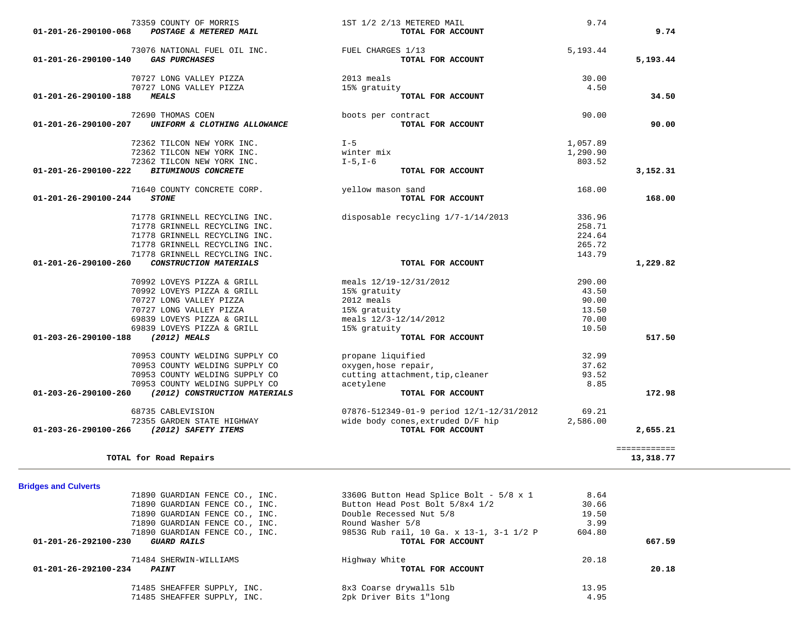| <b>Bridges and Culverts</b> |                                |                                          |        |        |
|-----------------------------|--------------------------------|------------------------------------------|--------|--------|
|                             | 71890 GUARDIAN FENCE CO., INC. | 3360G Button Head Splice Bolt - 5/8 x 1  | 8.64   |        |
|                             | 71890 GUARDIAN FENCE CO., INC. | Button Head Post Bolt 5/8x4 1/2          | 30.66  |        |
|                             | 71890 GUARDIAN FENCE CO., INC. | Double Recessed Nut 5/8                  | 19.50  |        |
|                             | 71890 GUARDIAN FENCE CO., INC. | Round Washer 5/8                         | 3.99   |        |
|                             | 71890 GUARDIAN FENCE CO., INC. | 9853G Rub rail, 10 Ga. x 13-1, 3-1 1/2 P | 604.80 |        |
| 01-201-26-292100-230        | GUARD RAILS                    | TOTAL FOR ACCOUNT                        |        | 667.59 |
|                             | 71484 SHERWIN-WILLIAMS         | Highway White                            | 20.18  |        |
| 01-201-26-292100-234        | <i><b>PAINT</b></i>            | TOTAL FOR ACCOUNT                        |        | 20.18  |
|                             | 71485 SHEAFFER SUPPLY, INC.    | 8x3 Coarse drywalls 5lb                  | 13.95  |        |
|                             | 71485 SHEAFFER SUPPLY, INC.    | 2pk Driver Bits 1"long                   | 4.95   |        |
|                             |                                |                                          |        |        |

============

**Bridges and Culverts** 

| 72362 TILCON NEW YORK INC.                                      | winter mix                         | 1,290.90 |          |
|-----------------------------------------------------------------|------------------------------------|----------|----------|
| 72362 TILCON NEW YORK INC.                                      | $I-5$ , $I-6$                      | 803.52   |          |
| 01-201-26-290100-222<br><b>BITUMINOUS CONCRETE</b>              | TOTAL FOR ACCOUNT                  |          | 3,152.31 |
| 71640 COUNTY CONCRETE CORP.                                     | yellow mason sand                  | 168.00   |          |
| $01 - 201 - 26 - 290100 - 244$<br><b>STONE</b>                  | TOTAL FOR ACCOUNT                  |          | 168.00   |
| 71778 GRINNELL RECYCLING INC.                                   | disposable recycling 1/7-1/14/2013 | 336.96   |          |
| 71778 GRINNELL RECYCLING INC.                                   |                                    | 258.71   |          |
| 71778 GRINNELL RECYCLING INC.                                   |                                    | 224.64   |          |
| 71778 GRINNELL RECYCLING INC.                                   |                                    | 265.72   |          |
| 71778 GRINNELL RECYCLING INC.                                   |                                    | 143.79   |          |
| $01 - 201 - 26 - 290100 - 260$<br>CONSTRUCTION MATERIALS        | TOTAL FOR ACCOUNT                  |          | 1,229.82 |
| 70992 LOVEYS PIZZA & GRILL                                      | meals 12/19-12/31/2012             | 290.00   |          |
| 70992 LOVEYS PIZZA & GRILL                                      | 15% gratuity                       | 43.50    |          |
| 70727 LONG VALLEY PIZZA                                         | 2012 meals                         | 90.00    |          |
| 70727 LONG VALLEY PIZZA                                         | 15% gratuity                       | 13.50    |          |
| 69839 LOVEYS PIZZA & GRILL                                      | meals $12/3 - 12/14/2012$          | 70.00    |          |
| 69839 LOVEYS PIZZA & GRILL                                      | 15% gratuity                       | 10.50    |          |
| 01-203-26-290100-188<br>(2012) MEALS                            | TOTAL FOR ACCOUNT                  |          | 517.50   |
| 70953 COUNTY WELDING SUPPLY CO                                  | propane liquified                  | 32.99    |          |
| 70953 COUNTY WELDING SUPPLY CO                                  | oxygen, hose repair,               | 37.62    |          |
| 70953 COUNTY WELDING SUPPLY CO                                  | cutting attachment, tip, cleaner   | 93.52    |          |
| 70953 COUNTY WELDING SUPPLY CO                                  | acetylene                          | 8.85     |          |
| $01 - 203 - 26 - 290100 - 260$<br>(2012) CONSTRUCTION MATERIALS | TOTAL FOR ACCOUNT                  |          | 172.98   |

 68735 CABLEVISION 07876-512349-01-9 period 12/1-12/31/2012 69.21 72355 GARDEN STATE HIGHWAY **and the state of the state of the state of the state of the 1971** state of the 1,586.00<br>**70TAL FOR ACCOUNT COLL SAFETY ITEMS 01-203-26-290100-266** *(2012) SAFETY ITEMS* **TOTAL FOR ACCOUNT 2,655.21**

**TOTAL for Road Repairs 13,318.77**

90.00

| 73359 COUNTY OF MORRIS                                         | 1ST 1/2 2/13 METERED MAIL          | 9.74       |          |
|----------------------------------------------------------------|------------------------------------|------------|----------|
| 01-201-26-290100-068<br>POSTAGE & METERED MAIL                 | TOTAL FOR ACCOUNT                  |            | 9.74     |
| 73076 NATIONAL FUEL OIL INC.                                   | FUEL CHARGES 1/13                  | 5,193.44   |          |
| 01-201-26-290100-140<br><b>GAS PURCHASES</b>                   | TOTAL FOR ACCOUNT                  |            | 5,193.44 |
| 70727 LONG VALLEY PIZZA                                        | 2013 meals                         | 30.00      |          |
| 70727 LONG VALLEY PIZZA                                        | 15% gratuity                       | 4.50       |          |
| 01-201-26-290100-188<br><b>MEALS</b>                           | TOTAL FOR ACCOUNT                  |            | 34.50    |
| 72690 THOMAS COEN                                              | boots per contract                 | 90.00      |          |
| $01 - 201 - 26 - 290100 - 207$<br>UNIFORM & CLOTHING ALLOWANCE | TOTAL FOR ACCOUNT                  |            | 90.00    |
| 72362 TILCON NEW YORK INC.                                     | $I - 5$                            | 1,057.89   |          |
| 72362 TILCON NEW YORK INC.                                     | winter mix                         | 1,290.90   |          |
| 72362 TILCON NEW YORK INC.                                     | $I-5$ , $I-6$                      | 803.52     |          |
| 01-201-26-290100-222<br><b>BITUMINOUS CONCRETE</b>             | TOTAL FOR ACCOUNT                  |            | 3,152.31 |
| 71640 COUNTY CONCRETE CORP.                                    | yellow mason sand                  | 168.00     |          |
| 01-201-26-290100-244<br><i><b>STONE</b></i>                    | TOTAL FOR ACCOUNT                  |            | 168.00   |
| 71778 GRINNELL RECYCLING INC.                                  | disposable recycling 1/7-1/14/2013 | 336.96     |          |
| 71778 GRINNELL RECYCLING INC.                                  |                                    | 258.71     |          |
| 71778 GRINNELL RECYCLING INC.                                  |                                    | 224.64     |          |
| 71778 CRIMMELL RECVCLING INC                                   |                                    | $265$ $72$ |          |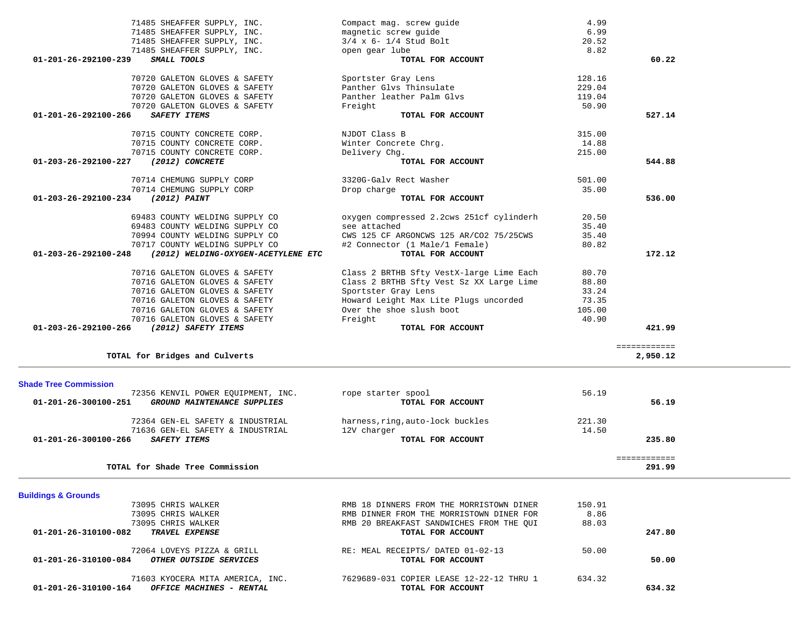| <b>Buildings &amp; Grounds</b>                                  |                                          |        |        |
|-----------------------------------------------------------------|------------------------------------------|--------|--------|
| 73095 CHRIS WALKER                                              | RMB 18 DINNERS FROM THE MORRISTOWN DINER | 150.91 |        |
| 73095 CHRIS WALKER                                              | RMB DINNER FROM THE MORRISTOWN DINER FOR | 8.86   |        |
| 73095 CHRIS WALKER                                              | RMB 20 BREAKFAST SANDWICHES FROM THE OUI | 88.03  |        |
| 01-201-26-310100-082<br><b>TRAVEL EXPENSE</b>                   | TOTAL FOR ACCOUNT                        |        | 247.80 |
| 72064 LOVEYS PIZZA & GRILL                                      | RE: MEAL RECEIPTS/ DATED 01-02-13        | 50.00  |        |
| $01 - 201 - 26 - 310100 - 084$<br><i>OTHER OUTSIDE SERVICES</i> | TOTAL FOR ACCOUNT                        |        | 50.00  |
| 71603 KYOCERA MITA AMERICA, INC.                                | 7629689-031 COPIER LEASE 12-22-12 THRU 1 | 634.32 |        |
| 01-201-26-310100-164<br>OFFICE MACHINES - RENTAL                | TOTAL FOR ACCOUNT                        |        | 634.32 |

| 72356 KENVIL POWER EOUIPMENT, INC.                  | rope starter spool               | 56.19  |  |
|-----------------------------------------------------|----------------------------------|--------|--|
| 01-201-26-300100-251<br>GROUND MAINTENANCE SUPPLIES | TOTAL FOR ACCOUNT                | 56.19  |  |
| 72364 GEN-EL SAFETY & INDUSTRIAL                    | harness, ring, auto-lock buckles | 221.30 |  |
| 71636 GEN-EL SAFETY & INDUSTRIAL                    | 12V charger                      | 14.50  |  |
| 01-201-26-300100-266<br>SAFETY ITEMS                | TOTAL FOR ACCOUNT                | 235.80 |  |
|                                                     |                                  |        |  |
| TOTAL for Shade Tree Commission                     |                                  | 291.99 |  |

| <b>Shade Tree Commission</b><br>72356 KENVIL POWER EOUIPMENT, INC.<br>01-201-26-300100-251<br>GROUND MAINTENANCE SUPPLIES | rope starter spool<br>TOTAL FOR ACCOUNT | 56.19  | 56.19  |
|---------------------------------------------------------------------------------------------------------------------------|-----------------------------------------|--------|--------|
| 72364 GEN-EL SAFETY & INDUSTRIAL                                                                                          | harness, ring, auto-lock buckles        | 221.30 |        |
| 71636 GEN-EL SAFETY & INDUSTRIAL<br>$01 - 201 - 26 - 300100 - 266$<br>SAFETY TTEMS                                        | 12V charger<br>TOTAL FOR ACCOUNT        | 14.50  | 235.80 |

| 71485 SHEAFFER SUPPLY, INC.                                           | Compact mag. screw guide                 | 4.99   |              |
|-----------------------------------------------------------------------|------------------------------------------|--------|--------------|
| 71485 SHEAFFER SUPPLY, INC.                                           | magnetic screw quide                     | 6.99   |              |
| 71485 SHEAFFER SUPPLY, INC.                                           | $3/4$ x 6- $1/4$ Stud Bolt               | 20.52  |              |
| 71485 SHEAFFER SUPPLY, INC.                                           | open gear lube                           | 8.82   |              |
| 01-201-26-292100-239<br>SMALL TOOLS                                   | TOTAL FOR ACCOUNT                        |        | 60.22        |
| 70720 GALETON GLOVES & SAFETY                                         | Sportster Gray Lens                      | 128.16 |              |
| 70720 GALETON GLOVES & SAFETY                                         | Panther Glys Thinsulate                  | 229.04 |              |
| 70720 GALETON GLOVES & SAFETY                                         | Panther leather Palm Glvs                | 119.04 |              |
| 70720 GALETON GLOVES & SAFETY                                         | Freight                                  | 50.90  |              |
| 01-201-26-292100-266<br><b>SAFETY ITEMS</b>                           | TOTAL FOR ACCOUNT                        |        | 527.14       |
| 70715 COUNTY CONCRETE CORP.                                           | NJDOT Class B                            | 315.00 |              |
| 70715 COUNTY CONCRETE CORP.                                           | Winter Concrete Chrg.                    | 14.88  |              |
| 70715 COUNTY CONCRETE CORP.                                           | Delivery Chq.                            | 215.00 |              |
| (2012) CONCRETE<br>01-203-26-292100-227                               | TOTAL FOR ACCOUNT                        |        | 544.88       |
| 70714 CHEMUNG SUPPLY CORP                                             | 3320G-Galv Rect Washer                   | 501.00 |              |
| 70714 CHEMUNG SUPPLY CORP                                             | Drop charge                              | 35.00  |              |
| (2012) PAINT<br>01-203-26-292100-234                                  | TOTAL FOR ACCOUNT                        |        | 536.00       |
| 69483 COUNTY WELDING SUPPLY CO                                        | oxygen compressed 2.2cws 251cf cylinderh | 20.50  |              |
| 69483 COUNTY WELDING SUPPLY CO                                        | see attached                             | 35.40  |              |
| 70994 COUNTY WELDING SUPPLY CO                                        | CWS 125 CF ARGONCWS 125 AR/CO2 75/25CWS  | 35.40  |              |
| 70717 COUNTY WELDING SUPPLY CO                                        | #2 Connector (1 Male/1 Female)           | 80.82  |              |
| (2012) WELDING-OXYGEN-ACETYLENE ETC<br>$01 - 203 - 26 - 292100 - 248$ | TOTAL FOR ACCOUNT                        |        | 172.12       |
| 70716 GALETON GLOVES & SAFETY                                         | Class 2 BRTHB Sfty VestX-large Lime Each | 80.70  |              |
| 70716 GALETON GLOVES & SAFETY                                         | Class 2 BRTHB Sfty Vest Sz XX Large Lime | 88.80  |              |
| 70716 GALETON GLOVES & SAFETY                                         | Sportster Gray Lens                      | 33.24  |              |
| 70716 GALETON GLOVES & SAFETY                                         | Howard Leight Max Lite Plugs uncorded    | 73.35  |              |
| 70716 GALETON GLOVES & SAFETY                                         | Over the shoe slush boot                 | 105.00 |              |
| 70716 GALETON GLOVES & SAFETY                                         | Freight                                  | 40.90  |              |
| 01-203-26-292100-266<br>(2012) SAFETY ITEMS                           | TOTAL FOR ACCOUNT                        |        | 421.99       |
|                                                                       |                                          |        | ============ |
| TOTAL for Bridges and Culverts                                        |                                          |        | 2,950.12     |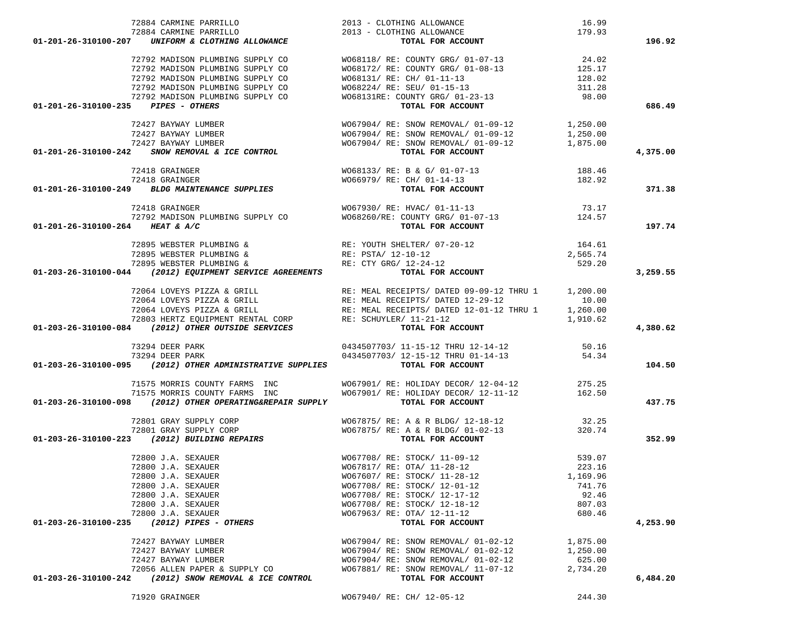|  | 71920 GRAINGER |
|--|----------------|
|--|----------------|

71920 GRAINGER WO67940/ RE: CH/ 12-05-12 244.30

| 72884 CARMINE PARRILLO                                                                                                                                                                                                                                                                                                      |                               | 2013 - CLOTHING ALLOWANCE                                                                                                                                                                                                                                                                                                                                                                                                                                 |          |          |
|-----------------------------------------------------------------------------------------------------------------------------------------------------------------------------------------------------------------------------------------------------------------------------------------------------------------------------|-------------------------------|-----------------------------------------------------------------------------------------------------------------------------------------------------------------------------------------------------------------------------------------------------------------------------------------------------------------------------------------------------------------------------------------------------------------------------------------------------------|----------|----------|
| 01-201-26-310100-207 UNIFORM & CLOTHING ALLOWANCE                                                                                                                                                                                                                                                                           |                               | ING ALLOWANCE 179.93<br><b>TOTAL FOR ACCOUNT</b>                                                                                                                                                                                                                                                                                                                                                                                                          |          | 196.92   |
|                                                                                                                                                                                                                                                                                                                             |                               |                                                                                                                                                                                                                                                                                                                                                                                                                                                           |          |          |
|                                                                                                                                                                                                                                                                                                                             |                               |                                                                                                                                                                                                                                                                                                                                                                                                                                                           |          |          |
|                                                                                                                                                                                                                                                                                                                             |                               |                                                                                                                                                                                                                                                                                                                                                                                                                                                           |          |          |
|                                                                                                                                                                                                                                                                                                                             |                               |                                                                                                                                                                                                                                                                                                                                                                                                                                                           |          |          |
|                                                                                                                                                                                                                                                                                                                             |                               |                                                                                                                                                                                                                                                                                                                                                                                                                                                           |          |          |
|                                                                                                                                                                                                                                                                                                                             |                               |                                                                                                                                                                                                                                                                                                                                                                                                                                                           |          |          |
| 01-201-26-310100-235 PIPES - OTHERS                                                                                                                                                                                                                                                                                         |                               | $\begin{tabular}{lllllllllllllllllll} \begin{tabular}{lcccccc} \text{72792 MADISON PLUMBING SUPPLY CO} & & & & & & & & & & & & & & & & 24.02 \\ \text{72792 MADISON PLUMBING SUPPLY CO} & & & & & & & & & & & & & & 24.02 \\ \text{72792 MADISON PLUMBING SUPPLY CO} & & & & & & & & & & & & & 125.17 \\ \text{72792 MADISON PLUMBING SUPPLY CO} & & & & & & & & & & & & 125.17 \\ \text{72792 MADISON PLUMBING SUPPLY CO} & & & & & & & & & & & & 128.0$ |          | 686.49   |
|                                                                                                                                                                                                                                                                                                                             |                               |                                                                                                                                                                                                                                                                                                                                                                                                                                                           |          |          |
|                                                                                                                                                                                                                                                                                                                             |                               |                                                                                                                                                                                                                                                                                                                                                                                                                                                           |          |          |
|                                                                                                                                                                                                                                                                                                                             |                               |                                                                                                                                                                                                                                                                                                                                                                                                                                                           |          |          |
|                                                                                                                                                                                                                                                                                                                             |                               |                                                                                                                                                                                                                                                                                                                                                                                                                                                           |          |          |
| $72427 BAYWAY LUMBER$ $72427 BAYWAY LUMBER$ $72427 BAYWAY LUMBER$ $72427 BAYWAY LUMBER$ $72427 BAYWAY LUMBER$ $72427 BAYWAY LUMBER$ $72427 BAYWAY LUMBER$ $72427 BAYWAY LUMBER$ $72428$ $TOTAL FOR ACCUNT$ $80067904 / RE: SNOW REMOVAL/ 01-09-12TOTAL FOR ACCUNT$                                                          |                               |                                                                                                                                                                                                                                                                                                                                                                                                                                                           |          | 4,375.00 |
|                                                                                                                                                                                                                                                                                                                             |                               |                                                                                                                                                                                                                                                                                                                                                                                                                                                           |          |          |
|                                                                                                                                                                                                                                                                                                                             |                               |                                                                                                                                                                                                                                                                                                                                                                                                                                                           |          |          |
|                                                                                                                                                                                                                                                                                                                             |                               |                                                                                                                                                                                                                                                                                                                                                                                                                                                           |          |          |
|                                                                                                                                                                                                                                                                                                                             |                               |                                                                                                                                                                                                                                                                                                                                                                                                                                                           |          | 371.38   |
|                                                                                                                                                                                                                                                                                                                             |                               |                                                                                                                                                                                                                                                                                                                                                                                                                                                           |          |          |
| 72418 GRAINGER                                                                                                                                                                                                                                                                                                              |                               | 72418 GRAINGER<br>73.17<br>73.17 T2792 MADISON PLUMBING SUPPLY CO<br>4 <b>HEAT &amp; A/C</b><br>4 <b>HEAT &amp; A/C</b>                                                                                                                                                                                                                                                                                                                                   |          |          |
|                                                                                                                                                                                                                                                                                                                             |                               |                                                                                                                                                                                                                                                                                                                                                                                                                                                           |          |          |
| 01-201-26-310100-264 HEAT & A/C                                                                                                                                                                                                                                                                                             |                               | TOTAL FOR ACCOUNT                                                                                                                                                                                                                                                                                                                                                                                                                                         |          | 197.74   |
|                                                                                                                                                                                                                                                                                                                             |                               |                                                                                                                                                                                                                                                                                                                                                                                                                                                           |          |          |
|                                                                                                                                                                                                                                                                                                                             |                               |                                                                                                                                                                                                                                                                                                                                                                                                                                                           |          |          |
|                                                                                                                                                                                                                                                                                                                             |                               |                                                                                                                                                                                                                                                                                                                                                                                                                                                           |          |          |
|                                                                                                                                                                                                                                                                                                                             |                               |                                                                                                                                                                                                                                                                                                                                                                                                                                                           |          |          |
| 01-203-26-310100-044 (2012) EQUIPMENT SERVICE AGREEMENTS                                                                                                                                                                                                                                                                    |                               | $\begin{array}{lllllllllll} \text{72895 WEBSTER PLUMBING & & & & & \\ \text{RE: YOUTH SHELTE} & \text{07--20--12} & & & & 164.61 \\ \text{72895 WEBSTER PLUMBING & & & & \\ \text{72895 WEBSTER PLUMBING & & & \\ \text{72896 WEBSTER PLUMBING & & & \\ \text{72897 WEBITER} & \text{2565.74} & & \\ \text{72898 WEBSTER PLUMBING & & & \\ \text{72899 WEBSTER PLUMBING & & & \\ \text{72890 WEBSTER PLUMBING & & & \\ \text{72891 W$                     |          | 3,259.55 |
|                                                                                                                                                                                                                                                                                                                             |                               |                                                                                                                                                                                                                                                                                                                                                                                                                                                           |          |          |
|                                                                                                                                                                                                                                                                                                                             |                               |                                                                                                                                                                                                                                                                                                                                                                                                                                                           |          |          |
|                                                                                                                                                                                                                                                                                                                             |                               |                                                                                                                                                                                                                                                                                                                                                                                                                                                           |          |          |
|                                                                                                                                                                                                                                                                                                                             |                               |                                                                                                                                                                                                                                                                                                                                                                                                                                                           |          |          |
|                                                                                                                                                                                                                                                                                                                             |                               |                                                                                                                                                                                                                                                                                                                                                                                                                                                           |          |          |
| $1,200.00$ $72064 LOWEYS PIZZA & GRILL\\ 72064 LOWEYS PIZZA & GRILL\\ 72064 LOWEYS PIZZA & GRILL\\ 72064 LOWEYS PIZZA & GRILL\\ 72064 LOWEYS PIZZA & GRILL\\ 72064 LOWEYS PIZZA & GRILL\\ 72064 LOWEYS PIZZA & GRILL\\ 72064 LOWEYS PIZZA & GRILL\\ 72064 LOWEYS PIZZA & GRILL\\ 72064 LOWEYS PIZZA & GRILL\\ 72064 LOWEYS$ |                               |                                                                                                                                                                                                                                                                                                                                                                                                                                                           |          | 4,380.62 |
|                                                                                                                                                                                                                                                                                                                             |                               |                                                                                                                                                                                                                                                                                                                                                                                                                                                           |          |          |
| 73294 DEER PARK                                                                                                                                                                                                                                                                                                             |                               | $0434507703/ 11-15-12$ THRU 12-14-12<br>0434507703/ 12-15-12 THRU 01-14-13<br>54.34                                                                                                                                                                                                                                                                                                                                                                       |          |          |
| 73294 DEER PARK                                                                                                                                                                                                                                                                                                             |                               |                                                                                                                                                                                                                                                                                                                                                                                                                                                           |          |          |
| $01-203-26-310100-095$ (2012) OTHER ADMINISTRATIVE SUPPLIES                                                                                                                                                                                                                                                                 |                               |                                                                                                                                                                                                                                                                                                                                                                                                                                                           |          | 104.50   |
|                                                                                                                                                                                                                                                                                                                             |                               |                                                                                                                                                                                                                                                                                                                                                                                                                                                           |          |          |
|                                                                                                                                                                                                                                                                                                                             |                               |                                                                                                                                                                                                                                                                                                                                                                                                                                                           |          |          |
|                                                                                                                                                                                                                                                                                                                             |                               |                                                                                                                                                                                                                                                                                                                                                                                                                                                           |          |          |
| 01-203-26-310100-098 (2012) OTHER OPERATING&REPAIR SUPPLY                                                                                                                                                                                                                                                                   |                               | 71575 MORRIS COUNTY FARMS INC $0.275.25$<br>71575 MORRIS COUNTY FARMS INC WO67901/ RE: HOLIDAY DECOR/12-11-12 162.50<br>8 (2012) OTHER OPERATING&REPAIR SUPPLY TOTAL FOR ACCOUNT                                                                                                                                                                                                                                                                          |          | 437.75   |
|                                                                                                                                                                                                                                                                                                                             |                               |                                                                                                                                                                                                                                                                                                                                                                                                                                                           |          |          |
|                                                                                                                                                                                                                                                                                                                             |                               |                                                                                                                                                                                                                                                                                                                                                                                                                                                           |          |          |
|                                                                                                                                                                                                                                                                                                                             |                               |                                                                                                                                                                                                                                                                                                                                                                                                                                                           |          |          |
|                                                                                                                                                                                                                                                                                                                             |                               |                                                                                                                                                                                                                                                                                                                                                                                                                                                           |          | 352.99   |
|                                                                                                                                                                                                                                                                                                                             |                               |                                                                                                                                                                                                                                                                                                                                                                                                                                                           |          |          |
| 72800 J.A. SEXAUER                                                                                                                                                                                                                                                                                                          |                               |                                                                                                                                                                                                                                                                                                                                                                                                                                                           |          |          |
| 72800 J.A. SEXAUER                                                                                                                                                                                                                                                                                                          |                               | W067708/ RE: STOCK/ 11-09-12 539.07<br>W067817/ RE: OTA/ 11-28-12 223.16<br>W067607/ RE: STOCK/ 11-28-12 1,169.96<br>W067708/ PF: STOCK/ 12-01-12 741.76                                                                                                                                                                                                                                                                                                  |          |          |
| 72800 J.A. SEXAUER                                                                                                                                                                                                                                                                                                          |                               |                                                                                                                                                                                                                                                                                                                                                                                                                                                           |          |          |
| 72800 J.A. SEXAUER                                                                                                                                                                                                                                                                                                          |                               | WO67708/ RE: STOCK/ 12-01-12                                                                                                                                                                                                                                                                                                                                                                                                                              | 741.76   |          |
|                                                                                                                                                                                                                                                                                                                             |                               | WO67708/ RE: STOCK/ 12-17-12                                                                                                                                                                                                                                                                                                                                                                                                                              | 92.46    |          |
| 72800 J.A. SEXAUER<br>72800 J.A. SEXAUER                                                                                                                                                                                                                                                                                    |                               | W067708/ RE: STOCK/ 12-18-12                                                                                                                                                                                                                                                                                                                                                                                                                              | 807.03   |          |
| 72800 J.A. SEXAUER                                                                                                                                                                                                                                                                                                          |                               | W067963/ RE: OTA/ 12-11-12                                                                                                                                                                                                                                                                                                                                                                                                                                | 680.46   |          |
| 01-203-26-310100-235 (2012) PIPES - OTHERS                                                                                                                                                                                                                                                                                  |                               | TOTAL FOR ACCOUNT                                                                                                                                                                                                                                                                                                                                                                                                                                         |          | 4,253.90 |
|                                                                                                                                                                                                                                                                                                                             |                               |                                                                                                                                                                                                                                                                                                                                                                                                                                                           |          |          |
| 72427 BAYWAY LUMBER                                                                                                                                                                                                                                                                                                         |                               | WO67904/ RE: SNOW REMOVAL/ 01-02-12                                                                                                                                                                                                                                                                                                                                                                                                                       | 1,875.00 |          |
| 72427 BAYWAY LUMBER                                                                                                                                                                                                                                                                                                         |                               | W067904/ RE: SNOW REMOVAL/ 01-02-12                                                                                                                                                                                                                                                                                                                                                                                                                       | 1,250.00 |          |
|                                                                                                                                                                                                                                                                                                                             |                               |                                                                                                                                                                                                                                                                                                                                                                                                                                                           |          |          |
| 72427 BAYWAY LUMBER                                                                                                                                                                                                                                                                                                         |                               | WO67904/ RE: SNOW REMOVAL/ 01-02-12<br>WO67881/ RE: SNOW REMOVAL/ 11-07-12                                                                                                                                                                                                                                                                                                                                                                                | 625.00   |          |
| 01-203-26-310100-242 (2012) SNOW REMOVAL & ICE CONTROL                                                                                                                                                                                                                                                                      | 72056 ALLEN PAPER & SUPPLY CO | TOTAL FOR ACCOUNT                                                                                                                                                                                                                                                                                                                                                                                                                                         | 2,734.20 | 6,484.20 |
|                                                                                                                                                                                                                                                                                                                             |                               |                                                                                                                                                                                                                                                                                                                                                                                                                                                           |          |          |

72884 CARMINE PARRILLO 2013 - CLOTHING ALLOWANCE 16.99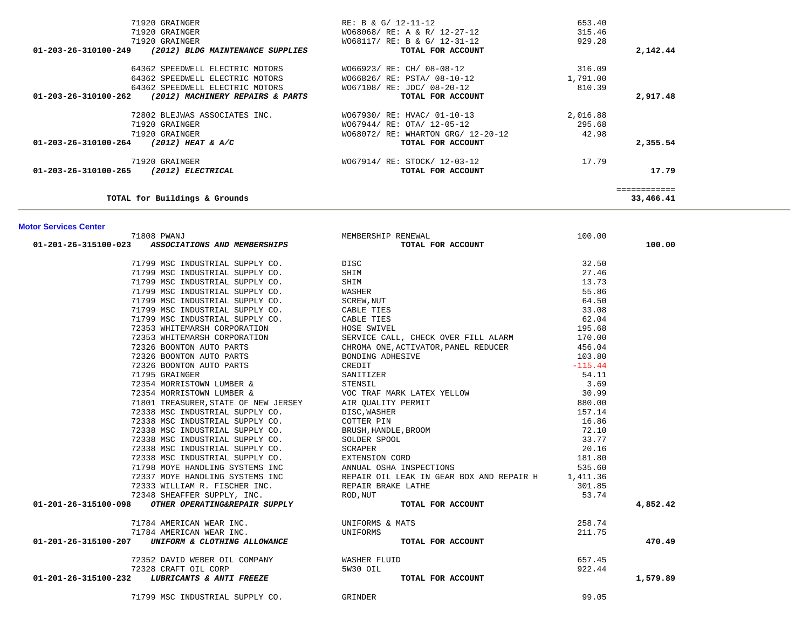| 71920 GRAINGER                                          | RE: B & G/ 12-11-12                  | 653.40    |              |
|---------------------------------------------------------|--------------------------------------|-----------|--------------|
| 71920 GRAINGER                                          | WO68068/ RE: A & R/ 12-27-12         | 315.46    |              |
| 71920 GRAINGER                                          | WO68117/ RE: B & G/ 12-31-12         | 929.28    |              |
| $01-203-26-310100-249$ (2012) BLDG MAINTENANCE SUPPLIES | TOTAL FOR ACCOUNT                    |           | 2,142.44     |
| 64362 SPEEDWELL ELECTRIC MOTORS                         | W066923/RE: CH/ 08-08-12             | 316.09    |              |
| 64362 SPEEDWELL ELECTRIC MOTORS                         | W066826/ RE: PSTA/ 08-10-12          | 1,791.00  |              |
| 64362 SPEEDWELL ELECTRIC MOTORS                         | W067108/ RE: JDC/ 08-20-12           | 810.39    |              |
| 01-203-26-310100-262 (2012) MACHINERY REPAIRS & PARTS   | TOTAL FOR ACCOUNT                    |           | 2,917.48     |
| 72802 BLEJWAS ASSOCIATES INC.                           | WO67930/RE: HVAC/ 01-10-13 2,016.88  |           |              |
| 71920 GRAINGER                                          | W067944/ RE: OTA/ 12-05-12           | 295.68    |              |
| 71920 GRAINGER                                          | W068072/ RE: WHARTON GRG/ 12-20-12   | 42.98     |              |
| 01-203-26-310100-264 (2012) HEAT & A/C                  | TOTAL FOR ACCOUNT                    |           | 2,355.54     |
| 71920 GRAINGER                                          | W067914/ RE: STOCK/ 12-03-12         | 17.79     |              |
| 01-203-26-310100-265 (2012) ELECTRICAL                  | TOTAL FOR ACCOUNT                    |           | 17.79        |
|                                                         |                                      |           | ============ |
| TOTAL for Buildings & Grounds                           |                                      |           | 33,466.41    |
|                                                         |                                      |           |              |
| <b>Motor Services Center</b><br>71808 PWANJ             | MEMBERSHIP RENEWAL                   | 100.00    |              |
| 01-201-26-315100-023 ASSOCIATIONS AND MEMBERSHIPS       | TOTAL FOR ACCOUNT                    |           | 100.00       |
| 71799 MSC INDUSTRIAL SUPPLY CO.                         | DISC                                 | 32.50     |              |
| 71799 MSC INDUSTRIAL SUPPLY CO.                         | SHIM                                 | 27.46     |              |
| 71799 MSC INDUSTRIAL SUPPLY CO.                         | SHIM                                 | 13.73     |              |
| 71799 MSC INDUSTRIAL SUPPLY CO.                         | WASHER                               | 55.86     |              |
| 71799 MSC INDUSTRIAL SUPPLY CO.                         | SCREW, NUT                           | 64.50     |              |
| 71799 MSC INDUSTRIAL SUPPLY CO.                         | CABLE TIES                           | 33.08     |              |
| 71799 MSC INDUSTRIAL SUPPLY CO.                         | CABLE TIES                           | 62.04     |              |
| 72353 WHITEMARSH CORPORATION                            | HOSE SWIVEL                          | 195.68    |              |
| 72353 WHITEMARSH CORPORATION                            | SERVICE CALL, CHECK OVER FILL ALARM  | 170.00    |              |
| 72326 BOONTON AUTO PARTS                                | CHROMA ONE, ACTIVATOR, PANEL REDUCER | 456.04    |              |
| 72326 BOONTON AUTO PARTS                                |                                      |           |              |
|                                                         | BONDING ADHESIVE                     | 103.80    |              |
| 72326 BOONTON AUTO PARTS                                | CREDIT                               | $-115.44$ |              |

72354 MORRISTOWN LUMBER & STENSIL 3.69

 71801 TREASURER,STATE OF NEW JERSEY AIR QUALITY PERMIT 880.00 72338 MSC INDUSTRIAL SUPPLY CO. BISC, WASHER 157.14 72338 MSC INDUSTRIAL SUPPLY CO. COTTER PIN 16.86 72338 MSC INDUSTRIAL SUPPLY CO. BRUSH,HANDLE,BROOM 72.10

 72338 MSC INDUSTRIAL SUPPLY CO. SCRAPER 20.16 72338 MSC INDUSTRIAL SUPPLY CO. EXTENSION CORD 181.80 71798 MOYE HANDLING SYSTEMS INC ANNUAL OSHA INSPECTIONS 535.60 72337 MOYE HANDLING SYSTEMS INC REPAIR OIL LEAK IN GEAR BOX AND REPAIR H 1,411.36 72333 WILLIAM R. FISCHER INC. REPAIR BRAKE LATHE 301.85 72348 SHEAFFER SUPPLY, INC. ROD,NUT 53.74  **01-201-26-315100-098** *OTHER OPERATING&REPAIR SUPPLY* **TOTAL FOR ACCOUNT 4,852.42**

71784 AMERICAN WEAR INC. UNIFORMS & MATS 258.74

72352 DAVID WEBER OIL COMPANY WASHER FLUID 657.45 72328 CRAFT OIL CORP 5W30 OIL 922.44  **01-201-26-315100-232** *LUBRICANTS & ANTI FREEZE* **TOTAL FOR ACCOUNT 1,579.89**

71799 MSC INDUSTRIAL SUPPLY CO. GRINDER 99.05

30.99

33.77

211.75

470.49

72354 MORRISTOWN LUMBER & 30.999 VOC TRAF MARK LATEX YELLOW

72338 MSC INDUSTRIAL SUPPLY CO. SOLDER SPOOL

71784 AMERICAN WEAR INC. UNIFORMS

**01-201-26-315100-207** *UNIFORM & CLOTHING ALLOWANCE* **<b>***TOTAL FOR ACCOUNT*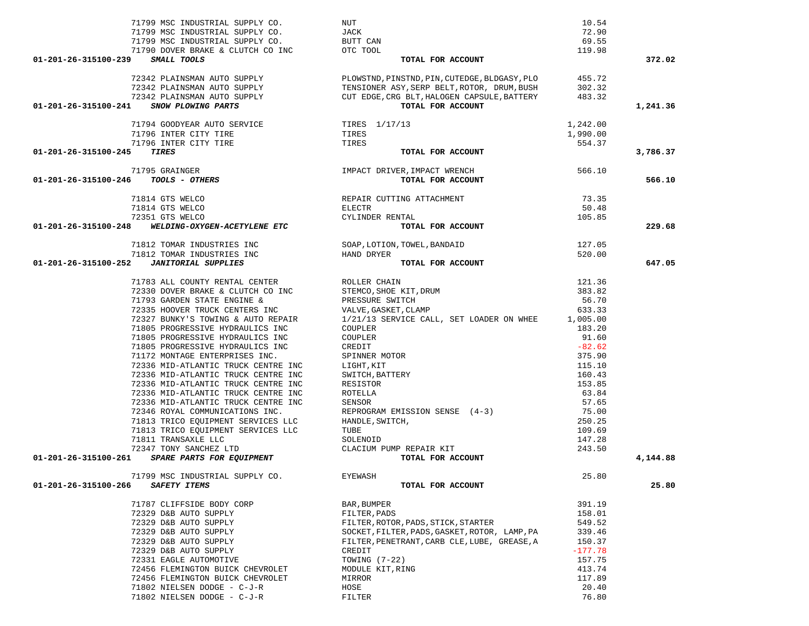|                                     | 71799 MSC INDUSTRIAL SUPPLY CO.                                                                                          | NUT                                                                                                                                                                                                                                                                                                                                                                                                                                                | 10.54     |          |
|-------------------------------------|--------------------------------------------------------------------------------------------------------------------------|----------------------------------------------------------------------------------------------------------------------------------------------------------------------------------------------------------------------------------------------------------------------------------------------------------------------------------------------------------------------------------------------------------------------------------------------------|-----------|----------|
|                                     | 71799 MSC INDUSTRIAL SUPPLY CO.                                                                                          | JACK                                                                                                                                                                                                                                                                                                                                                                                                                                               | 72.90     |          |
|                                     |                                                                                                                          |                                                                                                                                                                                                                                                                                                                                                                                                                                                    |           |          |
|                                     |                                                                                                                          |                                                                                                                                                                                                                                                                                                                                                                                                                                                    | 69.55     |          |
|                                     | 71799 MSC INDUSTRIAL SUPPLY CO.<br>71790 DOVER BRAKE & CLUTCH CO INC OTC TOOL                                            |                                                                                                                                                                                                                                                                                                                                                                                                                                                    | 119.98    |          |
| 01-201-26-315100-239 SMALL TOOLS    |                                                                                                                          | TOTAL FOR ACCOUNT                                                                                                                                                                                                                                                                                                                                                                                                                                  |           | 372.02   |
|                                     |                                                                                                                          | $\begin{array}{lllllllllllllll} \text{72342 PLAINSMAN AUTO SUPPLY} & & & \text{PLOWSTND, PINSTND, PIN, CUTEDGE, BLDGASY, PLO} & & & \text{455.72} \\ \text{72342 PLAINSMAN AUTO SUPPLY} & & & \text{TENSIONER ASY, SERB BELT, ROTOR, DRUM, BUSH} & & \text{302.32} \\ \text{72342 PLAINSMAN AUTO SUPPLY} & & & \text{CTEDGE, CRG BLT, HALOGEN CAPSULE, BATTERTRY} & & \text{483.32} \\ \text{5000 PLOWING PARTS} & & & & \text{TOTAL FOR ACCOUNT}$ |           |          |
|                                     |                                                                                                                          |                                                                                                                                                                                                                                                                                                                                                                                                                                                    |           |          |
|                                     |                                                                                                                          |                                                                                                                                                                                                                                                                                                                                                                                                                                                    |           |          |
|                                     | 01-201-26-315100-241 SNOW PLOWING PARTS                                                                                  |                                                                                                                                                                                                                                                                                                                                                                                                                                                    |           | 1,241.36 |
|                                     |                                                                                                                          |                                                                                                                                                                                                                                                                                                                                                                                                                                                    |           |          |
|                                     | 71794 GOODYEAR AUTO SERVICE TIRES 1/17/13<br>71796 INTER CITY TIRE TIRES TIRES<br>71796 INTER CITY TIRE TIRES TIRES TOTA |                                                                                                                                                                                                                                                                                                                                                                                                                                                    | 1,242.00  |          |
|                                     |                                                                                                                          |                                                                                                                                                                                                                                                                                                                                                                                                                                                    | 1,990.00  |          |
|                                     |                                                                                                                          |                                                                                                                                                                                                                                                                                                                                                                                                                                                    | 554.37    |          |
| 01-201-26-315100-245                |                                                                                                                          | TOTAL FOR ACCOUNT                                                                                                                                                                                                                                                                                                                                                                                                                                  |           | 3,786.37 |
|                                     |                                                                                                                          | IMPACT DRIVER, IMPACT WRENCH<br><b>TOTAL FOR ACCOUNT</b><br>TOTAL FOR ACCOUNT                                                                                                                                                                                                                                                                                                                                                                      |           |          |
|                                     | 71795 GRAINGER                                                                                                           |                                                                                                                                                                                                                                                                                                                                                                                                                                                    |           |          |
| 01-201-26-315100-246 TOOLS - OTHERS |                                                                                                                          |                                                                                                                                                                                                                                                                                                                                                                                                                                                    |           | 566.10   |
|                                     |                                                                                                                          |                                                                                                                                                                                                                                                                                                                                                                                                                                                    |           |          |
|                                     | 14 GTS WELCO<br>14 GTS WELCO<br>51 GTS WELCO<br><b>WELDING-OXYGEN-ACETYLENE ETC</b><br>71814 GTS WELCO                   | REPAIR CUTTING ATTACHMENT<br>ELECTR<br>CVI.INDER RENTAL                                                                                                                                                                                                                                                                                                                                                                                            | 73.35     |          |
|                                     | 71814 GTS WELCO                                                                                                          |                                                                                                                                                                                                                                                                                                                                                                                                                                                    | 50.48     |          |
|                                     |                                                                                                                          |                                                                                                                                                                                                                                                                                                                                                                                                                                                    |           |          |
|                                     | 72351 GTS WELCO                                                                                                          |                                                                                                                                                                                                                                                                                                                                                                                                                                                    | 105.85    |          |
| 01-201-26-315100-248                |                                                                                                                          | TOTAL FOR ACCOUNT                                                                                                                                                                                                                                                                                                                                                                                                                                  |           | 229.68   |
|                                     |                                                                                                                          | 71812 TOMAR INDUSTRIES INC<br>71812 TOMAR INDUSTRIES INC<br>2 JANITORIAL SUPPLIES                                                                                                                                                                                                                                                                                                                                                                  |           |          |
|                                     |                                                                                                                          |                                                                                                                                                                                                                                                                                                                                                                                                                                                    |           |          |
| 01-201-26-315100-252                |                                                                                                                          |                                                                                                                                                                                                                                                                                                                                                                                                                                                    |           | 647.05   |
|                                     |                                                                                                                          |                                                                                                                                                                                                                                                                                                                                                                                                                                                    |           |          |
|                                     | 71783 ALL COUNTY RENTAL CENTER THE ROLLER CHAIN                                                                          |                                                                                                                                                                                                                                                                                                                                                                                                                                                    | 121.36    |          |
|                                     |                                                                                                                          | $71783$ ALL COUNTY RENTAL CENTER (ROLLER CHAIN 72330 DOVER BRAKE & CLUTCH CO INC (STEMCO, SHOE KIT, DRUM 71793 GARDEN STATE ENGINE &                                                                                                                                                                                                                                                                                                               | 383.82    |          |
|                                     |                                                                                                                          |                                                                                                                                                                                                                                                                                                                                                                                                                                                    |           |          |
|                                     | 71793 GARDEN STATE ENGINE &                                                                                              | PRESSURE SWITCH                                                                                                                                                                                                                                                                                                                                                                                                                                    | 56.70     |          |
|                                     | TIT93 GARDEN SIALE ENSINERS INC<br>72335 HOOVER TRUCK CENTERS INC<br>20005 DINTERIA TONING & AUTO REPAIR                 | VALVE, GASKET, CLAMP<br>1/21/13 SERVICE CALL SERVICE                                                                                                                                                                                                                                                                                                                                                                                               | 633.33    |          |
|                                     |                                                                                                                          | 1/21/13 SERVICE CALL, SET LOADER ON WHEE 1,005.00                                                                                                                                                                                                                                                                                                                                                                                                  |           |          |
|                                     | 71805 PROGRESSIVE HYDRAULICS INC                                                                                         | COUPLER                                                                                                                                                                                                                                                                                                                                                                                                                                            | 183.20    |          |
|                                     | 71805 PROGRESSIVE HYDRAULICS INC                                                                                         | COUPLER                                                                                                                                                                                                                                                                                                                                                                                                                                            | 91.60     |          |
|                                     | 71805 PROGRESSIVE HYDRAULICS INC                                                                                         | CREDIT                                                                                                                                                                                                                                                                                                                                                                                                                                             | $-82.62$  |          |
|                                     | 71172 MONTAGE ENTERPRISES INC.                                                                                           | SPINNER MOTOR                                                                                                                                                                                                                                                                                                                                                                                                                                      | 375.90    |          |
|                                     | 72336 MID-ATLANTIC TRUCK CENTRE INC                                                                                      | LIGHT, KIT                                                                                                                                                                                                                                                                                                                                                                                                                                         | 115.10    |          |
|                                     |                                                                                                                          |                                                                                                                                                                                                                                                                                                                                                                                                                                                    |           |          |
|                                     | 72336 MID-ATLANTIC TRUCK CENTRE INC                                                                                      | SWITCH, BATTERY                                                                                                                                                                                                                                                                                                                                                                                                                                    | 160.43    |          |
|                                     | 72336 MID-ATLANTIC TRUCK CENTRE INC                                                                                      | RESISTOR                                                                                                                                                                                                                                                                                                                                                                                                                                           | 153.85    |          |
|                                     | 72336 MID-ATLANTIC TRUCK CENTRE INC                                                                                      | ROTELLA                                                                                                                                                                                                                                                                                                                                                                                                                                            | 63.84     |          |
|                                     | 72336 MID-ATLANTIC TRUCK CENTRE INC                                                                                      | SENSOR                                                                                                                                                                                                                                                                                                                                                                                                                                             | 57.65     |          |
|                                     | 72346 ROYAL COMMUNICATIONS INC.                                                                                          | REPROGRAM EMISSION SENSE (4-3)                                                                                                                                                                                                                                                                                                                                                                                                                     | 75.00     |          |
|                                     | 71813 TRICO EQUIPMENT SERVICES LLC                                                                                       | HANDLE, SWITCH,                                                                                                                                                                                                                                                                                                                                                                                                                                    | 250.25    |          |
|                                     | 71813 TRICO EQUIPMENT SERVICES LLC                                                                                       | TUBE                                                                                                                                                                                                                                                                                                                                                                                                                                               | 109.69    |          |
|                                     | 71811 TRANSAXLE LLC                                                                                                      | ----<br>SOLENOID<br>CLACIUM PUMP REPAIR KIT                                                                                                                                                                                                                                                                                                                                                                                                        | 147.28    |          |
|                                     | 72347 TONY SANCHEZ LTD                                                                                                   |                                                                                                                                                                                                                                                                                                                                                                                                                                                    | 243.50    |          |
| 01-201-26-315100-261                | 11 IRANSAALE LEC<br>47 TONY SANCHEZ LTD<br><b><i>SPARE PARTS FOR EQUIPMENT</i></b>                                       | TOTAL FOR ACCOUNT                                                                                                                                                                                                                                                                                                                                                                                                                                  |           | 4,144.88 |
|                                     |                                                                                                                          |                                                                                                                                                                                                                                                                                                                                                                                                                                                    |           |          |
|                                     | 71799 MSC INDUSTRIAL SUPPLY CO.                                                                                          | EYEWASH                                                                                                                                                                                                                                                                                                                                                                                                                                            | 25.80     |          |
| 01-201-26-315100-266                | SAFETY ITEMS                                                                                                             | TOTAL FOR ACCOUNT                                                                                                                                                                                                                                                                                                                                                                                                                                  |           | 25.80    |
|                                     | 71787 CLIFFSIDE BODY CORP                                                                                                | BAR, BUMPER                                                                                                                                                                                                                                                                                                                                                                                                                                        | 391.19    |          |
|                                     |                                                                                                                          |                                                                                                                                                                                                                                                                                                                                                                                                                                                    |           |          |
|                                     | 72329 D&B AUTO SUPPLY                                                                                                    | FILTER, PADS                                                                                                                                                                                                                                                                                                                                                                                                                                       | 158.01    |          |
|                                     | 72329 D&B AUTO SUPPLY                                                                                                    | FILTER, ROTOR, PADS, STICK, STARTER                                                                                                                                                                                                                                                                                                                                                                                                                | 549.52    |          |
|                                     | 72329 D&B AUTO SUPPLY                                                                                                    | SOCKET, FILTER, PADS, GASKET, ROTOR, LAMP, PA                                                                                                                                                                                                                                                                                                                                                                                                      | 339.46    |          |
|                                     | 72329 D&B AUTO SUPPLY                                                                                                    | FILTER, PENETRANT, CARB CLE, LUBE, GREASE, A                                                                                                                                                                                                                                                                                                                                                                                                       | 150.37    |          |
|                                     | 72329 D&B AUTO SUPPLY                                                                                                    | CREDIT                                                                                                                                                                                                                                                                                                                                                                                                                                             | $-177.78$ |          |
|                                     | 72331 EAGLE AUTOMOTIVE                                                                                                   | TOWING $(7-22)$                                                                                                                                                                                                                                                                                                                                                                                                                                    | 157.75    |          |
|                                     | 72456 FLEMINGTON BUICK CHEVROLET                                                                                         | MODULE KIT, RING                                                                                                                                                                                                                                                                                                                                                                                                                                   | 413.74    |          |
|                                     | 72456 FLEMINGTON BUICK CHEVROLET                                                                                         | MIRROR                                                                                                                                                                                                                                                                                                                                                                                                                                             | 117.89    |          |
|                                     | 71802 NIELSEN DODGE - C-J-R                                                                                              | HOSE                                                                                                                                                                                                                                                                                                                                                                                                                                               | 20.40     |          |
|                                     | 71802 NIELSEN DODGE - C-J-R                                                                                              | FILTER                                                                                                                                                                                                                                                                                                                                                                                                                                             | 76.80     |          |
|                                     |                                                                                                                          |                                                                                                                                                                                                                                                                                                                                                                                                                                                    |           |          |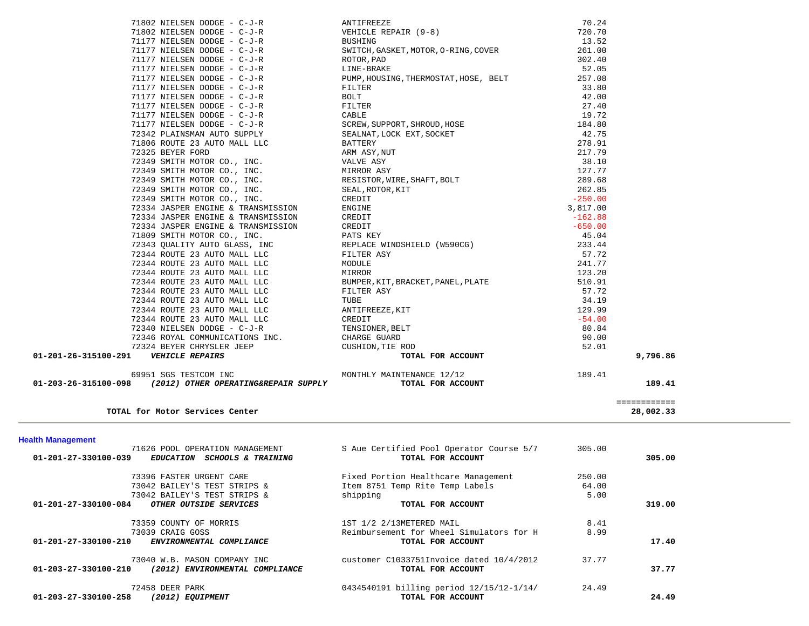| 71626 POOL OPERATION MANAGEMENT                                   | S Aue Certified Pool Operator Course 5/7 | 305.00 |        |
|-------------------------------------------------------------------|------------------------------------------|--------|--------|
| 01-201-27-330100-039<br>EDUCATION SCHOOLS & TRAINING              | TOTAL FOR ACCOUNT                        |        | 305.00 |
| 73396 FASTER URGENT CARE                                          | Fixed Portion Healthcare Management      | 250.00 |        |
| 73042 BAILEY'S TEST STRIPS &                                      | Item 8751 Temp Rite Temp Labels          | 64.00  |        |
| 73042 BAILEY'S TEST STRIPS &                                      | shipping                                 | 5.00   |        |
| 01-201-27-330100-084<br>OTHER OUTSIDE SERVICES                    | TOTAL FOR ACCOUNT                        |        | 319.00 |
| 73359 COUNTY OF MORRIS                                            | 1ST 1/2 2/13METERED MAIL                 | 8.41   |        |
| 73039 CRAIG GOSS                                                  | Reimbursement for Wheel Simulators for H | 8.99   |        |
| 01-201-27-330100-210<br>ENVIRONMENTAL COMPLIANCE                  | TOTAL FOR ACCOUNT                        |        | 17.40  |
| 73040 W.B. MASON COMPANY INC                                      | customer C1033751Invoice dated 10/4/2012 | 37.77  |        |
| $01 - 203 - 27 - 330100 - 210$<br>(2012) ENVIRONMENTAL COMPLIANCE | TOTAL FOR ACCOUNT                        |        | 37.77  |
| 72458 DEER PARK                                                   | 0434540191 billing period 12/15/12-1/14/ | 24.49  |        |
| 01-203-27-330100-258<br>(2012) EQUIPMENT                          | TOTAL FOR ACCOUNT                        |        | 24.49  |

 69951 SGS TESTCOM INC MONTHLY MAINTENANCE 12/12 189.41  **01-203-26-315100-098** *(2012) OTHER OPERATING&REPAIR SUPPLY* **TOTAL FOR ACCOUNT 189.41**

28,002.33

============

**TOTAL for Motor Services Center 28,002.33**

**Health Management** 

| 71177 NIELSEN DODGE - C-J-R        | FILTER                             | 27.40     |
|------------------------------------|------------------------------------|-----------|
| 71177 NIELSEN DODGE - C-J-R        | CABLE                              | 19.72     |
| 71177 NIELSEN DODGE - C-J-R        | SCREW, SUPPORT, SHROUD, HOSE       | 184.80    |
| 72342 PLAINSMAN AUTO SUPPLY        | SEALNAT, LOCK EXT, SOCKET          | 42.75     |
| 71806 ROUTE 23 AUTO MALL LLC       | BATTERY                            | 278.91    |
| 72325 BEYER FORD                   | ARM ASY, NUT                       | 217.79    |
| 72349 SMITH MOTOR CO., INC.        | VALVE ASY                          | 38.10     |
| 72349 SMITH MOTOR CO., INC.        | MIRROR ASY                         | 127.77    |
| 72349 SMITH MOTOR CO., INC.        | RESISTOR, WIRE, SHAFT, BOLT        | 289.68    |
| 72349 SMITH MOTOR CO., INC.        | SEAL,ROTOR,KIT                     | 262.85    |
| 72349 SMITH MOTOR CO., INC.        | CREDIT                             | $-250.00$ |
| 72334 JASPER ENGINE & TRANSMISSION | ENGINE                             | 3,817.00  |
| 72334 JASPER ENGINE & TRANSMISSION | CREDIT                             | $-162.88$ |
| 72334 JASPER ENGINE & TRANSMISSION | CREDIT                             | $-650.00$ |
| 71809 SMITH MOTOR CO., INC.        | PATS KEY                           | 45.04     |
| 72343 QUALITY AUTO GLASS, INC      | REPLACE WINDSHIELD (W590CG)        | 233.44    |
| 72344 ROUTE 23 AUTO MALL LLC       | FILTER ASY                         | 57.72     |
| 72344 ROUTE 23 AUTO MALL LLC       | MODULE                             | 241.77    |
| 72344 ROUTE 23 AUTO MALL LLC       | MIRROR                             | 123.20    |
| 72344 ROUTE 23 AUTO MALL LLC       | BUMPER, KIT, BRACKET, PANEL, PLATE | 510.91    |
| 72344 ROUTE 23 AUTO MALL LLC       | FILTER ASY                         | 57.72     |
| 72344 ROUTE 23 AUTO MALL LLC       | TUBE                               | 34.19     |
| $\overline{a}$                     |                                    |           |

| 01-201-26-315100-291<br><b>VEHICLE REPAIRS</b> | TOTAL FOR ACCOUNT                                                                                                                                                                                                                           |                  | 9,796.86 |
|------------------------------------------------|---------------------------------------------------------------------------------------------------------------------------------------------------------------------------------------------------------------------------------------------|------------------|----------|
|                                                |                                                                                                                                                                                                                                             |                  |          |
|                                                |                                                                                                                                                                                                                                             |                  |          |
|                                                |                                                                                                                                                                                                                                             |                  |          |
|                                                |                                                                                                                                                                                                                                             |                  |          |
|                                                |                                                                                                                                                                                                                                             |                  |          |
|                                                |                                                                                                                                                                                                                                             |                  |          |
|                                                |                                                                                                                                                                                                                                             |                  |          |
|                                                |                                                                                                                                                                                                                                             |                  |          |
|                                                |                                                                                                                                                                                                                                             |                  |          |
|                                                |                                                                                                                                                                                                                                             |                  |          |
|                                                |                                                                                                                                                                                                                                             |                  |          |
|                                                |                                                                                                                                                                                                                                             |                  |          |
|                                                |                                                                                                                                                                                                                                             |                  |          |
|                                                |                                                                                                                                                                                                                                             |                  |          |
|                                                |                                                                                                                                                                                                                                             |                  |          |
|                                                |                                                                                                                                                                                                                                             |                  |          |
|                                                |                                                                                                                                                                                                                                             |                  |          |
|                                                |                                                                                                                                                                                                                                             |                  |          |
|                                                |                                                                                                                                                                                                                                             |                  |          |
|                                                |                                                                                                                                                                                                                                             |                  |          |
|                                                |                                                                                                                                                                                                                                             |                  |          |
|                                                |                                                                                                                                                                                                                                             |                  |          |
|                                                |                                                                                                                                                                                                                                             |                  |          |
|                                                |                                                                                                                                                                                                                                             |                  |          |
|                                                |                                                                                                                                                                                                                                             |                  |          |
|                                                |                                                                                                                                                                                                                                             |                  |          |
|                                                |                                                                                                                                                                                                                                             |                  |          |
|                                                |                                                                                                                                                                                                                                             |                  |          |
| 71177 NIELSEN DODGE - C-J-R                    | FILTER                                                                                                                                                                                                                                      | 33.80            |          |
| 71177 NIELSEN DODGE - C-J-R                    | PUMP, HOUSING, THERMOSTAT, HOSE, BELT                                                                                                                                                                                                       | 257.08           |          |
|                                                |                                                                                                                                                                                                                                             | 52.05            |          |
|                                                |                                                                                                                                                                                                                                             | 261.00<br>302.40 |          |
|                                                |                                                                                                                                                                                                                                             | 13.52            |          |
|                                                | 71802 NIELSEN DODGE - C-J-R<br>71802 NIELSEN DODGE - C-J-R<br>71177 NIELSEN DODGE - C-J-R<br>71177 NIELSEN DODGE - C-J-R<br>71177 NIELSEN DODGE - C-J-R<br>71177 NIELSEN DODGE - C-J-R<br>71177 NIELSEN DODGE - C-J-R<br>71177 NIELSEN DODG | 720.70           |          |
|                                                |                                                                                                                                                                                                                                             | 70.24            |          |
|                                                |                                                                                                                                                                                                                                             |                  |          |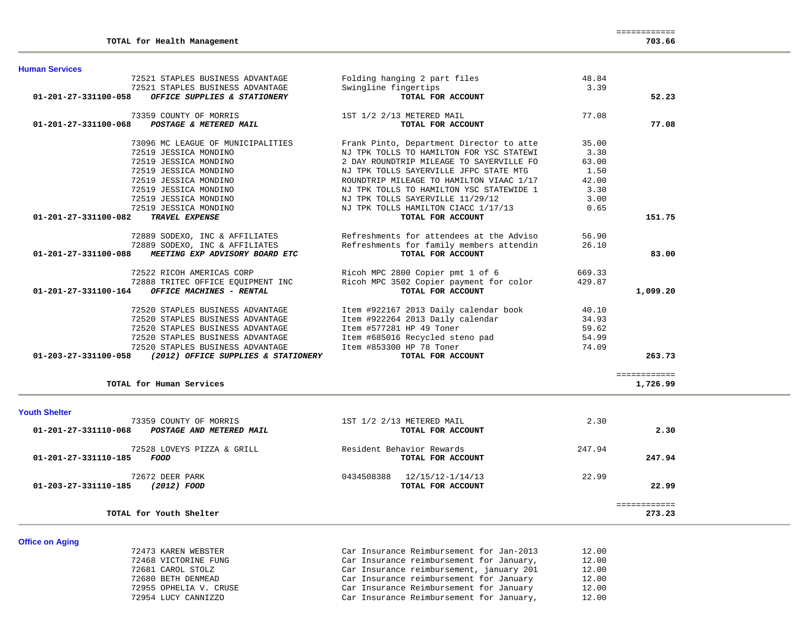| <b>Human Services</b>                                    |                                          |        |              |
|----------------------------------------------------------|------------------------------------------|--------|--------------|
| 72521 STAPLES BUSINESS ADVANTAGE                         | Folding hanging 2 part files             | 48.84  |              |
| 72521 STAPLES BUSINESS ADVANTAGE                         | Swingline fingertips                     | 3.39   |              |
| 01-201-27-331100-058<br>OFFICE SUPPLIES & STATIONERY     | TOTAL FOR ACCOUNT                        |        | 52.23        |
| 73359 COUNTY OF MORRIS                                   | 1ST 1/2 2/13 METERED MAIL                | 77.08  |              |
| 01-201-27-331100-068<br>POSTAGE & METERED MAIL           | TOTAL FOR ACCOUNT                        |        | 77.08        |
| 73096 MC LEAGUE OF MUNICIPALITIES                        | Frank Pinto, Department Director to atte | 35.00  |              |
| 72519 JESSICA MONDINO                                    | NJ TPK TOLLS TO HAMILTON FOR YSC STATEWI | 3.30   |              |
| 72519 JESSICA MONDINO                                    | 2 DAY ROUNDTRIP MILEAGE TO SAYERVILLE FO | 63.00  |              |
| 72519 JESSICA MONDINO                                    | NJ TPK TOLLS SAYERVILLE JFPC STATE MTG   | 1.50   |              |
| 72519 JESSICA MONDINO                                    | ROUNDTRIP MILEAGE TO HAMILTON VIAAC 1/17 | 42.00  |              |
| 72519 JESSICA MONDINO                                    | NJ TPK TOLLS TO HAMILTON YSC STATEWIDE 1 | 3.30   |              |
| 72519 JESSICA MONDINO                                    | NJ TPK TOLLS SAYERVILLE 11/29/12         | 3.00   |              |
| 72519 JESSICA MONDINO                                    | NJ TPK TOLLS HAMILTON CIACC 1/17/13      | 0.65   |              |
| 01-201-27-331100-082<br><b>TRAVEL EXPENSE</b>            | TOTAL FOR ACCOUNT                        |        | 151.75       |
| 72889 SODEXO, INC & AFFILIATES                           | Refreshments for attendees at the Adviso | 56.90  |              |
| 72889 SODEXO, INC & AFFILIATES                           | Refreshments for family members attendin | 26.10  |              |
| 01-201-27-331100-088<br>MEETING EXP ADVISORY BOARD ETC   | TOTAL FOR ACCOUNT                        |        | 83.00        |
| 72522 RICOH AMERICAS CORP                                | Ricoh MPC 2800 Copier pmt 1 of 6         | 669.33 |              |
| 72888 TRITEC OFFICE EQUIPMENT INC                        | Ricoh MPC 3502 Copier payment for color  | 429.87 |              |
| 01-201-27-331100-164<br>OFFICE MACHINES - RENTAL         | TOTAL FOR ACCOUNT                        |        | 1,099.20     |
| 72520 STAPLES BUSINESS ADVANTAGE                         | Item #922167 2013 Daily calendar book    | 40.10  |              |
| 72520 STAPLES BUSINESS ADVANTAGE                         | Item #922264 2013 Daily calendar         | 34.93  |              |
| 72520 STAPLES BUSINESS ADVANTAGE                         | Item #577281 HP 49 Toner                 | 59.62  |              |
| 72520 STAPLES BUSINESS ADVANTAGE                         | Item #685016 Recycled steno pad          | 54.99  |              |
| 72520 STAPLES BUSINESS ADVANTAGE                         | Item #853300 HP 78 Toner                 | 74.09  |              |
| 01-203-27-331100-058 (2012) OFFICE SUPPLIES & STATIONERY | TOTAL FOR ACCOUNT                        |        | 263.73       |
|                                                          |                                          |        | ============ |
| TOTAL for Human Services                                 |                                          |        | 1,726.99     |

### **Youth Shelter**

| 73359 COUNTY OF MORRIS<br>01-201-27-331110-068<br>POSTAGE AND METERED MAIL | 1ST 1/2 2/13 METERED MAIL<br>TOTAL FOR ACCOUNT      | 2.30<br>2.30     |  |
|----------------------------------------------------------------------------|-----------------------------------------------------|------------------|--|
| 72528 LOVEYS PIZZA & GRILL<br>01-201-27-331110-185<br>FOOD                 | Resident Behavior Rewards<br>TOTAL FOR ACCOUNT      | 247.94<br>247.94 |  |
| 72672 DEER PARK<br>01-203-27-331110-185<br>(2012) FOOD                     | 0434508388<br>12/15/12-1/14/13<br>TOTAL FOR ACCOUNT | 22.99<br>22.99   |  |
| TOTAL for Youth Shelter                                                    |                                                     | 273.23           |  |

# **Office on Aging**

| 72473 KAREN WEBSTER    | Car Insurance Reimbursement for Jan-2013 |  | 12.00 |
|------------------------|------------------------------------------|--|-------|
| 72468 VICTORINE FUNG   | Car Insurance reimbursement for January, |  | 12.00 |
| 72681 CAROL STOLZ      | Car Insurance reimbursement, january 201 |  | 12.00 |
| 72680 BETH DENMEAD     | Car Insurance reimbursement for January  |  | 12.00 |
| 72955 OPHELIA V. CRUSE | Car Insurance Reimbursement for January  |  | 12.00 |
| 72954 LUCY CANNIZZO    | Car Insurance Reimbursement for January, |  | 12.00 |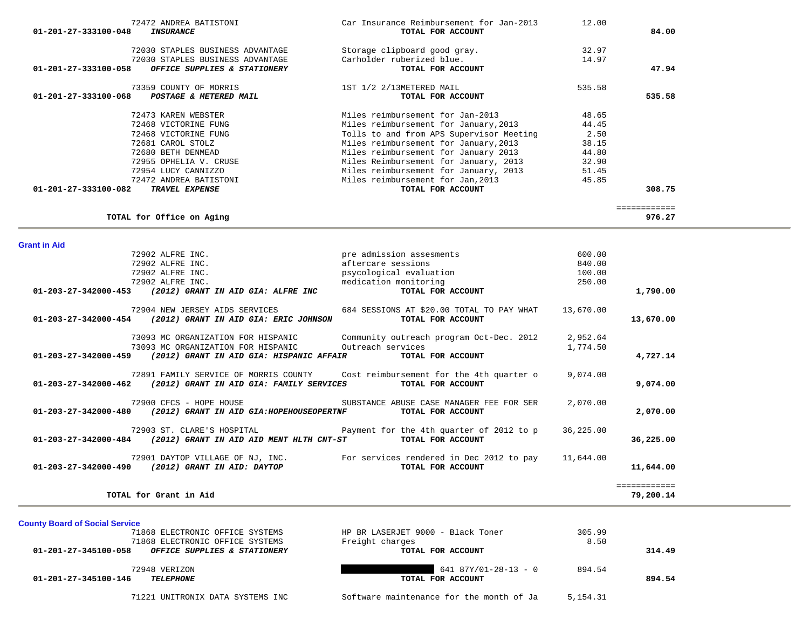|                                | 72030 STAPLES BUSINESS ADVANTAGE          | Storage clipboard good gray.                                              | 32.97     |                        |
|--------------------------------|-------------------------------------------|---------------------------------------------------------------------------|-----------|------------------------|
|                                | 72030 STAPLES BUSINESS ADVANTAGE          | Carholder ruberized blue.                                                 | 14.97     |                        |
| 01-201-27-333100-058           | OFFICE SUPPLIES & STATIONERY              | TOTAL FOR ACCOUNT                                                         |           | 47.94                  |
|                                | 73359 COUNTY OF MORRIS                    | 1ST 1/2 2/13METERED MAIL                                                  | 535.58    |                        |
| 01-201-27-333100-068           | POSTAGE & METERED MAIL                    | TOTAL FOR ACCOUNT                                                         |           | 535.58                 |
|                                | 72473 KAREN WEBSTER                       | Miles reimbursement for Jan-2013                                          | 48.65     |                        |
|                                | 72468 VICTORINE FUNG                      | Miles reimbursement for January, 2013                                     | 44.45     |                        |
|                                | 72468 VICTORINE FUNG                      | Tolls to and from APS Supervisor Meeting                                  | 2.50      |                        |
|                                | 72681 CAROL STOLZ                         | Miles reimbursement for January, 2013                                     | 38.15     |                        |
|                                | 72680 BETH DENMEAD                        | Miles reimbursement for January 2013                                      | 44.80     |                        |
|                                | 72955 OPHELIA V. CRUSE                    | Miles Reimbursement for January, 2013                                     | 32.90     |                        |
|                                | 72954 LUCY CANNIZZO                       | Miles reimbursement for January, 2013                                     | 51.45     |                        |
|                                | 72472 ANDREA BATISTONI                    | Miles reimbursement for Jan, 2013                                         | 45.85     |                        |
| 01-201-27-333100-082           | TRAVEL EXPENSE                            | TOTAL FOR ACCOUNT                                                         |           | 308.75                 |
|                                | TOTAL for Office on Aging                 |                                                                           |           | ============<br>976.27 |
|                                |                                           |                                                                           |           |                        |
| <b>Grant in Aid</b>            |                                           |                                                                           |           |                        |
|                                | 72902 ALFRE INC.                          | pre admission assesments                                                  | 600.00    |                        |
|                                | 72902 ALFRE INC.                          | aftercare sessions                                                        | 840.00    |                        |
|                                | 72902 ALFRE INC.                          | psycological evaluation                                                   | 100.00    |                        |
|                                | 72902 ALFRE INC.                          | medication monitoring                                                     | 250.00    |                        |
| 01-203-27-342000-453           | (2012) GRANT IN AID GIA: ALFRE INC        | TOTAL FOR ACCOUNT                                                         |           | 1,790.00               |
|                                | 72904 NEW JERSEY AIDS SERVICES            | 684 SESSIONS AT \$20.00 TOTAL TO PAY WHAT                                 | 13,670.00 |                        |
| 01-203-27-342000-454           | (2012) GRANT IN AID GIA: ERIC JOHNSON     | TOTAL FOR ACCOUNT                                                         |           | 13,670.00              |
|                                | 73093 MC ORGANIZATION FOR HISPANIC        | Community outreach program Oct-Dec. 2012                                  | 2,952.64  |                        |
|                                | 73093 MC ORGANIZATION FOR HISPANIC        | Outreach services                                                         | 1,774.50  |                        |
| 01-203-27-342000-459           | (2012) GRANT IN AID GIA: HISPANIC AFFAIR  | TOTAL FOR ACCOUNT                                                         |           | 4,727.14               |
|                                | 72891 FAMILY SERVICE OF MORRIS COUNTY     | Cost reimbursement for the 4th quarter o                                  | 9,074.00  |                        |
| 01-203-27-342000-462           | (2012) GRANT IN AID GIA: FAMILY SERVICES  | TOTAL FOR ACCOUNT                                                         |           | 9,074.00               |
|                                | 72900 CFCS - HOPE HOUSE                   | SUBSTANCE ABUSE CASE MANAGER FEE FOR SER                                  | 2,070.00  |                        |
| $01 - 203 - 27 - 342000 - 480$ | (2012) GRANT IN AID GIA: HOPEHOUSEOPERTNF | TOTAL FOR ACCOUNT                                                         |           | 2,070.00               |
|                                | 72903 ST. CLARE'S HOSPITAL                | Payment for the 4th quarter of 2012 to p                                  | 36,225.00 |                        |
| 01-203-27-342000-484           | (2012) GRANT IN AID AID MENT HLTH CNT-ST  | TOTAL FOR ACCOUNT                                                         |           | 36,225.00              |
|                                |                                           | 72901 DAYTOP VILLAGE OF NJ, INC. For services rendered in Dec 2012 to pay | 11,644.00 |                        |
| 01-203-27-342000-490           | (2012) GRANT IN AID: DAYTOP               | TOTAL FOR ACCOUNT                                                         |           | 11,644.00              |
|                                |                                           |                                                                           |           | ============           |
|                                | TOTAL for Grant in Aid                    |                                                                           |           | 79,200.14              |
|                                |                                           |                                                                           |           |                        |

 72472 ANDREA BATISTONI Car Insurance Reimbursement for Jan-2013 12.00  **01-201-27-333100-048** *INSURANCE* **TOTAL FOR ACCOUNT 84.00**

| 71868 ELECTRONIC OFFICE SYSTEMS                      | HP BR LASERJET 9000 - Black Toner | 305.99 |        |
|------------------------------------------------------|-----------------------------------|--------|--------|
| 71868 ELECTRONIC OFFICE SYSTEMS                      | Freight charges                   | 8.50   |        |
| 01-201-27-345100-058<br>OFFICE SUPPLIES & STATIONERY | TOTAL FOR ACCOUNT                 |        | 314.49 |
| 72948 VERIZON                                        | $641 87Y/01-28-13 - 0$            | 894.54 |        |
| 01-201-27-345100-146<br><b>TELEPHONE</b>             | TOTAL FOR ACCOUNT                 |        | 894.54 |
|                                                      |                                   |        |        |

**County Board of Social Service**

71221 UNITRONIX DATA SYSTEMS INC Software maintenance for the month of Ja 5,154.31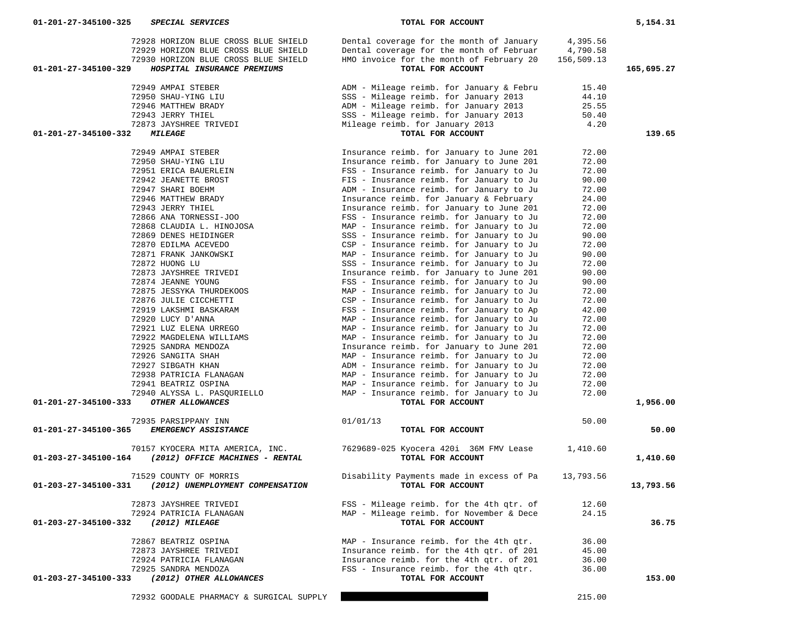| 72928 HORIZON BLUE CROSS BLUE SHIELD<br>72929 HORIZON BLUE CROSS BLUE SHIELD<br>72930 HORIZON BLUE CROSS BLUE SHIELD<br>01-201-27-345100-329<br>HOSPITAL INSURANCE PREMIUMS | Dental coverage for the month of January<br>Dental coverage for the month of Februar<br>HMO invoice for the month of February 20<br>TOTAL FOR ACCOUNT | 4,395.56<br>4,790.58<br>156,509.13 | 165,695.27 |
|-----------------------------------------------------------------------------------------------------------------------------------------------------------------------------|-------------------------------------------------------------------------------------------------------------------------------------------------------|------------------------------------|------------|
|                                                                                                                                                                             |                                                                                                                                                       |                                    |            |
| 72949 AMPAI STEBER                                                                                                                                                          | ADM - Mileage reimb. for January & Febru                                                                                                              | 15.40                              |            |
| 72950 SHAU-YING LIU                                                                                                                                                         | SSS - Mileage reimb. for January 2013                                                                                                                 | 44.10                              |            |
| 72946 MATTHEW BRADY                                                                                                                                                         | ADM - Mileage reimb. for January 2013                                                                                                                 | 25.55                              |            |
| 72943 JERRY THIEL<br>72873 JAYSHREE TRIVEDI                                                                                                                                 | SSS - Mileage reimb. for January 2013<br>Mileage reimb. for January 2013                                                                              | 50.40<br>4.20                      |            |
| 01-201-27-345100-332<br><b>MILEAGE</b>                                                                                                                                      | TOTAL FOR ACCOUNT                                                                                                                                     |                                    | 139.65     |
|                                                                                                                                                                             |                                                                                                                                                       |                                    |            |
| 72949 AMPAI STEBER                                                                                                                                                          | Insurance reimb. for January to June 201                                                                                                              | 72.00                              |            |
| 72950 SHAU-YING LIU                                                                                                                                                         | Insurance reimb. for January to June 201                                                                                                              | 72.00                              |            |
| 72951 ERICA BAUERLEIN                                                                                                                                                       | FSS - Insurance reimb. for January to Ju                                                                                                              | 72.00                              |            |
| 72942 JEANETTE BROST                                                                                                                                                        | FIS - Inusrance reimb. for January to Ju                                                                                                              | 90.00                              |            |
| 72947 SHARI BOEHM                                                                                                                                                           | ADM - Insurance reimb. for January to Ju                                                                                                              | 72.00                              |            |
| 72946 MATTHEW BRADY<br>72943 JERRY THIEL                                                                                                                                    | Insurance reimb. for January & February                                                                                                               | 24.00                              |            |
| 72866 ANA TORNESSI-JOO                                                                                                                                                      | Insurance reimb. for January to June 201<br>FSS - Insurance reimb. for January to Ju                                                                  | 72.00<br>72.00                     |            |
| 72868 CLAUDIA L. HINOJOSA                                                                                                                                                   | MAP - Insurance reimb. for January to Ju                                                                                                              | 72.00                              |            |
| 72869 DENES HEIDINGER                                                                                                                                                       | SSS - Insurance reimb. for January to Ju                                                                                                              | 90.00                              |            |
| 72870 EDILMA ACEVEDO                                                                                                                                                        | CSP - Insurance reimb. for January to Ju                                                                                                              | 72.00                              |            |
| 72871 FRANK JANKOWSKI                                                                                                                                                       | MAP - Insurance reimb. for January to Ju                                                                                                              | 90.00                              |            |
| 72872 HUONG LU                                                                                                                                                              | SSS - Insurance reimb. for January to Ju                                                                                                              | 72.00                              |            |
| 72873 JAYSHREE TRIVEDI                                                                                                                                                      | Insurance reimb. for January to June 201                                                                                                              | 90.00                              |            |
| 72874 JEANNE YOUNG                                                                                                                                                          | FSS - Insurance reimb. for January to Ju                                                                                                              | 90.00                              |            |
| 72875 JESSYKA THURDEKOOS                                                                                                                                                    | MAP - Insurance reimb. for January to Ju                                                                                                              | 72.00                              |            |
| 72876 JULIE CICCHETTI                                                                                                                                                       | CSP - Insurance reimb. for January to Ju                                                                                                              | 72.00                              |            |
| 72919 LAKSHMI BASKARAM                                                                                                                                                      | FSS - Insurance reimb. for January to Ap                                                                                                              | 42.00                              |            |
| 72920 LUCY D'ANNA                                                                                                                                                           | MAP - Insurance reimb. for January to Ju                                                                                                              | 72.00                              |            |
| 72921 LUZ ELENA URREGO                                                                                                                                                      | MAP - Insurance reimb. for January to Ju                                                                                                              | 72.00                              |            |
| 72922 MAGDELENA WILLIAMS                                                                                                                                                    | MAP - Insurance reimb. for January to Ju                                                                                                              | 72.00                              |            |
| 72925 SANDRA MENDOZA                                                                                                                                                        | Insurance reimb. for January to June 201                                                                                                              | 72.00                              |            |
| 72926 SANGITA SHAH                                                                                                                                                          | MAP - Insurance reimb. for January to Ju                                                                                                              | 72.00                              |            |
| 72927 SIBGATH KHAN                                                                                                                                                          | ADM - Insurance reimb. for January to Ju                                                                                                              | 72.00                              |            |
| 72938 PATRICIA FLANAGAN                                                                                                                                                     | MAP - Insurance reimb. for January to Ju                                                                                                              | 72.00                              |            |
| 72941 BEATRIZ OSPINA                                                                                                                                                        | MAP - Insurance reimb. for January to Ju                                                                                                              | 72.00                              |            |
| 72940 ALYSSA L. PASQURIELLO                                                                                                                                                 | MAP - Insurance reimb. for January to Ju                                                                                                              | 72.00                              |            |
| OTHER ALLOWANCES<br>01-201-27-345100-333                                                                                                                                    | TOTAL FOR ACCOUNT                                                                                                                                     |                                    | 1,956.00   |
| 72935 PARSIPPANY INN                                                                                                                                                        | 01/01/13                                                                                                                                              | 50.00                              |            |
| EMERGENCY ASSISTANCE<br>01-201-27-345100-365                                                                                                                                | TOTAL FOR ACCOUNT                                                                                                                                     |                                    | 50.00      |
| 70157 KYOCERA MITA AMERICA, INC.<br>(2012) OFFICE MACHINES - RENTAL<br>01-203-27-345100-164                                                                                 | 7629689-025 Kyocera 420i 36M FMV Lease<br>TOTAL FOR ACCOUNT                                                                                           | 1,410.60                           | 1,410.60   |
| 71529 COUNTY OF MORRIS<br>01-203-27-345100-331<br>(2012) UNEMPLOYMENT COMPENSATION                                                                                          | Disability Payments made in excess of Pa<br>TOTAL FOR ACCOUNT                                                                                         | 13,793.56                          | 13,793.56  |
| 72873 JAYSHREE TRIVEDI                                                                                                                                                      | FSS - Mileage reimb. for the 4th qtr. of                                                                                                              | 12.60                              |            |
| 72924 PATRICIA FLANAGAN                                                                                                                                                     | MAP - Mileage reimb. for November & Dece                                                                                                              | 24.15                              |            |
| 01-203-27-345100-332<br>(2012) MILEAGE                                                                                                                                      | TOTAL FOR ACCOUNT                                                                                                                                     |                                    | 36.75      |
|                                                                                                                                                                             |                                                                                                                                                       |                                    |            |
| 72867 BEATRIZ OSPINA                                                                                                                                                        | MAP - Insurance reimb. for the 4th gtr.                                                                                                               | 36.00                              |            |
| 72873 JAYSHREE TRIVEDI                                                                                                                                                      | Insurance reimb. for the 4th qtr. of 201                                                                                                              | 45.00                              |            |
| 72924 PATRICIA FLANAGAN                                                                                                                                                     | Insurance reimb. for the 4th qtr. of 201                                                                                                              | 36.00                              |            |
| 72925 SANDRA MENDOZA<br>01-203-27-345100-333                                                                                                                                | FSS - Insurance reimb. for the 4th qtr.<br>TOTAL FOR ACCOUNT                                                                                          | 36.00                              | 153.00     |
| (2012) OTHER ALLOWANCES                                                                                                                                                     |                                                                                                                                                       |                                    |            |
| 72932 GOODALE PHARMACY & SURGICAL SUPPLY                                                                                                                                    |                                                                                                                                                       | 215.00                             |            |

 **01-201-27-345100-325** *SPECIAL SERVICES* **TOTAL FOR ACCOUNT 5,154.31**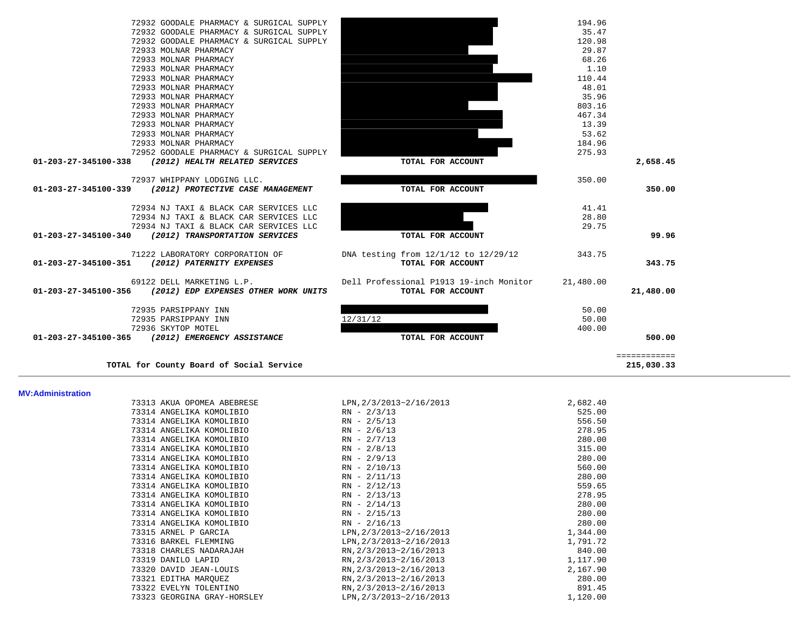| 72932 GOODALE PHARMACY & SURGICAL SUPPLY                  |                                         | 194.96    |              |
|-----------------------------------------------------------|-----------------------------------------|-----------|--------------|
| 72932 GOODALE PHARMACY & SURGICAL SUPPLY                  |                                         | 35.47     |              |
| 72932 GOODALE PHARMACY & SURGICAL SUPPLY                  |                                         | 120.98    |              |
| 72933 MOLNAR PHARMACY                                     |                                         | 29.87     |              |
| 72933 MOLNAR PHARMACY                                     |                                         | 68.26     |              |
| 72933 MOLNAR PHARMACY                                     |                                         | 1.10      |              |
| 72933 MOLNAR PHARMACY                                     |                                         | 110.44    |              |
| 72933 MOLNAR PHARMACY                                     |                                         | 48.01     |              |
| 72933 MOLNAR PHARMACY                                     |                                         | 35.96     |              |
| 72933 MOLNAR PHARMACY                                     |                                         | 803.16    |              |
| 72933 MOLNAR PHARMACY                                     |                                         | 467.34    |              |
| 72933 MOLNAR PHARMACY                                     |                                         | 13.39     |              |
| 72933 MOLNAR PHARMACY                                     |                                         | 53.62     |              |
| 72933 MOLNAR PHARMACY                                     |                                         | 184.96    |              |
| 72952 GOODALE PHARMACY & SURGICAL SUPPLY                  |                                         | 275.93    |              |
| 01-203-27-345100-338 (2012) HEALTH RELATED SERVICES       | TOTAL FOR ACCOUNT                       |           | 2,658.45     |
| 72937 WHIPPANY LODGING LLC.                               |                                         | 350.00    |              |
| 01-203-27-345100-339 (2012) PROTECTIVE CASE MANAGEMENT    | TOTAL FOR ACCOUNT                       |           | 350.00       |
| 72934 NJ TAXI & BLACK CAR SERVICES LLC                    |                                         | 41.41     |              |
| 72934 NJ TAXI & BLACK CAR SERVICES LLC                    |                                         | 28.80     |              |
| 72934 NJ TAXI & BLACK CAR SERVICES LLC                    |                                         | 29.75     |              |
| 01-203-27-345100-340 (2012) TRANSPORTATION SERVICES       | TOTAL FOR ACCOUNT                       |           | 99.96        |
| 71222 LABORATORY CORPORATION OF                           | DNA testing from 12/1/12 to 12/29/12    | 343.75    |              |
| 01-203-27-345100-351 (2012) PATERNITY EXPENSES            | TOTAL FOR ACCOUNT                       |           | 343.75       |
| 69122 DELL MARKETING L.P.                                 | Dell Professional P1913 19-inch Monitor | 21,480.00 |              |
| 01-203-27-345100-356 (2012) EDP EXPENSES OTHER WORK UNITS | TOTAL FOR ACCOUNT                       |           | 21,480.00    |
| 72935 PARSIPPANY INN                                      |                                         | 50.00     |              |
| 72935 PARSIPPANY INN                                      | 12/31/12                                | 50.00     |              |
| 72936 SKYTOP MOTEL                                        |                                         | 400.00    |              |
| 01-203-27-345100-365 (2012) EMERGENCY ASSISTANCE          | TOTAL FOR ACCOUNT                       |           | 500.00       |
|                                                           |                                         |           | ============ |
| TOTAL for County Board of Social Service                  |                                         |           | 215,030.33   |

### **MV:Administration**

| 73313 AKUA OPOMEA ABEBRESE  | LPN, 2/3/2013~2/16/2013 | 2,682.40 |
|-----------------------------|-------------------------|----------|
| 73314 ANGELIKA KOMOLIBIO    | $RN - 2/3/13$           | 525.00   |
| 73314 ANGELIKA KOMOLIBIO    | $RN - 2/5/13$           | 556.50   |
| 73314 ANGELIKA KOMOLIBIO    | $RN - 2/6/13$           | 278.95   |
| 73314 ANGELIKA KOMOLIBIO    | $RN - 2/7/13$           | 280.00   |
| 73314 ANGELIKA KOMOLIBIO    | $RN - 2/8/13$           | 315.00   |
| 73314 ANGELIKA KOMOLIBIO    | $RN - 2/9/13$           | 280.00   |
| 73314 ANGELIKA KOMOLIBIO    | $RN - 2/10/13$          | 560.00   |
| 73314 ANGELIKA KOMOLIBIO    | $RN - 2/11/13$          | 280.00   |
| 73314 ANGELIKA KOMOLIBIO    | $RN - 2/12/13$          | 559.65   |
| 73314 ANGELIKA KOMOLIBIO    | $RN - 2/13/13$          | 278.95   |
| 73314 ANGELIKA KOMOLIBIO    | $RN - 2/14/13$          | 280.00   |
| 73314 ANGELIKA KOMOLIBIO    | $RN - 2/15/13$          | 280.00   |
| 73314 ANGELIKA KOMOLIBIO    | $RN - 2/16/13$          | 280.00   |
| 73315 ARNEL P GARCIA        | LPN, 2/3/2013~2/16/2013 | 1,344.00 |
| 73316 BARKEL FLEMMING       | LPN, 2/3/2013~2/16/2013 | 1,791.72 |
| 73318 CHARLES NADARAJAH     | RN, 2/3/2013~2/16/2013  | 840.00   |
| 73319 DANILO LAPID          | RN, 2/3/2013~2/16/2013  | 1,117.90 |
| 73320 DAVID JEAN-LOUIS      | RN, 2/3/2013~2/16/2013  | 2,167.90 |
| 73321 EDITHA MAROUEZ        | RN, 2/3/2013~2/16/2013  | 280.00   |
| 73322 EVELYN TOLENTINO      | RN, 2/3/2013~2/16/2013  | 891.45   |
| 73323 GEORGINA GRAY-HORSLEY | LPN, 2/3/2013~2/16/2013 | 1,120.00 |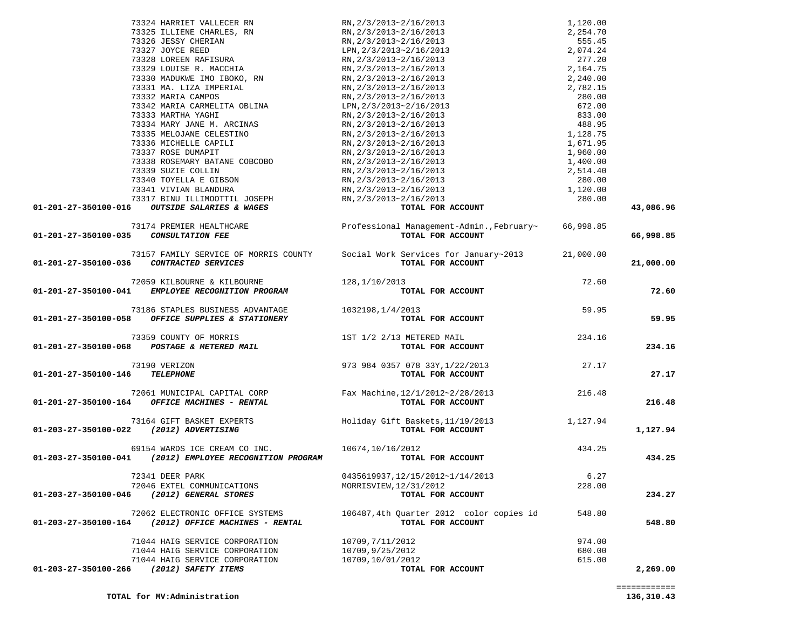|                                          | 73324 HARRIET VALLECER RN                                                                                                                                                                                                                                                                                                                                                                                       | RN, 2/3/2013~2/16/2013                                                                                                                                                                                                                                                                       |           |           |
|------------------------------------------|-----------------------------------------------------------------------------------------------------------------------------------------------------------------------------------------------------------------------------------------------------------------------------------------------------------------------------------------------------------------------------------------------------------------|----------------------------------------------------------------------------------------------------------------------------------------------------------------------------------------------------------------------------------------------------------------------------------------------|-----------|-----------|
|                                          | 73325 ILLIENE CHARLES, RN                                                                                                                                                                                                                                                                                                                                                                                       |                                                                                                                                                                                                                                                                                              |           |           |
|                                          | 73326 JESSY CHERIAN                                                                                                                                                                                                                                                                                                                                                                                             | RN, 2/3/2013~2/16/2013<br>RN, 2/3/2013~2/16/2013<br>RN, 2/3/2013~2/16/2013<br>LPN, 2/3/2013~2/16/2013<br>RN, 2/3/2013~2/16/2013<br>RN, 2/3/2013~2/16/2013<br>RN, 2/3/2013~2/16/2013                                                                                                          |           |           |
|                                          | 73327 JOYCE REED<br>73328 LOREEN RAFISURA                                                                                                                                                                                                                                                                                                                                                                       |                                                                                                                                                                                                                                                                                              |           |           |
|                                          |                                                                                                                                                                                                                                                                                                                                                                                                                 |                                                                                                                                                                                                                                                                                              |           |           |
|                                          | 73329 LOUISE R. MACCHIA                                                                                                                                                                                                                                                                                                                                                                                         |                                                                                                                                                                                                                                                                                              |           |           |
|                                          | 73330 MADUKWE IMO IBOKO, RN                                                                                                                                                                                                                                                                                                                                                                                     |                                                                                                                                                                                                                                                                                              |           |           |
|                                          | 73331 MA. LIZA IMPERIAL                                                                                                                                                                                                                                                                                                                                                                                         | $\frac{RN}{2}$ /2/3/2013~2/16/2013                                                                                                                                                                                                                                                           |           |           |
|                                          | 73332 MARIA CAMPOS                                                                                                                                                                                                                                                                                                                                                                                              | RN, 2/3/2013~2/16/2013                                                                                                                                                                                                                                                                       |           |           |
|                                          | 73342 MARIA CARMELITA OBLINA                                                                                                                                                                                                                                                                                                                                                                                    | LPN, 2/3/2013~2/16/2013                                                                                                                                                                                                                                                                      |           |           |
|                                          | 73333 MARTHA YAGHI                                                                                                                                                                                                                                                                                                                                                                                              | RN, 2/3/2013~2/16/2013                                                                                                                                                                                                                                                                       |           |           |
|                                          | 73334 MARY JANE M. ARCINAS                                                                                                                                                                                                                                                                                                                                                                                      | RN, 2/3/2013~2/16/2013                                                                                                                                                                                                                                                                       |           |           |
|                                          | 73335 MELOJANE CELESTINO                                                                                                                                                                                                                                                                                                                                                                                        | RN, 2/3/2013~2/16/2013                                                                                                                                                                                                                                                                       |           |           |
|                                          | 73336 MICHELLE CAPILI                                                                                                                                                                                                                                                                                                                                                                                           | RN,2/3/2013~2/16/2013<br>RN,2/3/2013~2/16/2013                                                                                                                                                                                                                                               |           |           |
|                                          | 73337 ROSE DUMAPIT                                                                                                                                                                                                                                                                                                                                                                                              | RN, 2/3/2013~2/16/2013                                                                                                                                                                                                                                                                       |           |           |
|                                          | 73338 ROSEMARY BATANE COBCOBO                                                                                                                                                                                                                                                                                                                                                                                   | $RN$ , $2/3/2013 \sim 2/16/2013$                                                                                                                                                                                                                                                             |           |           |
|                                          | 73339 SUZIE COLLIN                                                                                                                                                                                                                                                                                                                                                                                              | $\frac{2}{3}/2013 \times 2/16/2013$<br>RN, 2/3/2013~2/16/2013<br>RN, 2/3/2013~2/16/2013<br>RN, 2/3/2013~2/16/2013<br>2010/2013                                                                                                                                                               |           |           |
|                                          | 73340 TOYELLA E GIBSON                                                                                                                                                                                                                                                                                                                                                                                          |                                                                                                                                                                                                                                                                                              |           |           |
|                                          | 73341 VIVIAN BLANDURA                                                                                                                                                                                                                                                                                                                                                                                           |                                                                                                                                                                                                                                                                                              |           |           |
|                                          | 73317 BINU ILLIMOOTTIL JOSEPH                                                                                                                                                                                                                                                                                                                                                                                   |                                                                                                                                                                                                                                                                                              |           |           |
|                                          | 01-201-27-350100-016 OUTSIDE SALARIES & WAGES                                                                                                                                                                                                                                                                                                                                                                   | 1, 120.00<br>2, 254.70<br>555.45<br>2, 074.24<br>277.20<br>2, 164.75<br>2, 240.00<br>2, 782.15<br>280.00<br>488.95<br>1, 128.75<br>1, 671.95<br>1, 960.00<br>4, 400.00<br>2, 514.40<br>280.00<br>4, 400.00<br>1, 120.00<br>1, 400.00<br>1, 400.00<br>1, 400.00<br>1, 40<br>TOTAL FOR ACCOUNT |           | 43,086.96 |
|                                          |                                                                                                                                                                                                                                                                                                                                                                                                                 |                                                                                                                                                                                                                                                                                              |           |           |
|                                          | 73174 PREMIER HEALTHCARE                                                                                                                                                                                                                                                                                                                                                                                        | Professional Management-Admin., February~ 66,998.85                                                                                                                                                                                                                                          |           |           |
| 01-201-27-350100-035                     | <b>CONSULTATION FEE</b>                                                                                                                                                                                                                                                                                                                                                                                         | TOTAL FOR ACCOUNT                                                                                                                                                                                                                                                                            |           | 66,998.85 |
|                                          |                                                                                                                                                                                                                                                                                                                                                                                                                 | 73157 FAMILY SERVICE OF MORRIS COUNTY Social Work Services for January~2013                                                                                                                                                                                                                  | 21,000.00 |           |
|                                          |                                                                                                                                                                                                                                                                                                                                                                                                                 | TOTAL FOR ACCOUNT                                                                                                                                                                                                                                                                            |           |           |
| 01-201-27-350100-036 CONTRACTED SERVICES |                                                                                                                                                                                                                                                                                                                                                                                                                 |                                                                                                                                                                                                                                                                                              |           | 21,000.00 |
|                                          | 72059 KILBOURNE & KILBOURNE                                                                                                                                                                                                                                                                                                                                                                                     | 128, 1/10/2013                                                                                                                                                                                                                                                                               | 72.60     |           |
|                                          | 01-201-27-350100-041 EMPLOYEE RECOGNITION PROGRAM                                                                                                                                                                                                                                                                                                                                                               | TOTAL FOR ACCOUNT                                                                                                                                                                                                                                                                            |           | 72.60     |
|                                          |                                                                                                                                                                                                                                                                                                                                                                                                                 |                                                                                                                                                                                                                                                                                              |           |           |
|                                          | 73186 STAPLES BUSINESS ADVANTAGE 1032198, 1/4/2013                                                                                                                                                                                                                                                                                                                                                              |                                                                                                                                                                                                                                                                                              | 59.95     |           |
|                                          | 01-201-27-350100-058 OFFICE SUPPLIES & STATIONERY                                                                                                                                                                                                                                                                                                                                                               | TOTAL FOR ACCOUNT                                                                                                                                                                                                                                                                            |           | 59.95     |
|                                          |                                                                                                                                                                                                                                                                                                                                                                                                                 |                                                                                                                                                                                                                                                                                              |           |           |
|                                          | $73359 \quad \text{COUNTY OF MORRIS} \qquad \qquad 1ST \quad 1/2 \quad 2/13 \quad \text{METERED MAIL} \\ \textbf{01-201-27-350100-068} \qquad \qquad \text{POSTAGE} \quad \text{A}\quad \text{METERED MAIL} \\ \textbf{021-201-27-350100-068} \qquad \qquad 1ST \quad \text{C} \quad \text{1ST} \quad \text{1/2} \quad \text{2/13} \quad \text{METERED MAIL} \\ \textbf{031-201-27-350100-068} \qquad \qquad \$ |                                                                                                                                                                                                                                                                                              | 234.16    |           |
|                                          |                                                                                                                                                                                                                                                                                                                                                                                                                 | TOTAL FOR ACCOUNT                                                                                                                                                                                                                                                                            |           | 234.16    |
|                                          |                                                                                                                                                                                                                                                                                                                                                                                                                 |                                                                                                                                                                                                                                                                                              |           |           |
|                                          | 73190 VERIZON                                                                                                                                                                                                                                                                                                                                                                                                   | 973 984 0357 078 33Y, 1/22/2013 27.17                                                                                                                                                                                                                                                        |           |           |
| 01-201-27-350100-146 TELEPHONE           |                                                                                                                                                                                                                                                                                                                                                                                                                 | TOTAL FOR ACCOUNT                                                                                                                                                                                                                                                                            |           | 27.17     |
|                                          |                                                                                                                                                                                                                                                                                                                                                                                                                 |                                                                                                                                                                                                                                                                                              |           |           |
|                                          | 72061 MUNICIPAL CAPITAL CORP                                                                                                                                                                                                                                                                                                                                                                                    | Fax Machine, 12/1/2012~2/28/2013 216.48<br><b>TOTAL FOR ACCOUNT</b>                                                                                                                                                                                                                          |           |           |
|                                          | 01-201-27-350100-164 OFFICE MACHINES - RENTAL                                                                                                                                                                                                                                                                                                                                                                   |                                                                                                                                                                                                                                                                                              |           | 216.48    |
|                                          |                                                                                                                                                                                                                                                                                                                                                                                                                 |                                                                                                                                                                                                                                                                                              |           |           |
|                                          |                                                                                                                                                                                                                                                                                                                                                                                                                 |                                                                                                                                                                                                                                                                                              |           |           |
| 01-203-27-350100-022 (2012) ADVERTISING  |                                                                                                                                                                                                                                                                                                                                                                                                                 |                                                                                                                                                                                                                                                                                              |           | 1,127.94  |
|                                          |                                                                                                                                                                                                                                                                                                                                                                                                                 |                                                                                                                                                                                                                                                                                              |           |           |
|                                          | 69154 WARDS ICE CREAM CO INC. 10674, 10/16/2012                                                                                                                                                                                                                                                                                                                                                                 |                                                                                                                                                                                                                                                                                              | 434.25    |           |
|                                          | 01-203-27-350100-041 (2012) EMPLOYEE RECOGNITION PROGRAM                                                                                                                                                                                                                                                                                                                                                        | TOTAL FOR ACCOUNT                                                                                                                                                                                                                                                                            |           | 434.25    |
|                                          |                                                                                                                                                                                                                                                                                                                                                                                                                 |                                                                                                                                                                                                                                                                                              |           |           |
|                                          | 72341 DEER PARK                                                                                                                                                                                                                                                                                                                                                                                                 | 0435619937,12/15/2012~1/14/2013                                                                                                                                                                                                                                                              | 6.27      |           |
|                                          | 72046 EXTEL COMMUNICATIONS                                                                                                                                                                                                                                                                                                                                                                                      | MORRISVIEW, 12/31/2012                                                                                                                                                                                                                                                                       | 228.00    |           |
| 01-203-27-350100-046                     | (2012) GENERAL STORES                                                                                                                                                                                                                                                                                                                                                                                           | TOTAL FOR ACCOUNT                                                                                                                                                                                                                                                                            |           | 234.27    |
|                                          |                                                                                                                                                                                                                                                                                                                                                                                                                 |                                                                                                                                                                                                                                                                                              |           |           |
|                                          | 72062 ELECTRONIC OFFICE SYSTEMS                                                                                                                                                                                                                                                                                                                                                                                 | 106487,4th Quarter 2012 color copies id                                                                                                                                                                                                                                                      | 548.80    |           |
| 01-203-27-350100-164                     | (2012) OFFICE MACHINES - RENTAL                                                                                                                                                                                                                                                                                                                                                                                 | TOTAL FOR ACCOUNT                                                                                                                                                                                                                                                                            |           | 548.80    |
|                                          | 71044 HAIG SERVICE CORPORATION                                                                                                                                                                                                                                                                                                                                                                                  | 10709, 7/11/2012                                                                                                                                                                                                                                                                             |           |           |
|                                          |                                                                                                                                                                                                                                                                                                                                                                                                                 | 10709,9/25/2012                                                                                                                                                                                                                                                                              | 974.00    |           |
|                                          | 71044 HAIG SERVICE CORPORATION                                                                                                                                                                                                                                                                                                                                                                                  |                                                                                                                                                                                                                                                                                              | 680.00    |           |
|                                          | 71044 HAIG SERVICE CORPORATION                                                                                                                                                                                                                                                                                                                                                                                  | 10709,10/01/2012                                                                                                                                                                                                                                                                             | 615.00    | 2,269.00  |
| 01-203-27-350100-266                     | (2012) SAFETY ITEMS                                                                                                                                                                                                                                                                                                                                                                                             | TOTAL FOR ACCOUNT                                                                                                                                                                                                                                                                            |           |           |

============

 $\begin{array}{r} \texttt{-----} \texttt{-----} \\ \texttt{136,310.43} \end{array}$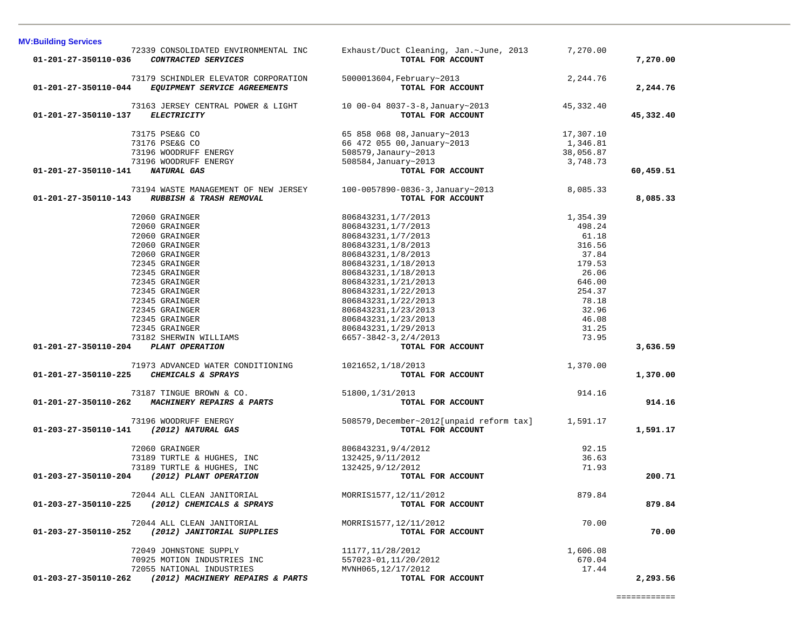| 01-201-27-350110-036                 | 72339 CONSOLIDATED ENVIRONMENTAL INC<br>CONTRACTED SERVICES                 | Exhaust/Duct Cleaning, Jan.~June, 2013<br>TOTAL FOR ACCOUNT            | 7,270.00  | 7,270.00  |
|--------------------------------------|-----------------------------------------------------------------------------|------------------------------------------------------------------------|-----------|-----------|
| 01-201-27-350110-044                 | 73179 SCHINDLER ELEVATOR CORPORATION<br><i>EQUIPMENT SERVICE AGREEMENTS</i> | 5000013604, February~2013<br>TOTAL FOR ACCOUNT                         | 2,244.76  | 2,244.76  |
|                                      | 73163 JERSEY CENTRAL POWER & LIGHT 10 00-04 8037-3-8, January~2013          |                                                                        | 45,332.40 |           |
| 01-201-27-350110-137                 | <b>ELECTRICITY</b>                                                          | TOTAL FOR ACCOUNT                                                      |           | 45,332.40 |
|                                      | 73175 PSE&G CO                                                              | 65 858 068 08, January~2013                                            | 17,307.10 |           |
|                                      | 73176 PSE&G CO                                                              | 66 472 055 00, January~2013                                            | 1,346.81  |           |
|                                      | 73196 WOODRUFF ENERGY                                                       | 508579, Janaury~2013                                                   | 38,056.87 |           |
|                                      | 73196 WOODRUFF ENERGY                                                       | 508584, January~2013                                                   | 3,748.73  |           |
| 01-201-27-350110-141                 | NATURAL GAS                                                                 | TOTAL FOR ACCOUNT                                                      |           | 60,459.51 |
|                                      | 73194 WASTE MANAGEMENT OF NEW JERSEY                                        | 100-0057890-0836-3, January~2013                                       | 8,085.33  |           |
| 01-201-27-350110-143                 | <b>RUBBISH &amp; TRASH REMOVAL</b>                                          | TOTAL FOR ACCOUNT                                                      |           | 8,085.33  |
|                                      | 72060 GRAINGER                                                              | 806843231, 1/7/2013                                                    | 1,354.39  |           |
|                                      | 72060 GRAINGER                                                              | 806843231, 1/7/2013                                                    | 498.24    |           |
|                                      | 72060 GRAINGER                                                              | 806843231, 1/7/2013                                                    | 61.18     |           |
|                                      | 72060 GRAINGER                                                              | 806843231, 1/8/2013                                                    | 316.56    |           |
|                                      | 72060 GRAINGER                                                              | 806843231, 1/8/2013                                                    | 37.84     |           |
|                                      | 72345 GRAINGER                                                              | 806843231, 1/18/2013                                                   | 179.53    |           |
|                                      | 72345 GRAINGER                                                              | 806843231, 1/18/2013                                                   | 26.06     |           |
|                                      | 72345 GRAINGER                                                              | 806843231, 1/21/2013                                                   | 646.00    |           |
|                                      | 72345 GRAINGER                                                              | 806843231, 1/22/2013                                                   | 254.37    |           |
|                                      | 72345 GRAINGER                                                              | 806843231, 1/22/2013                                                   | 78.18     |           |
|                                      | 72345 GRAINGER                                                              | 806843231, 1/23/2013                                                   | 32.96     |           |
|                                      | 72345 GRAINGER                                                              | 806843231, 1/23/2013                                                   | 46.08     |           |
|                                      | 72345 GRAINGER                                                              | 806843231, 1/29/2013                                                   | 31.25     |           |
|                                      | 73182 SHERWIN WILLIAMS                                                      | 6657-3842-3, 2/4/2013                                                  | 73.95     |           |
| 01-201-27-350110-204 PLANT OPERATION |                                                                             | TOTAL FOR ACCOUNT                                                      |           | 3,636.59  |
|                                      | 71973 ADVANCED WATER CONDITIONING 1021652, 1/18/2013                        |                                                                        | 1,370.00  |           |
|                                      | 01-201-27-350110-225 CHEMICALS & SPRAYS                                     | TOTAL FOR ACCOUNT                                                      |           | 1,370.00  |
|                                      | 73187 TINGUE BROWN & CO.                                                    | 51800, 1/31/2013                                                       | 914.16    |           |
|                                      | 01-201-27-350110-262 MACHINERY REPAIRS & PARTS                              | TOTAL FOR ACCOUNT                                                      |           | 914.16    |
|                                      |                                                                             |                                                                        |           |           |
| 01-203-27-350110-141                 | 73196 WOODRUFF ENERGY<br>(2012) NATURAL GAS                                 | 508579, December~2012[unpaid reform tax] 1,591.17<br>TOTAL FOR ACCOUNT |           | 1,591.17  |
|                                      |                                                                             |                                                                        |           |           |
|                                      | 72060 GRAINGER                                                              | 806843231,9/4/2012                                                     | 92.15     |           |
|                                      | 73189 TURTLE & HUGHES, INC                                                  | 132425, 9/11/2012                                                      | 36.63     |           |
|                                      | 73189 TURTLE & HUGHES, INC                                                  | 132425, 9/12/2012                                                      | 71.93     |           |
| 01-203-27-350110-204                 | (2012) PLANT OPERATION                                                      | TOTAL FOR ACCOUNT                                                      |           | 200.71    |
|                                      | 72044 ALL CLEAN JANITORIAL                                                  | MORRIS1577, 12/11/2012                                                 | 879.84    |           |
|                                      | 01-203-27-350110-225 (2012) CHEMICALS & SPRAYS                              | TOTAL FOR ACCOUNT                                                      |           | 879.84    |
|                                      | 72044 ALL CLEAN JANITORIAL                                                  | MORRIS1577, 12/11/2012                                                 | 70.00     |           |
|                                      | 01-203-27-350110-252 (2012) JANITORIAL SUPPLIES                             | TOTAL FOR ACCOUNT                                                      |           | 70.00     |
|                                      | 72049 JOHNSTONE SUPPLY                                                      | 11177, 11/28/2012                                                      | 1,606.08  |           |
|                                      | 70925 MOTION INDUSTRIES INC                                                 | 557023-01, 11/20/2012                                                  | 670.04    |           |
|                                      | 72055 NATIONAL INDUSTRIES                                                   | MVNH065, 12/17/2012                                                    | 17.44     |           |
| 01-203-27-350110-262                 | (2012) MACHINERY REPAIRS & PARTS                                            | TOTAL FOR ACCOUNT                                                      |           | 2,293.56  |

**MV:Building Services**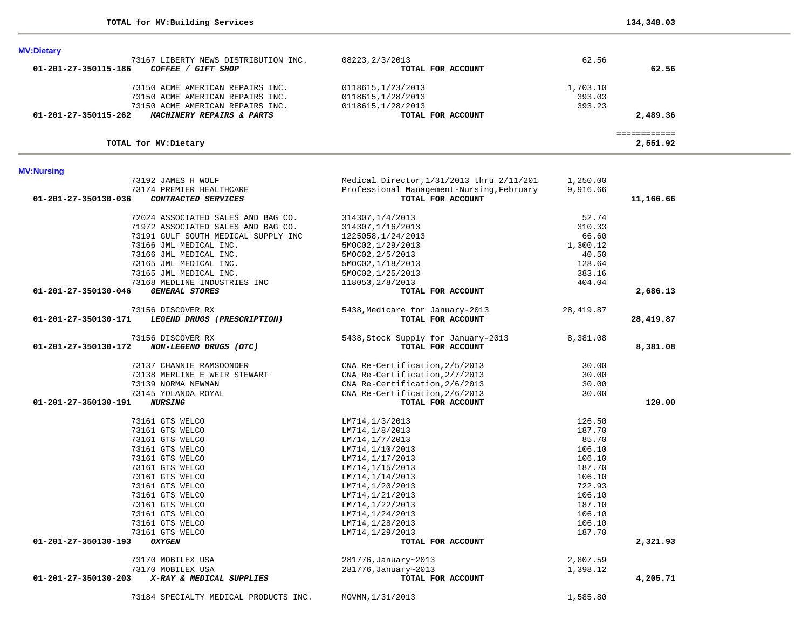| TOTAL for MV: Dietary                               |                                           |           | 2,551.92  |
|-----------------------------------------------------|-------------------------------------------|-----------|-----------|
| <b>MV:Nursing</b>                                   |                                           |           |           |
| 73192 JAMES H WOLF                                  | Medical Director, 1/31/2013 thru 2/11/201 | 1,250.00  |           |
| 73174 PREMIER HEALTHCARE                            | Professional Management-Nursing, February | 9,916.66  |           |
| 01-201-27-350130-036<br>CONTRACTED SERVICES         | TOTAL FOR ACCOUNT                         |           | 11,166.66 |
| 72024 ASSOCIATED SALES AND BAG CO.                  | 314307, 1/4/2013                          | 52.74     |           |
| 71972 ASSOCIATED SALES AND BAG CO.                  | 314307, 1/16/2013                         | 310.33    |           |
| 73191 GULF SOUTH MEDICAL SUPPLY INC                 | 1225058, 1/24/2013                        | 66.60     |           |
| 73166 JML MEDICAL INC.                              | 5MOC02, 1/29/2013                         | 1,300.12  |           |
| 73166 JML MEDICAL INC.                              | 5MOC02, 2/5/2013                          | 40.50     |           |
| 73165 JML MEDICAL INC.                              | 5MOC02, 1/18/2013                         | 128.64    |           |
| 73165 JML MEDICAL INC.                              | 5MOC02, 1/25/2013                         | 383.16    |           |
| 73168 MEDLINE INDUSTRIES INC                        | 118053, 2/8/2013                          | 404.04    |           |
| <b>GENERAL STORES</b><br>01-201-27-350130-046       | TOTAL FOR ACCOUNT                         |           | 2,686.13  |
| 73156 DISCOVER RX                                   | 5438, Medicare for January-2013           | 28,419.87 |           |
| 01-201-27-350130-171<br>LEGEND DRUGS (PRESCRIPTION) | TOTAL FOR ACCOUNT                         |           | 28,419.87 |
| 73156 DISCOVER RX                                   | 5438, Stock Supply for January-2013       | 8,381.08  |           |
| NON-LEGEND DRUGS (OTC)<br>01-201-27-350130-172      | TOTAL FOR ACCOUNT                         |           | 8,381.08  |
| 73137 CHANNIE RAMSOONDER                            | CNA Re-Certification, 2/5/2013            | 30.00     |           |
| 73138 MERLINE E WEIR STEWART                        | CNA Re-Certification, 2/7/2013            | 30.00     |           |
| 73139 NORMA NEWMAN                                  | CNA Re-Certification, 2/6/2013            | 30.00     |           |
| 73145 YOLANDA ROYAL                                 | CNA Re-Certification, 2/6/2013            | 30.00     |           |
| 01-201-27-350130-191<br><b>NURSING</b>              | TOTAL FOR ACCOUNT                         |           | 120.00    |
| 73161 GTS WELCO                                     | LM714,1/3/2013                            | 126.50    |           |
| 73161 GTS WELCO                                     | LM714,1/8/2013                            | 187.70    |           |
| 73161 GTS WELCO                                     | LM714,1/7/2013                            | 85.70     |           |
| 73161 GTS WELCO                                     | LM714,1/10/2013                           | 106.10    |           |
| 73161 GTS WELCO                                     | LM714, 1/17/2013                          | 106.10    |           |
| 73161 GTS WELCO                                     | LM714,1/15/2013                           | 187.70    |           |
| 73161 GTS WELCO                                     | LM714,1/14/2013                           | 106.10    |           |
| 73161 GTS WELCO                                     | LM714, 1/20/2013                          | 722.93    |           |
| 73161 GTS WELCO                                     | LM714,1/21/2013                           | 106.10    |           |
| 73161 GTS WELCO                                     | LM714,1/22/2013                           | 187.10    |           |
| 73161 GTS WELCO                                     | LM714, 1/24/2013                          | 106.10    |           |
| 73161 GTS WELCO                                     | LM714,1/28/2013                           | 106.10    |           |
| 73161 GTS WELCO                                     | LM714,1/29/2013                           | 187.70    |           |
| <b>OXYGEN</b><br>01-201-27-350130-193               | TOTAL FOR ACCOUNT                         |           | 2,321.93  |
| 73170 MOBILEX USA                                   | 281776, January~2013                      | 2,807.59  |           |
| 73170 MOBILEX USA                                   | 281776, January~2013                      | 1,398.12  |           |
| 01-201-27-350130-203<br>X-RAY & MEDICAL SUPPLIES    | TOTAL FOR ACCOUNT                         |           | 4,205.71  |
| 73184 SPECIALTY MEDICAL PRODUCTS INC.               | MOVMN, 1/31/2013                          | 1,585.80  |           |

| <b>MV:Dietary</b><br>73167 LIBERTY NEWS DISTRIBUTION INC.<br>01-201-27-350115-186<br><i>GIFT SHOP</i><br>COFFEE / | 08223, 2/3/2013<br>TOTAL FOR ACCOUNT | 62.56    | 62.56    |
|-------------------------------------------------------------------------------------------------------------------|--------------------------------------|----------|----------|
| 73150 ACME AMERICAN REPAIRS INC.                                                                                  | 0118615, 1/23/2013                   | 1,703.10 |          |
| 73150 ACME AMERICAN REPAIRS INC.                                                                                  | 0118615,1/28/2013                    | 393.03   |          |
| 73150 ACME AMERICAN REPAIRS INC.                                                                                  | 0118615,1/28/2013                    | 393.23   |          |
| 01-201-27-350115-262<br>MACHINERY REPAIRS & PARTS                                                                 | TOTAL FOR ACCOUNT                    |          | 2,489.36 |
|                                                                                                                   |                                      |          |          |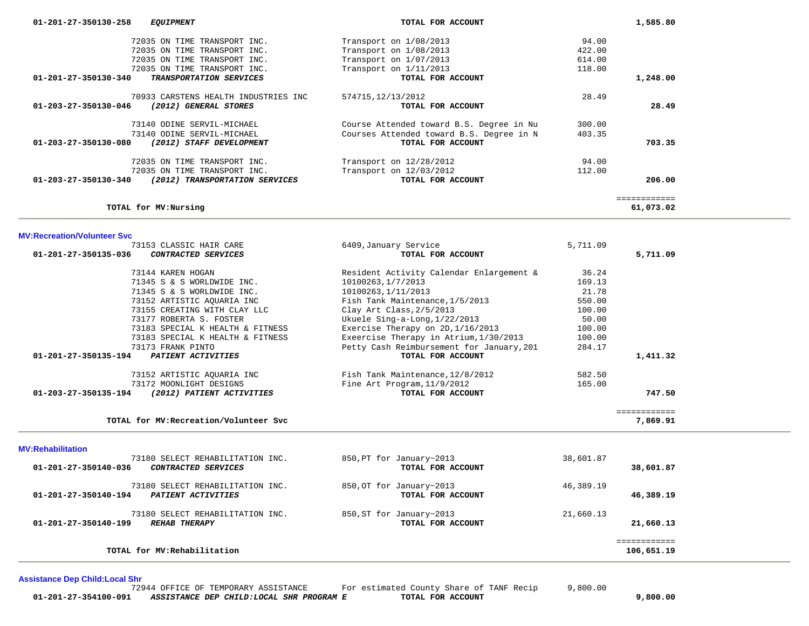| 01-201-27-350130-258           | <i>EQUIPMENT</i>                     | TOTAL FOR ACCOUNT                        |        | 1,585.80     |
|--------------------------------|--------------------------------------|------------------------------------------|--------|--------------|
|                                | 72035 ON TIME TRANSPORT INC.         | Transport on 1/08/2013                   | 94.00  |              |
|                                | 72035 ON TIME TRANSPORT INC.         | Transport on 1/08/2013                   | 422.00 |              |
|                                | 72035 ON TIME TRANSPORT INC.         | Transport on 1/07/2013                   | 614.00 |              |
|                                | 72035 ON TIME TRANSPORT INC.         | Transport on $1/11/2013$                 | 118.00 |              |
| 01-201-27-350130-340           | TRANSPORTATION SERVICES              | TOTAL FOR ACCOUNT                        |        | 1,248.00     |
|                                | 70933 CARSTENS HEALTH INDUSTRIES INC | 574715, 12/13/2012                       | 28.49  |              |
| 01-203-27-350130-046           | (2012) GENERAL STORES                | TOTAL FOR ACCOUNT                        |        | 28.49        |
|                                | 73140 ODINE SERVIL-MICHAEL           | Course Attended toward B.S. Degree in Nu | 300.00 |              |
|                                | 73140 ODINE SERVIL-MICHAEL           | Courses Attended toward B.S. Degree in N | 403.35 |              |
| 01-203-27-350130-080           | (2012) STAFF DEVELOPMENT             | TOTAL FOR ACCOUNT                        |        | 703.35       |
|                                | 72035 ON TIME TRANSPORT INC.         | Transport on 12/28/2012                  | 94.00  |              |
|                                | 72035 ON TIME TRANSPORT INC.         | Transport on 12/03/2012                  | 112.00 |              |
| $01 - 203 - 27 - 350130 - 340$ | (2012) TRANSPORTATION SERVICES       | TOTAL FOR ACCOUNT                        |        | 206.00       |
|                                |                                      |                                          |        | ============ |
|                                | TOTAL for MV: Nursing                |                                          |        | 61,073.02    |

|                                | 73153 CLASSIC HAIR CARE                | 6409, January Service                     | 5,711.09  |              |
|--------------------------------|----------------------------------------|-------------------------------------------|-----------|--------------|
| 01-201-27-350135-036           | CONTRACTED SERVICES                    | TOTAL FOR ACCOUNT                         |           | 5,711.09     |
|                                | 73144 KAREN HOGAN                      | Resident Activity Calendar Enlargement &  | 36.24     |              |
|                                | 71345 S & S WORLDWIDE INC.             | 10100263, 1/7/2013                        | 169.13    |              |
|                                | 71345 S & S WORLDWIDE INC.             | 10100263, 1/11/2013                       | 21.78     |              |
|                                | 73152 ARTISTIC AOUARIA INC             | Fish Tank Maintenance, 1/5/2013           | 550.00    |              |
|                                | 73155 CREATING WITH CLAY LLC           | Clay Art Class, 2/5/2013                  | 100.00    |              |
|                                | 73177 ROBERTA S. FOSTER                | Ukuele Sing-a-Long, 1/22/2013             | 50.00     |              |
|                                | 73183 SPECIAL K HEALTH & FITNESS       | Exercise Therapy on 2D, 1/16/2013         | 100.00    |              |
|                                | 73183 SPECIAL K HEALTH & FITNESS       | Exeercise Therapy in Atrium, 1/30/2013    | 100.00    |              |
|                                | 73173 FRANK PINTO                      | Petty Cash Reimbursement for January, 201 | 284.17    |              |
| 01-201-27-350135-194           | PATIENT ACTIVITIES                     | TOTAL FOR ACCOUNT                         |           | 1,411.32     |
|                                | 73152 ARTISTIC AOUARIA INC             | Fish Tank Maintenance, 12/8/2012          | 582.50    |              |
|                                | 73172 MOONLIGHT DESIGNS                | Fine Art Program, 11/9/2012               | 165.00    |              |
| 01-203-27-350135-194           | (2012) PATIENT ACTIVITIES              | TOTAL FOR ACCOUNT                         |           | 747.50       |
|                                |                                        |                                           |           | ============ |
|                                | TOTAL for MV: Recreation/Volunteer Svc |                                           |           | 7,869.91     |
| <b>MV:Rehabilitation</b>       |                                        |                                           |           |              |
|                                | 73180 SELECT REHABILITATION INC.       | 850, PT for January~2013                  | 38,601.87 |              |
| 01-201-27-350140-036           | CONTRACTED SERVICES                    | TOTAL FOR ACCOUNT                         |           | 38,601.87    |
|                                | 73180 SELECT REHABILITATION INC.       | 850, OT for January~2013                  | 46,389.19 |              |
| $01 - 201 - 27 - 350140 - 194$ | PATIENT ACTIVITIES                     | TOTAL FOR ACCOUNT                         |           | 46,389.19    |
|                                | 73180 SELECT REHABILITATION INC.       | 850, ST for January~2013                  | 21,660.13 |              |
| 01-201-27-350140-199           | <b>REHAB THERAPY</b>                   | TOTAL FOR ACCOUNT                         |           | 21,660.13    |
|                                |                                        |                                           |           | ============ |

**TOTAL for MV:Rehabilitation 106,651.19**

**Assistance Dep Child:Local Shr**

|                      | 72944 OFFICE OF TEMPORARY ASSISTANCE     | For estimated County Share of TANF Recip | 9,800.00 |
|----------------------|------------------------------------------|------------------------------------------|----------|
| 01-201-27-354100-091 | ASSISTANCE DEP CHILD:LOCAL SHR PROGRAM E | TOTAL FOR ACCOUNT                        | ,800.00  |

106,651.19

÷.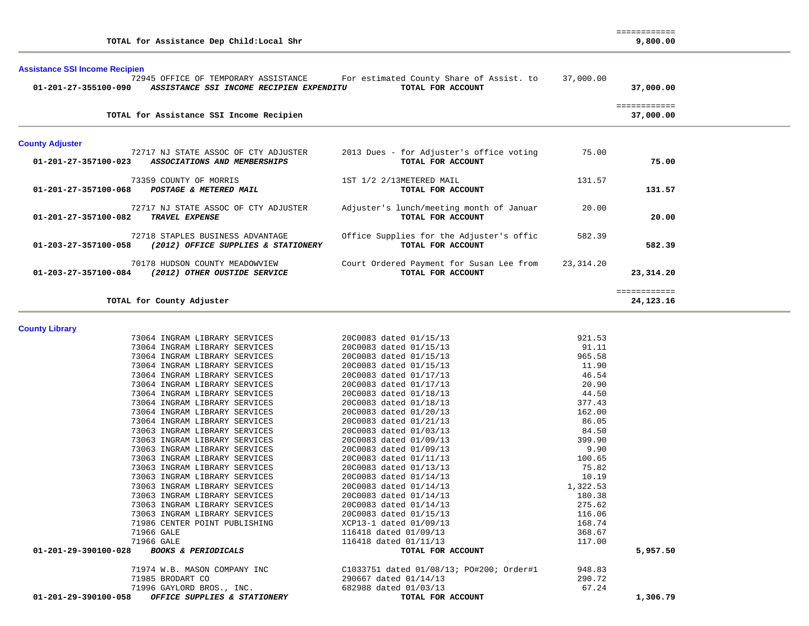| TOTAL for Assistance Dep Child: Local Shr                                                                |                                                               |                    | 9,800.00                  |  |  |
|----------------------------------------------------------------------------------------------------------|---------------------------------------------------------------|--------------------|---------------------------|--|--|
| <b>Assistance SSI Income Recipien</b>                                                                    |                                                               |                    |                           |  |  |
| 72945 OFFICE OF TEMPORARY ASSISTANCE<br>01-201-27-355100-090<br>ASSISTANCE SSI INCOME RECIPIEN EXPENDITU | For estimated County Share of Assist. to<br>TOTAL FOR ACCOUNT | 37,000.00          | 37,000.00                 |  |  |
| TOTAL for Assistance SSI Income Recipien                                                                 |                                                               |                    | ============<br>37,000.00 |  |  |
| <b>County Adjuster</b>                                                                                   |                                                               |                    |                           |  |  |
| 72717 NJ STATE ASSOC OF CTY ADJUSTER<br>ASSOCIATIONS AND MEMBERSHIPS<br>01-201-27-357100-023             | 2013 Dues - for Adjuster's office voting<br>TOTAL FOR ACCOUNT | 75.00              | 75.00                     |  |  |
| 73359 COUNTY OF MORRIS<br>01-201-27-357100-068<br>POSTAGE & METERED MAIL                                 | 1ST 1/2 2/13METERED MAIL<br>TOTAL FOR ACCOUNT                 | 131.57             | 131.57                    |  |  |
| 72717 NJ STATE ASSOC OF CTY ADJUSTER<br>TRAVEL EXPENSE<br>01-201-27-357100-082                           | Adjuster's lunch/meeting month of Januar<br>TOTAL FOR ACCOUNT | 20.00              | 20.00                     |  |  |
| 72718 STAPLES BUSINESS ADVANTAGE<br>01-203-27-357100-058<br>(2012) OFFICE SUPPLIES & STATIONERY          | Office Supplies for the Adjuster's offic<br>TOTAL FOR ACCOUNT | 582.39             | 582.39                    |  |  |
| 70178 HUDSON COUNTY MEADOWVIEW<br>01-203-27-357100-084<br>(2012) OTHER OUSTIDE SERVICE                   | Court Ordered Payment for Susan Lee from<br>TOTAL FOR ACCOUNT | 23,314.20          | 23,314.20                 |  |  |
| TOTAL for County Adjuster                                                                                |                                                               |                    | ============<br>24,123.16 |  |  |
| <b>County Library</b>                                                                                    |                                                               |                    |                           |  |  |
| 73064 INGRAM LIBRARY SERVICES                                                                            | 20C0083 dated 01/15/13                                        | 921.53             |                           |  |  |
| 73064 INGRAM LIBRARY SERVICES                                                                            | 20C0083 dated 01/15/13                                        | 91.11              |                           |  |  |
| 73064 INGRAM LIBRARY SERVICES                                                                            | 20C0083 dated 01/15/13                                        | 965.58             |                           |  |  |
| 73064 INGRAM LIBRARY SERVICES                                                                            | 20C0083 dated 01/15/13                                        | 11.90              |                           |  |  |
| 73064 INGRAM LIBRARY SERVICES                                                                            | 20C0083 dated 01/17/13                                        | 46.54              |                           |  |  |
| 73064 INGRAM LIBRARY SERVICES                                                                            | 20C0083 dated 01/17/13                                        | 20.90              |                           |  |  |
| 73064 INGRAM LIBRARY SERVICES                                                                            | 20C0083 dated 01/18/13                                        | 44.50              |                           |  |  |
| 73064 INGRAM LIBRARY SERVICES                                                                            | 20C0083 dated 01/18/13                                        | 377.43             |                           |  |  |
| 73064 INGRAM LIBRARY SERVICES                                                                            | 20C0083 dated 01/20/13                                        | 162.00             |                           |  |  |
| 73064 INGRAM LIBRARY SERVICES                                                                            | 20C0083 dated 01/21/13                                        | 86.05              |                           |  |  |
| 73063 INGRAM LIBRARY SERVICES                                                                            | 20C0083 dated 01/03/13                                        | 84.50              |                           |  |  |
| 73063 INGRAM LIBRARY SERVICES                                                                            | 20C0083 dated 01/09/13                                        | 399.90             |                           |  |  |
| 73063 INGRAM LIBRARY SERVICES                                                                            | 20C0083 dated 01/09/13                                        | 9.90               |                           |  |  |
| 73063 INGRAM LIBRARY SERVICES                                                                            | 20C0083 dated 01/11/13                                        | 100.65             |                           |  |  |
| 73063 INGRAM LIBRARY SERVICES                                                                            | 20C0083 dated 01/13/13                                        | 75.82              |                           |  |  |
| 73063 INGRAM LIBRARY SERVICES                                                                            | 20C0083 dated 01/14/13                                        | 10.19              |                           |  |  |
| 73063 INGRAM LIBRARY SERVICES<br>73063 INGRAM LIBRARY SERVICES                                           | 20C0083 dated 01/14/13<br>20C0083 dated 01/14/13              | 1,322.53<br>180.38 |                           |  |  |
| 73063 INGRAM LIBRARY SERVICES                                                                            | 20C0083 dated 01/14/13                                        | 275.62             |                           |  |  |
| 73063 INGRAM LIBRARY SERVICES                                                                            | 20C0083 dated 01/15/13                                        | 116.06             |                           |  |  |
| 71986 CENTER POINT PUBLISHING                                                                            | XCP13-1 dated 01/09/13                                        | 168.74             |                           |  |  |
| 71966 GALE                                                                                               | 116418 dated 01/09/13                                         | 368.67             |                           |  |  |
| 71966 GALE                                                                                               | 116418 dated 01/11/13                                         | 117.00             |                           |  |  |
| 01-201-29-390100-028 BOOKS & PERIODICALS                                                                 | TOTAL FOR ACCOUNT                                             |                    | 5,957.50                  |  |  |
|                                                                                                          |                                                               |                    |                           |  |  |
| 71974 W.B. MASON COMPANY INC                                                                             | C1033751 dated 01/08/13; PO#200; Order#1                      | 948.83             |                           |  |  |
| 71985 BRODART CO                                                                                         | 290667 dated 01/14/13                                         | 290.72             |                           |  |  |
| 71996 GAYLORD BROS., INC.                                                                                | 682988 dated 01/03/13                                         | 67.24              |                           |  |  |
| OFFICE SUPPLIES & STATIONERY<br>01-201-29-390100-058                                                     | TOTAL FOR ACCOUNT                                             |                    | 1,306.79                  |  |  |

============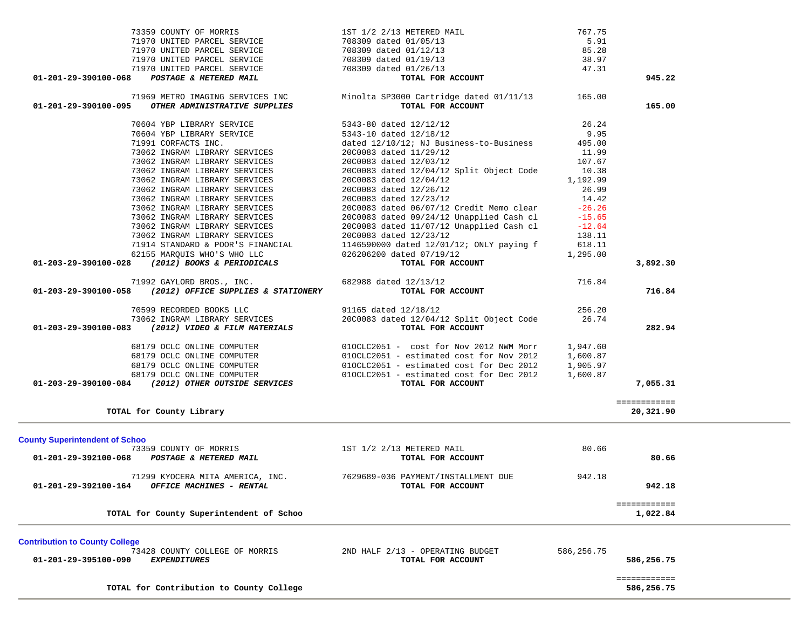|                                                               |                                                                                                                       |                                                                                                                                                |                    | ============              |  |
|---------------------------------------------------------------|-----------------------------------------------------------------------------------------------------------------------|------------------------------------------------------------------------------------------------------------------------------------------------|--------------------|---------------------------|--|
| <b>Contribution to County College</b><br>01-201-29-395100-090 | 73428 COUNTY COLLEGE OF MORRIS<br><b>EXPENDITURES</b>                                                                 | 2ND HALF 2/13 - OPERATING BUDGET<br>TOTAL FOR ACCOUNT                                                                                          | 586,256.75         | 586,256.75                |  |
|                                                               | TOTAL for County Superintendent of Schoo                                                                              |                                                                                                                                                |                    | ============<br>1,022.84  |  |
| 01-201-29-392100-164                                          | 71299 KYOCERA MITA AMERICA, INC.<br><b>OFFICE MACHINES - RENTAL</b>                                                   | 7629689-036 PAYMENT/INSTALLMENT DUE<br>TOTAL FOR ACCOUNT                                                                                       | 942.18             | 942.18                    |  |
| <b>County Superintendent of Schoo</b>                         | 73359 COUNTY OF MORRIS<br>01-201-29-392100-068 POSTAGE & METERED MAIL                                                 | 1ST 1/2 2/13 METERED MAIL<br>TOTAL FOR ACCOUNT                                                                                                 | 80.66              | 80.66                     |  |
|                                                               |                                                                                                                       |                                                                                                                                                |                    |                           |  |
|                                                               | TOTAL for County Library                                                                                              |                                                                                                                                                |                    | ============<br>20,321.90 |  |
|                                                               | 68179 OCLC ONLINE COMPUTER<br>68179 OCLC ONLINE COMPUTER<br><b>01-203-29-390100-084</b> (2012) OTHER OUTSIDE SERVICES | 010CLC2051 - estimated cost for Dec 2012<br>TOTAL FOR ACCOUNT                                                                                  | 1,600.87           | 7,055.31                  |  |
|                                                               | 68179 OCLC ONLINE COMPUTER<br>68179 OCLC ONLINE COMPUTER                                                              | 010CLC2051 - estimated cost for Dec 2012                                                                                                       | 1,905.97           |                           |  |
|                                                               | 68179 OCLC ONLINE COMPUTER                                                                                            | 010CLC2051 - cost for Nov 2012 NWM Morr 1,947.60<br>010CLC2051 - estimated cost for Nov 2012                                                   | 1,600.87           |                           |  |
|                                                               | 73062 INGRAM LIBRARY SERVICES<br>01-203-29-390100-083 (2012) VIDEO & FILM MATERIALS                                   | 91165 dated 12/18/12<br>20C0083 dated 12/04/12 Split Object Code<br>TOTAL FOR ACCOUNT                                                          | 256.20<br>26.74    | 282.94                    |  |
|                                                               | 01-203-29-390100-058 (2012) OFFICE SUPPLIES & STATIONERY<br>70599 RECORDED BOOKS LLC                                  | TOTAL FOR ACCOUNT                                                                                                                              |                    | 716.84                    |  |
|                                                               | 71992 GAYLORD BROS., INC.                                                                                             | 682988 dated 12/13/12                                                                                                                          | 716.84             |                           |  |
|                                                               | 62155 MARQUIS WHO'S WHO LLC<br>01-203-29-390100-028 (2012) BOOKS & PERIODICALS                                        | 026206200 dated 07/19/12<br>TOTAL FOR ACCOUNT                                                                                                  | 1,295.00           | 3,892.30                  |  |
|                                                               | TOUR STANDARD & POOR'S FINANCIAL<br>TOUR STANDARD & POOR'S FINANCIAL<br>COLEE MAROUTER WHOUS WHO LLC                  | 1146590000 dated 12/01/12; ONLY paying f                                                                                                       | 618.11             |                           |  |
|                                                               | 73062 INGRAM LIBRARY SERVICES<br>73062 INGRAM LIBRARY SERVICES                                                        | 20C0083 dated 11/07/12 Unapplied Cash cl<br>20C0083 dated 12/23/12                                                                             | $-12.64$<br>138.11 |                           |  |
|                                                               | 73062 INGRAM LIBRARY SERVICES                                                                                         | 2000083 dated 06/07/12 Credit Memo clear -26.26<br>2000083 dated 09/24/12 Unapplied Cash cl -15.65<br>20C0083 dated 09/24/12 Unapplied Cash cl | $-15.65$           |                           |  |
|                                                               | 73062 INGRAM LIBRARY SERVICES<br>73062 INGRAM LIBRARY SERVICES                                                        | 20C0083 dated 12/23/12                                                                                                                         | 14.42              |                           |  |
|                                                               | 73062 INGRAM LIBRARY SERVICES                                                                                         | 20C0083 dated 12/26/12                                                                                                                         | 26.99              |                           |  |
|                                                               | 73062 INGRAM LIBRARY SERVICES                                                                                         | 20C0083 dated 12/04/12                                                                                                                         | 1,192.99           |                           |  |
|                                                               | 73062 INGRAM LIBRARY SERVICES<br>73062 INGRAM LIBRARY SERVICES                                                        | 20C0083 dated 12/03/12<br>20C0083 dated 12/04/12 Split Object Code                                                                             | 107.67<br>10.38    |                           |  |
|                                                               | 73062 INGRAM LIBRARY SERVICES                                                                                         | 20C0083 dated 11/29/12                                                                                                                         | 11.99              |                           |  |
|                                                               | 71991 CORFACTS INC.                                                                                                   | dated 12/10/12; NJ Business-to-Business                                                                                                        | 495.00             |                           |  |
|                                                               | 70604 YBP LIBRARY SERVICE<br>70604 YBP LIBRARY SERVICE                                                                | 5343-80 dated 12/12/12<br>5343-10 dated 12/18/12                                                                                               | 26.24<br>9.95      |                           |  |
|                                                               | 71969 METRO IMAGING SERVICES INC<br>01-201-29-390100-095 OTHER ADMINISTRATIVE SUPPLIES                                | Minolta SP3000 Cartridge dated 01/11/13<br>TOTAL FOR ACCOUNT                                                                                   | 165.00             | 165.00                    |  |
| 01-201-29-390100-068                                          | POSTAGE & METERED MAIL                                                                                                | TOTAL FOR ACCOUNT                                                                                                                              |                    | 945.22                    |  |
|                                                               | 71970 UNITED PARCEL SERVICE                                                                                           | 708309 dated 01/12/13<br>708309 dated 01/19/13<br>708309 dated 01/26/13                                                                        | 47.31              |                           |  |
|                                                               | 71970 UNITED PARCEL SERVICE                                                                                           |                                                                                                                                                | 38.97              |                           |  |
|                                                               | 71970 UNITED PARCEL SERVICE<br>71970 UNITED PARCEL SERVICE                                                            | 708309 dated 01/05/13                                                                                                                          | 5.91<br>85.28      |                           |  |
|                                                               | 73359 COUNTY OF MORRIS                                                                                                | 1ST 1/2 2/13 METERED MAIL                                                                                                                      | 767.75             |                           |  |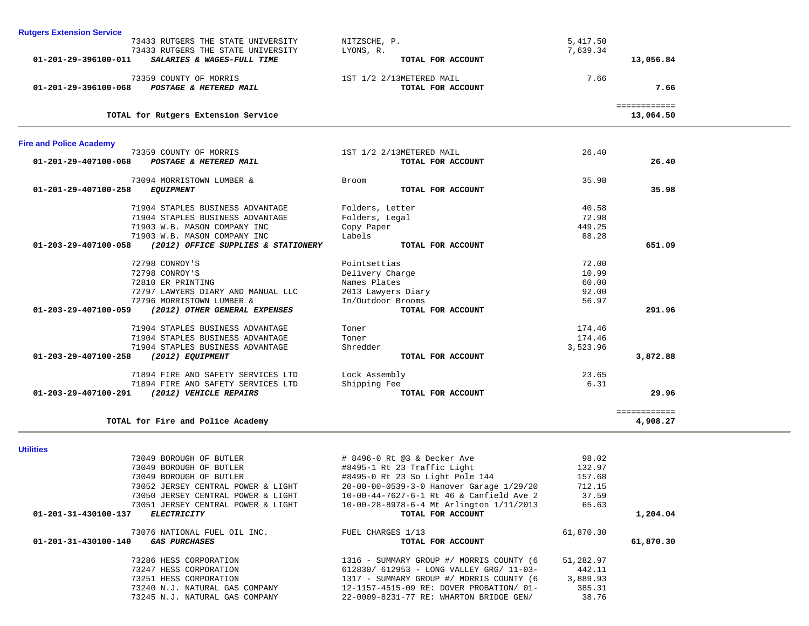| 19070 NAIIUNAL PULL UIL INC.<br>01-201-31-430100-140<br><i>GAS PURCHASES</i> | LARANGTO TITALI<br>TOTAL FOR ACCOUNT     | 01,010.30 |  |
|------------------------------------------------------------------------------|------------------------------------------|-----------|--|
| 73286 HESS CORPORATION                                                       | 1316 - SUMMARY GROUP #/ MORRIS COUNTY (6 | 51,282.97 |  |
| 73247 HESS CORPORATION                                                       | 612830/ 612953 - LONG VALLEY GRG/ 11-03- | 442.11    |  |
| 73251 HESS CORPORATION                                                       | 1317 - SUMMARY GROUP #/ MORRIS COUNTY (6 | 3,889.93  |  |
| 73240 N.J. NATURAL GAS COMPANY                                               | 12-1157-4515-09 RE: DOVER PROBATION/ 01- | 385.31    |  |
| 73245 N.J. NATURAL GAS COMPANY                                               | 22-0009-8231-77 RE: WHARTON BRIDGE GEN/  | 38.76     |  |
|                                                                              |                                          |           |  |

| <b>Utilities</b>                                       |                                          |           |           |
|--------------------------------------------------------|------------------------------------------|-----------|-----------|
| 73049 BOROUGH OF BUTLER                                | # 8496-0 Rt @3 & Decker Ave              | 98.02     |           |
| 73049 BOROUGH OF BUTLER                                | #8495-1 Rt 23 Traffic Light              | 132.97    |           |
| 73049 BOROUGH OF BUTLER                                | #8495-0 Rt 23 So Light Pole 144          | 157.68    |           |
| 73052 JERSEY CENTRAL POWER & LIGHT                     | 20-00-00-0539-3-0 Hanover Garage 1/29/20 | 712.15    |           |
| 73050 JERSEY CENTRAL POWER & LIGHT                     | 10-00-44-7627-6-1 Rt 46 & Canfield Ave 2 | 37.59     |           |
| 73051 JERSEY CENTRAL POWER & LIGHT                     | 10-00-28-8978-6-4 Mt Arlington 1/11/2013 | 65.63     |           |
| 01-201-31-430100-137<br><b>ELECTRICITY</b>             | TOTAL FOR ACCOUNT                        |           | 1,204.04  |
| 73076 NATIONAL FUEL OIL INC.                           | FUEL CHARGES 1/13                        | 61,870.30 |           |
| $01 - 201 - 31 - 430100 - 140$<br><i>GAS PURCHASES</i> | TOTAL FOR ACCOUNT                        |           | 61,870.30 |
|                                                        |                                          |           |           |

| 73094 MORRISTOWN LUMBER &                                       | <b>Broom</b>       | 35.98    |              |
|-----------------------------------------------------------------|--------------------|----------|--------------|
| 01-201-29-407100-258<br><b>EQUIPMENT</b>                        | TOTAL FOR ACCOUNT  |          | 35.98        |
| 71904 STAPLES BUSINESS ADVANTAGE                                | Folders, Letter    | 40.58    |              |
| 71904 STAPLES BUSINESS ADVANTAGE                                | Folders, Legal     | 72.98    |              |
| 71903 W.B. MASON COMPANY INC                                    | Copy Paper         | 449.25   |              |
| 71903 W.B. MASON COMPANY INC                                    | Labels             | 88.28    |              |
| (2012) OFFICE SUPPLIES & STATIONERY<br>01-203-29-407100-058     | TOTAL FOR ACCOUNT  |          | 651.09       |
| 72798 CONROY'S                                                  | Pointsettias       | 72.00    |              |
| 72798 CONROY'S                                                  | Delivery Charge    | 10.99    |              |
| 72810 ER PRINTING                                               | Names Plates       | 60.00    |              |
| 72797 LAWYERS DIARY AND MANUAL LLC                              | 2013 Lawyers Diary | 92.00    |              |
| 72796 MORRISTOWN LUMBER &                                       | In/Outdoor Brooms  | 56.97    |              |
| $01 - 203 - 29 - 407100 - 059$<br>(2012) OTHER GENERAL EXPENSES | TOTAL FOR ACCOUNT  |          | 291.96       |
| 71904 STAPLES BUSINESS ADVANTAGE                                | Toner              | 174.46   |              |
| 71904 STAPLES BUSINESS ADVANTAGE                                | Toner              | 174.46   |              |
| 71904 STAPLES BUSINESS ADVANTAGE                                | Shredder           | 3,523.96 |              |
| 01-203-29-407100-258<br>(2012) EQUIPMENT                        | TOTAL FOR ACCOUNT  |          | 3,872.88     |
| 71894 FIRE AND SAFETY SERVICES LTD                              | Lock Assembly      | 23.65    |              |
| 71894 FIRE AND SAFETY SERVICES LTD                              | Shipping Fee       | 6.31     |              |
| $01 - 203 - 29 - 407100 - 291$<br>(2012) VEHICLE REPAIRS        | TOTAL FOR ACCOUNT  |          | 29.96        |
|                                                                 |                    |          | ============ |
| TOTAL for Fire and Police Academy                               |                    |          | 4,908.27     |

| <b>Rutgers Extension Service</b>                   |                          |              |  |
|----------------------------------------------------|--------------------------|--------------|--|
| 73433 RUTGERS THE STATE UNIVERSITY                 | NITZSCHE, P.             | 5,417.50     |  |
| 73433 RUTGERS THE STATE UNIVERSITY                 | LYONS, R.                | 7,639.34     |  |
| 01-201-29-396100-011<br>SALARIES & WAGES-FULL TIME | TOTAL FOR ACCOUNT        | 13,056.84    |  |
| 73359 COUNTY OF MORRIS                             | 1ST 1/2 2/13METERED MAIL | 7.66         |  |
| 01-201-29-396100-068<br>POSTAGE & METERED MAIL     | TOTAL FOR ACCOUNT        | 7.66         |  |
|                                                    |                          | ------------ |  |
| TOTAL for Rutgers Extension Service                |                          | 13,064.50    |  |

73359 COUNTY OF MORRIS 1ST 1/2 2/13METERED MAIL 26.40

26.40

 **01-201-29-407100-068** *POSTAGE & METERED MAIL* **TOTAL FOR ACCOUNT 26.40**

**Fire and Police Academy**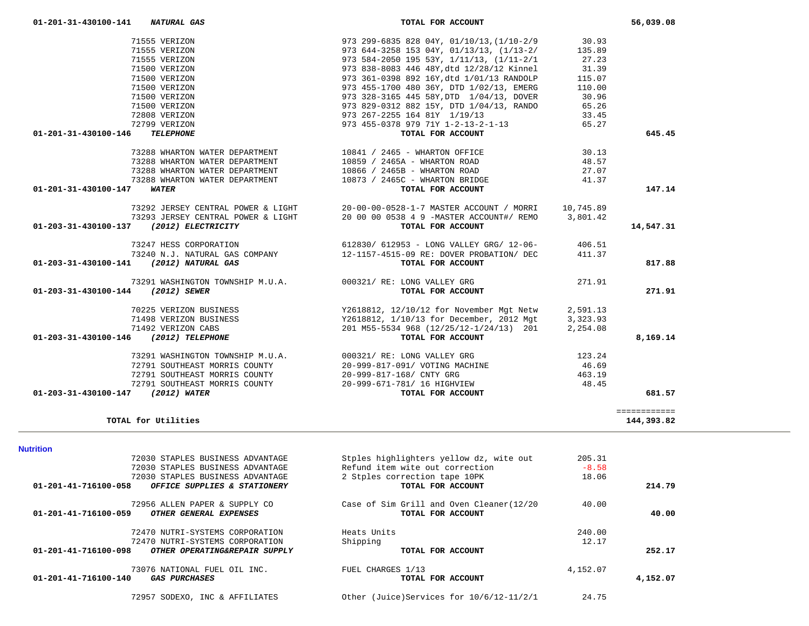| <b>Nutrition</b>                                              |                                          |          |          |
|---------------------------------------------------------------|------------------------------------------|----------|----------|
| 72030 STAPLES BUSINESS ADVANTAGE                              | Stples highlighters yellow dz, wite out  | 205.31   |          |
| 72030 STAPLES BUSINESS ADVANTAGE                              | Refund item wite out correction          | $-8.58$  |          |
| 72030 STAPLES BUSINESS ADVANTAGE                              | 2 Stples correction tape 10PK            | 18.06    |          |
| 01-201-41-716100-058<br>OFFICE SUPPLIES & STATIONERY          | TOTAL FOR ACCOUNT                        |          | 214.79   |
| 72956 ALLEN PAPER & SUPPLY CO                                 | Case of Sim Grill and Oven Cleaner(12/20 | 40.00    |          |
| $01 - 201 - 41 - 716100 - 059$<br>OTHER GENERAL EXPENSES      | TOTAL FOR ACCOUNT                        |          | 40.00    |
| 72470 NUTRI-SYSTEMS CORPORATION                               | Heats Units                              | 240.00   |          |
| 72470 NUTRI-SYSTEMS CORPORATION                               | Shipping                                 | 12.17    |          |
| 01-201-41-716100-098<br>OTHER OPERATING&REPAIR SUPPLY         | TOTAL FOR ACCOUNT                        |          | 252.17   |
| 73076 NATIONAL FUEL OIL INC.                                  | FUEL CHARGES 1/13                        | 4,152.07 |          |
| $01 - 201 - 41 - 716100 - 140$<br><i><b>GAS PURCHASES</b></i> | TOTAL FOR ACCOUNT                        |          | 4,152.07 |
| 72957 SODEXO, INC & AFFILIATES                                | Other (Juice)Services for 10/6/12-11/2/1 | 24.75    |          |

## **TOTAL for Utilities 144,393.82**

| 71555 VERIZON                                                                                                         |                                                                                                                                                                                                                                                                                                                               |        |           |
|-----------------------------------------------------------------------------------------------------------------------|-------------------------------------------------------------------------------------------------------------------------------------------------------------------------------------------------------------------------------------------------------------------------------------------------------------------------------|--------|-----------|
| 71555 VERIZON                                                                                                         |                                                                                                                                                                                                                                                                                                                               |        |           |
| 71555 VERIZON                                                                                                         |                                                                                                                                                                                                                                                                                                                               |        |           |
| 71500 VERIZON                                                                                                         |                                                                                                                                                                                                                                                                                                                               |        |           |
| 71500 VERIZON                                                                                                         |                                                                                                                                                                                                                                                                                                                               |        |           |
| 71500 VERIZON                                                                                                         |                                                                                                                                                                                                                                                                                                                               |        |           |
| 71500 VERIZON                                                                                                         |                                                                                                                                                                                                                                                                                                                               |        |           |
| 71500 VERIZON                                                                                                         |                                                                                                                                                                                                                                                                                                                               |        |           |
| 72808 VERIZON                                                                                                         |                                                                                                                                                                                                                                                                                                                               |        |           |
| 72799 VERIZON                                                                                                         |                                                                                                                                                                                                                                                                                                                               |        |           |
| 01-201-31-430100-146 TELEPHONE                                                                                        | 973 299-6835 828 04Y, 01/10/13, (1/10-2/9<br>973 644-3258 153 04Y, 01/13/13, (1/13-2/<br>973 584-2050 195 53Y, 1/11/13, (1/11-2/1<br>973 838-8083 446 48Y, dtd 12/28/12 Kinnel<br>973 361-0398 892 16Y, dtd 1/01/13 RANDOLP<br>973 361-                                                                                       |        | 645.45    |
|                                                                                                                       | $\begin{array}{cccccc} \texttt{73288} & \texttt{WHARTON} & \texttt{MATER} & \texttt{DEPARTMENT} & \texttt{10841} & / & \texttt{2465 - WHARTON} & \texttt{OFFICE} & \texttt{30.13} \\ \texttt{73288} & \texttt{WHARTON} & \texttt{MARTON} & \texttt{D859} & / & \texttt{2465A - WHARTON ROAD} & \texttt{48.57} \\ \end{array}$ |        |           |
|                                                                                                                       |                                                                                                                                                                                                                                                                                                                               |        |           |
|                                                                                                                       | 73288 WHARTON WATER DEPARTMENT 10866 / 2465B - WHARTON ROAD                                                                                                                                                                                                                                                                   | 27.07  |           |
|                                                                                                                       | 73288 WHARTON WATER DEPARTMENT 10873 / 2465C - WHARTON BRIDGE                                                                                                                                                                                                                                                                 | 41.37  |           |
| 01-201-31-430100-147 WATER                                                                                            | TOTAL FOR ACCOUNT                                                                                                                                                                                                                                                                                                             |        | 147.14    |
|                                                                                                                       | 73292 JERSEY CENTRAL POWER & LIGHT 20-00-00-0528-1-7 MASTER ACCOUNT / MORRI 10,745.89                                                                                                                                                                                                                                         |        |           |
|                                                                                                                       | 73293 JERSEY CENTRAL POWER & LIGHT 20 00 00 0538 4 9 -MASTER ACCOUNT#/ REMO 3,801.42                                                                                                                                                                                                                                          |        |           |
| 01-203-31-430100-137 (2012) ELECTRICITY                                                                               | TOTAL FOR ACCOUNT                                                                                                                                                                                                                                                                                                             |        | 14,547.31 |
|                                                                                                                       |                                                                                                                                                                                                                                                                                                                               |        |           |
|                                                                                                                       |                                                                                                                                                                                                                                                                                                                               |        |           |
|                                                                                                                       | 73247 HESS CORPORATION 612830/612953 - LONG VALLEY GRG/12-06-<br>73240 N.J. NATURAL GAS COMPANY 12-1157-4515-09 RE: DOVER PROBATION/DEC 411.37<br><b>1 (2012) NATURAL GAS 12-1157-4515-09 RE: DOVER PROBATION</b> /DEC 411.37                                                                                                 |        | 817.88    |
|                                                                                                                       |                                                                                                                                                                                                                                                                                                                               |        |           |
|                                                                                                                       |                                                                                                                                                                                                                                                                                                                               |        |           |
|                                                                                                                       | 73291 WASHINGTON TOWNSHIP M.U.A. $000321/RE: LONG$ VALLEY GRG (2012) SEWER                                                                                                                                                                                                                                                    | 271.91 | 271.91    |
|                                                                                                                       |                                                                                                                                                                                                                                                                                                                               |        |           |
|                                                                                                                       |                                                                                                                                                                                                                                                                                                                               |        |           |
|                                                                                                                       |                                                                                                                                                                                                                                                                                                                               |        |           |
|                                                                                                                       |                                                                                                                                                                                                                                                                                                                               |        | 8,169.14  |
|                                                                                                                       | 70225 VERIZON BUSINESS<br>71498 VERIZON BUSINESS<br>71492 VERIZON CABS<br>71492 VERIZON CABS<br>71492 VERIZON CABS<br>71492 VERIZON CABS<br>71492 VERIZON CABS<br>72618812, 1/10/13 for December, 2012 Mgt<br>2012 2,254.08<br>707AL FOR ACCOUNT                                                                              |        |           |
|                                                                                                                       |                                                                                                                                                                                                                                                                                                                               |        |           |
|                                                                                                                       | 73291 WASHINGTON TOWNSHIP M.U.A.<br>72791 SOUTHEAST MORRIS COUNTY 20-999-817-091/ VOTING MACHINE 46.69                                                                                                                                                                                                                        |        |           |
| 01-203-31-430100-141 (2012) NATURAL GAS<br>01-203-31-430100-144 (2012) SEWER<br>01-203-31-430100-146 (2012) TELEPHONE | 463.19<br>72791 SOUTHEAST MORRIS COUNTY 20-999-817-168/ CNTY GRG<br>72791 SOUTHEAST MORRIS COUNTY $20-999-671-781/$ 16 HIGHVIEW (2012) WATER COUNTY                                                                                                                                                                           | 48.45  |           |

 **01-201-31-430100-141** *NATURAL GAS* **TOTAL FOR ACCOUNT 56,039.08**

144,393.82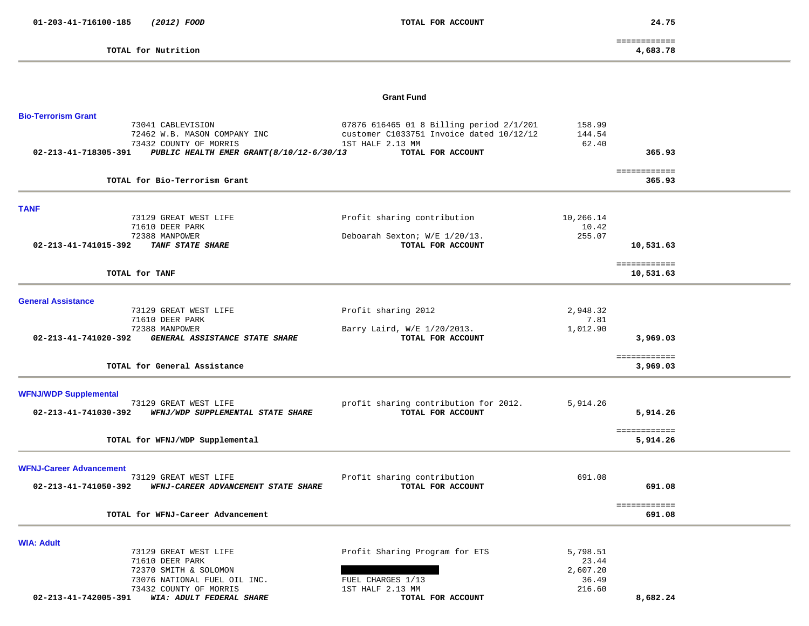**TOTAL for Nutrition 4,683.78**

 ============ 4,683.78

### **Grant Fund**

| <b>Bio-Terrorism Grant</b>                                        |                                          |                 |                           |  |
|-------------------------------------------------------------------|------------------------------------------|-----------------|---------------------------|--|
| 73041 CABLEVISION                                                 | 07876 616465 01 8 Billing period 2/1/201 | 158.99          |                           |  |
| 72462 W.B. MASON COMPANY INC                                      | customer C1033751 Invoice dated 10/12/12 | 144.54          |                           |  |
| 73432 COUNTY OF MORRIS                                            | 1ST HALF 2.13 MM                         | 62.40           |                           |  |
| 02-213-41-718305-391<br>PUBLIC HEALTH EMER GRANT (8/10/12-6/30/13 | TOTAL FOR ACCOUNT                        |                 | 365.93                    |  |
| TOTAL for Bio-Terrorism Grant                                     |                                          |                 | ============<br>365.93    |  |
|                                                                   |                                          |                 |                           |  |
| <b>TANF</b><br>73129 GREAT WEST LIFE                              | Profit sharing contribution              | 10,266.14       |                           |  |
| 71610 DEER PARK                                                   |                                          | 10.42           |                           |  |
| 72388 MANPOWER                                                    | Deboarah Sexton; W/E 1/20/13.            | 255.07          |                           |  |
| 02-213-41-741015-392<br>TANF STATE SHARE                          | TOTAL FOR ACCOUNT                        |                 | 10,531.63                 |  |
|                                                                   |                                          |                 |                           |  |
| TOTAL for TANF                                                    |                                          |                 | ============<br>10,531.63 |  |
| <b>General Assistance</b>                                         |                                          |                 |                           |  |
| 73129 GREAT WEST LIFE                                             | Profit sharing 2012                      | 2,948.32        |                           |  |
| 71610 DEER PARK                                                   |                                          | 7.81            |                           |  |
| 72388 MANPOWER                                                    | Barry Laird, W/E 1/20/2013.              | 1,012.90        |                           |  |
| 02-213-41-741020-392<br>GENERAL ASSISTANCE STATE SHARE            | TOTAL FOR ACCOUNT                        |                 | 3,969.03                  |  |
|                                                                   |                                          |                 | ============              |  |
| TOTAL for General Assistance                                      |                                          |                 | 3,969.03                  |  |
| <b>WFNJ/WDP Supplemental</b>                                      |                                          |                 |                           |  |
| 73129 GREAT WEST LIFE                                             | profit sharing contribution for 2012.    | 5,914.26        |                           |  |
| WFNJ/WDP SUPPLEMENTAL STATE SHARE<br>02-213-41-741030-392         | TOTAL FOR ACCOUNT                        |                 | 5,914.26                  |  |
|                                                                   |                                          |                 |                           |  |
| TOTAL for WFNJ/WDP Supplemental                                   |                                          |                 | ============<br>5,914.26  |  |
|                                                                   |                                          |                 |                           |  |
| <b>WFNJ-Career Advancement</b>                                    |                                          |                 |                           |  |
| 73129 GREAT WEST LIFE                                             | Profit sharing contribution              | 691.08          |                           |  |
| 02-213-41-741050-392<br>WFNJ-CAREER ADVANCEMENT STATE SHARE       | TOTAL FOR ACCOUNT                        |                 | 691.08                    |  |
| TOTAL for WFNJ-Career Advancement                                 |                                          |                 | ============<br>691.08    |  |
|                                                                   |                                          |                 |                           |  |
| <b>WIA: Adult</b>                                                 |                                          |                 |                           |  |
| 73129 GREAT WEST LIFE                                             | Profit Sharing Program for ETS           | 5,798.51        |                           |  |
| 71610 DEER PARK                                                   |                                          | 23.44           |                           |  |
| 72370 SMITH & SOLOMON                                             |                                          | 2,607.20        |                           |  |
| 73076 NATIONAL FUEL OIL INC.<br>73432 COUNTY OF MORRIS            | FUEL CHARGES 1/13<br>1ST HALF 2.13 MM    | 36.49<br>216.60 |                           |  |
| 02-213-41-742005-391<br>WIA: ADULT FEDERAL SHARE                  | TOTAL FOR ACCOUNT                        |                 | 8,682.24                  |  |
|                                                                   |                                          |                 |                           |  |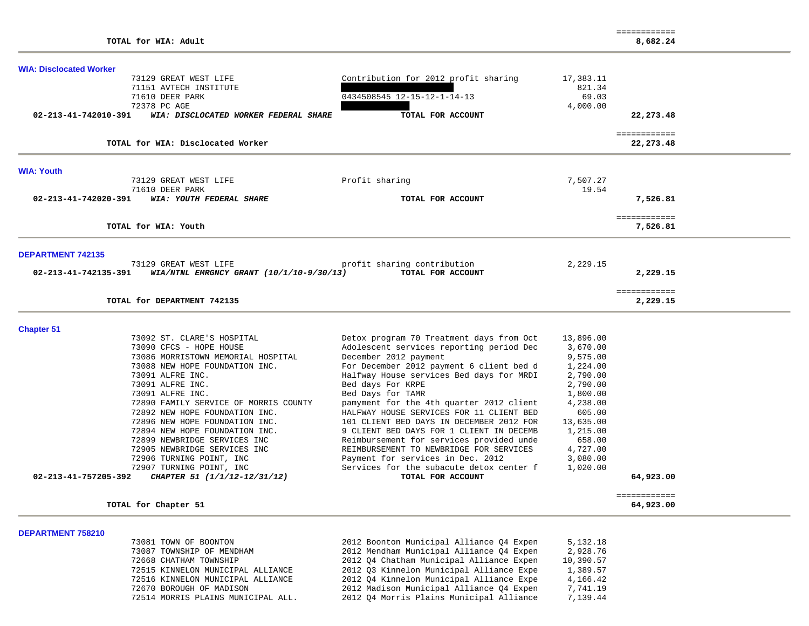**DEPARTMENT 758210** 

| <b>WIA: Disclocated Worker</b> |                                            |                                          |                   |                            |  |
|--------------------------------|--------------------------------------------|------------------------------------------|-------------------|----------------------------|--|
|                                | 73129 GREAT WEST LIFE                      | Contribution for 2012 profit sharing     | 17,383.11         |                            |  |
|                                | 71151 AVTECH INSTITUTE                     | 0434508545 12-15-12-1-14-13              | 821.34            |                            |  |
|                                | 71610 DEER PARK<br>72378 PC AGE            |                                          | 69.03<br>4,000.00 |                            |  |
| 02-213-41-742010-391           | WIA: DISCLOCATED WORKER FEDERAL SHARE      | TOTAL FOR ACCOUNT                        |                   | 22, 273.48                 |  |
|                                |                                            |                                          |                   |                            |  |
|                                | TOTAL for WIA: Disclocated Worker          |                                          |                   | ============<br>22, 273.48 |  |
| <b>WIA: Youth</b>              |                                            |                                          |                   |                            |  |
|                                | 73129 GREAT WEST LIFE                      | Profit sharing                           | 7,507.27          |                            |  |
|                                | 71610 DEER PARK                            |                                          | 19.54             |                            |  |
| 02-213-41-742020-391           | WIA: YOUTH FEDERAL SHARE                   | TOTAL FOR ACCOUNT                        |                   | 7,526.81                   |  |
|                                | TOTAL for WIA: Youth                       |                                          |                   | ============<br>7,526.81   |  |
|                                |                                            |                                          |                   |                            |  |
| <b>DEPARTMENT 742135</b>       |                                            |                                          |                   |                            |  |
|                                | 73129 GREAT WEST LIFE                      | profit sharing contribution              | 2,229.15          |                            |  |
| 02-213-41-742135-391           | WIA/NTNL EMRGNCY GRANT $(10/1/10-9/30/13)$ | TOTAL FOR ACCOUNT                        |                   | 2,229.15                   |  |
|                                |                                            |                                          |                   | ============               |  |
|                                | TOTAL for DEPARTMENT 742135                |                                          |                   | 2,229.15                   |  |
| <b>Chapter 51</b>              |                                            |                                          |                   |                            |  |
|                                | 73092 ST. CLARE'S HOSPITAL                 | Detox program 70 Treatment days from Oct | 13,896.00         |                            |  |
|                                | 73090 CFCS - HOPE HOUSE                    | Adolescent services reporting period Dec | 3,670.00          |                            |  |
|                                | 73086 MORRISTOWN MEMORIAL HOSPITAL         | December 2012 payment                    | 9,575.00          |                            |  |
|                                | 73088 NEW HOPE FOUNDATION INC.             | For December 2012 payment 6 client bed d | 1,224.00          |                            |  |
|                                | 73091 ALFRE INC.                           | Halfway House services Bed days for MRDI | 2,790.00          |                            |  |
|                                | 73091 ALFRE INC.                           | Bed days For KRPE                        | 2,790.00          |                            |  |
|                                | 73091 ALFRE INC.                           | Bed Days for TAMR                        | 1,800.00          |                            |  |
|                                | 72890 FAMILY SERVICE OF MORRIS COUNTY      | pamyment for the 4th quarter 2012 client | 4,238.00          |                            |  |
|                                | 72892 NEW HOPE FOUNDATION INC.             | HALFWAY HOUSE SERVICES FOR 11 CLIENT BED | 605.00            |                            |  |
|                                | 72896 NEW HOPE FOUNDATION INC.             | 101 CLIENT BED DAYS IN DECEMBER 2012 FOR | 13,635.00         |                            |  |
|                                | 72894 NEW HOPE FOUNDATION INC.             | 9 CLIENT BED DAYS FOR 1 CLIENT IN DECEMB | 1,215.00          |                            |  |
|                                | 72899 NEWBRIDGE SERVICES INC               | Reimbursement for services provided unde | 658.00            |                            |  |
|                                | 72905 NEWBRIDGE SERVICES INC               | REIMBURSEMENT TO NEWBRIDGE FOR SERVICES  | 4,727.00          |                            |  |
|                                | 72906 TURNING POINT, INC                   | Payment for services in Dec. 2012        | 3,080.00          |                            |  |
|                                | 72907 TURNING POINT, INC                   | Services for the subacute detox center f | 1,020.00          |                            |  |
| 02-213-41-757205-392           | CHAPTER 51 (1/1/12-12/31/12)               | TOTAL FOR ACCOUNT                        |                   | 64,923.00                  |  |
|                                |                                            |                                          |                   | ============               |  |
|                                | TOTAL for Chapter 51                       |                                          |                   | 64,923.00                  |  |
|                                |                                            |                                          |                   |                            |  |

 73081 TOWN OF BOONTON 2012 Boonton Municipal Alliance Q4 Expen 5,132.18 73087 TOWNSHIP OF MENDHAM 2012 Mendham Municipal Alliance Q4 Expen 2,928.76 72668 CHATHAM TOWNSHIP 2012 Q4 Chatham Municipal Alliance Expen 10,390.57 72515 KINNELON MUNICIPAL ALLIANCE 2012 Q3 Kinnelon Municipal Alliance Expe 1,389.57 72516 KINNELON MUNICIPAL ALLIANCE 2012 Q4 Kinnelon Municipal Alliance Expe 4,166.42 72670 BOROUGH OF MADISON 2012 Madison Municipal Alliance Q4 Expen 7,741.19 72514 MORRIS PLAINS MUNICIPAL ALL. 2012 Q4 Morris Plains Municipal Alliance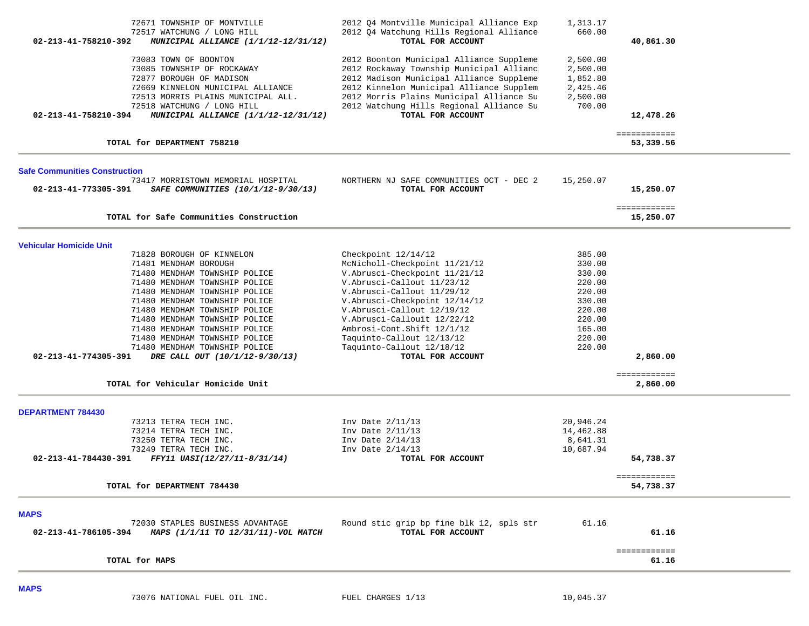| 72671 TOWNSHIP OF MONTVILLE<br>72517 WATCHUNG / LONG HILL<br>02-213-41-758210-392<br>MUNICIPAL ALLIANCE (1/1/12-12/31/12)                                                                                                                                                                                                                                                                                                                                                                    | 2012 Q4 Montville Municipal Alliance Exp<br>2012 Q4 Watchung Hills Regional Alliance<br>TOTAL FOR ACCOUNT                                                                                                                                                                                                                                                     | 1,313.17<br>660.00                                                                                         | 40,861.30                            |  |
|----------------------------------------------------------------------------------------------------------------------------------------------------------------------------------------------------------------------------------------------------------------------------------------------------------------------------------------------------------------------------------------------------------------------------------------------------------------------------------------------|---------------------------------------------------------------------------------------------------------------------------------------------------------------------------------------------------------------------------------------------------------------------------------------------------------------------------------------------------------------|------------------------------------------------------------------------------------------------------------|--------------------------------------|--|
| 73083 TOWN OF BOONTON<br>73085 TOWNSHIP OF ROCKAWAY<br>72877 BOROUGH OF MADISON<br>72669 KINNELON MUNICIPAL ALLIANCE<br>72513 MORRIS PLAINS MUNICIPAL ALL.<br>72518 WATCHUNG / LONG HILL<br>MUNICIPAL ALLIANCE (1/1/12-12/31/12)<br>02-213-41-758210-394                                                                                                                                                                                                                                     | 2012 Boonton Municipal Alliance Suppleme<br>2012 Rockaway Township Municipal Allianc<br>2012 Madison Municipal Alliance Suppleme<br>2012 Kinnelon Municipal Alliance Supplem<br>2012 Morris Plains Municipal Alliance Su<br>2012 Watchung Hills Regional Alliance Su<br>TOTAL FOR ACCOUNT                                                                     | 2,500.00<br>2,500.00<br>1,852.80<br>2,425.46<br>2,500.00<br>700.00                                         | 12,478.26                            |  |
| TOTAL for DEPARTMENT 758210                                                                                                                                                                                                                                                                                                                                                                                                                                                                  |                                                                                                                                                                                                                                                                                                                                                               |                                                                                                            | ============<br>53,339.56            |  |
| <b>Safe Communities Construction</b><br>73417 MORRISTOWN MEMORIAL HOSPITAL<br>02-213-41-773305-391<br>SAFE COMMUNITIES (10/1/12-9/30/13)                                                                                                                                                                                                                                                                                                                                                     | NORTHERN NJ SAFE COMMUNITIES OCT - DEC 2<br>TOTAL FOR ACCOUNT                                                                                                                                                                                                                                                                                                 | 15,250.07                                                                                                  | 15,250.07                            |  |
| TOTAL for Safe Communities Construction                                                                                                                                                                                                                                                                                                                                                                                                                                                      |                                                                                                                                                                                                                                                                                                                                                               |                                                                                                            | ============<br>15,250.07            |  |
|                                                                                                                                                                                                                                                                                                                                                                                                                                                                                              |                                                                                                                                                                                                                                                                                                                                                               |                                                                                                            |                                      |  |
| <b>Vehicular Homicide Unit</b><br>71828 BOROUGH OF KINNELON<br>71481 MENDHAM BOROUGH<br>71480 MENDHAM TOWNSHIP POLICE<br>71480 MENDHAM TOWNSHIP POLICE<br>71480 MENDHAM TOWNSHIP POLICE<br>71480 MENDHAM TOWNSHIP POLICE<br>71480 MENDHAM TOWNSHIP POLICE<br>71480 MENDHAM TOWNSHIP POLICE<br>71480 MENDHAM TOWNSHIP POLICE<br>71480 MENDHAM TOWNSHIP POLICE<br>71480 MENDHAM TOWNSHIP POLICE<br>02-213-41-774305-391<br>DRE CALL OUT (10/1/12-9/30/13)<br>TOTAL for Vehicular Homicide Unit | Checkpoint 12/14/12<br>McNicholl-Checkpoint 11/21/12<br>V.Abrusci-Checkpoint 11/21/12<br>V.Abrusci-Callout 11/23/12<br>V.Abrusci-Callout 11/29/12<br>V.Abrusci-Checkpoint 12/14/12<br>V.Abrusci-Callout 12/19/12<br>V. Abrusci-Callouit 12/22/12<br>Ambrosi-Cont.Shift 12/1/12<br>Taquinto-Callout 12/13/12<br>Taquinto-Callout 12/18/12<br>TOTAL FOR ACCOUNT | 385.00<br>330.00<br>330.00<br>220.00<br>220.00<br>330.00<br>220.00<br>220.00<br>165.00<br>220.00<br>220.00 | 2,860.00<br>============<br>2,860.00 |  |
| <b>DEPARTMENT 784430</b>                                                                                                                                                                                                                                                                                                                                                                                                                                                                     |                                                                                                                                                                                                                                                                                                                                                               |                                                                                                            |                                      |  |
| 73213 TETRA TECH INC.<br>73214 TETRA TECH INC.<br>73250 TETRA TECH INC.<br>73249 TETRA TECH INC.<br>02-213-41-784430-391<br>FFY11 UASI(12/27/11-8/31/14)                                                                                                                                                                                                                                                                                                                                     | Inv Date 2/11/13<br>Inv Date 2/11/13<br>Inv Date $2/14/13$<br>Inv Date 2/14/13<br>TOTAL FOR ACCOUNT                                                                                                                                                                                                                                                           | 20,946.24<br>14,462.88<br>8,641.31<br>10,687.94                                                            | 54,738.37<br>============            |  |
| TOTAL for DEPARTMENT 784430                                                                                                                                                                                                                                                                                                                                                                                                                                                                  |                                                                                                                                                                                                                                                                                                                                                               |                                                                                                            | 54,738.37                            |  |
| <b>MAPS</b><br>72030 STAPLES BUSINESS ADVANTAGE<br>02-213-41-786105-394<br>MAPS (1/1/11 TO 12/31/11)-VOL MATCH                                                                                                                                                                                                                                                                                                                                                                               | Round stic grip bp fine blk 12, spls str<br>TOTAL FOR ACCOUNT                                                                                                                                                                                                                                                                                                 | 61.16                                                                                                      | 61.16                                |  |
| TOTAL for MAPS                                                                                                                                                                                                                                                                                                                                                                                                                                                                               |                                                                                                                                                                                                                                                                                                                                                               |                                                                                                            | ============<br>61.16                |  |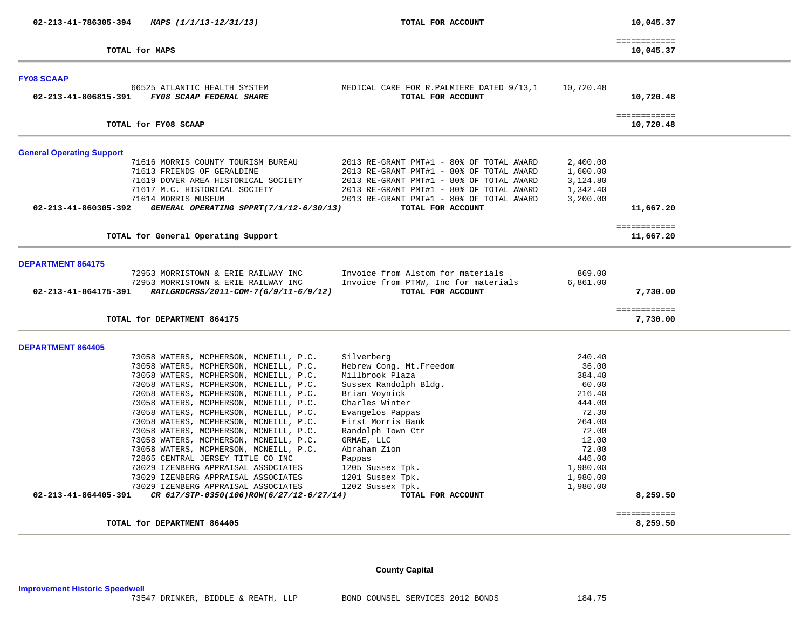**02-213-41-786305-394** *MAPS (1/1/13-12/31/13)* **TOTAL FOR ACCOUNT 10,045.37**

| TOTAL for MAPS | 10,045.37 |  |
|----------------|-----------|--|

 ============  $10,045.37$ 

| <b>FY08 SCAAP</b>                                                                                       |                                                                |           |                           |
|---------------------------------------------------------------------------------------------------------|----------------------------------------------------------------|-----------|---------------------------|
| 66525 ATLANTIC HEALTH SYSTEM<br>FY08 SCAAP FEDERAL SHARE<br>02-213-41-806815-391                        | MEDICAL CARE FOR R. PALMIERE DATED 9/13,1<br>TOTAL FOR ACCOUNT | 10,720.48 | 10,720.48                 |
| TOTAL for FY08 SCAAP                                                                                    |                                                                |           | ============<br>10,720.48 |
| <b>General Operating Support</b>                                                                        |                                                                |           |                           |
| 71616 MORRIS COUNTY TOURISM BUREAU                                                                      | 2013 RE-GRANT PMT#1 - 80% OF TOTAL AWARD                       | 2,400.00  |                           |
| 71613 FRIENDS OF GERALDINE                                                                              | 2013 RE-GRANT PMT#1 - 80% OF TOTAL AWARD                       | 1,600.00  |                           |
| 71619 DOVER AREA HISTORICAL SOCIETY                                                                     | 2013 RE-GRANT PMT#1 - 80% OF TOTAL AWARD                       | 3,124.80  |                           |
| 71617 M.C. HISTORICAL SOCIETY                                                                           | 2013 RE-GRANT PMT#1 - 80% OF TOTAL AWARD                       | 1,342.40  |                           |
| 71614 MORRIS MUSEUM                                                                                     | 2013 RE-GRANT PMT#1 - 80% OF TOTAL AWARD                       | 3,200.00  |                           |
| 02-213-41-860305-392<br>GENERAL OPERATING SPPRT(7/1/12-6/30/13)                                         | TOTAL FOR ACCOUNT                                              |           | 11,667.20                 |
|                                                                                                         |                                                                |           | ============              |
| TOTAL for General Operating Support                                                                     |                                                                |           | 11,667.20                 |
| <b>DEPARTMENT 864175</b>                                                                                |                                                                |           |                           |
| 72953 MORRISTOWN & ERIE RAILWAY INC                                                                     | Invoice from Alstom for materials                              | 869.00    |                           |
| 72953 MORRISTOWN & ERIE RAILWAY INC                                                                     | Invoice from PTMW, Inc for materials                           | 6,861.00  |                           |
| RAILGRDCRSS/2011-COM-7(6/9/11-6/9/12)<br>$02 - 213 - 41 - 864175 - 391$                                 | TOTAL FOR ACCOUNT                                              |           | 7,730,00                  |
|                                                                                                         |                                                                |           |                           |
|                                                                                                         |                                                                |           | ============              |
| TOTAL for DEPARTMENT 864175                                                                             |                                                                |           | 7,730.00                  |
|                                                                                                         |                                                                |           |                           |
| <b>DEPARTMENT 864405</b>                                                                                |                                                                | 240.40    |                           |
| 73058 WATERS, MCPHERSON, MCNEILL, P.C.<br>73058 WATERS, MCPHERSON, MCNEILL, P.C.                        | Silverberg<br>Hebrew Cong. Mt. Freedom                         | 36.00     |                           |
| 73058 WATERS, MCPHERSON, MCNEILL, P.C.                                                                  | Millbrook Plaza                                                | 384.40    |                           |
| 73058 WATERS, MCPHERSON, MCNEILL, P.C.                                                                  | Sussex Randolph Bldg.                                          | 60.00     |                           |
| 73058 WATERS, MCPHERSON, MCNEILL, P.C.                                                                  | Brian Voynick                                                  | 216.40    |                           |
| 73058 WATERS, MCPHERSON, MCNEILL, P.C.                                                                  | Charles Winter                                                 | 444.00    |                           |
| 73058 WATERS, MCPHERSON, MCNEILL, P.C.                                                                  | Evangelos Pappas                                               | 72.30     |                           |
| 73058 WATERS, MCPHERSON, MCNEILL, P.C.                                                                  | First Morris Bank                                              | 264.00    |                           |
| 73058 WATERS, MCPHERSON, MCNEILL, P.C.                                                                  | Randolph Town Ctr                                              | 72.00     |                           |
| 73058 WATERS, MCPHERSON, MCNEILL, P.C.                                                                  | GRMAE, LLC                                                     | 12.00     |                           |
| 73058 WATERS, MCPHERSON, MCNEILL, P.C.                                                                  | Abraham Zion                                                   | 72.00     |                           |
| 72865 CENTRAL JERSEY TITLE CO INC                                                                       | Pappas                                                         | 446.00    |                           |
| 73029 IZENBERG APPRAISAL ASSOCIATES                                                                     | 1205 Sussex Tpk.                                               | 1,980.00  |                           |
| 73029 IZENBERG APPRAISAL ASSOCIATES                                                                     | 1201 Sussex Tpk.                                               | 1,980.00  |                           |
| 73029 IZENBERG APPRAISAL ASSOCIATES<br>CR 617/STP-0350(106)ROW(6/27/12-6/27/14)<br>02-213-41-864405-391 | 1202 Sussex Tpk.<br>TOTAL FOR ACCOUNT                          | 1,980.00  | 8,259.50                  |
|                                                                                                         |                                                                |           | ============              |

# **County Capital**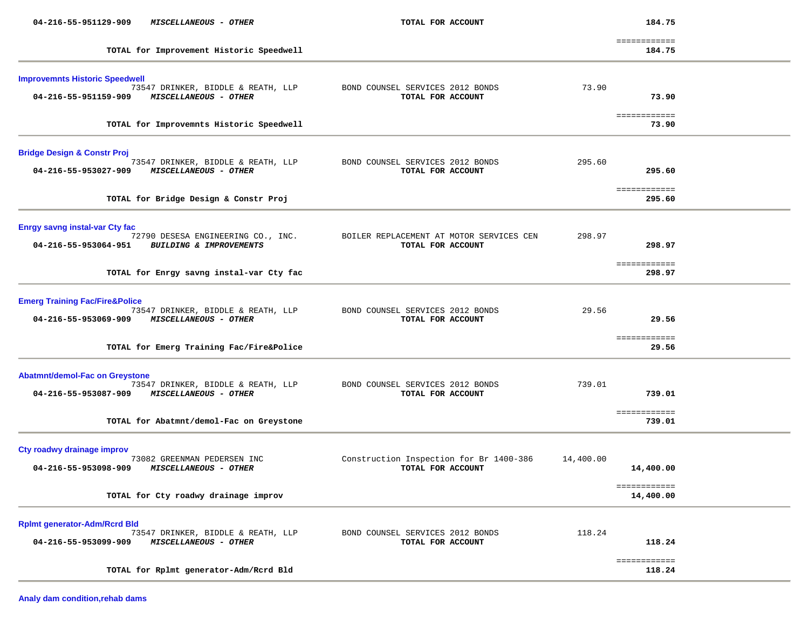| 04-216-55-951129-909<br>MISCELLANEOUS - OTHER                                                                                             | TOTAL FOR ACCOUNT                                             |           | 184.75                    |  |
|-------------------------------------------------------------------------------------------------------------------------------------------|---------------------------------------------------------------|-----------|---------------------------|--|
| TOTAL for Improvement Historic Speedwell                                                                                                  |                                                               |           | ============<br>184.75    |  |
| <b>Improvemnts Historic Speedwell</b><br>73547 DRINKER, BIDDLE & REATH, LLP<br><b>MISCELLANEOUS - OTHER</b><br>04-216-55-951159-909       | BOND COUNSEL SERVICES 2012 BONDS<br>TOTAL FOR ACCOUNT         | 73.90     | 73.90                     |  |
| TOTAL for Improvemnts Historic Speedwell                                                                                                  |                                                               |           | ============<br>73.90     |  |
| <b>Bridge Design &amp; Constr Proj</b><br>73547 DRINKER, BIDDLE & REATH, LLP<br><b>MISCELLANEOUS - OTHER</b><br>04-216-55-953027-909      | BOND COUNSEL SERVICES 2012 BONDS<br>TOTAL FOR ACCOUNT         | 295.60    | 295.60                    |  |
| TOTAL for Bridge Design & Constr Proj                                                                                                     |                                                               |           | ============<br>295.60    |  |
| <b>Enrgy savng instal-var Cty fac</b><br>72790 DESESA ENGINEERING CO., INC.<br>04-216-55-953064-951<br><b>BUILDING &amp; IMPROVEMENTS</b> | BOILER REPLACEMENT AT MOTOR SERVICES CEN<br>TOTAL FOR ACCOUNT | 298.97    | 298.97<br>============    |  |
| TOTAL for Enrgy savng instal-var Cty fac                                                                                                  |                                                               |           | 298.97                    |  |
| <b>Emerg Training Fac/Fire&amp;Police</b><br>73547 DRINKER, BIDDLE & REATH, LLP<br>04-216-55-953069-909<br><i>MISCELLANEOUS - OTHER</i>   | BOND COUNSEL SERVICES 2012 BONDS<br>TOTAL FOR ACCOUNT         | 29.56     | 29.56                     |  |
| TOTAL for Emerg Training Fac/Fire&Police                                                                                                  |                                                               |           | ============<br>29.56     |  |
| <b>Abatmnt/demol-Fac on Greystone</b><br>73547 DRINKER, BIDDLE & REATH, LLP<br>04-216-55-953087-909 MISCELLANEOUS - OTHER                 | BOND COUNSEL SERVICES 2012 BONDS<br>TOTAL FOR ACCOUNT         | 739.01    | 739.01                    |  |
| TOTAL for Abatmnt/demol-Fac on Greystone                                                                                                  |                                                               |           | ============<br>739.01    |  |
| Cty roadwy drainage improv<br>73082 GREENMAN PEDERSEN INC<br>04-216-55-953098-909<br><b>MISCELLANEOUS - OTHER</b>                         | Construction Inspection for Br 1400-386<br>TOTAL FOR ACCOUNT  | 14,400.00 | 14,400.00                 |  |
| TOTAL for Cty roadwy drainage improv                                                                                                      |                                                               |           | ============<br>14,400.00 |  |
| <b>Rplmt generator-Adm/Rcrd Bld</b><br>73547 DRINKER, BIDDLE & REATH, LLP<br>04-216-55-953099-909<br>MISCELLANEOUS - OTHER                | BOND COUNSEL SERVICES 2012 BONDS<br>TOTAL FOR ACCOUNT         | 118.24    | 118.24                    |  |
| TOTAL for Rplmt generator-Adm/Rcrd Bld                                                                                                    |                                                               |           | ============<br>118.24    |  |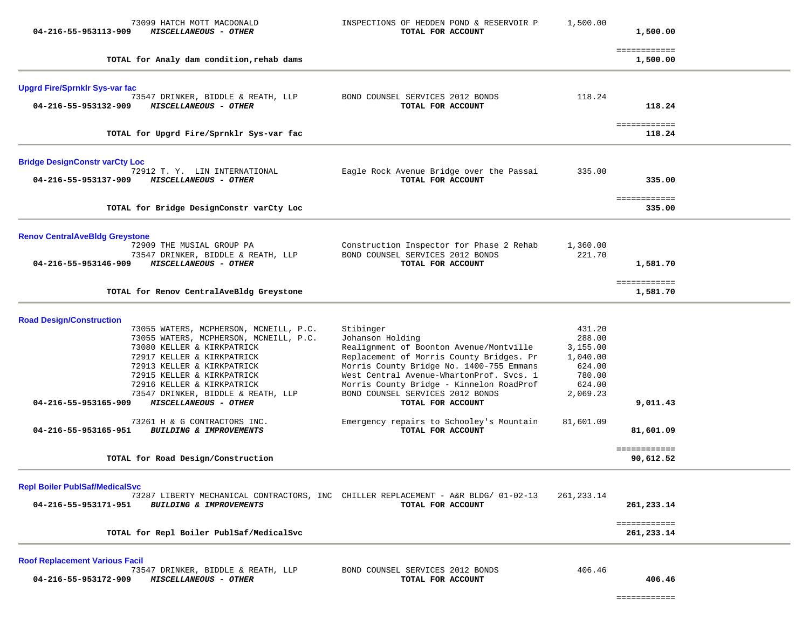| 73099 HATCH MOTT MACDONALD<br>04-216-55-953113-909<br>MISCELLANEOUS - OTHER                                      | INSPECTIONS OF HEDDEN POND & RESERVOIR P<br>TOTAL FOR ACCOUNT                                           | 1,500.00           | 1,500.00                   |  |
|------------------------------------------------------------------------------------------------------------------|---------------------------------------------------------------------------------------------------------|--------------------|----------------------------|--|
| TOTAL for Analy dam condition, rehab dams                                                                        |                                                                                                         |                    | ============<br>1,500.00   |  |
| <b>Upgrd Fire/Sprnklr Sys-var fac</b>                                                                            |                                                                                                         |                    |                            |  |
| 73547 DRINKER, BIDDLE & REATH, LLP<br>MISCELLANEOUS - OTHER<br>04-216-55-953132-909                              | BOND COUNSEL SERVICES 2012 BONDS<br>TOTAL FOR ACCOUNT                                                   | 118.24             | 118.24                     |  |
| TOTAL for Upgrd Fire/Sprnklr Sys-var fac                                                                         |                                                                                                         |                    | ============<br>118.24     |  |
| <b>Bridge DesignConstr varCty Loc</b>                                                                            |                                                                                                         |                    |                            |  |
| 72912 T. Y. LIN INTERNATIONAL<br>MISCELLANEOUS - OTHER<br>04-216-55-953137-909                                   | Eagle Rock Avenue Bridge over the Passai<br>TOTAL FOR ACCOUNT                                           | 335.00             | 335.00                     |  |
| TOTAL for Bridge DesignConstr varCty Loc                                                                         |                                                                                                         |                    | ============<br>335.00     |  |
| <b>Renov CentralAveBldg Greystone</b>                                                                            |                                                                                                         |                    |                            |  |
| 72909 THE MUSIAL GROUP PA<br>73547 DRINKER, BIDDLE & REATH, LLP<br>04-216-55-953146-909<br>MISCELLANEOUS - OTHER | Construction Inspector for Phase 2 Rehab<br>BOND COUNSEL SERVICES 2012 BONDS<br>TOTAL FOR ACCOUNT       | 1,360.00<br>221.70 | 1,581.70                   |  |
| TOTAL for Renov CentralAveBldg Greystone                                                                         |                                                                                                         |                    | ============<br>1,581.70   |  |
| <b>Road Design/Construction</b>                                                                                  |                                                                                                         |                    |                            |  |
| 73055 WATERS, MCPHERSON, MCNEILL, P.C.                                                                           | Stibinger                                                                                               | 431.20             |                            |  |
| 73055 WATERS, MCPHERSON, MCNEILL, P.C.<br>73080 KELLER & KIRKPATRICK                                             | Johanson Holding<br>Realignment of Boonton Avenue/Montville                                             | 288.00<br>3,155.00 |                            |  |
| 72917 KELLER & KIRKPATRICK                                                                                       | Replacement of Morris County Bridges. Pr                                                                | 1,040.00           |                            |  |
| 72913 KELLER & KIRKPATRICK                                                                                       | Morris County Bridge No. 1400-755 Emmans                                                                | 624.00             |                            |  |
| 72915 KELLER & KIRKPATRICK                                                                                       | West Central Avenue-WhartonProf. Svcs. 1                                                                | 780.00             |                            |  |
| 72916 KELLER & KIRKPATRICK                                                                                       | Morris County Bridge - Kinnelon RoadProf                                                                | 624.00             |                            |  |
| 73547 DRINKER, BIDDLE & REATH, LLP<br>04-216-55-953165-909<br>MISCELLANEOUS - OTHER                              | BOND COUNSEL SERVICES 2012 BONDS<br>TOTAL FOR ACCOUNT                                                   | 2,069.23           | 9,011.43                   |  |
| 73261 H & G CONTRACTORS INC.<br>04-216-55-953165-951<br>BUILDING & IMPROVEMENTS                                  | Emergency repairs to Schooley's Mountain<br>TOTAL FOR ACCOUNT                                           | 81,601.09          | 81,601.09                  |  |
| TOTAL for Road Design/Construction                                                                               |                                                                                                         |                    | ============<br>90,612.52  |  |
| <b>Repl Boiler PublSaf/MedicalSvc</b>                                                                            |                                                                                                         |                    |                            |  |
| 04-216-55-953171-951<br><b>BUILDING &amp; IMPROVEMENTS</b>                                                       | 73287 LIBERTY MECHANICAL CONTRACTORS, INC CHILLER REPLACEMENT - A&R BLDG/ 01-02-13<br>TOTAL FOR ACCOUNT | 261, 233. 14       | 261,233.14                 |  |
| TOTAL for Repl Boiler PublSaf/MedicalSvc                                                                         |                                                                                                         |                    | ============<br>261,233.14 |  |
| <b>Roof Replacement Various Facil</b>                                                                            |                                                                                                         |                    |                            |  |
| 73547 DRINKER, BIDDLE & REATH, LLP<br>04-216-55-953172-909<br><b>MISCELLANEOUS - OTHER</b>                       | BOND COUNSEL SERVICES 2012 BONDS<br>TOTAL FOR ACCOUNT                                                   | 406.46             | 406.46                     |  |

============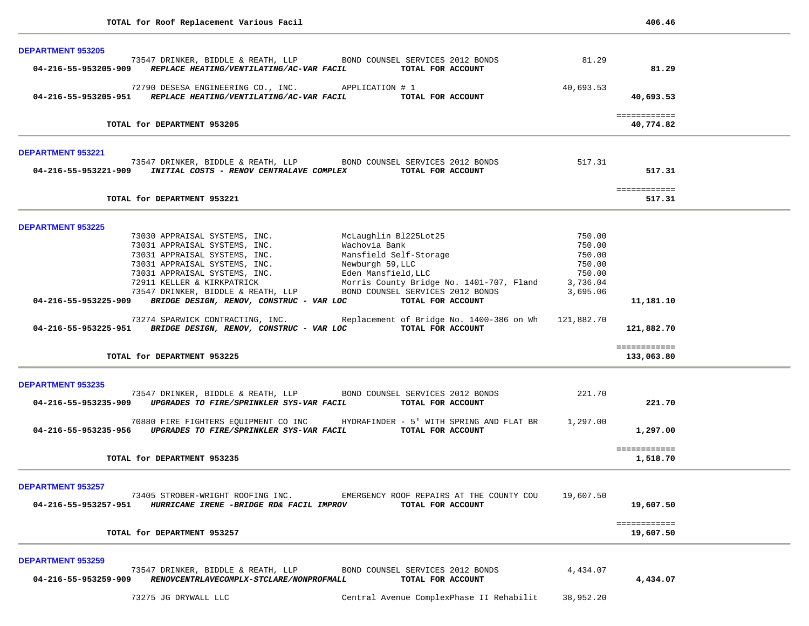| <b>DEPARTMENT 953205</b>                                                                                                                                                                                                                     |           |                           |  |
|----------------------------------------------------------------------------------------------------------------------------------------------------------------------------------------------------------------------------------------------|-----------|---------------------------|--|
| 73547 DRINKER, BIDDLE & REATH, LLP BOND COUNSEL SERVICES 2012 BONDS<br>04-216-55-953205-909 REPLACE HEATING/VENTILATING/AC-VAR FACIL<br>TOTAL FOR ACCOUNT                                                                                    | 81.29     | 81.29                     |  |
| 72790 DESESA ENGINEERING CO., INC. APPLICATION # 1                                                                                                                                                                                           | 40,693.53 |                           |  |
| 04-216-55-953205-951 REPLACE HEATING/VENTILATING/AC-VAR FACIL<br>TOTAL FOR ACCOUNT                                                                                                                                                           |           | 40,693.53                 |  |
| TOTAL for DEPARTMENT 953205                                                                                                                                                                                                                  |           | ============<br>40,774.82 |  |
|                                                                                                                                                                                                                                              |           |                           |  |
| DEPARTMENT 953221                                                                                                                                                                                                                            |           |                           |  |
| 73547 DRINKER, BIDDLE & REATH, LLP BOND COUNSEL SERVICES 2012 BONDS<br>04-216-55-953221-909 INITIAL COSTS - RENOV CENTRALAVE COMPLEX<br>TOTAL FOR ACCOUNT                                                                                    | 517.31    | 517.31                    |  |
| TOTAL for DEPARTMENT 953221                                                                                                                                                                                                                  |           | ============<br>517.31    |  |
| <b>DEPARTMENT 953225</b>                                                                                                                                                                                                                     |           |                           |  |
| McLaughlin Bl225Lot25<br>73030 APPRAISAL SYSTEMS, INC.                                                                                                                                                                                       | 750.00    |                           |  |
| 73031 APPRAISAL SYSTEMS, INC.<br>Wachovia Bank                                                                                                                                                                                               | 750.00    |                           |  |
| 73031 APPRAISAL SYSTEMS, INC.<br>73031 APPRAISAL SYSTEMS, INC.<br>73031 APPRAISAL SYSTEMS, INC.<br>73031 APPRAISAL SYSTEMS, INC.<br>73031 APPRAISAL SYSTEMS, INC.<br>73031 APPRAISAL SYSTEMS, INC.<br>73547 DRINKER, BIDDLE & REATH, LLP<br> | 750.00    |                           |  |
|                                                                                                                                                                                                                                              | 750.00    |                           |  |
|                                                                                                                                                                                                                                              | 750.00    |                           |  |
| Morris County Bridge No. 1401-707, Fland 3,736.04                                                                                                                                                                                            |           |                           |  |
|                                                                                                                                                                                                                                              | 3,695.06  |                           |  |
| 04-216-55-953225-909 BRIDGE DESIGN, RENOV, CONSTRUC - VAR LOC<br>TOTAL FOR ACCOUNT                                                                                                                                                           |           | 11,181.10                 |  |
| 73274 SPARWICK CONTRACTING, INC. Replacement of Bridge No. 1400-386 on Wh 121,882.70<br>04-216-55-953225-951 BRIDGE DESIGN, RENOV, CONSTRUC - VAR LOC TOTAL FOR ACCOUNT                                                                      |           | 121,882.70                |  |
|                                                                                                                                                                                                                                              |           | ============              |  |
| TOTAL for DEPARTMENT 953225                                                                                                                                                                                                                  |           | 133,063.80                |  |
| <b>DEPARTMENT 953235</b>                                                                                                                                                                                                                     |           |                           |  |
| 73547 DRINKER, BIDDLE & REATH, LLP BOND COUNSEL SERVICES 2012 BONDS                                                                                                                                                                          | 221.70    |                           |  |
| 04-216-55-953235-909 UPGRADES TO FIRE/SPRINKLER SYS-VAR FACIL<br>TOTAL FOR ACCOUNT                                                                                                                                                           |           | 221.70                    |  |
| 70880 FIRE FIGHTERS EQUIPMENT CO INC HYDRAFINDER - 5' WITH SPRING AND FLAT BR                                                                                                                                                                | 1,297.00  |                           |  |
| 04-216-55-953235-956 UPGRADES TO FIRE/SPRINKLER SYS-VAR FACIL TOTAL FOR ACCOUNT                                                                                                                                                              |           | 1,297.00                  |  |
| TOTAL for DEPARTMENT 953235                                                                                                                                                                                                                  |           | ============<br>1,518.70  |  |
|                                                                                                                                                                                                                                              |           |                           |  |
| <b>DEPARTMENT 953257</b>                                                                                                                                                                                                                     |           |                           |  |
| 73405 STROBER-WRIGHT ROOFING INC.<br>EMERGENCY ROOF REPAIRS AT THE COUNTY COU<br>04-216-55-953257-951 HURRICANE IRENE -BRIDGE RD& FACIL IMPROV<br>TOTAL FOR ACCOUNT                                                                          | 19,607.50 | 19,607.50                 |  |
| TOTAL for DEPARTMENT 953257                                                                                                                                                                                                                  |           | ============<br>19,607.50 |  |
|                                                                                                                                                                                                                                              |           |                           |  |
| <b>DEPARTMENT 953259</b>                                                                                                                                                                                                                     |           |                           |  |
| BOND COUNSEL SERVICES 2012 BONDS<br>73547 DRINKER, BIDDLE & REATH, LLP<br>RENOVCENTRLAVECOMPLX-STCLARE/NONPROFMALL<br>04-216-55-953259-909<br>TOTAL FOR ACCOUNT                                                                              | 4,434.07  | 4,434.07                  |  |
| 73275 JG DRYWALL LLC<br>Central Avenue ComplexPhase II Rehabilit                                                                                                                                                                             | 38,952.20 |                           |  |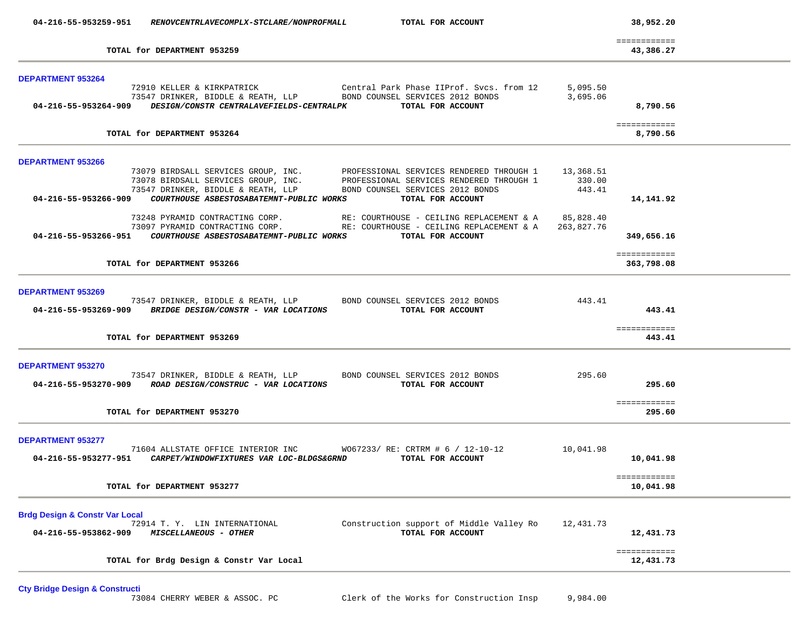| 04-216-55-953259-951                                              | RENOVCENTRLAVECOMPLX-STCLARE/NONPROFMALL                                                                          | TOTAL FOR ACCOUNT                                                                                                                                                                                                                                         |                      | 38,952.20                        |  |
|-------------------------------------------------------------------|-------------------------------------------------------------------------------------------------------------------|-----------------------------------------------------------------------------------------------------------------------------------------------------------------------------------------------------------------------------------------------------------|----------------------|----------------------------------|--|
|                                                                   | TOTAL for DEPARTMENT 953259                                                                                       |                                                                                                                                                                                                                                                           |                      | ============<br>43,386.27        |  |
| <b>DEPARTMENT 953264</b>                                          | 04-216-55-953264-909 DESIGN/CONSTR CENTRALAVEFIELDS-CENTRALPK TOTAL FOR ACCOUNT                                   | 72910 KELLER & KIRKPATRICK                     Central Park Phase IIProf. Svcs. from 12<br>73547 DRINKER, BIDDLE & REATH, LLP         BOND COUNSEL SERVICES 2012 BONDS                                                                                    | 5,095.50<br>3,695.06 | 8,790.56                         |  |
|                                                                   | TOTAL for DEPARTMENT 953264                                                                                       |                                                                                                                                                                                                                                                           |                      | ============<br>8,790.56         |  |
| DEPARTMENT 953266                                                 |                                                                                                                   | 73079 BIRDSALL SERVICES GROUP, INC. PROFESSIONAL SERVICES RENDERED THROUGH 1 13,368.51<br>73078 BIRDSALL SERVICES GROUP, INC. PROFESSIONAL SERVICES RENDERED THROUGH 1 330.00<br>73547 DRINKER, BIDDLE & REATH, LLP BOND COUNSEL SER<br>TOTAL FOR ACCOUNT |                      | 14,141.92                        |  |
|                                                                   | 04-216-55-953266-951 COURTHOUSE ASBESTOSABATEMNT-PUBLIC WORKS TOTAL FOR ACCOUNT                                   | 73248 PYRAMID CONTRACTING CORP. RE: COURTHOUSE - CEILING REPLACEMENT & A 35,828.40<br>73097 PYRAMID CONTRACTING CORP. RE: COURTHOUSE - CEILING REPLACEMENT & A                                                                                            | 263,827.76           | 349,656.16                       |  |
|                                                                   | TOTAL for DEPARTMENT 953266                                                                                       |                                                                                                                                                                                                                                                           |                      | ============<br>363,798.08       |  |
| <b>DEPARTMENT 953269</b>                                          | 04-216-55-953269-909 BRIDGE DESIGN/CONSTR - VAR LOCATIONS TOTAL FOR ACCOUNT<br>TOTAL for DEPARTMENT 953269        | 73547 DRINKER, BIDDLE & REATH, LLP BOND COUNSEL SERVICES 2012 BONDS                                                                                                                                                                                       | 443.41               | 443.41<br>============<br>443.41 |  |
| DEPARTMENT 953270                                                 | 04-216-55-953270-909 ROAD DESIGN/CONSTRUC - VAR LOCATIONS<br>TOTAL for DEPARTMENT 953270                          | 73547 DRINKER, BIDDLE & REATH, LLP BOND COUNSEL SERVICES 2012 BONDS<br>TOTAL FOR ACCOUNT                                                                                                                                                                  | 295.60               | 295.60<br>============<br>295.60 |  |
| <b>DEPARTMENT 953277</b><br>04-216-55-953277-951                  | 71604 ALLSTATE OFFICE INTERIOR INC $W067233/RE: CRTRM # 6 / 12-10-12$<br>CARPET/WINDOWFIXTURES VAR LOC-BLDGS&GRND | TOTAL FOR ACCOUNT                                                                                                                                                                                                                                         | 10,041.98            | 10,041.98<br>============        |  |
|                                                                   | TOTAL for DEPARTMENT 953277                                                                                       |                                                                                                                                                                                                                                                           |                      | 10,041.98                        |  |
| <b>Brdg Design &amp; Constr Var Local</b><br>04-216-55-953862-909 | 72914 T. Y. LIN INTERNATIONAL<br>MISCELLANEOUS - OTHER                                                            | Construction support of Middle Valley Ro<br>TOTAL FOR ACCOUNT                                                                                                                                                                                             | 12,431.73            | 12,431.73                        |  |
|                                                                   | TOTAL for Brdg Design & Constr Var Local                                                                          |                                                                                                                                                                                                                                                           |                      | ============<br>12,431.73        |  |

Cty Bridge Design & Constructi<br>73084 CHERRY WEBER & ASSOC. PC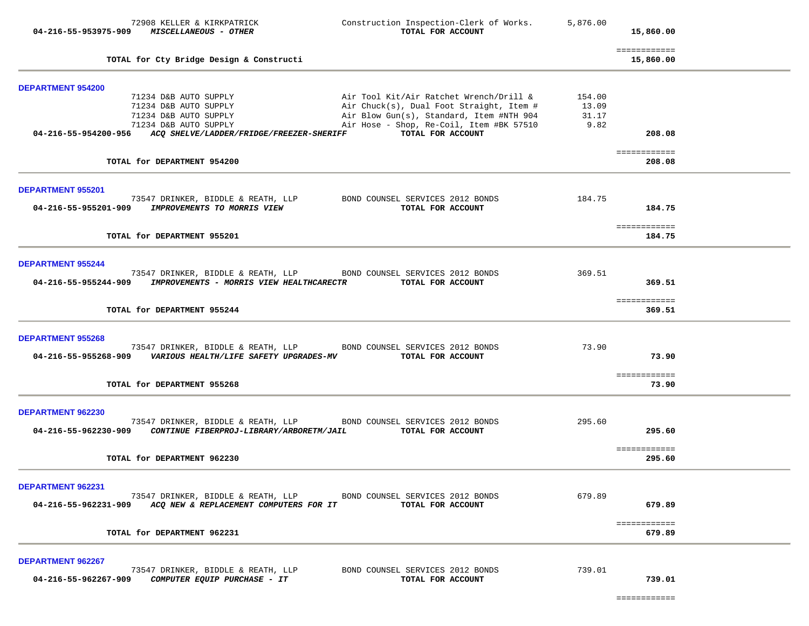|                                           | 72908 KELLER & KIRKPATRICK<br>04-216-55-953975-909 MISCELLANEOUS - OTHER                                                                                          | Construction Inspection-Clerk of Works.<br>TOTAL FOR ACCOUNT                                                                                                                                     | 5,876.00                         | 15,860.00                 |  |
|-------------------------------------------|-------------------------------------------------------------------------------------------------------------------------------------------------------------------|--------------------------------------------------------------------------------------------------------------------------------------------------------------------------------------------------|----------------------------------|---------------------------|--|
|                                           | TOTAL for Cty Bridge Design & Constructi                                                                                                                          |                                                                                                                                                                                                  |                                  | ============<br>15,860.00 |  |
| <b>DEPARTMENT 954200</b>                  |                                                                                                                                                                   |                                                                                                                                                                                                  |                                  |                           |  |
|                                           | 71234 D&B AUTO SUPPLY<br>71234 D&B AUTO SUPPLY<br>71234 D&B AUTO SUPPLY<br>71234 D&B AUTO SUPPLY<br>04-216-55-954200-956 ACQ SHELVE/LADDER/FRIDGE/FREEZER-SHERIFF | Air Tool Kit/Air Ratchet Wrench/Drill &<br>Air Chuck(s), Dual Foot Straight, Item #<br>Air Blow Gun(s), Standard, Item #NTH 904<br>Air Hose - Shop, Re-Coil, Item #BK 57510<br>TOTAL FOR ACCOUNT | 154.00<br>13.09<br>31.17<br>9.82 | 208.08                    |  |
|                                           | TOTAL for DEPARTMENT 954200                                                                                                                                       |                                                                                                                                                                                                  |                                  | ============<br>208.08    |  |
| <b>DEPARTMENT 955201</b>                  |                                                                                                                                                                   |                                                                                                                                                                                                  |                                  |                           |  |
|                                           | 04-216-55-955201-909 IMPROVEMENTS TO MORRIS VIEW                                                                                                                  | 73547 DRINKER, BIDDLE & REATH, LLP BOND COUNSEL SERVICES 2012 BONDS<br>TOTAL FOR ACCOUNT                                                                                                         | 184.75                           | 184.75                    |  |
|                                           | TOTAL for DEPARTMENT 955201                                                                                                                                       |                                                                                                                                                                                                  |                                  | ============<br>184.75    |  |
| <b>DEPARTMENT 955244</b>                  |                                                                                                                                                                   |                                                                                                                                                                                                  |                                  |                           |  |
|                                           | 04-216-55-955244-909 IMPROVEMENTS - MORRIS VIEW HEALTHCARECTR                                                                                                     | 73547 DRINKER, BIDDLE & REATH, LLP BOND COUNSEL SERVICES 2012 BONDS<br>TOTAL FOR ACCOUNT                                                                                                         | 369.51                           | 369.51                    |  |
|                                           | TOTAL for DEPARTMENT 955244                                                                                                                                       |                                                                                                                                                                                                  |                                  | ============<br>369.51    |  |
| <b>DEPARTMENT 955268</b>                  | 04-216-55-955268-909    VARIOUS HEALTH/LIFE SAFETY UPGRADES-MV                                                                                                    | 73547 DRINKER, BIDDLE & REATH, LLP BOND COUNSEL SERVICES 2012 BONDS<br>TOTAL FOR ACCOUNT                                                                                                         | 73.90                            | 73.90                     |  |
|                                           | TOTAL for DEPARTMENT 955268                                                                                                                                       |                                                                                                                                                                                                  |                                  | ============<br>73.90     |  |
| <b>DEPARTMENT 962230</b>                  | 04-216-55-962230-909 CONTINUE FIBERPROJ-LIBRARY/ARBORETM/JAIL                                                                                                     | 73547 DRINKER, BIDDLE & REATH, LLP BOND COUNSEL SERVICES 2012 BONDS<br>TOTAL FOR ACCOUNT                                                                                                         | 295.60                           | 295.60                    |  |
|                                           | TOTAL for DEPARTMENT 962230                                                                                                                                       |                                                                                                                                                                                                  |                                  | ============<br>295.60    |  |
| DEPARTMENT 962231<br>04-216-55-962231-909 | 73547 DRINKER, BIDDLE & REATH, LLP<br>ACQ NEW & REPLACEMENT COMPUTERS FOR IT                                                                                      | BOND COUNSEL SERVICES 2012 BONDS<br>TOTAL FOR ACCOUNT                                                                                                                                            | 679.89                           | 679.89                    |  |
|                                           | TOTAL for DEPARTMENT 962231                                                                                                                                       |                                                                                                                                                                                                  |                                  | ============<br>679.89    |  |
| <b>DEPARTMENT 962267</b>                  |                                                                                                                                                                   |                                                                                                                                                                                                  |                                  |                           |  |
| 04-216-55-962267-909                      | 73547 DRINKER, BIDDLE & REATH, LLP<br>COMPUTER EQUIP PURCHASE - IT                                                                                                | BOND COUNSEL SERVICES 2012 BONDS<br>TOTAL FOR ACCOUNT                                                                                                                                            | 739.01                           | 739.01                    |  |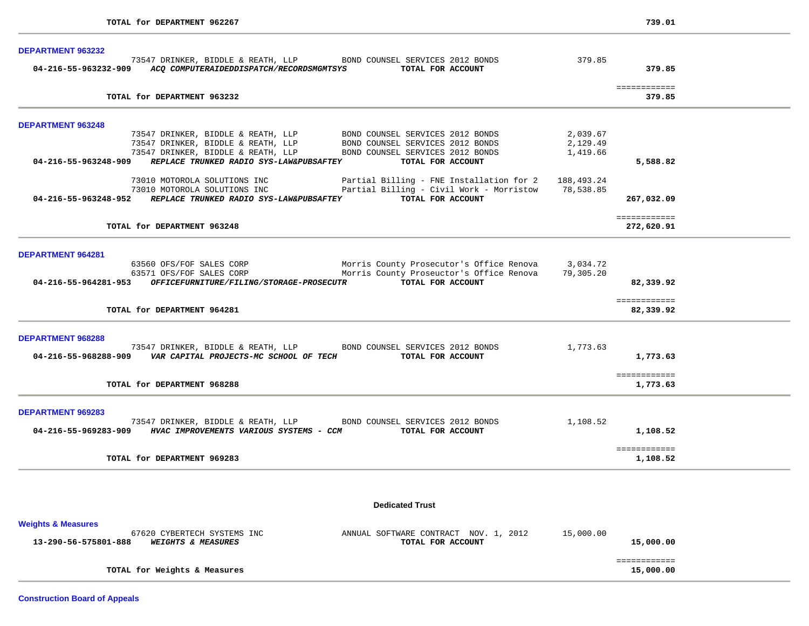| 04-216-55-963232-909 ACQ COMPUTERAIDEDDISPATCH/RECORDSMGMTSYS TOTAL FOR ACCOUNT<br>TOTAL for DEPARTMENT 963232<br>73547 DRINKER, BIDDLE & REATH, LLP BOND COUNSEL SERVICES 2012 BONDS<br>73547 DRINKER, BIDDLE & REATH, LLP BOND COUNSEL SERVICES 2012 BONDS<br>73547 DRINKER, BIDDLE & REATH, LLP BOND COUNSEL SERVICES 2012 BONDS<br>04-216-55-963248-909 REPLACE TRUNKED RADIO SYS-LAW&PUBSAFTEY<br>73010 MOTOROLA SOLUTIONS INC<br>73010 MOTOROLA SOLUTIONS INC <b>Example 2012</b> Partial Billing - Civil Work - Morristow 78,538.85<br>04-216-55-963248-952 REPLACE TRUNKED RADIO SYS-LAW&PUBSAFTEY TOTAL FOR ACCOUNT | 73547 DRINKER, BIDDLE & REATH, LLP BOND COUNSEL SERVICES 2012 BONDS 379.85<br>BOND COUNSEL SERVICES 2012 BONDS<br>TOTAL FOR ACCOUNT<br>Partial Billing - FNE Installation for 2 188,493.24 | 2,039.67<br>2,129.49<br>1,419.66                                                                                                                                                                                                        | 379.85<br>============<br>379.85<br>5,588.82                                                                                                                                                                             |                        |
|------------------------------------------------------------------------------------------------------------------------------------------------------------------------------------------------------------------------------------------------------------------------------------------------------------------------------------------------------------------------------------------------------------------------------------------------------------------------------------------------------------------------------------------------------------------------------------------------------------------------------|--------------------------------------------------------------------------------------------------------------------------------------------------------------------------------------------|-----------------------------------------------------------------------------------------------------------------------------------------------------------------------------------------------------------------------------------------|--------------------------------------------------------------------------------------------------------------------------------------------------------------------------------------------------------------------------|------------------------|
|                                                                                                                                                                                                                                                                                                                                                                                                                                                                                                                                                                                                                              |                                                                                                                                                                                            |                                                                                                                                                                                                                                         |                                                                                                                                                                                                                          |                        |
|                                                                                                                                                                                                                                                                                                                                                                                                                                                                                                                                                                                                                              |                                                                                                                                                                                            |                                                                                                                                                                                                                                         |                                                                                                                                                                                                                          |                        |
|                                                                                                                                                                                                                                                                                                                                                                                                                                                                                                                                                                                                                              |                                                                                                                                                                                            |                                                                                                                                                                                                                                         |                                                                                                                                                                                                                          |                        |
|                                                                                                                                                                                                                                                                                                                                                                                                                                                                                                                                                                                                                              |                                                                                                                                                                                            |                                                                                                                                                                                                                                         |                                                                                                                                                                                                                          |                        |
|                                                                                                                                                                                                                                                                                                                                                                                                                                                                                                                                                                                                                              |                                                                                                                                                                                            |                                                                                                                                                                                                                                         |                                                                                                                                                                                                                          |                        |
|                                                                                                                                                                                                                                                                                                                                                                                                                                                                                                                                                                                                                              |                                                                                                                                                                                            |                                                                                                                                                                                                                                         |                                                                                                                                                                                                                          |                        |
|                                                                                                                                                                                                                                                                                                                                                                                                                                                                                                                                                                                                                              |                                                                                                                                                                                            |                                                                                                                                                                                                                                         |                                                                                                                                                                                                                          |                        |
|                                                                                                                                                                                                                                                                                                                                                                                                                                                                                                                                                                                                                              |                                                                                                                                                                                            |                                                                                                                                                                                                                                         |                                                                                                                                                                                                                          |                        |
|                                                                                                                                                                                                                                                                                                                                                                                                                                                                                                                                                                                                                              |                                                                                                                                                                                            |                                                                                                                                                                                                                                         |                                                                                                                                                                                                                          |                        |
|                                                                                                                                                                                                                                                                                                                                                                                                                                                                                                                                                                                                                              |                                                                                                                                                                                            |                                                                                                                                                                                                                                         | 267,032.09                                                                                                                                                                                                               |                        |
|                                                                                                                                                                                                                                                                                                                                                                                                                                                                                                                                                                                                                              |                                                                                                                                                                                            |                                                                                                                                                                                                                                         |                                                                                                                                                                                                                          |                        |
|                                                                                                                                                                                                                                                                                                                                                                                                                                                                                                                                                                                                                              |                                                                                                                                                                                            |                                                                                                                                                                                                                                         | ============                                                                                                                                                                                                             |                        |
|                                                                                                                                                                                                                                                                                                                                                                                                                                                                                                                                                                                                                              |                                                                                                                                                                                            |                                                                                                                                                                                                                                         |                                                                                                                                                                                                                          |                        |
|                                                                                                                                                                                                                                                                                                                                                                                                                                                                                                                                                                                                                              |                                                                                                                                                                                            |                                                                                                                                                                                                                                         |                                                                                                                                                                                                                          |                        |
|                                                                                                                                                                                                                                                                                                                                                                                                                                                                                                                                                                                                                              |                                                                                                                                                                                            |                                                                                                                                                                                                                                         |                                                                                                                                                                                                                          |                        |
|                                                                                                                                                                                                                                                                                                                                                                                                                                                                                                                                                                                                                              |                                                                                                                                                                                            |                                                                                                                                                                                                                                         |                                                                                                                                                                                                                          |                        |
|                                                                                                                                                                                                                                                                                                                                                                                                                                                                                                                                                                                                                              |                                                                                                                                                                                            |                                                                                                                                                                                                                                         | 82,339.92                                                                                                                                                                                                                |                        |
|                                                                                                                                                                                                                                                                                                                                                                                                                                                                                                                                                                                                                              |                                                                                                                                                                                            |                                                                                                                                                                                                                                         | ============                                                                                                                                                                                                             |                        |
| TOTAL for DEPARTMENT 964281                                                                                                                                                                                                                                                                                                                                                                                                                                                                                                                                                                                                  |                                                                                                                                                                                            |                                                                                                                                                                                                                                         | 82,339.92                                                                                                                                                                                                                |                        |
|                                                                                                                                                                                                                                                                                                                                                                                                                                                                                                                                                                                                                              |                                                                                                                                                                                            |                                                                                                                                                                                                                                         |                                                                                                                                                                                                                          |                        |
|                                                                                                                                                                                                                                                                                                                                                                                                                                                                                                                                                                                                                              |                                                                                                                                                                                            |                                                                                                                                                                                                                                         |                                                                                                                                                                                                                          |                        |
|                                                                                                                                                                                                                                                                                                                                                                                                                                                                                                                                                                                                                              |                                                                                                                                                                                            |                                                                                                                                                                                                                                         | 1,773.63                                                                                                                                                                                                                 |                        |
|                                                                                                                                                                                                                                                                                                                                                                                                                                                                                                                                                                                                                              |                                                                                                                                                                                            |                                                                                                                                                                                                                                         |                                                                                                                                                                                                                          |                        |
|                                                                                                                                                                                                                                                                                                                                                                                                                                                                                                                                                                                                                              |                                                                                                                                                                                            |                                                                                                                                                                                                                                         | ============                                                                                                                                                                                                             |                        |
|                                                                                                                                                                                                                                                                                                                                                                                                                                                                                                                                                                                                                              |                                                                                                                                                                                            |                                                                                                                                                                                                                                         |                                                                                                                                                                                                                          |                        |
|                                                                                                                                                                                                                                                                                                                                                                                                                                                                                                                                                                                                                              |                                                                                                                                                                                            |                                                                                                                                                                                                                                         |                                                                                                                                                                                                                          |                        |
|                                                                                                                                                                                                                                                                                                                                                                                                                                                                                                                                                                                                                              |                                                                                                                                                                                            |                                                                                                                                                                                                                                         |                                                                                                                                                                                                                          |                        |
| 73547 DRINKER, BIDDLE & REATH, LLP BOND COUNSEL SERVICES 2012 BONDS                                                                                                                                                                                                                                                                                                                                                                                                                                                                                                                                                          |                                                                                                                                                                                            | 1,108.52                                                                                                                                                                                                                                |                                                                                                                                                                                                                          |                        |
| 04-216-55-969283-909 HVAC IMPROVEMENTS VARIOUS SYSTEMS - CCM TOTAL FOR ACCOUNT                                                                                                                                                                                                                                                                                                                                                                                                                                                                                                                                               |                                                                                                                                                                                            |                                                                                                                                                                                                                                         | 1,108.52                                                                                                                                                                                                                 |                        |
|                                                                                                                                                                                                                                                                                                                                                                                                                                                                                                                                                                                                                              |                                                                                                                                                                                            |                                                                                                                                                                                                                                         | ============                                                                                                                                                                                                             |                        |
|                                                                                                                                                                                                                                                                                                                                                                                                                                                                                                                                                                                                                              | TOTAL for DEPARTMENT 963248<br>TOTAL for DEPARTMENT 968288                                                                                                                                 | 04-216-55-964281-953 OFFICEFURNITURE/FILING/STORAGE-PROSECUTR TOTAL FOR ACCOUNT<br>73547 DRINKER, BIDDLE & REATH, LLP BOND COUNSEL SERVICES 2012 BONDS<br>04-216-55-968288-909 VAR CAPITAL PROJECTS-MC SCHOOL OF TECH TOTAL FOR ACCOUNT | 63560 OFS/FOF SALES CORP                       Morris County Prosecutor's Office Renova      3,034.72<br>63571 OFS/FOF SALES CORP                    Morris County Proseuctor's Office Renova      79,305.20<br>1,773.63 | 272,620.91<br>1,773.63 |

| 13-290-56-575801-888<br><i><b>WEIGHTS &amp; MEASURES</b></i> | TOTAL FOR ACCOUNT | 15,000.00 |
|--------------------------------------------------------------|-------------------|-----------|
|                                                              |                   |           |
| TOTAL for Weights & Measures                                 |                   | 15,000.00 |